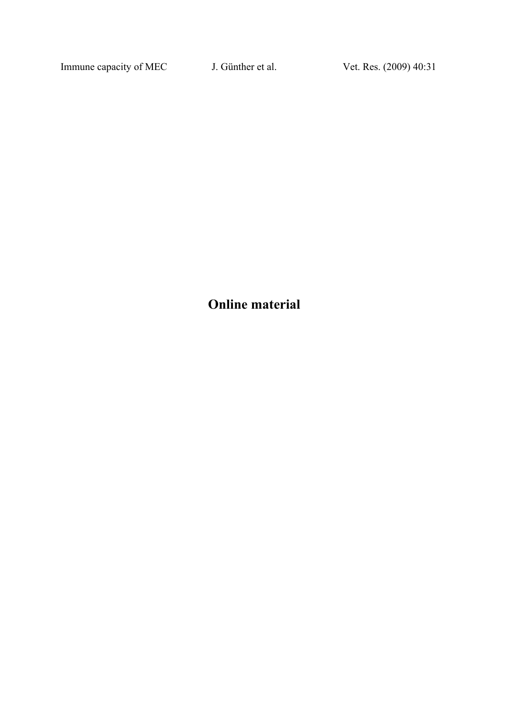Immune capacity of MEC J. Günther et al. Vet. Res. (2009) 40:31

**Online material**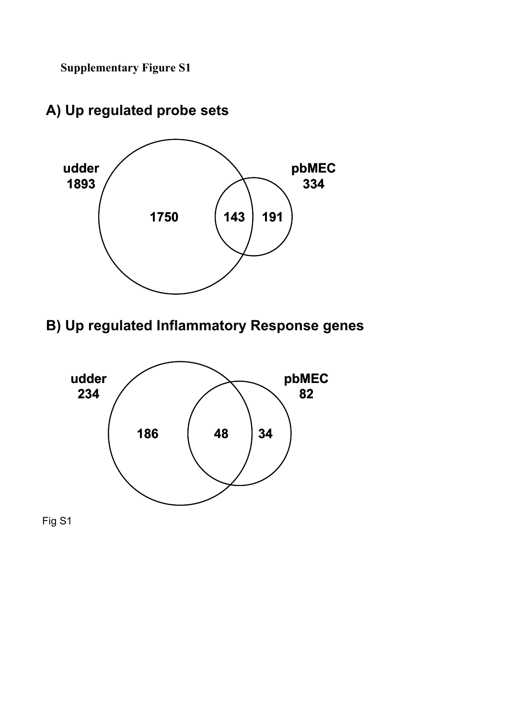**Supplementary Figure S1**



# **A) Up regulated probe sets**

# **B) Up regulated Inflammatory Response genes**



Fig S1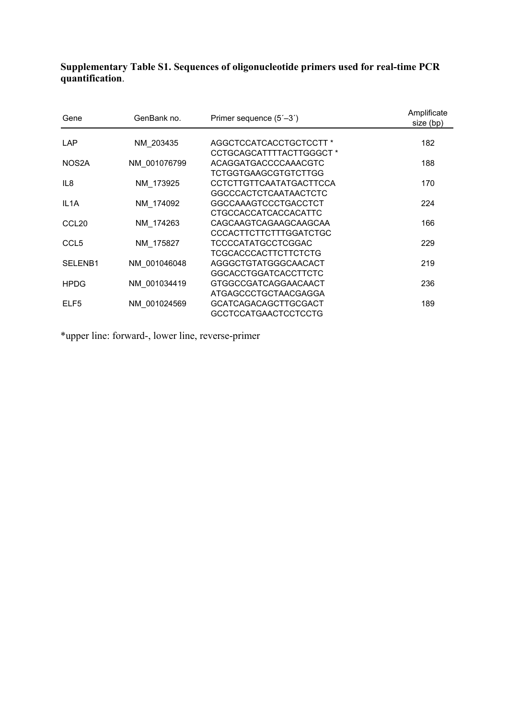**Supplementary Table S1. Sequences of oligonucleotide primers used for real-time PCR quantification**.

| GenBank no. | Primer sequence (5'-3')                                                                             | Amplificate<br>size (bp)                                                                                                    |
|-------------|-----------------------------------------------------------------------------------------------------|-----------------------------------------------------------------------------------------------------------------------------|
|             |                                                                                                     |                                                                                                                             |
|             |                                                                                                     | 182                                                                                                                         |
|             |                                                                                                     |                                                                                                                             |
|             | ACAGGATGACCCCAAACGTC                                                                                | 188                                                                                                                         |
|             | TCTGGTGAAGCGTGTCTTGG                                                                                |                                                                                                                             |
| NM_173925   | CCTCTTGTTCAATATGACTTCCA                                                                             | 170                                                                                                                         |
|             | <b>GGCCCACTCTCAATAACTCTC</b>                                                                        |                                                                                                                             |
| NM 174092   | GGCCAAAGTCCCTGACCTCT                                                                                | 224                                                                                                                         |
|             | CTGCCACCATCACCACATTC                                                                                |                                                                                                                             |
|             | CAGCAAGTCAGAAGCAAGCAA                                                                               | 166                                                                                                                         |
|             | CCCACTTCTTCTTTGGATCTGC                                                                              |                                                                                                                             |
|             | <b>TCCCCATATGCCTCGGAC</b>                                                                           | 229                                                                                                                         |
|             | TCGCACCCACTTCTTCTCTG                                                                                |                                                                                                                             |
|             | AGGGCTGTATGGGCAACACT                                                                                | 219                                                                                                                         |
|             | <b>GGCACCTGGATCACCTTCTC</b>                                                                         |                                                                                                                             |
|             | GTGGCCGATCAGGAACAACT                                                                                | 236                                                                                                                         |
|             |                                                                                                     |                                                                                                                             |
|             |                                                                                                     | 189                                                                                                                         |
|             |                                                                                                     |                                                                                                                             |
|             | NM 203435<br>NM 001076799<br>NM 174263<br>NM 175827<br>NM 001046048<br>NM 001034419<br>NM 001024569 | AGGCTCCATCACCTGCTCCTT *<br>CCTGCAGCATTTTACTTGGGCT *<br>ATGAGCCCTGCTAACGAGGA<br>GCATCAGACAGCTTGCGACT<br>GCCTCCATGAACTCCTCCTG |

\*upper line: forward-, lower line, reverse-primer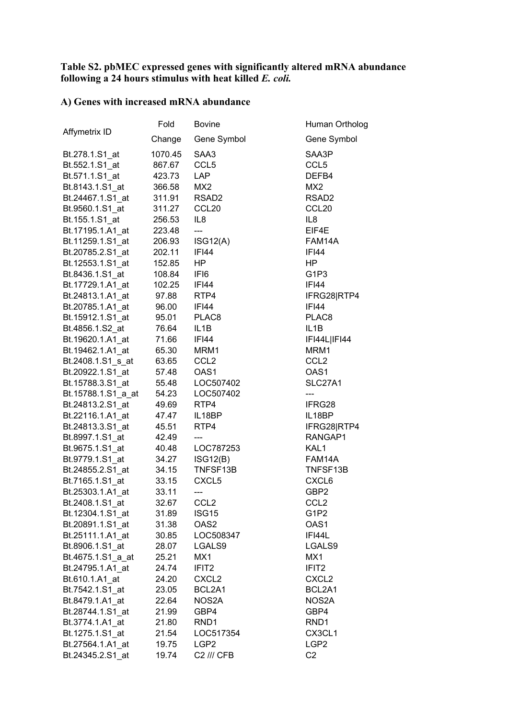### **Table S2. pbMEC expressed genes with significantly altered mRNA abundance following a 24 hours stimulus with heat killed** *E. coli.*

## **A) Genes with increased mRNA abundance**

|                    | Fold    | <b>Bovine</b>     | Human Ortholog                |
|--------------------|---------|-------------------|-------------------------------|
| Affymetrix ID      | Change  | Gene Symbol       | Gene Symbol                   |
| Bt.278.1.S1_at     | 1070.45 | SAA3              | SAA3P                         |
| Bt.552.1.S1_at     | 867.67  | CCL <sub>5</sub>  | CCL <sub>5</sub>              |
| Bt.571.1.S1 at     | 423.73  | <b>LAP</b>        | DEFB4                         |
| Bt.8143.1.S1_at    | 366.58  | MX <sub>2</sub>   | MX <sub>2</sub>               |
| Bt.24467.1.S1 at   | 311.91  | RSAD <sub>2</sub> | RSAD <sub>2</sub>             |
| Bt.9560.1.S1_at    | 311.27  | CCL <sub>20</sub> | CCL <sub>20</sub>             |
| Bt.155.1.S1 at     | 256.53  | IL <sub>8</sub>   | IL <sub>8</sub>               |
| Bt.17195.1.A1_at   | 223.48  | $---$             | EIF4E                         |
| Bt.11259.1.S1 at   | 206.93  | ISG12(A)          | FAM14A                        |
| Bt.20785.2.S1 at   | 202.11  | <b>IFI44</b>      | IFI44                         |
| Bt.12553.1.S1_at   | 152.85  | HP.               | HP.                           |
| Bt.8436.1.S1_at    | 108.84  | IFI6              | G <sub>1</sub> P <sub>3</sub> |
| Bt.17729.1.A1_at   | 102.25  | IFI44             | <b>IFI44</b>                  |
| Bt.24813.1.A1_at   | 97.88   | RTP4              | IFRG28 RTP4                   |
| Bt.20785.1.A1_at   | 96.00   | <b>IFI44</b>      | <b>IFI44</b>                  |
| Bt.15912.1.S1_at   | 95.01   | PLAC <sub>8</sub> | PLAC8                         |
| Bt.4856.1.S2_at    | 76.64   | IL <sub>1</sub> B | IL <sub>1</sub> B             |
| Bt.19620.1.A1_at   | 71.66   | <b>IFI44</b>      | IFI44L IFI44                  |
| Bt.19462.1.A1_at   | 65.30   | MRM1              | MRM1                          |
| Bt.2408.1.S1_s_at  | 63.65   | CCL <sub>2</sub>  | CCL <sub>2</sub>              |
|                    |         | OAS1              | OAS1                          |
| Bt.20922.1.S1_at   | 57.48   |                   | SLC27A1                       |
| Bt.15788.3.S1_at   | 55.48   | LOC507402         |                               |
| Bt.15788.1.S1_a_at | 54.23   | LOC507402         | ---                           |
| Bt.24813.2.S1_at   | 49.69   | RTP4              | IFRG28                        |
| Bt.22116.1.A1_at   | 47.47   | IL18BP            | IL18BP                        |
| Bt.24813.3.S1 at   | 45.51   | RTP4              | IFRG28 RTP4                   |
| Bt.8997.1.S1_at    | 42.49   |                   | RANGAP1                       |
| Bt.9675.1.S1_at    | 40.48   | LOC787253         | KAL1                          |
| Bt.9779.1.S1_at    | 34.27   | ISG12(B)          | FAM14A                        |
| Bt.24855.2.S1_at   | 34.15   | TNFSF13B          | TNFSF13B                      |
| Bt.7165.1.S1_at    | 33.15   | CXCL <sub>5</sub> | CXCL6                         |
| Bt.25303.1.A1_at   | 33.11   | ---               | GBP2                          |
| Bt.2408.1.S1_at    | 32.67   | CCL <sub>2</sub>  | CCL <sub>2</sub>              |
| Bt.12304.1.S1 at   | 31.89   | ISG15             | G1P2                          |
| Bt.20891.1.S1_at   | 31.38   | OAS <sub>2</sub>  | OAS1                          |
| Bt.25111.1.A1_at   | 30.85   | LOC508347         | IFI44L                        |
| Bt.8906.1.S1 at    | 28.07   | LGALS9            | LGALS9                        |
| Bt.4675.1.S1 a at  | 25.21   | MX1               | MX1                           |
| Bt.24795.1.A1_at   | 24.74   | IFIT <sub>2</sub> | IFIT <sub>2</sub>             |
| Bt.610.1.A1 at     | 24.20   | CXCL <sub>2</sub> | CXCL <sub>2</sub>             |
| Bt.7542.1.S1_at    | 23.05   | BCL2A1            | BCL2A1                        |
| Bt.8479.1.A1 at    | 22.64   | NOS2A             | NOS2A                         |
| Bt.28744.1.S1_at   | 21.99   | GBP4              | GBP4                          |
| Bt.3774.1.A1_at    | 21.80   | RND <sub>1</sub>  | RND <sub>1</sub>              |
| Bt.1275.1.S1_at    | 21.54   | LOC517354         | CX3CL1                        |
| Bt.27564.1.A1 at   | 19.75   | LGP <sub>2</sub>  | LGP <sub>2</sub>              |
| Bt.24345.2.S1_at   | 19.74   | C2 /// CFB        | C <sub>2</sub>                |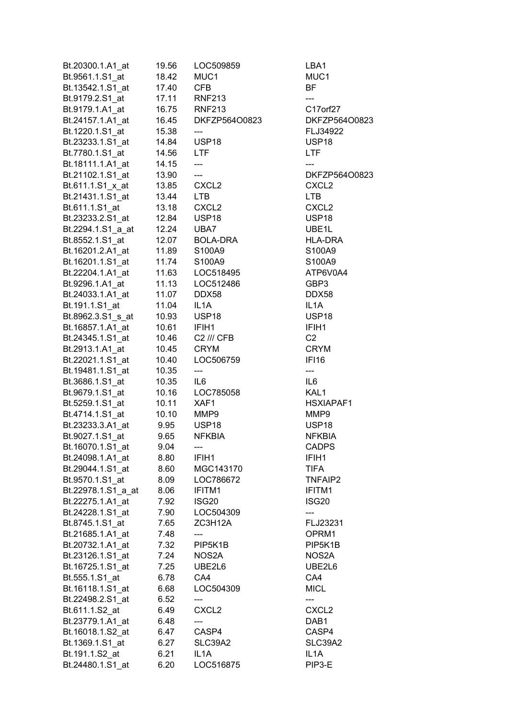| Bt.20300.1.A1_at       | 19.56       | LOC509859                | LBA1              |
|------------------------|-------------|--------------------------|-------------------|
| Bt.9561.1.S1_at        | 18.42       | MUC1                     | MUC1              |
| Bt.13542.1.S1 at       | 17.40       | <b>CFB</b>               | BF                |
| Bt.9179.2.S1_at        |             | 17.11 RNF213             | ---               |
| Bt.9179.1.A1 at        |             | 16.75 RNF213             | C17orf27          |
| Bt.24157.1.A1_at       |             | 16.45 DKFZP564O0823      | DKFZP564O0823     |
| Bt.1220.1.S1_at        | 15.38       | ---                      | FLJ34922          |
| Bt.23233.1.S1_at       | 14.84 USP18 |                          | USP <sub>18</sub> |
| Bt.7780.1.S1 at        | 14.56 LTF   |                          | <b>LTF</b>        |
| Bt.18111.1.A1_at       | 14.15       | $---$                    |                   |
| Bt.21102.1.S1 at 13.90 |             | $\overline{\phantom{a}}$ | DKFZP564O0823     |
|                        |             |                          | CXCL <sub>2</sub> |
| Bt.21431.1.S1_at       | 13.44       | <b>LTB</b>               | <b>LTB</b>        |
| Bt.611.1.S1_at         | 13.18       | CXCL <sub>2</sub>        | CXCL <sub>2</sub> |
| Bt.23233.2.S1_at       | 12.84       | USP18                    | USP18             |
|                        |             |                          | UBE1L             |
| Bt.2294.1.S1_a_at      | 12.24 UBA7  |                          |                   |
| Bt.8552.1.S1_at        |             | 12.07 BOLA-DRA           | <b>HLA-DRA</b>    |
| Bt.16201.2.A1_at       | 11.89       | S100A9                   | S100A9            |
| Bt.16201.1.S1_at       | 11.74       | S100A9                   | S100A9            |
|                        |             |                          | ATP6V0A4          |
| Bt.9296.1.A1_at        |             | 11.13    LOC512486       | GBP3              |
| Bt.24033.1.A1 at       | 11.07 DDX58 |                          | DDX58             |
| Bt.191.1.S1_at         | 11.04 IL1A  |                          | IL1A              |
| Bt.8962.3.S1_s_at      | 10.93 USP18 |                          | USP <sub>18</sub> |
| Bt.16857.1.A1_at       | 10.61 IFIH1 |                          | IFIH1             |
| Bt.24345.1.S1_at       |             | 10.46 C2 /// CFB         | C <sub>2</sub>    |
| Bt.2913.1.A1_at        | 10.45 CRYM  |                          | <b>CRYM</b>       |
| Bt.22021.1.S1_at       | 10.40       | LOC506759                | IFI16             |
| Bt.19481.1.S1_at       | 10.35       | ---                      | ---               |
| Bt.3686.1.S1_at        | 10.35       | IL6                      | IL6               |
| Bt.9679.1.S1_at        | 10.16       | LOC785058                | KAL1              |
| Bt.5259.1.S1_at        | 10.11       | XAF1                     | HSXIAPAF1         |
| Bt.4714.1.S1_at        | 10.10       | MMP9                     | MMP9              |
| Bt.23233.3.A1_at       | 9.95 USP18  |                          | USP <sub>18</sub> |
| Bt.9027.1.S1_at        | 9.65        | <b>NFKBIA</b>            | <b>NFKBIA</b>     |
| Bt.16070.1.S1_at       | 9.04        | ---                      | <b>CADPS</b>      |
| Bt.24098.1.A1 at       | 8.80        | IFIH1                    | IFIH1             |
| Bt.29044.1.S1_at       | 8.60        | MGC143170                | <b>TIFA</b>       |
| Bt.9570.1.S1_at        | 8.09        | LOC786672                | <b>TNFAIP2</b>    |
| Bt.22978.1.S1 a at     | 8.06        | IFITM1                   | IFITM1            |
| Bt.22275.1.A1 at       | 7.92        | ISG20                    | ISG <sub>20</sub> |
| Bt.24228.1.S1_at       | 7.90        | LOC504309                |                   |
| Bt.8745.1.S1_at        | 7.65        | ZC3H12A                  | FLJ23231          |
| Bt.21685.1.A1_at       | 7.48        |                          | OPRM1             |
| Bt.20732.1.A1_at       | 7.32        | PIP5K1B                  | PIP5K1B           |
| Bt.23126.1.S1_at       | 7.24        | NOS2A                    | NOS2A             |
| Bt.16725.1.S1_at       | 7.25        | UBE2L6                   | UBE2L6            |
| Bt.555.1.S1_at         | 6.78        | CA4                      | CA4               |
| Bt.16118.1.S1_at       | 6.68        | LOC504309                | <b>MICL</b>       |
| Bt.22498.2.S1_at       | 6.52        | ---                      | ---               |
| Bt.611.1.S2_at         | 6.49        | CXCL <sub>2</sub>        | CXCL <sub>2</sub> |
| Bt.23779.1.A1 at       | 6.48        | ---                      | DAB1              |
| Bt.16018.1.S2_at       | 6.47        | CASP4                    | CASP4             |
| Bt.1369.1.S1_at        | 6.27        | SLC39A2                  | SLC39A2           |
| Bt.191.1.S2_at         | 6.21        | IL1A                     | IL <sub>1</sub> A |
| Bt.24480.1.S1_at       | 6.20        | LOC516875                | PIP3-E            |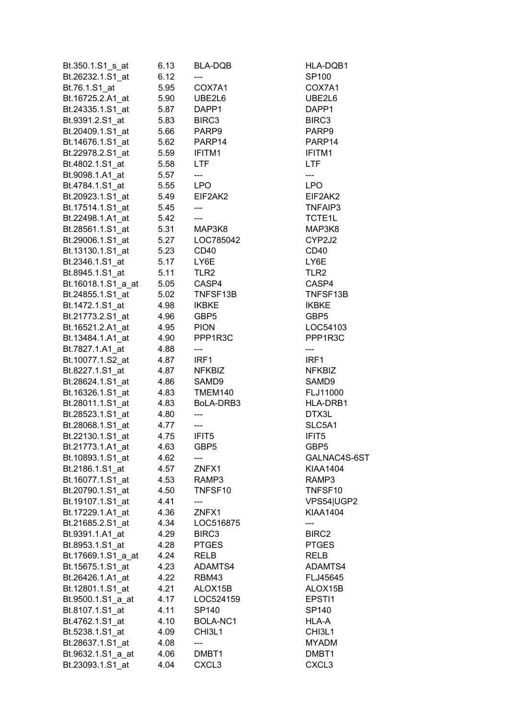| Bt.350.1.S1_s_at                     | 6.13         | BLA-DQB                  | HLA-DQB1          |
|--------------------------------------|--------------|--------------------------|-------------------|
| Bt.26232.1.S1_at                     | 6.12         |                          | SP100             |
| Bt.76.1.S1_at                        | 5.95         | COX7A1                   | COX7A1            |
| Bt.16725.2.A1_at                     | 5.90         | UBE2L6                   | UBE2L6            |
| Bt.24335.1.S1 at                     | 5.87         | DAPP1                    | DAPP1             |
| Bt.9391.2.S1_at                      | 5.83         | BIRC3                    | BIRC3             |
| Bt.20409.1.S1_at                     | 5.66         | PARP9                    | PARP9             |
| Bt.14676.1.S1_at                     |              | 5.62 PARP14              | PARP14            |
| Bt.22978.2.S1 at                     |              | 5.59 IFITM1              | IFITM1            |
| Bt.4802.1.S1 at                      | 5.58         | LTF                      | LTF               |
| Bt.9098.1.A1_at                      | 5.57         | ---                      | ---               |
| Bt.4784.1.S1_at 5.55 LPO             |              |                          | <b>LPO</b>        |
| Bt.20923.1.S1 at 5.49                |              | EIF2AK2                  | EIF2AK2           |
| Bt.17514.1.S1_at 5.45                |              |                          | TNFAIP3           |
| Bt.22498.1.A1_at                     | 5.42         | ---                      | TCTE1L            |
| Bt.28561.1.S1_at                     | 5.31         | MAP3K8                   | MAP3K8            |
| Bt.29006.1.S1_at                     | 5.27         | LOC785042                | CYP2J2            |
| Bt.13130.1.S1_at                     | 5.23         | CD40                     | CD40              |
| Bt.2346.1.S1_at                      | 5.17         | LY6E                     | LY6E              |
| Bt.8945.1.S1_at                      | 5.11         | TLR <sub>2</sub>         | TLR <sub>2</sub>  |
| Bt.16018.1.S1_a_at                   |              | 5.05 CASP4               | CASP4             |
| Bt.24855.1.S1_at                     | 5.02         | TNFSF13B                 | TNFSF13B          |
| Bt.1472.1.S1_at                      | 4.98         | <b>IKBKE</b>             | <b>IKBKE</b>      |
| Bt.21773.2.S1_at                     | 4.96         | GBP5                     | GBP5              |
| Bt.16521.2.A1_at                     |              | 4.95 PION                | LOC54103          |
| Bt.13484.1.A1_at                     | 4.90         | PPP1R3C                  | PPP1R3C           |
| Bt.7827.1.A1_at                      | 4.88         | ---                      | ---               |
| Bt.10077.1.S2_at                     | 4.87         | IRF1                     | IRF1              |
| Bt.8227.1.S1 at                      | 4.87         | <b>NFKBIZ</b>            | <b>NFKBIZ</b>     |
| Bt.28624.1.S1_at                     | 4.86         | SAMD9                    | SAMD9             |
| Bt.16326.1.S1_at                     | 4.83         | TMEM140                  | FLJ11000          |
| Bt.28011.1.S1_at                     | 4.83         | BoLA-DRB3                | HLA-DRB1          |
| Bt.28523.1.S1_at                     | 4.80         |                          | DTX3L             |
| Bt.28068.1.S1_at                     | 4.77         | $\overline{\phantom{a}}$ | SLC5A1            |
| Bt.22130.1.S1_at                     | 4.75         | IFIT5                    | IFIT5             |
| Bt.21773.1.A1_at                     | 4.63         | GBP <sub>5</sub>         | GBP <sub>5</sub>  |
| Bt.10893.1.S1_at                     | 4.62         |                          | GALNAC4S-6ST      |
| Bt.2186.1.S1 at                      | 4.57         | ZNFX1                    | <b>KIAA1404</b>   |
| Bt.16077.1.S1_at                     | 4.53         | RAMP3                    | RAMP3             |
| Bt.20790.1.S1 at                     | 4.50         | TNFSF10                  | TNFSF10           |
| Bt.19107.1.S1_at                     | 4.41         |                          | VPS54 UGP2        |
| Bt.17229.1.A1_at                     | 4.36         | ZNFX1                    | KIAA1404          |
| Bt.21685.2.S1_at                     | 4.34         | LOC516875                |                   |
| Bt.9391.1.A1_at                      | 4.29         | BIRC3                    | BIRC2             |
| Bt.8953.1.S1 at                      | 4.28         | <b>PTGES</b>             | <b>PTGES</b>      |
| Bt.17669.1.S1_a_at                   | 4.24         | RELB                     | <b>RELB</b>       |
| Bt.15675.1.S1_at                     | 4.23         | ADAMTS4                  | ADAMTS4           |
| Bt.26426.1.A1_at                     | 4.22         | RBM43                    | FLJ45645          |
| Bt.12801.1.S1_at                     | 4.21         | ALOX15B                  | ALOX15B           |
|                                      |              | LOC524159                | EPSTI1            |
| Bt.9500.1.S1_a_at<br>Bt.8107.1.S1_at | 4.17<br>4.11 | SP140                    | SP140             |
| Bt.4762.1.S1 at                      | 4.10         | BOLA-NC1                 | HLA-A             |
| Bt.5238.1.S1 at                      | 4.09         | CHI3L1                   | CHI3L1            |
| Bt.28637.1.S1 at                     | 4.08         |                          | <b>MYADM</b>      |
| Bt.9632.1.S1_a_at                    | 4.06         | DMBT1                    | DMBT1             |
| Bt.23093.1.S1_at                     | 4.04         | CXCL <sub>3</sub>        | CXCL <sub>3</sub> |
|                                      |              |                          |                   |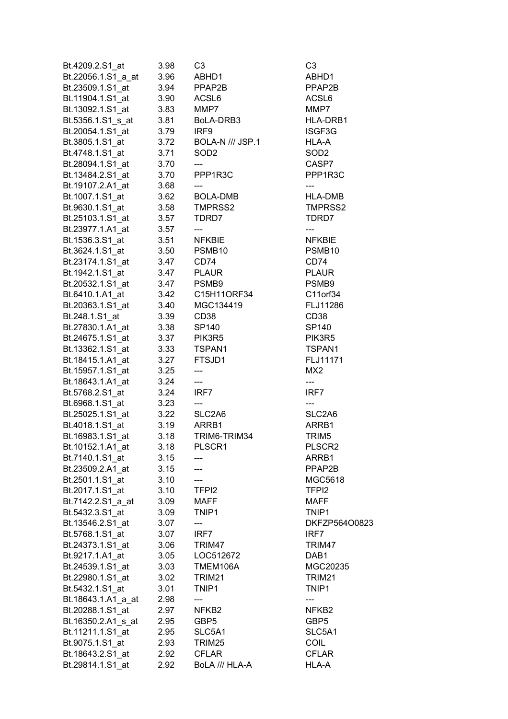| Bt.4209.2.S1_at                                 | 3.98                | C3                                  | C3                 |
|-------------------------------------------------|---------------------|-------------------------------------|--------------------|
| Bt.22056.1.S1_a_at                              | 3.96                | ABHD1                               | ABHD1              |
| Bt.23509.1.S1_at 3.94                           |                     | PPAP2B                              | PPAP2B             |
| Bt.11904.1.S1_at   3.90  ACSL6                  |                     |                                     | ACSL6              |
| Bt.13092.1.S1 at 3.83                           |                     | MMP7                                | MMP7               |
|                                                 |                     |                                     | HLA-DRB1           |
| Bt.20054.1.S1_at 3.79 IRF9                      |                     |                                     | ISGF3G             |
| Bt.3805.1.S1_at                                 |                     | 3.72 BOLA-N /// JSP.1               | HLA-A              |
| Bt.4748.1.S1_at                                 | $\frac{3.71}{2.72}$ | SOD <sub>2</sub>                    | SOD <sub>2</sub>   |
| Bt.28094.1.S1_at 3.70                           |                     | ---                                 | CASP7              |
| Bt.13484.2.S1_at 3.70                           |                     | PPP1R3C                             | PPP1R3C            |
| Bt.19107.2.A1_at 3.68                           |                     |                                     |                    |
| Bt.1007.1.S1 at 3.62 BOLA-DMB                   |                     |                                     | HLA-DMB            |
|                                                 |                     |                                     | TMPRSS2            |
| Bt.25103.1.S1_at 3.57                           |                     | TDRD7                               | TDRD7              |
| Bt.23977.1.A1_at                                |                     | 3.57 ---<br>3.51 NFKBIE             |                    |
| Bt.1536.3.S1_at                                 |                     |                                     | <b>NFKBIE</b>      |
|                                                 |                     |                                     | PSMB <sub>10</sub> |
| Bt.23174.1.S1_at 3.47                           |                     | CD74                                | CD74               |
| Bt.1942.1.S1 at 3.47 PLAUR                      |                     |                                     | <b>PLAUR</b>       |
| Bt.20532.1.S1_at 3.47 PSMB9                     |                     |                                     | PSMB9              |
| Bt.6410.1.A1_at   3.42   C15H11ORF34            |                     |                                     | C11orf34           |
| Bt.20363.1.S1_at 3.40                           |                     | MGC134419                           | FLJ11286           |
| Bt.248.1.S1_at                                  | 3.39                | CD38                                | CD38               |
| Bt.27830.1.A1_at                                |                     | 3.38 SP140                          | SP140              |
| Bt.24675.1.S1_at                                |                     | 3.37 PIK3R5                         | PIK3R5             |
|                                                 |                     |                                     | TSPAN1             |
|                                                 |                     |                                     | FLJ11171           |
| Bt.15957.1.S1_at 3.25                           |                     | $\hspace{0.05cm}---\hspace{0.05cm}$ | MX <sub>2</sub>    |
| Bt.18643.1.A1_at 3.24                           |                     | $\overline{a}$                      | ---                |
| Bt.5768.2.S1_at 3.24 IRF7                       |                     |                                     | IRF7               |
| Bt.6968.1.S1_at                                 | 3.23                | ---                                 |                    |
|                                                 |                     |                                     | SLC2A6             |
| Bt.25025.1.S1_at 3.22 SLC2A6<br>Bt.4018.1.S1_at |                     | 3.19 ARRB1                          | ARRB1              |
|                                                 |                     | TRIM6-TRIM34                        | TRIM <sub>5</sub>  |
| Bt.16983.1.S1_at 3.18                           | 3.18                | PLSCR1                              | PLSCR2             |
| Bt.10152.1.A1_at<br>Bt.7140.1.S1 at             |                     |                                     | ARRB1              |
|                                                 | 3.15                |                                     | PPAP2B             |
| Bt.23509.2.A1_at                                | 3.15                |                                     |                    |
| Bt.2501.1.S1_at                                 | 3.10                | TFPI2                               | MGC5618            |
| Bt.2017.1.S1_at                                 | 3.10                |                                     | TFPI <sub>2</sub>  |
| Bt.7142.2.S1_a_at                               | 3.09                | <b>MAFF</b>                         | <b>MAFF</b>        |
| Bt.5432.3.S1 at                                 | 3.09                | TNIP1                               | TNIP1              |
| Bt.13546.2.S1 at                                | 3.07                |                                     | DKFZP564O0823      |
| Bt.5768.1.S1_at                                 | 3.07                | IRF7                                | IRF7               |
| Bt.24373.1.S1_at                                | 3.06                | TRIM47                              | TRIM47             |
| Bt.9217.1.A1_at                                 | 3.05                | LOC512672                           | DAB <sub>1</sub>   |
| Bt.24539.1.S1 at                                | 3.03                | TMEM106A                            | MGC20235           |
| Bt.22980.1.S1_at                                | 3.02                | TRIM <sub>21</sub>                  | TRIM <sub>21</sub> |
| Bt.5432.1.S1_at                                 | 3.01                | TNIP1                               | TNIP1              |
| Bt.18643.1.A1_a_at                              | 2.98                | ---                                 |                    |
| Bt.20288.1.S1 at                                | 2.97                | NFKB <sub>2</sub>                   | NFKB <sub>2</sub>  |
| Bt.16350.2.A1_s_at                              | 2.95                | GBP5                                | GBP5               |
| Bt.11211.1.S1_at                                | 2.95                | SLC5A1                              | SLC5A1             |
| Bt.9075.1.S1_at                                 | 2.93                | TRIM25                              | <b>COIL</b>        |
| Bt.18643.2.S1_at                                | 2.92                | <b>CFLAR</b>                        | <b>CFLAR</b>       |
| Bt.29814.1.S1_at                                | 2.92                | BoLA /// HLA-A                      | HLA-A              |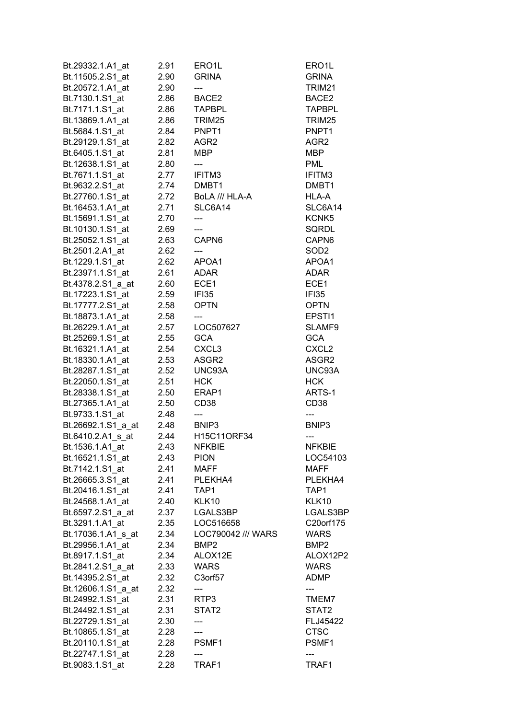| Bt.29332.1.A1_at   | 2.91         | ERO <sub>1</sub> L           | ERO1L                   |
|--------------------|--------------|------------------------------|-------------------------|
| Bt.11505.2.S1_at   | 2.90         | <b>GRINA</b>                 | <b>GRINA</b>            |
| Bt.20572.1.A1_at   | 2.90         | ---                          | TRIM21                  |
| Bt.7130.1.S1_at    | 2.86         | BACE2                        | BACE2                   |
| Bt.7171.1.S1_at    | 2.86         | <b>TAPBPL</b>                | <b>TAPBPL</b>           |
| Bt.13869.1.A1 at   | 2.86         | TRIM25                       | TRIM25                  |
| Bt.5684.1.S1_at    | 2.84         | PNPT1                        | PNPT1                   |
| Bt.29129.1.S1_at   | 2.82         | AGR <sub>2</sub>             | AGR <sub>2</sub>        |
| Bt.6405.1.S1 at    | 2.81         | <b>MBP</b>                   | <b>MBP</b>              |
| Bt.12638.1.S1 at   | 2.80         | ---                          | <b>PML</b>              |
| Bt.7671.1.S1 at    | 2.77         | IFITM3                       | IFITM3                  |
| Bt.9632.2.S1_at    | 2.74         | DMBT1                        | DMBT1                   |
| Bt.27760.1.S1 at   | 2.72         | BoLA /// HLA-A               | HLA-A                   |
| Bt.16453.1.A1_at   | 2.71         | SLC6A14                      | SLC6A14                 |
| Bt.15691.1.S1_at   | 2.70         | ---                          | KCNK5                   |
| Bt.10130.1.S1_at   | 2.69         |                              | SQRDL                   |
| Bt.25052.1.S1_at   | 2.63         | CAPN6                        | CAPN6                   |
| Bt.2501.2.A1_at    | 2.62         |                              | SOD <sub>2</sub>        |
| Bt.1229.1.S1_at    | 2.62         | APOA1                        | APOA1                   |
| Bt.23971.1.S1 at   | 2.61         | <b>ADAR</b>                  | ADAR                    |
| Bt.4378.2.S1_a_at  | 2.60         | ECE1                         | ECE1                    |
| Bt.17223.1.S1_at   | 2.59         | IFI35                        | IFI35                   |
| Bt.17777.2.S1_at   | 2.58         | <b>OPTN</b>                  | <b>OPTN</b>             |
| Bt.18873.1.A1_at   | 2.58         | ---                          | EPSTI1                  |
| Bt.26229.1.A1_at   | 2.57         | LOC507627                    | SLAMF9                  |
| Bt.25269.1.S1_at   | 2.55         | <b>GCA</b>                   | <b>GCA</b>              |
| Bt.16321.1.A1_at   | 2.54         | CXCL <sub>3</sub>            | CXCL <sub>2</sub>       |
| Bt.18330.1.A1_at   | 2.53         | ASGR2                        | ASGR2                   |
| Bt.28287.1.S1_at   | 2.52         | UNC93A                       | UNC93A                  |
| Bt.22050.1.S1_at   | 2.51         | <b>HCK</b>                   | <b>HCK</b>              |
| Bt.28338.1.S1_at   |              |                              | ARTS-1                  |
| Bt.27365.1.A1 at   | 2.50<br>2.50 | ERAP1<br>CD <sub>38</sub>    | CD <sub>38</sub>        |
| Bt.9733.1.S1 at    |              |                              |                         |
| Bt.26692.1.S1_a_at | 2.48<br>2.48 | ---<br>BNIP3                 | ---<br>BNIP3            |
| Bt.6410.2.A1 s at  |              | H15C11ORF34                  |                         |
|                    | 2.44         |                              | ---                     |
| Bt.1536.1.A1_at    | 2.43         | <b>NFKBIE</b><br><b>PION</b> | <b>NFKBIE</b>           |
| Bt.16521.1.S1_at   | 2.43         |                              | LOC54103<br><b>MAFF</b> |
| Bt.7142.1.S1_at    | 2.41         | <b>MAFF</b>                  |                         |
| Bt.26665.3.S1 at   | 2.41         | PLEKHA4                      | PLEKHA4                 |
| Bt.20416.1.S1_at   | 2.41         | TAP1                         | TAP1                    |
| Bt.24568.1.A1_at   | 2.40         | KLK10                        | KLK10                   |
| Bt.6597.2.S1_a_at  | 2.37         | LGALS3BP                     | LGALS3BP                |
| Bt.3291.1.A1 at    | 2.35         | LOC516658                    | C20orf175               |
| Bt.17036.1.A1 s at | 2.34         | LOC790042 /// WARS           | <b>WARS</b>             |
| Bt.29956.1.A1_at   | 2.34         | BMP2                         | BMP <sub>2</sub>        |
| Bt.8917.1.S1_at    | 2.34         | ALOX12E                      | ALOX12P2                |
| Bt.2841.2.S1_a_at  | 2.33         | <b>WARS</b>                  | <b>WARS</b>             |
| Bt.14395.2.S1 at   | 2.32         | C3orf57                      | ADMP                    |
| Bt.12606.1.S1_a_at | 2.32         | ---                          | ---                     |
| Bt.24992.1.S1_at   | 2.31         | RTP3                         | TMEM7                   |
| Bt.24492.1.S1 at   | 2.31         | STAT2                        | STAT2                   |
| Bt.22729.1.S1 at   | 2.30         |                              | FLJ45422                |
| Bt.10865.1.S1_at   | 2.28         | ---                          | <b>CTSC</b>             |
| Bt.20110.1.S1_at   | 2.28         | PSMF1                        | PSMF1                   |
| Bt.22747.1.S1_at   | 2.28         |                              |                         |
| Bt.9083.1.S1_at    | 2.28         | TRAF1                        | TRAF1                   |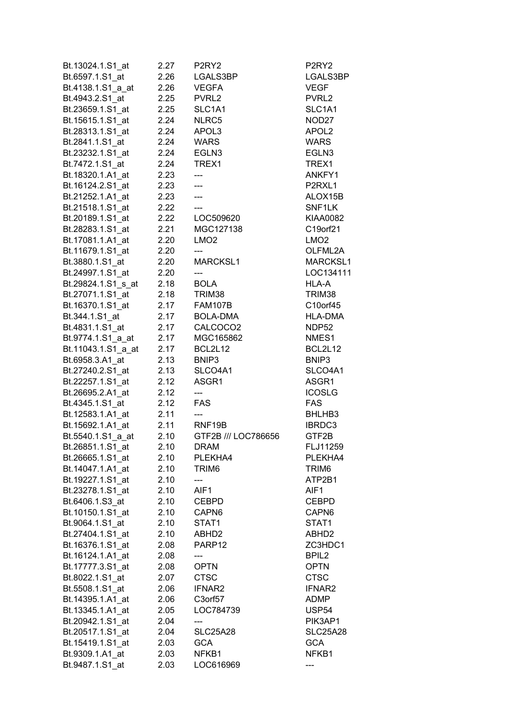| Bt.13024.1.S1 at   | 2.27 | P <sub>2RY2</sub>        | P <sub>2</sub> RY <sub>2</sub> |
|--------------------|------|--------------------------|--------------------------------|
| Bt.6597.1.S1 at    | 2.26 | LGALS3BP                 | LGALS3BP                       |
| Bt.4138.1.S1_a_at  | 2.26 | <b>VEGFA</b>             | <b>VEGF</b>                    |
| Bt.4943.2.S1_at    |      | 2.25 PVRL2               | PVRL2                          |
| Bt.23659.1.S1 at   | 2.25 | SLC1A1                   | SLC1A1                         |
| Bt.15615.1.S1 at   | 2.24 | NLRC5                    | NOD <sub>27</sub>              |
| Bt.28313.1.S1_at   | 2.24 | APOL3                    | APOL <sub>2</sub>              |
| Bt.2841.1.S1_at    | 2.24 | <b>WARS</b>              | <b>WARS</b>                    |
| Bt.23232.1.S1 at   | 2.24 | EGLN3                    | EGLN3                          |
| Bt.7472.1.S1_at    | 2.24 | TREX1                    | TREX1                          |
| Bt.18320.1.A1 at   | 2.23 | ---                      | ANKFY1                         |
| Bt.16124.2.S1_at   | 2.23 | $\overline{\phantom{a}}$ | P2RXL1                         |
| Bt.21252.1.A1 at   | 2.23 | $\overline{a}$           | ALOX15B                        |
| Bt.21518.1.S1_at   | 2.22 |                          | SNF1LK                         |
| Bt.20189.1.S1_at   | 2.22 | LOC509620                | <b>KIAA0082</b>                |
| Bt.28283.1.S1 at   | 2.21 | MGC127138                | C19orf21                       |
| Bt.17081.1.A1_at   | 2.20 | LMO <sub>2</sub>         | LMO <sub>2</sub>               |
| Bt.11679.1.S1_at   | 2.20 |                          | OLFML2A                        |
| Bt.3880.1.S1_at    | 2.20 | MARCKSL1                 | MARCKSL1                       |
| Bt.24997.1.S1 at   | 2.20 |                          | LOC134111                      |
| Bt.29824.1.S1_s_at | 2.18 | <b>BOLA</b>              | HLA-A                          |
| Bt.27071.1.S1_at   | 2.18 | TRIM38                   | TRIM38                         |
| Bt.16370.1.S1_at   | 2.17 | FAM107B                  | C10orf45                       |
| Bt.344.1.S1_at     | 2.17 | BOLA-DMA                 | <b>HLA-DMA</b>                 |
| Bt.4831.1.S1_at    | 2.17 | CALCOCO2                 | NDP52                          |
| Bt.9774.1.S1_a_at  | 2.17 | MGC165862                | NMES1                          |
| Bt.11043.1.S1 a at | 2.17 | BCL2L12                  | BCL2L12                        |
| Bt.6958.3.A1_at    | 2.13 | BNIP3                    | BNIP3                          |
| Bt.27240.2.S1_at   | 2.13 | SLCO4A1                  | SLCO4A1                        |
| Bt.22257.1.S1 at   | 2.12 | ASGR1                    | ASGR1                          |
| Bt.26695.2.A1 at   | 2.12 | $\overline{a}$           | <b>ICOSLG</b>                  |
| Bt.4345.1.S1_at    | 2.12 | <b>FAS</b>               | <b>FAS</b>                     |
| Bt.12583.1.A1_at   | 2.11 | ---                      | BHLHB3                         |
| Bt.15692.1.A1_at   | 2.11 | RNF19B                   | IBRDC3                         |
| Bt.5540.1.S1 a at  | 2.10 | GTF2B /// LOC786656      | GTF2B                          |
| Bt.26851.1.S1_at   | 2.10 | DRAM                     | FLJ11259                       |
| Bt.26665.1.S1 at   | 2.10 | PLEKHA4                  | PLEKHA4                        |
| Bt.14047.1.A1 at   | 2.10 | TRIM6                    | TRIM <sub>6</sub>              |
| Bt.19227.1.S1_at   | 2.10 |                          | ATP2B1                         |
| Bt.23278.1.S1_at   | 2.10 | AIF1                     | AIF1                           |
| Bt.6406.1.S3_at    | 2.10 | <b>CEBPD</b>             | <b>CEBPD</b>                   |
| Bt.10150.1.S1 at   | 2.10 | CAPN <sub>6</sub>        | CAPN6                          |
| Bt.9064.1.S1_at    | 2.10 | STAT1                    | STAT1                          |
| Bt.27404.1.S1 at   | 2.10 | ABHD2                    | ABHD <sub>2</sub>              |
| Bt.16376.1.S1_at   | 2.08 | PARP12                   | ZC3HDC1                        |
| Bt.16124.1.A1 at   | 2.08 | ---                      | BPIL <sub>2</sub>              |
| Bt.17777.3.S1_at   | 2.08 | <b>OPTN</b>              | <b>OPTN</b>                    |
| Bt.8022.1.S1_at    | 2.07 | <b>CTSC</b>              | <b>CTSC</b>                    |
| Bt.5508.1.S1 at    | 2.06 | IFNAR2                   | IFNAR2                         |
| Bt.14395.1.A1_at   | 2.06 | C3orf57                  | ADMP                           |
| Bt.13345.1.A1 at   | 2.05 | LOC784739                | USP <sub>54</sub>              |
| Bt.20942.1.S1 at   | 2.04 | ---                      | PIK3AP1                        |
| Bt.20517.1.S1_at   | 2.04 | <b>SLC25A28</b>          | <b>SLC25A28</b>                |
| Bt.15419.1.S1 at   | 2.03 | <b>GCA</b>               | <b>GCA</b>                     |
| Bt.9309.1.A1_at    | 2.03 | NFKB1                    | NFKB1                          |
| Bt.9487.1.S1_at    | 2.03 | LOC616969                |                                |
|                    |      |                          |                                |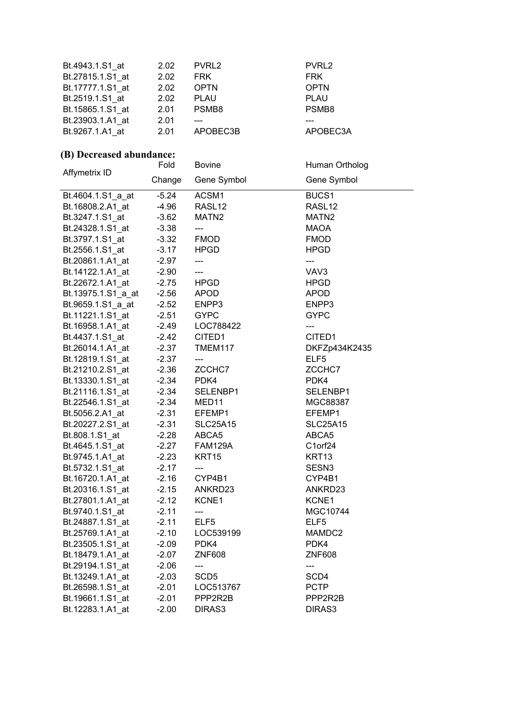| 2.02 | PVRL <sub>2</sub> | PVRL <sub>2</sub> |
|------|-------------------|-------------------|
| 2.02 | <b>FRK</b>        | <b>FRK</b>        |
| 2.02 | <b>OPTN</b>       | <b>OPTN</b>       |
| 2.02 | <b>PLAU</b>       | <b>PLAU</b>       |
| 2.01 | PSMB <sub>8</sub> | PSMB <sub>8</sub> |
| 2.01 |                   |                   |
| 2.01 |                   | APOBEC3A          |
|      |                   | APOBEC3B          |

#### **(B) Decreased abundance:**

Fold

Bovine

Human Ortholog

| Affymetrix ID      | ı vıu   | poving                                      | Tiurian Ortholog   |
|--------------------|---------|---------------------------------------------|--------------------|
|                    | Change  | Gene Symbol                                 | Gene Symbol        |
| Bt.4604.1.S1_a_at  | $-5.24$ | ACSM1                                       | BUCS1              |
| Bt.16808.2.A1 at   | $-4.96$ | RASL <sub>12</sub>                          | RASL <sub>12</sub> |
| Bt.3247.1.S1 at    | $-3.62$ | MATN2                                       | MATN <sub>2</sub>  |
| Bt.24328.1.S1_at   | $-3.38$ | ---                                         | MAOA               |
| Bt.3797.1.S1_at    | $-3.32$ | <b>FMOD</b>                                 | <b>FMOD</b>        |
| Bt.2556.1.S1_at    | $-3.17$ | <b>HPGD</b>                                 | <b>HPGD</b>        |
| Bt.20861.1.A1_at   | $-2.97$ | ---                                         | ---                |
| Bt.14122.1.A1_at   | $-2.90$ | ---                                         | VAV3               |
| Bt.22672.1.A1 at   | $-2.75$ | <b>HPGD</b>                                 | <b>HPGD</b>        |
| Bt.13975.1.S1 a at | $-2.56$ | <b>APOD</b>                                 | <b>APOD</b>        |
| Bt.9659.1.S1_a_at  | $-2.52$ | ENPP3                                       | ENPP3              |
| Bt.11221.1.S1 at   | $-2.51$ | <b>GYPC</b>                                 | <b>GYPC</b>        |
| Bt.16958.1.A1_at   | $-2.49$ | LOC788422                                   | $---$              |
| Bt.4437.1.S1_at    | $-2.42$ | CITED1                                      | CITED1             |
| Bt.26014.1.A1_at   | $-2.37$ | TMEM117                                     | DKFZp434K2435      |
| Bt.12819.1.S1_at   | $-2.37$ | $\hspace{1.5cm} \underline{\hspace{1.5cm}}$ | ELF5               |
| Bt.21210.2.S1 at   | $-2.36$ | ZCCHC7                                      | ZCCHC7             |
| Bt.13330.1.S1 at   | $-2.34$ | PDK4                                        | PDK4               |
| Bt.21116.1.S1_at   | $-2.34$ | SELENBP1                                    | SELENBP1           |
| Bt.22546.1.S1_at   | $-2.34$ | MED <sub>11</sub>                           | MGC88387           |
| Bt.5056.2.A1_at    | $-2.31$ | EFEMP1                                      | EFEMP1             |
| Bt.20227.2.S1_at   | $-2.31$ | <b>SLC25A15</b>                             | <b>SLC25A15</b>    |
| Bt.808.1.S1_at     | $-2.28$ | ABCA5                                       | ABCA5              |
| Bt.4645.1.S1 at    | $-2.27$ | <b>FAM129A</b>                              | C1orf24            |
| Bt.9745.1.A1_at    | $-2.23$ | KRT15                                       | KRT <sub>13</sub>  |
| Bt.5732.1.S1_at    | $-2.17$ | ---                                         | SESN <sub>3</sub>  |
| Bt.16720.1.A1_at   | $-2.16$ | CYP4B1                                      | CYP4B1             |
| Bt.20316.1.S1_at   | $-2.15$ | ANKRD23                                     | ANKRD23            |
| Bt.27801.1.A1_at   | $-2.12$ | KCNE1                                       | KCNE1              |
| Bt.9740.1.S1_at    | $-2.11$ | ---                                         | MGC10744           |
| Bt.24887.1.S1 at   | $-2.11$ | ELF5                                        | ELF5               |
| Bt.25769.1.A1_at   | $-2.10$ | LOC539199                                   | MAMDC2             |
| Bt.23505.1.S1_at   | $-2.09$ | PDK4                                        | PDK4               |
| Bt.18479.1.A1_at   | $-2.07$ | <b>ZNF608</b>                               | <b>ZNF608</b>      |
| Bt.29194.1.S1_at   | $-2.06$ | ---                                         | ---                |
| Bt.13249.1.A1_at   | $-2.03$ | SCD <sub>5</sub>                            | SCD4               |
| Bt.26598.1.S1 at   | $-2.01$ | LOC513767                                   | <b>PCTP</b>        |
| Bt.19661.1.S1_at   | $-2.01$ | PPP2R2B                                     | PPP2R2B            |
| Bt.12283.1.A1_at   | $-2.00$ | DIRAS3                                      | DIRAS3             |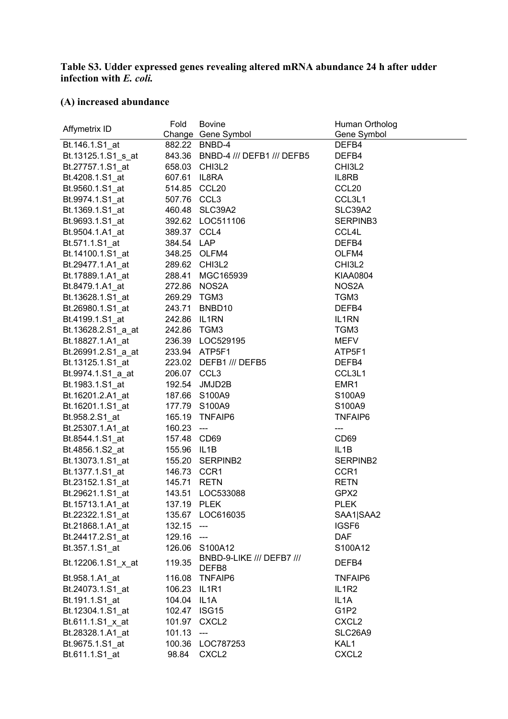#### **Table S3. Udder expressed genes revealing altered mRNA abundance 24 h after udder infection with** *E. coli.*

## **(A) increased abundance**

| Affymetrix ID      | Fold         | <b>Bovine</b><br>Change Gene Symbol | Human Ortholog<br>Gene Symbol  |
|--------------------|--------------|-------------------------------------|--------------------------------|
| Bt.146.1.S1_at     |              | 882.22 BNBD-4                       | DEFB4                          |
| Bt.13125.1.S1_s_at |              | 843.36 BNBD-4 /// DEFB1 /// DEFB5   | DEFB4                          |
| Bt.27757.1.S1_at   |              | 658.03 CHI3L2                       | CHI3L2                         |
| Bt.4208.1.S1 at    | 607.61 IL8RA |                                     | IL8RB                          |
| Bt.9560.1.S1_at    | 514.85 CCL20 |                                     | CCL <sub>20</sub>              |
| Bt.9974.1.S1_at    | 507.76 CCL3  |                                     | CCL3L1                         |
| Bt.1369.1.S1 at    |              | 460.48 SLC39A2                      | SLC39A2                        |
| Bt.9693.1.S1_at    |              | 392.62 LOC511106                    | SERPINB3                       |
| Bt.9504.1.A1 at    | 389.37 CCL4  |                                     | CCL4L                          |
| Bt.571.1.S1 at     | 384.54 LAP   |                                     | DEFB4                          |
| Bt.14100.1.S1_at   |              | 348.25 OLFM4                        | OLFM4                          |
| Bt.29477.1.A1_at   |              | 289.62 CHI3L2                       | CHI3L2                         |
| Bt.17889.1.A1_at   |              | 288.41 MGC165939                    | KIAA0804                       |
| Bt.8479.1.A1_at    |              | 272.86 NOS2A                        | NOS2A                          |
| Bt.13628.1.S1_at   | 269.29 TGM3  |                                     | TGM3                           |
| Bt.26980.1.S1_at   |              | 243.71 BNBD10                       | DEFB4                          |
| Bt.4199.1.S1_at    | 242.86 IL1RN |                                     | IL1RN                          |
| Bt.13628.2.S1_a_at | 242.86 TGM3  |                                     | TGM3                           |
| Bt.18827.1.A1_at   |              | 236.39 LOC529195                    | <b>MEFV</b>                    |
| Bt.26991.2.S1_a_at |              | 233.94 ATP5F1                       | ATP5F1                         |
| Bt.13125.1.S1 at   |              | 223.02 DEFB1 /// DEFB5              | DEFB4                          |
| Bt.9974.1.S1_a_at  | 206.07 CCL3  |                                     | CCL3L1                         |
| Bt.1983.1.S1_at    |              | 192.54 JMJD2B                       | EMR1                           |
| Bt.16201.2.A1_at   |              | 187.66 S100A9                       | S100A9                         |
| Bt.16201.1.S1_at   |              | 177.79 S100A9                       | S100A9                         |
| Bt.958.2.S1_at     |              | 165.19 TNFAIP6                      | <b>TNFAIP6</b>                 |
| Bt.25307.1.A1_at   | $160.23$ --- |                                     | ---                            |
| Bt.8544.1.S1_at    | 157.48 CD69  |                                     | CD <sub>69</sub>               |
| Bt.4856.1.S2_at    | 155.96 IL1B  |                                     | IL <sub>1</sub> B              |
| Bt.13073.1.S1_at   |              | 155.20 SERPINB2                     | SERPINB2                       |
| Bt.1377.1.S1_at    | 146.73 CCR1  |                                     | CCR1                           |
| Bt.23152.1.S1_at   | 145.71 RETN  |                                     | <b>RETN</b>                    |
| Bt.29621.1.S1_at   | 143.51       | LOC533088                           | GPX2                           |
| Bt.15713.1.A1_at   | 137.19 PLEK  |                                     | <b>PLEK</b>                    |
| Bt.22322.1.S1_at   |              | 135.67 LOC616035                    | SAA1 SAA2                      |
| Bt.21868.1.A1 at   | $132.15$ --- |                                     | IGSF6                          |
| Bt.24417.2.S1_at   | 129.16 ---   |                                     | <b>DAF</b>                     |
| Bt.357.1.S1_at     |              | 126.06 S100A12                      | S100A12                        |
| Bt.12206.1.S1 x at | 119.35       | BNBD-9-LIKE /// DEFB7 ///<br>DEFB8  | DEFB4                          |
| Bt.958.1.A1_at     |              | 116.08 TNFAIP6                      | <b>TNFAIP6</b>                 |
| Bt.24073.1.S1_at   | 106.23 IL1R1 |                                     | IL <sub>1</sub> R <sub>2</sub> |
| Bt.191.1.S1 at     | 104.04 IL1A  |                                     | IL <sub>1</sub> A              |
| Bt.12304.1.S1 at   | 102.47 ISG15 |                                     | G1P2                           |
| Bt.611.1.S1_x_at   |              | 101.97 CXCL2                        | CXCL <sub>2</sub>              |
| Bt.28328.1.A1_at   | $101.13$ --- |                                     | SLC26A9                        |
| Bt.9675.1.S1_at    |              | 100.36 LOC787253                    | KAL1                           |
| Bt.611.1.S1_at     | 98.84        | CXCL <sub>2</sub>                   | CXCL <sub>2</sub>              |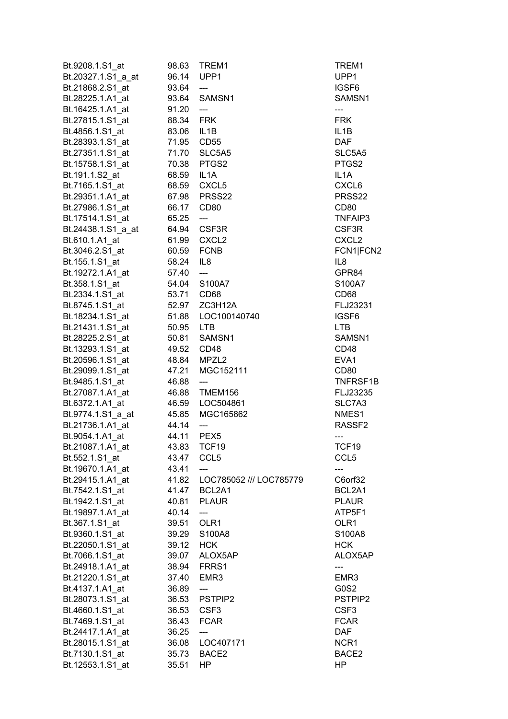| Bt.9208.1.S1_at                     | 98.63          | TREM1                          | TREM1                       |
|-------------------------------------|----------------|--------------------------------|-----------------------------|
| Bt.20327.1.S1_a_at                  | 96.14          | UPP1                           | UPP1                        |
| Bt.21868.2.S1 at                    | 93.64          | ---                            | IGSF <sub>6</sub>           |
| Bt.28225.1.A1_at                    | 93.64          | SAMSN1                         | SAMSN1                      |
| Bt.16425.1.A1 at                    | 91.20          | $\overline{\phantom{a}}$       | $---$                       |
| Bt.27815.1.S1_at                    | 88.34          | <b>FRK</b>                     | <b>FRK</b>                  |
| Bt.4856.1.S1_at                     | 83.06          | IL1B                           | IL <sub>1</sub> B           |
| Bt.28393.1.S1_at                    | 71.95 CD55     |                                | <b>DAF</b>                  |
| Bt.27351.1.S1 at                    |                | 71.70 SLC5A5                   | SLC5A5                      |
| Bt.15758.1.S1 at                    |                | 70.38 PTGS2                    | PTGS2                       |
| Bt.191.1.S2 at                      | 68.59          | IL <sub>1</sub> A              | IL <sub>1</sub> A           |
| Bt.7165.1.S1_at                     | 68.59          | CXCL5                          | CXCL6                       |
| Bt.29351.1.A1 at                    | 67.98          | PRSS22                         | PRSS22                      |
| Bt.27986.1.S1_at                    | 66.17          | CD <sub>80</sub>               | CD <sub>80</sub>            |
| Bt.17514.1.S1 at                    | 65.25          | ---                            | TNFAIP3                     |
| Bt.24438.1.S1 a at                  | 64.94          | CSF3R                          | CSF3R                       |
| Bt.610.1.A1_at                      | 61.99          | CXCL <sub>2</sub>              | CXCL <sub>2</sub>           |
| Bt.3046.2.S1_at                     | 60.59          | <b>FCNB</b>                    | FCN1 FCN2                   |
| Bt.155.1.S1_at                      | 58.24          | IL <sub>8</sub>                | IL8                         |
| Bt.19272.1.A1_at                    | 57.40          | $\overline{\phantom{a}}$       | GPR84                       |
| Bt.358.1.S1 at                      | 54.04          | S100A7                         | S100A7                      |
| Bt.2334.1.S1_at                     | 53.71          | CD <sub>68</sub>               | CD <sub>68</sub>            |
| Bt.8745.1.S1_at                     | 52.97          | ZC3H12A                        | FLJ23231                    |
| Bt.18234.1.S1_at                    |                | 51.88    LOC100140740          | IGSF <sub>6</sub>           |
| Bt.21431.1.S1_at                    | 50.95 LTB      |                                | <b>LTB</b>                  |
| Bt.28225.2.S1_at                    | 50.81          | SAMSN1                         | SAMSN1                      |
| Bt.13293.1.S1 at                    | 49.52          | CD48                           | CD48                        |
| Bt.20596.1.S1 at                    | 48.84          | MPZL <sub>2</sub>              | EVA1                        |
| Bt.29099.1.S1 at                    | 47.21          | MGC152111                      | CD <sub>80</sub>            |
| Bt.9485.1.S1_at                     | 46.88          | $---$                          | TNFRSF1B                    |
| Bt.27087.1.A1_at                    | 46.88          | TMEM156                        | FLJ23235                    |
| Bt.6372.1.A1_at                     | 46.59          | LOC504861                      | SLC7A3                      |
| Bt.9774.1.S1_a_at                   | 45.85          | MGC165862                      | NMES1                       |
| Bt.21736.1.A1_at                    | 44.14          | ---                            | RASSF <sub>2</sub>          |
| Bt.9054.1.A1 at                     | 44.11          | PEX <sub>5</sub>               | ---                         |
| Bt.21087.1.A1_at                    | 43.83          |                                | TCF19                       |
| Bt.552.1.S1_at                      | 43.47          | TCF19<br>CCL <sub>5</sub>      | CCL <sub>5</sub>            |
|                                     | 43.41          |                                |                             |
| Bt.19670.1.A1_at                    |                | ---<br>LOC785052 /// LOC785779 |                             |
| Bt.29415.1.A1_at<br>Bt.7542.1.S1_at | 41.82<br>41.47 | BCL2A1                         | C6orf32<br>BCL2A1           |
|                                     | 40.81          | <b>PLAUR</b>                   | <b>PLAUR</b>                |
| Bt.1942.1.S1_at                     | 40.14          |                                | ATP5F1                      |
| Bt.19897.1.A1_at<br>Bt.367.1.S1 at  |                | ---<br>OLR1                    | OLR1                        |
|                                     | 39.51          |                                |                             |
| Bt.9360.1.S1 at                     | 39.29          | S100A8                         | S100A8                      |
| Bt.22050.1.S1_at                    | 39.12          | <b>HCK</b>                     | <b>HCK</b><br>ALOX5AP       |
| Bt.7066.1.S1_at                     | 39.07          | ALOX5AP                        |                             |
| Bt.24918.1.A1_at                    | 38.94          | FRRS1                          | ---                         |
| Bt.21220.1.S1_at                    | 37.40          | EMR3                           | EMR3<br>G0S2                |
| Bt.4137.1.A1_at                     | 36.89          | ---                            |                             |
| Bt.28073.1.S1_at<br>Bt.4660.1.S1 at | 36.53<br>36.53 | PSTPIP2<br>CSF <sub>3</sub>    | PSTPIP2<br>CSF <sub>3</sub> |
| Bt.7469.1.S1_at                     | 36.43          | <b>FCAR</b>                    | <b>FCAR</b>                 |
| Bt.24417.1.A1 at                    | 36.25          |                                | <b>DAF</b>                  |
|                                     | 36.08          | ---<br>LOC407171               | NCR1                        |
| Bt.28015.1.S1_at<br>Bt.7130.1.S1_at | 35.73          | BACE <sub>2</sub>              | BACE2                       |
| Bt.12553.1.S1_at                    | 35.51          | HP.                            | HP                          |
|                                     |                |                                |                             |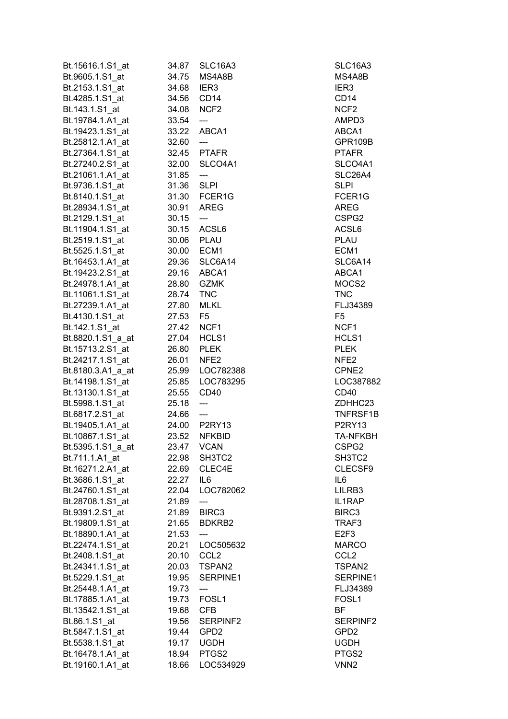| Bt.15616.1.S1_at  | 34.87 | SLC16A3                   | SLC16A3           |
|-------------------|-------|---------------------------|-------------------|
| Bt.9605.1.S1_at   | 34.75 | MS4A8B                    | MS4A8B            |
| Bt.2153.1.S1_at   | 34.68 | IER <sub>3</sub>          | IER <sub>3</sub>  |
| Bt.4285.1.S1_at   | 34.56 | CD <sub>14</sub>          | CD <sub>14</sub>  |
| Bt.143.1.S1_at    | 34.08 | NCF <sub>2</sub>          | NCF <sub>2</sub>  |
| Bt.19784.1.A1 at  | 33.54 | $\overline{\phantom{a}}$  | AMPD3             |
| Bt.19423.1.S1_at  | 33.22 | ABCA1                     | ABCA1             |
| Bt.25812.1.A1_at  | 32.60 | $\overline{a}$            | GPR109B           |
| Bt.27364.1.S1 at  | 32.45 | <b>PTAFR</b>              | <b>PTAFR</b>      |
| Bt.27240.2.S1_at  | 32.00 | SLCO4A1                   | SLCO4A1           |
|                   |       |                           | SLC26A4           |
| Bt.21061.1.A1 at  | 31.85 | ---                       |                   |
| Bt.9736.1.S1_at   | 31.36 | <b>SLPI</b>               | <b>SLPI</b>       |
| Bt.8140.1.S1 at   | 31.30 | FCER1G                    | FCER1G            |
| Bt.28934.1.S1_at  | 30.91 | <b>AREG</b>               | <b>AREG</b>       |
| Bt.2129.1.S1 at   | 30.15 | $\qquad \qquad -\qquad -$ | CSPG2             |
| Bt.11904.1.S1 at  | 30.15 | ACSL6                     | ACSL6             |
| Bt.2519.1.S1_at   | 30.06 | <b>PLAU</b>               | <b>PLAU</b>       |
| Bt.5525.1.S1 at   | 30.00 | ECM1                      | ECM1              |
| Bt.16453.1.A1 at  | 29.36 | SLC6A14                   | SLC6A14           |
| Bt.19423.2.S1_at  | 29.16 | ABCA1                     | ABCA1             |
| Bt.24978.1.A1_at  | 28.80 | <b>GZMK</b>               | MOCS2             |
| Bt.11061.1.S1 at  | 28.74 | <b>TNC</b>                | <b>TNC</b>        |
| Bt.27239.1.A1_at  | 27.80 | <b>MLKL</b>               | FLJ34389          |
| Bt.4130.1.S1_at   | 27.53 | F <sub>5</sub>            | F <sub>5</sub>    |
| Bt.142.1.S1_at    | 27.42 | NCF1                      | NCF1              |
| Bt.8820.1.S1_a_at | 27.04 | HCLS1                     | HCLS1             |
| Bt.15713.2.S1_at  | 26.80 | <b>PLEK</b>               | <b>PLEK</b>       |
| Bt.24217.1.S1_at  | 26.01 | NFE <sub>2</sub>          | NFE2              |
| Bt.8180.3.A1_a_at | 25.99 | LOC782388                 | CPNE2             |
| Bt.14198.1.S1_at  | 25.85 | LOC783295                 | LOC387882         |
|                   |       | CD <sub>40</sub>          | <b>CD40</b>       |
| Bt.13130.1.S1_at  | 25.55 |                           |                   |
| Bt.5998.1.S1_at   | 25.18 | $\qquad \qquad - -$       | ZDHHC23           |
| Bt.6817.2.S1_at   | 24.66 | $\overline{a}$            | TNFRSF1B          |
| Bt.19405.1.A1_at  |       | 24.00 P2RY13              | <b>P2RY13</b>     |
| Bt.10867.1.S1_at  | 23.52 | <b>NFKBID</b>             | <b>TA-NFKBH</b>   |
| Bt.5395.1.S1_a_at |       | 23.47 VCAN                | CSPG2             |
| Bt.711.1.A1 at    | 22.98 | SH3TC2                    | SH3TC2            |
| Bt.16271.2.A1 at  | 22.69 | CLEC4E                    | CLECSF9           |
| Bt.3686.1.S1 at   | 22.27 | IL6                       | IL <sub>6</sub>   |
| Bt.24760.1.S1 at  | 22.04 | LOC782062                 | LILRB3            |
| Bt.28708.1.S1 at  | 21.89 | ---                       | IL1RAP            |
| Bt.9391.2.S1_at   | 21.89 | BIRC3                     | BIRC3             |
| Bt.19809.1.S1_at  | 21.65 | BDKRB2                    | TRAF3             |
| Bt.18890.1.A1_at  | 21.53 | ---                       | E <sub>2F3</sub>  |
| Bt.22474.1.S1_at  | 20.21 | LOC505632                 | <b>MARCO</b>      |
| Bt.2408.1.S1 at   | 20.10 | CCL <sub>2</sub>          | CCL <sub>2</sub>  |
| Bt.24341.1.S1_at  | 20.03 | TSPAN2                    | TSPAN2            |
| Bt.5229.1.S1_at   | 19.95 | SERPINE1                  | SERPINE1          |
| Bt.25448.1.A1_at  | 19.73 | ---                       | FLJ34389          |
| Bt.17885.1.A1_at  | 19.73 | FOSL <sub>1</sub>         | FOSL <sub>1</sub> |
| Bt.13542.1.S1_at  | 19.68 | <b>CFB</b>                | BF                |
|                   |       |                           |                   |
| Bt.86.1.S1 at     | 19.56 | SERPINF2                  | SERPINF2          |
| Bt.5847.1.S1_at   | 19.44 | GPD <sub>2</sub>          | GPD <sub>2</sub>  |
| Bt.5538.1.S1 at   | 19.17 | <b>UGDH</b>               | <b>UGDH</b>       |
| Bt.16478.1.A1_at  | 18.94 | PTGS2                     | PTGS2             |
| Bt.19160.1.A1_at  | 18.66 | LOC534929                 | VNN <sub>2</sub>  |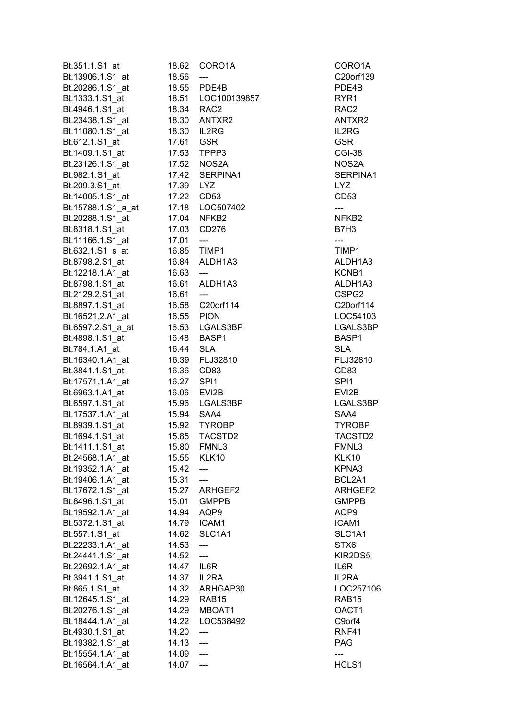| Bt.351.1.S1_at     | 18.62       | CORO1A                   | CORO1A            |
|--------------------|-------------|--------------------------|-------------------|
| Bt.13906.1.S1_at   | 18.56       | ---                      | C20orf13          |
| Bt.20286.1.S1_at   |             | 18.55 PDE4B              | PDE4B             |
| Bt.1333.1.S1_at    |             | 18.51    LOC100139857    | RYR1              |
| Bt.4946.1.S1 at    |             | 18.34 RAC2               | RAC2              |
| Bt.23438.1.S1 at   |             | 18.30 ANTXR2             | ANTXR2            |
| Bt.11080.1.S1_at   |             | 18.30 IL2RG              | IL2RG             |
| Bt.612.1.S1_at     | 17.61 GSR   |                          | <b>GSR</b>        |
| Bt.1409.1.S1 at    |             | 17.53 TPPP3              | CGI-38            |
| Bt.23126.1.S1 at   |             | 17.52 NOS2A              | NOS2A             |
| Bt.982.1.S1_at     |             | 17.42 SERPINA1           | <b>SERPINA</b>    |
| Bt.209.3.S1_at     | 17.39 LYZ   |                          | <b>LYZ</b>        |
| Bt.14005.1.S1_at   |             | 17.22 CD53               | CD <sub>53</sub>  |
| Bt.15788.1.S1_a_at |             | 17.18    LOC507402       | ---               |
| Bt.20288.1.S1_at   |             | 17.04 NFKB2              | NFKB <sub>2</sub> |
|                    |             |                          | B7H3              |
| Bt.8318.1.S1_at    |             | 17.03 CD276              |                   |
| Bt.11166.1.S1_at   | 17.01       | $\overline{\phantom{a}}$ | ---               |
| Bt.632.1.S1_s_at   |             | 16.85 TIMP1              | TIMP1             |
| Bt.8798.2.S1_at    |             | 16.84 ALDH1A3            | ALDH1A            |
| Bt.12218.1.A1_at   | 16.63       | $\overline{a}$           | KCNB1             |
| Bt.8798.1.S1_at    |             | 16.61 ALDH1A3            | ALDH1A            |
| Bt.2129.2.S1_at    | $16.61$ --- |                          | CSPG2             |
| Bt.8897.1.S1_at    |             | 16.58 C20orf114          | C20orf11          |
| Bt.16521.2.A1_at   |             | 16.55 PION               | LOC5410           |
| Bt.6597.2.S1_a_at  |             | 16.53 LGALS3BP           | LGALS3            |
| Bt.4898.1.S1_at    |             | 16.48 BASP1              | BASP1             |
| Bt.784.1.A1_at     | 16.44 SLA   |                          | <b>SLA</b>        |
| Bt.16340.1.A1_at   |             | 16.39 FLJ32810           | FLJ3281           |
| Bt.3841.1.S1_at    | 16.36       | CD <sub>83</sub>         | CD83              |
| Bt.17571.1.A1_at   | 16.27 SPI1  |                          | SPI1              |
| Bt.6963.1.A1_at    |             | 16.06 EVI2B              | EVI2B             |
| Bt.6597.1.S1_at    |             | 15.96 LGALS3BP           | LGALS3I           |
| Bt.17537.1.A1_at   |             | 15.94 SAA4               | SAA4              |
| Bt.8939.1.S1 at    |             | 15.92 TYROBP             | <b>TYROBP</b>     |
| Bt.1694.1.S1_at    | 15.85       | TACSTD2                  | <b>TACSTD</b>     |
| Bt.1411.1.S1_at    | 15.80       | FMNL3                    | FMNL3             |
| Bt.24568.1.A1 at   | 15.55       | KLK10                    | KLK10             |
| Bt.19352.1.A1_at   | 15.42       |                          | KPNA3             |
| Bt.19406.1.A1_at   | 15.31       | $\overline{a}$           | BCL2A1            |
| Bt.17672.1.S1_at   |             | 15.27 ARHGEF2            | <b>ARHGEF</b>     |
| Bt.8496.1.S1_at    | 15.01       | <b>GMPPB</b>             | <b>GMPPB</b>      |
| Bt.19592.1.A1_at   | 14.94       | AQP9                     | AQP9              |
| Bt.5372.1.S1_at    | 14.79       | ICAM1                    | ICAM1             |
| Bt.557.1.S1_at     | 14.62       | SLC1A1                   | SLC1A1            |
| Bt.22233.1.A1 at   | 14.53       | ---                      | STX6              |
| Bt.24441.1.S1 at   | 14.52       | ---                      | KIR2DS5           |
| Bt.22692.1.A1_at   | 14.47 IL6R  |                          | IL6R              |
| Bt.3941.1.S1_at    |             | 14.37 IL2RA              | IL2RA             |
| Bt.865.1.S1_at     |             | 14.32 ARHGAP30           | LOC257            |
| Bt.12645.1.S1_at   |             | 14.29 RAB15              | RAB <sub>15</sub> |
| Bt.20276.1.S1_at   | 14.29       | MBOAT1                   | OACT1             |
| Bt.18444.1.A1_at   | 14.22       | LOC538492                | C9orf4            |
| Bt.4930.1.S1_at    | 14.20       | ---                      | <b>RNF41</b>      |
| Bt.19382.1.S1_at   | 14.13       | $\overline{\phantom{a}}$ | <b>PAG</b>        |
| Bt.15554.1.A1 at   | 14.09       | $\overline{\phantom{a}}$ | ---               |
| Bt.16564.1.A1_at   | 14.07       | $\overline{a}$           | HCLS1             |
|                    |             |                          |                   |

CORO1A C20orf139 PDE4B ANTXR2 SERPINA1 ALDH1A3 ALDH1A3 C20orf114 LOC54103 LGALS3BP FLJ32810 LGALS3BP TYROBP TACSTD2 ARHGEF2 SLC1A1 KIR2DS5 LOC257106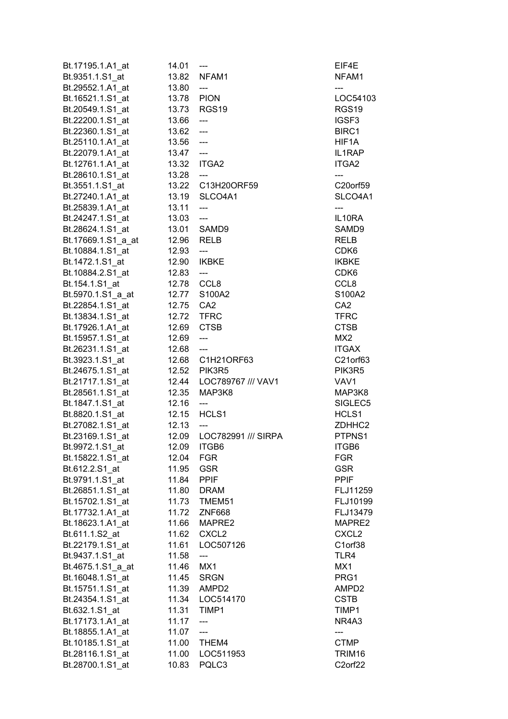| Bt.17195.1.A1_at   | 14.01       | $\qquad \qquad \text{---}$              | EIF4E             |
|--------------------|-------------|-----------------------------------------|-------------------|
| Bt.9351.1.S1_at    |             | 13.82 NFAM1                             | NFAM1             |
| Bt.29552.1.A1_at   | 13.80       | $\hspace{0.05cm} \ldots$                | ---               |
| Bt.16521.1.S1_at   | 13.78 PION  |                                         | LOC54103          |
| Bt.20549.1.S1 at   |             | 13.73 RGS19                             | RGS <sub>19</sub> |
| Bt.22200.1.S1_at   | 13.66       | $\sim$                                  | IGSF <sub>3</sub> |
| Bt.22360.1.S1_at   | $13.62$ --- |                                         | BIRC1             |
| Bt.25110.1.A1_at   | $13.56$ --- |                                         | HIF1A             |
| Bt.22079.1.A1 at   | $13.47 -$   |                                         | IL1RAP            |
| Bt.12761.1.A1_at   | 13.32 ITGA2 |                                         | ITGA2             |
| Bt.28610.1.S1_at   | 13.28       | ----                                    | ---               |
| Bt.3551.1.S1_at    |             | 13.22 C13H20ORF59                       | C20orf59          |
| Bt.27240.1.A1_at   |             | 13.19 SLCO4A1                           | SLCO4A1           |
| Bt.25839.1.A1_at   | 13.11       | $\hspace{0.1em} \ldots$                 | ---               |
|                    | 13.03       | $\hspace{0.05cm}---$                    | IL10RA            |
| Bt.24247.1.S1_at   |             |                                         | SAMD9             |
| Bt.28624.1.S1_at   |             | 13.01 SAMD9                             |                   |
| Bt.17669.1.S1_a_at | 12.96       | RELB                                    | <b>RELB</b>       |
| Bt.10884.1.S1_at   | 12.93       | $\hspace{0.05cm} \dashrightarrow$       | CDK <sub>6</sub>  |
| Bt.1472.1.S1 at    | 12.90       | IKBKE                                   | <b>IKBKE</b>      |
| Bt.10884.2.S1 at   | 12.83       | $\hspace{0.05cm} \ldots$                | CDK <sub>6</sub>  |
| Bt.154.1.S1_at     | 12.78 CCL8  |                                         | CCL <sub>8</sub>  |
| Bt.5970.1.S1_a_at  |             | 12.77 S100A2                            | S100A2            |
| Bt.22854.1.S1 at   | 12.75 CA2   |                                         | CA <sub>2</sub>   |
| Bt.13834.1.S1_at   | 12.72 TFRC  |                                         | <b>TFRC</b>       |
| Bt.17926.1.A1_at   | 12.69 CTSB  |                                         | <b>CTSB</b>       |
| Bt.15957.1.S1_at   | 12.69       | $\hspace{0.05cm}---\hspace{0.05cm}$     | MX <sub>2</sub>   |
| Bt.26231.1.S1_at   | 12.68       | $\hspace{0.1mm}$ ---                    | <b>ITGAX</b>      |
| Bt.3923.1.S1_at    |             | 12.68 C1H21ORF63                        | C21orf63          |
| Bt.24675.1.S1_at   |             | 12.52 PIK3R5                            | PIK3R5            |
| Bt.21717.1.S1_at   |             | 12.44 LOC789767 /// VAV1                | VAV1              |
| Bt.28561.1.S1_at   | 12.35       | MAP3K8                                  | MAP3K8            |
| Bt.1847.1.S1_at    | 12.16       | $\hspace{0.05cm}$ - $\hspace{0.05cm}$ - | SIGLEC5           |
| Bt.8820.1.S1_at    | 12.15       | HCLS1                                   | HCLS1             |
| Bt.27082.1.S1 at   | 12.13       | $\qquad \qquad \cdots$                  | ZDHHC2            |
| Bt.23169.1.S1_at   |             | 12.09 LOC782991 /// SIRPA               | PTPNS1            |
| Bt.9972.1.S1_at    | 12.09       | <b>ITGB6</b>                            | ITGB6             |
| Bt.15822.1.S1_at   | 12.04       | <b>FGR</b>                              | <b>FGR</b>        |
| Bt.612.2.S1 at     | 11.95       | <b>GSR</b>                              | <b>GSR</b>        |
| Bt.9791.1.S1_at    | 11.84       | <b>PPIF</b>                             | <b>PPIF</b>       |
| Bt.26851.1.S1 at   | 11.80       | <b>DRAM</b>                             | FLJ11259          |
| Bt.15702.1.S1 at   | 11.73       | TMEM51                                  | FLJ10199          |
| Bt.17732.1.A1_at   | 11.72       | <b>ZNF668</b>                           | FLJ13479          |
| Bt.18623.1.A1_at   | 11.66       | MAPRE2                                  | MAPRE2            |
| Bt.611.1.S2_at     | 11.62       | CXCL <sub>2</sub>                       | CXCL <sub>2</sub> |
| Bt.22179.1.S1_at   | 11.61       | LOC507126                               | C1orf38           |
| Bt.9437.1.S1 at    | 11.58       | ---                                     | TLR4              |
| Bt.4675.1.S1_a_at  | 11.46       | MX1                                     | MX1               |
| Bt.16048.1.S1_at   | 11.45       | <b>SRGN</b>                             | PRG1              |
| Bt.15751.1.S1_at   | 11.39       | AMPD2                                   | AMPD <sub>2</sub> |
| Bt.24354.1.S1 at   | 11.34       | LOC514170                               | <b>CSTB</b>       |
| Bt.632.1.S1_at     | 11.31       | TIMP1                                   | TIMP1             |
| Bt.17173.1.A1_at   | 11.17       | $\qquad \qquad \text{---}$              | NR4A3             |
|                    | 11.07       | $---$                                   |                   |
| Bt.18855.1.A1_at   |             |                                         | <b>CTMP</b>       |
| Bt.10185.1.S1_at   | 11.00       | THEM4                                   |                   |
| Bt.28116.1.S1_at   | 11.00       | LOC511953                               | TRIM16            |
| Bt.28700.1.S1_at   | 10.83       | PQLC3                                   | C2orf22           |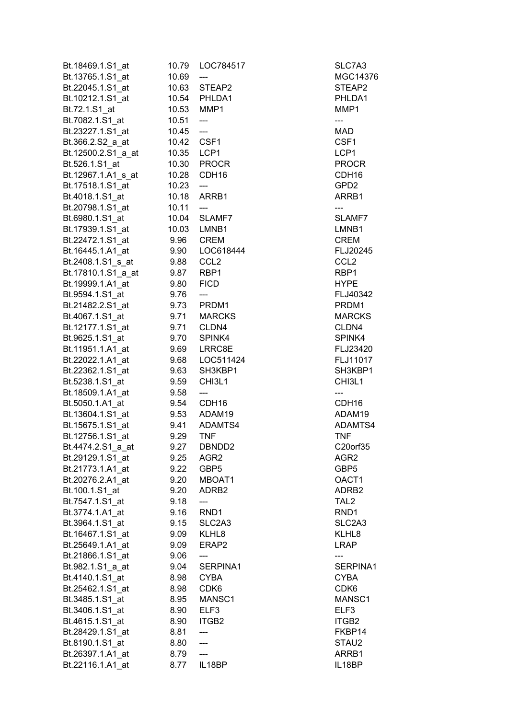| Bt.18469.1.S1 at                     | 10.79        | LOC784517                         | SLC7A3            |
|--------------------------------------|--------------|-----------------------------------|-------------------|
| Bt.13765.1.S1 at                     | 10.69        | ---                               | MGC14376          |
| Bt.22045.1.S1_at                     | 10.63        | STEAP2                            | STEAP2            |
| Bt.10212.1.S1_at                     | 10.54        | PHLDA1                            | PHLDA1            |
| Bt.72.1.S1_at                        | 10.53        | MMP1                              | MMP1              |
| Bt.7082.1.S1_at                      | 10.51        | $\hspace{0.05cm} \dashrightarrow$ | ---               |
| Bt.23227.1.S1_at                     | 10.45        | $\overline{\phantom{a}}$          | MAD               |
| Bt.366.2.S2_a_at                     | 10.42        | CSF1                              | CSF1              |
| Bt.12500.2.S1_a_at                   | 10.35        | LCP1                              | LCP1              |
| Bt.526.1.S1_at                       |              | 10.30 PROCR                       | <b>PROCR</b>      |
| Bt.12967.1.A1 s at                   | 10.28        | CDH <sub>16</sub>                 | CDH <sub>16</sub> |
| Bt.17518.1.S1_at                     | 10.23        | $---$                             | GPD <sub>2</sub>  |
| Bt.4018.1.S1_at                      | 10.18        | ARRB1                             | ARRB1             |
| Bt.20798.1.S1_at                     | 10.11        | $---$                             |                   |
| Bt.6980.1.S1_at                      | 10.04        | SLAMF7                            | SLAMF7            |
| Bt.17939.1.S1_at                     | 10.03        | LMNB1                             | LMNB1             |
| Bt.22472.1.S1_at                     | 9.96         | <b>CREM</b>                       | <b>CREM</b>       |
| Bt.16445.1.A1_at                     | 9.90         | LOC618444                         | FLJ20245          |
| Bt.2408.1.S1_s_at                    | 9.88         | CCL <sub>2</sub>                  | CCL <sub>2</sub>  |
| Bt.17810.1.S1_a_at                   | 9.87         | RBP1                              | RBP1              |
| Bt.19999.1.A1_at                     | 9.80         | <b>FICD</b>                       | <b>HYPE</b>       |
| Bt.9594.1.S1_at                      | 9.76         | ---                               | FLJ40342          |
| Bt.21482.2.S1_at                     | 9.73         | PRDM1                             | PRDM1             |
| Bt.4067.1.S1_at                      | 9.71         | <b>MARCKS</b>                     | <b>MARCKS</b>     |
| Bt.12177.1.S1_at                     | 9.71         | CLDN4                             | CLDN4             |
| Bt.9625.1.S1_at                      | 9.70         | SPINK4                            | SPINK4            |
| Bt.11951.1.A1_at                     | 9.69         | LRRC8E                            | FLJ23420          |
| Bt.22022.1.A1_at                     | 9.68         | LOC511424                         | FLJ11017          |
| Bt.22362.1.S1 at                     | 9.63         | SH3KBP1                           | SH3KBP1           |
| Bt.5238.1.S1_at                      | 9.59         | CHI3L1                            | CHI3L1            |
|                                      |              |                                   |                   |
| Bt.18509.1.A1_at                     | 9.58         | ---                               |                   |
| Bt.5050.1.A1_at                      | 9.54         | CDH <sub>16</sub>                 | CDH <sub>16</sub> |
| Bt.13604.1.S1 at                     | 9.53         | ADAM19                            | ADAM19            |
| Bt.15675.1.S1_at                     | 9.41         | ADAMTS4                           | ADAMTS4           |
| Bt.12756.1.S1 at                     | 9.29         | <b>TNF</b>                        | <b>TNF</b>        |
| Bt.4474.2.S1_a_at                    | 9.27         | DBNDD <sub>2</sub>                | C20orf35          |
| Bt.29129.1.S1 at                     | 9.25         | AGR <sub>2</sub>                  | AGR2              |
| Bt.21773.1.A1_at                     | 9.22         | GBP5                              | GBP5              |
| Bt.20276.2.A1_at                     | 9.20         | MBOAT1                            | OACT1             |
| Bt.100.1.S1_at                       | 9.20         | ADRB <sub>2</sub>                 | ADRB <sub>2</sub> |
| Bt.7547.1.S1_at                      | 9.18         | ---                               | TAL <sub>2</sub>  |
| Bt.3774.1.A1_at                      | 9.16         | RND1                              | RND1              |
| Bt.3964.1.S1_at                      | 9.15         | SLC <sub>2</sub> A <sub>3</sub>   | SLC2A3            |
| Bt.16467.1.S1_at                     | 9.09         | KLHL8                             | KLHL8             |
| Bt.25649.1.A1 at                     | 9.09         | ERAP2                             | <b>LRAP</b>       |
| Bt.21866.1.S1_at                     | 9.06         | ---                               |                   |
| Bt.982.1.S1_a_at                     | 9.04         | SERPINA1                          | SERPINA1          |
| Bt.4140.1.S1_at                      | 8.98         | <b>CYBA</b>                       | CYBA              |
| Bt.25462.1.S1_at                     | 8.98         | CDK <sub>6</sub>                  | CDK <sub>6</sub>  |
| Bt.3485.1.S1 at                      | 8.95         | MANSC1                            | MANSC1            |
| Bt.3406.1.S1 at                      | 8.90         | ELF3                              | ELF3              |
| Bt.4615.1.S1 at                      | 8.90         | ITGB2                             | ITGB2             |
| Bt.28429.1.S1 at                     | 8.81         | ---                               | FKBP14            |
| Bt.8190.1.S1_at                      | 8.80         | ---                               | STAU2             |
| Bt.26397.1.A1_at<br>Bt.22116.1.A1_at | 8.79<br>8.77 | ---<br>IL18BP                     | ARRB1<br>IL18BP   |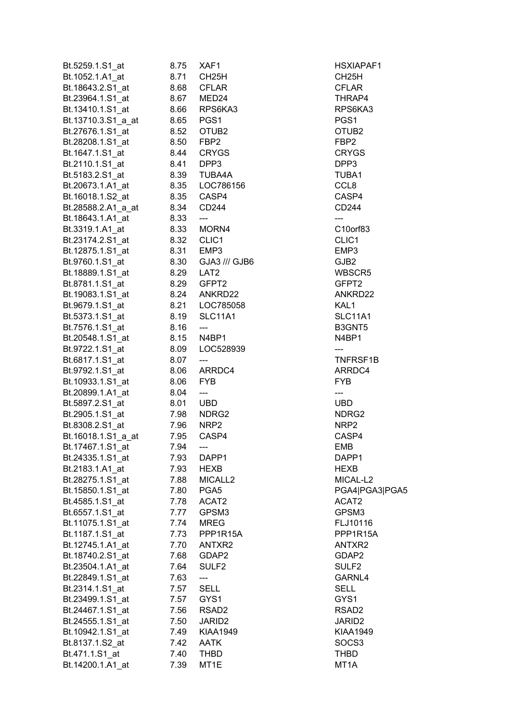| Bt.5259.1.S1_at    | 8.75      | XAF1                     | <b>HSXIAPAF1</b>   |
|--------------------|-----------|--------------------------|--------------------|
| Bt.1052.1.A1_at    | 8.71      | CH <sub>25</sub> H       | CH <sub>25</sub> H |
| Bt.18643.2.S1 at   | 8.68      | <b>CFLAR</b>             | <b>CFLAR</b>       |
| Bt.23964.1.S1_at   | 8.67      | MED24                    | THRAP4             |
| Bt.13410.1.S1 at   | 8.66      | RPS6KA3                  | RPS6KA3            |
| Bt.13710.3.S1_a_at | 8.65      | PGS1                     | PGS1               |
| Bt.27676.1.S1_at   | 8.52      | OTUB <sub>2</sub>        | OTUB <sub>2</sub>  |
| Bt.28208.1.S1_at   |           | 8.50 FBP2                | FBP <sub>2</sub>   |
| Bt.1647.1.S1 at    | 8.44      | <b>CRYGS</b>             | <b>CRYGS</b>       |
| Bt.2110.1.S1_at    |           | 8.41 DPP3                | DPP3               |
| Bt.5183.2.S1 at    | 8.39      | TUBA4A                   | TUBA1              |
| Bt.20673.1.A1_at   |           |                          | CCL8               |
| Bt.16018.1.S2 at   | 8.35      | CASP4                    | CASP4              |
| Bt.28588.2.A1_a_at | 8.34      | CD244                    | CD244              |
| Bt.18643.1.A1 at   | 8.33      | $\qquad \qquad - -$      |                    |
| Bt.3319.1.A1 at    | 8.33      | MORN4                    | C10orf83           |
| Bt.23174.2.S1_at   | 8.32      | CLIC1                    | CLIC1              |
|                    |           |                          |                    |
| Bt.12875.1.S1 at   |           | 8.31 EMP3                | EMP3               |
| Bt.9760.1.S1_at    |           | 8.30 GJA3 /// GJB6       | GJB2               |
| Bt.18889.1.S1_at   | 8.29 LAT2 |                          | WBSCR5             |
| Bt.8781.1.S1 at    |           | 8.29 GFPT2               | GFPT2              |
| Bt.19083.1.S1_at   |           | 8.24 ANKRD22             | ANKRD22            |
| Bt.9679.1.S1_at    |           | 8.21    LOC785058        | KAL1               |
| Bt.5373.1.S1_at    | 8.19      | SLC11A1                  | SLC11A1            |
| Bt.7576.1.S1_at    | 8.16      | $\frac{1}{2}$            | B3GNT5             |
| Bt.20548.1.S1_at   |           | 8.15      N4BP1          | N4BP1              |
| Bt.9722.1.S1_at    | 8.09      | LOC528939                | ---                |
| Bt.6817.1.S1_at    | 8.07      | ---                      | TNFRSF1B           |
| Bt.9792.1.S1_at    | 8.06      | ARRDC4                   | ARRDC4             |
| Bt.10933.1.S1 at   | 8.06      | <b>FYB</b>               | <b>FYB</b>         |
| Bt.20899.1.A1_at   | 8.04      | $\hspace{0.05cm} \ldots$ |                    |
| Bt.5897.2.S1_at    | 8.01      | <b>UBD</b>               | <b>UBD</b>         |
| Bt.2905.1.S1 at    | 7.98      | NDRG2                    | NDRG2              |
| Bt.8308.2.S1 at    | 7.96      | NRP <sub>2</sub>         | NRP <sub>2</sub>   |
| Bt.16018.1.S1_a_at | 7.95      | CASP4                    | CASP4              |
| Bt.17467.1.S1_at   | 7.94      | ---                      | <b>EMB</b>         |
| Bt.24335.1.S1_at   | 7.93      | DAPP1                    | DAPP1              |
| Bt.2183.1.A1_at    | 7.93      | <b>HEXB</b>              | <b>HEXB</b>        |
| Bt.28275.1.S1_at   | 7.88      | MICALL <sub>2</sub>      | MICAL-L2           |
| Bt.15850.1.S1_at   | 7.80      | PGA <sub>5</sub>         | PGA4 PGA3 PGA5     |
| Bt.4585.1.S1_at    | 7.78      | ACAT2                    | ACAT2              |
| Bt.6557.1.S1 at    | 7.77      | GPSM3                    | GPSM3              |
| Bt.11075.1.S1 at   | 7.74      | <b>MREG</b>              | FLJ10116           |
| Bt.1187.1.S1 at    | 7.73      | PPP1R15A                 | PPP1R15A           |
| Bt.12745.1.A1_at   | 7.70      | ANTXR2                   | ANTXR2             |
| Bt.18740.2.S1 at   | 7.68      | GDAP2                    | GDAP2              |
| Bt.23504.1.A1_at   | 7.64      | SULF <sub>2</sub>        | SULF <sub>2</sub>  |
| Bt.22849.1.S1_at   | 7.63      | ---                      | GARNL4             |
| Bt.2314.1.S1_at    | 7.57      | <b>SELL</b>              | SELL               |
| Bt.23499.1.S1_at   | 7.57      | GYS1                     | GYS1               |
| Bt.24467.1.S1_at   | 7.56      | RSAD <sub>2</sub>        | RSAD <sub>2</sub>  |
| Bt.24555.1.S1 at   | 7.50      | JARID <sub>2</sub>       | JARID2             |
| Bt.10942.1.S1 at   | 7.49      | <b>KIAA1949</b>          | <b>KIAA1949</b>    |
| Bt.8137.1.S2_at    | 7.42      | <b>AATK</b>              | SOCS3              |
| Bt.471.1.S1_at     | 7.40      | <b>THBD</b>              | THBD               |
| Bt.14200.1.A1_at   | 7.39      | MT <sub>1</sub> E        | MT1A               |
|                    |           |                          |                    |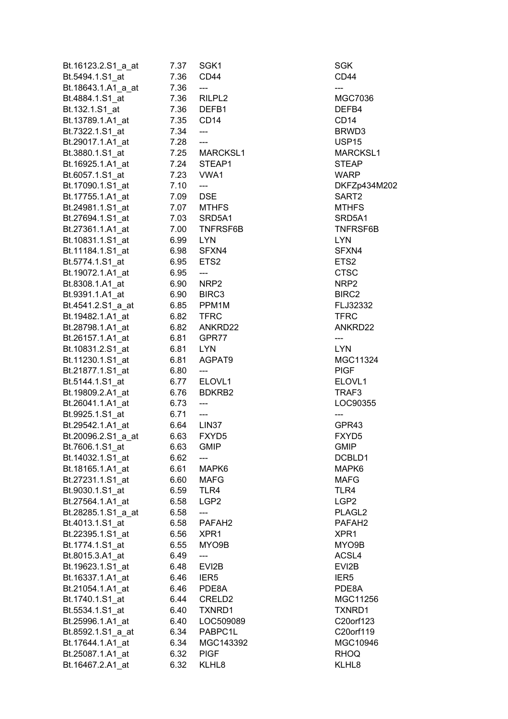| Bt.16123.2.S1_a_at | 7.37 | SGK1                     | <b>SGK</b>         |
|--------------------|------|--------------------------|--------------------|
| Bt.5494.1.S1 at    | 7.36 | CD44                     | CD44               |
| Bt.18643.1.A1 a at | 7.36 |                          |                    |
| Bt.4884.1.S1_at    | 7.36 | RILPL <sub>2</sub>       | <b>MGC703</b>      |
| Bt.132.1.S1_at     | 7.36 | DEFB1                    | DEFB4              |
| Bt.13789.1.A1_at   | 7.35 | CD <sub>14</sub>         | CD <sub>14</sub>   |
| Bt.7322.1.S1_at    | 7.34 | ---                      | BRWD3              |
| Bt.29017.1.A1_at   | 7.28 | $\overline{\phantom{a}}$ | USP <sub>15</sub>  |
| Bt.3880.1.S1 at    | 7.25 | MARCKSL1                 | <b>MARCKS</b>      |
| Bt.16925.1.A1_at   | 7.24 | STEAP1                   | <b>STEAP</b>       |
| Bt.6057.1.S1_at    | 7.23 | VWA1                     | WARP               |
| Bt.17090.1.S1_at   | 7.10 | ---                      | DKFZp43            |
| Bt.17755.1.A1 at   | 7.09 | <b>DSE</b>               | SART2              |
| Bt.24981.1.S1_at   | 7.07 | <b>MTHFS</b>             | <b>MTHFS</b>       |
|                    | 7.03 |                          |                    |
| Bt.27694.1.S1_at   |      | SRD5A1                   | SRD5A1             |
| Bt.27361.1.A1_at   | 7.00 | TNFRSF6B                 | <b>TNFRSF</b>      |
| Bt.10831.1.S1_at   | 6.99 | <b>LYN</b>               | <b>LYN</b>         |
| Bt.11184.1.S1_at   | 6.98 | SFXN4                    | SFXN4              |
| Bt.5774.1.S1_at    | 6.95 | ETS <sub>2</sub>         | ETS2               |
| Bt.19072.1.A1 at   | 6.95 | $\overline{a}$           | CTSC               |
| Bt.8308.1.A1 at    | 6.90 | NRP2                     | NRP <sub>2</sub>   |
| Bt.9391.1.A1_at    | 6.90 | BIRC3                    | BIRC2              |
| Bt.4541.2.S1_a_at  | 6.85 | PPM1M                    | FLJ3233            |
| Bt.19482.1.A1_at   | 6.82 | <b>TFRC</b>              | <b>TFRC</b>        |
| Bt.28798.1.A1_at   | 6.82 | ANKRD22                  | ANKRD2             |
| Bt.26157.1.A1_at   | 6.81 | GPR77                    | $\qquad \qquad -$  |
| Bt.10831.2.S1_at   | 6.81 | <b>LYN</b>               | <b>LYN</b>         |
| Bt.11230.1.S1_at   | 6.81 | AGPAT9                   | <b>MGC113</b>      |
| Bt.21877.1.S1_at   | 6.80 | $---$                    | <b>PIGF</b>        |
| Bt.5144.1.S1_at    | 6.77 | ELOVL1                   | ELOVL1             |
| Bt.19809.2.A1 at   | 6.76 | BDKRB2                   | TRAF3              |
| Bt.26041.1.A1_at   | 6.73 | ---                      | LOC9035            |
| Bt.9925.1.S1_at    | 6.71 | ---                      | ---                |
| Bt.29542.1.A1_at   | 6.64 | LIN <sub>37</sub>        | GPR43              |
| Bt.20096.2.S1_a_at | 6.63 | FXYD5                    | FXYD5              |
| Bt.7606.1.S1 at    | 6.63 | <b>GMIP</b>              | GMIP               |
| Bt.14032.1.S1_at   | 6.62 |                          | DCBLD1             |
| Bt.18165.1.A1_at   | 6.61 | MAPK6                    | MAPK6              |
| Bt.27231.1.S1 at   | 6.60 | <b>MAFG</b>              | <b>MAFG</b>        |
| Bt.9030.1.S1 at    | 6.59 | TLR4                     | TLR4               |
| Bt.27564.1.A1_at   | 6.58 | LGP <sub>2</sub>         | LGP <sub>2</sub>   |
| Bt.28285.1.S1_a_at | 6.58 |                          | PLAGL2             |
| Bt.4013.1.S1_at    | 6.58 | PAFAH <sub>2</sub>       | PAFAH <sub>2</sub> |
| Bt.22395.1.S1 at   | 6.56 | XPR <sub>1</sub>         | XPR1               |
| Bt.1774.1.S1 at    | 6.55 | MYO9B                    | MYO9B              |
| Bt.8015.3.A1_at    | 6.49 | $\overline{\phantom{a}}$ | ACSL4              |
| Bt.19623.1.S1_at   | 6.48 | EVI2B                    | EVI2B              |
| Bt.16337.1.A1_at   | 6.46 | IER <sub>5</sub>         | IER <sub>5</sub>   |
| Bt.21054.1.A1_at   | 6.46 | PDE8A                    | PDE8A              |
| Bt.1740.1.S1_at    | 6.44 | CRELD <sub>2</sub>       | <b>MGC112</b>      |
| Bt.5534.1.S1_at    | 6.40 | TXNRD1                   | TXNRD1             |
| Bt.25996.1.A1_at   | 6.40 | LOC509089                | C20orf12           |
| Bt.8592.1.S1_a_at  | 6.34 | PABPC1L                  | C20orf11           |
| Bt.17644.1.A1 at   | 6.34 | MGC143392                | <b>MGC109</b>      |
| Bt.25087.1.A1_at   | 6.32 | <b>PIGF</b>              | <b>RHOQ</b>        |
| Bt.16467.2.A1_at   | 6.32 | KLHL8                    | KLHL8              |
|                    |      |                          |                    |

**MGC7036** BRWD3 MARCKSL1 DKFZp434M202 **MTHFS** SRD5A1 TNFRSF6B FLJ32332 ANKRD22 **MGC11324** LOC90355 DCBLD1 MAPK6 PLAGL2 PAFAH2 **MGC11256** TXNRD1 C20orf123 C20orf119  $MGC10946$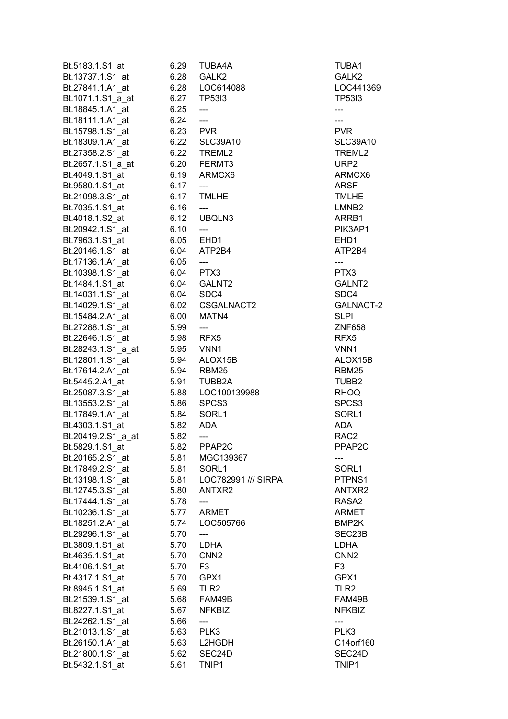| Bt.5183.1.S1_at                      | 6.29      | TUBA4A                     | TUBA1              |
|--------------------------------------|-----------|----------------------------|--------------------|
| Bt.13737.1.S1_at                     | 6.28      | GALK2                      | GALK <sub>2</sub>  |
| Bt.27841.1.A1_at                     | 6.28      | LOC614088                  | LOC441369          |
| Bt.1071.1.S1_a_at                    | 6.27      | <b>TP53I3</b>              | <b>TP53I3</b>      |
| Bt.18845.1.A1_at                     | 6.25      | $\overline{\phantom{a}}$   | ---                |
| Bt.18111.1.A1_at                     | 6.24      | $\overline{a}$             | ---                |
| Bt.15798.1.S1_at                     | 6.23 PVR  |                            | <b>PVR</b>         |
| Bt.18309.1.A1_at                     |           | 6.22 SLC39A10              | <b>SLC39A10</b>    |
| Bt.27358.2.S1 at                     | 6.22      | TREML2                     | TREML <sub>2</sub> |
| Bt.2657.1.S1_a_at                    |           | 6.20 FERMT3                | URP <sub>2</sub>   |
| Bt.4049.1.S1 at                      | 6.19      | ARMCX6                     | ARMCX6             |
| Bt.9580.1.S1_at                      | 6.17      | $\qquad \qquad \text{---}$ | <b>ARSF</b>        |
| Bt.21098.3.S1 at                     | 6.17      | <b>TMLHE</b>               | <b>TMLHE</b>       |
| Bt.7035.1.S1_at                      | 6.16      | ---                        | LMNB <sub>2</sub>  |
| Bt.4018.1.S2_at                      | 6.12      | UBQLN3                     | ARRB1              |
| Bt.20942.1.S1 at                     | 6.10      | $---$                      | PIK3AP1            |
| Bt.7963.1.S1_at                      | 6.05      | EHD1                       | EHD <sub>1</sub>   |
| Bt.20146.1.S1_at                     | 6.04      | ATP2B4                     | ATP2B4             |
| Bt.17136.1.A1_at                     | 6.05      | ---                        | ---                |
| Bt.10398.1.S1 at                     | 6.04 PTX3 |                            | PTX3               |
| Bt.1484.1.S1_at                      | 6.04      | GALNT <sub>2</sub>         | GALNT2             |
| Bt.14031.1.S1 at                     | 6.04      | SDC4                       | SDC4               |
| Bt.14029.1.S1 at                     |           | 6.02 CSGALNACT2            | GALNACT-2          |
| Bt.15484.2.A1 at                     | 6.00      | MATN4                      | <b>SLPI</b>        |
| Bt.27288.1.S1 at                     | 5.99      | ---                        | <b>ZNF658</b>      |
| Bt.22646.1.S1 at                     | 5.98      | RFX <sub>5</sub>           | RFX <sub>5</sub>   |
| Bt.28243.1.S1 a at                   | 5.95      | VNN1                       | VNN1               |
| Bt.12801.1.S1 at                     | 5.94      | ALOX15B                    | ALOX15B            |
| Bt.17614.2.A1_at                     | 5.94      | RBM25                      | RBM25              |
| Bt.5445.2.A1 at                      | 5.91      | TUBB2A                     | TUBB <sub>2</sub>  |
| Bt.25087.3.S1_at                     | 5.88      | LOC100139988               | <b>RHOQ</b>        |
| Bt.13553.2.S1_at                     | 5.86      | SPCS <sub>3</sub>          | SPCS3              |
| Bt.17849.1.A1 at                     | 5.84      | SORL1                      | SORL1              |
| Bt.4303.1.S1_at                      | 5.82      | <b>ADA</b>                 | <b>ADA</b>         |
| Bt.20419.2.S1_a_at                   | 5.82      | ---                        | RAC <sub>2</sub>   |
| Bt.5829.1.S1 at                      | 5.82      | PPAP2C                     | PPAP2C             |
| Bt.20165.2.S1_at                     | 5.81      | MGC139367                  |                    |
|                                      |           | SORL1                      | SORL1              |
| Bt.17849.2.S1 at<br>Bt.13198.1.S1 at | 5.81      | LOC782991 /// SIRPA        |                    |
| Bt.12745.3.S1 at                     | 5.81      |                            | PTPNS1<br>ANTXR2   |
|                                      | 5.80      | ANTXR2                     | RASA <sub>2</sub>  |
| Bt.17444.1.S1_at                     | 5.78      |                            |                    |
| Bt.10236.1.S1 at                     | 5.77      | <b>ARMET</b>               | <b>ARMET</b>       |
| Bt.18251.2.A1 at                     | 5.74      | LOC505766                  | BMP2K              |
| Bt.29296.1.S1 at                     | 5.70      |                            | SEC23B             |
| Bt.3809.1.S1_at                      | 5.70      | <b>LDHA</b>                | <b>LDHA</b>        |
| Bt.4635.1.S1 at                      | 5.70      | CNN <sub>2</sub>           | CNN <sub>2</sub>   |
| Bt.4106.1.S1_at                      | 5.70      | F <sub>3</sub>             | F <sub>3</sub>     |
| Bt.4317.1.S1 at                      | 5.70      | GPX1                       | GPX1               |
| Bt.8945.1.S1 at                      | 5.69      | TLR <sub>2</sub>           | TLR <sub>2</sub>   |
| Bt.21539.1.S1 at                     | 5.68      | FAM49B                     | FAM49B             |
| Bt.8227.1.S1 at                      | 5.67      | <b>NFKBIZ</b>              | <b>NFKBIZ</b>      |
| Bt.24262.1.S1 at                     | 5.66      |                            |                    |
| Bt.21013.1.S1_at                     | 5.63      | PLK3                       | PLK3               |
| Bt.26150.1.A1 at                     | 5.63      | L2HGDH                     | C14orf160          |
| Bt.21800.1.S1_at                     | 5.62      | SEC24D                     | SEC24D             |
| Bt.5432.1.S1_at                      | 5.61      | TNIP1                      | TNIP1              |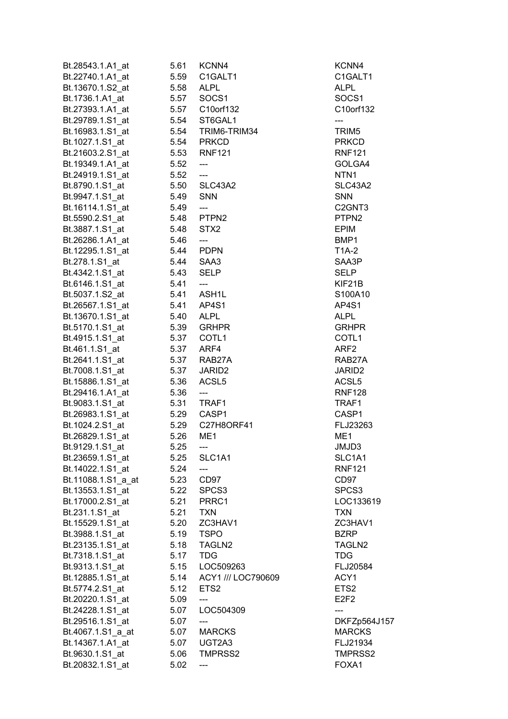| Bt.28543.1.A1 at                  | 5.61 | KCNN4                     | KCNN4                                 |
|-----------------------------------|------|---------------------------|---------------------------------------|
| Bt.22740.1.A1_at                  | 5.59 | C1GALT1                   | C1GALT1                               |
| Bt.13670.1.S2 at                  | 5.58 | <b>ALPL</b>               | <b>ALPL</b>                           |
| Bt.1736.1.A1_at                   | 5.57 | SOCS1                     | SOCS1                                 |
| Bt.27393.1.A1 at                  |      | 5.57 C10orf132            | C10orf132                             |
| Bt.29789.1.S1_at                  |      | 5.54 ST6GAL1              | ---                                   |
| Bt.16983.1.S1_at                  |      | 5.54 TRIM6-TRIM34         | TRIM <sub>5</sub>                     |
| Bt.1027.1.S1_at                   |      | 5.54 PRKCD                | <b>PRKCD</b>                          |
| Bt.21603.2.S1 at                  |      | 5.53 RNF121               | <b>RNF121</b>                         |
| Bt.19349.1.A1 at                  | 5.52 | $---$                     | GOLGA4                                |
| Bt.24919.1.S1 at                  | 5.52 | $\qquad \qquad -\qquad -$ | NTN <sub>1</sub>                      |
| Bt.8790.1.S1_at                   |      | 5.50 SLC43A2              | SLC43A2                               |
| Bt.9947.1.S1 at                   | 5.49 | <b>SNN</b>                | <b>SNN</b>                            |
| Bt.16114.1.S1_at                  | 5.49 | $\qquad \qquad - -$       | C <sub>2</sub> GNT <sub>3</sub>       |
| Bt.5590.2.S1_at                   |      | 5.48 PTPN2                | PTPN <sub>2</sub>                     |
| Bt.3887.1.S1_at                   | 5.48 | STX <sub>2</sub>          | <b>EPIM</b>                           |
| Bt.26286.1.A1_at                  | 5.46 | ---                       | BMP1                                  |
| Bt.12295.1.S1 at                  | 5.44 | <b>PDPN</b>               | T1A-2                                 |
| Bt.278.1.S1 at                    | 5.44 | SAA3                      | SAA3P                                 |
| Bt.4342.1.S1_at                   | 5.43 | <b>SELP</b>               | <b>SELP</b>                           |
| Bt.6146.1.S1_at                   | 5.41 | $---$                     | KIF21B                                |
| Bt.5037.1.S2_at                   |      | 5.41 ASH1L                | S100A10                               |
| Bt.26567.1.S1_at                  |      | 5.41 AP4S1                | AP4S1                                 |
|                                   |      | 5.40 ALPL                 | <b>ALPL</b>                           |
| Bt.13670.1.S1_at                  |      |                           | <b>GRHPR</b>                          |
| Bt.5170.1.S1_at                   | 5.37 | 5.39 GRHPR<br>COTL1       |                                       |
| Bt.4915.1.S1_at<br>Bt.461.1.S1 at | 5.37 | ARF4                      | COTL <sub>1</sub><br>ARF <sub>2</sub> |
|                                   |      | RAB27A                    | RAB27A                                |
| Bt.2641.1.S1_at                   | 5.37 |                           |                                       |
| Bt.7008.1.S1 at                   | 5.37 | JARID <sub>2</sub>        | JARID <sub>2</sub>                    |
| Bt.15886.1.S1_at                  | 5.36 | ACSL <sub>5</sub>         | ACSL <sub>5</sub>                     |
| Bt.29416.1.A1 at                  | 5.36 | ---                       | <b>RNF128</b>                         |
| Bt.9083.1.S1_at                   | 5.31 | TRAF1                     | TRAF1                                 |
| Bt.26983.1.S1 at                  | 5.29 | CASP1                     | CASP1                                 |
| Bt.1024.2.S1_at                   | 5.29 | C27H8ORF41                | FLJ23263                              |
| Bt.26829.1.S1 at                  | 5.26 | ME <sub>1</sub>           | ME <sub>1</sub>                       |
| Bt.9129.1.S1_at                   | 5.25 | ---                       | JMJD3                                 |
| Bt.23659.1.S1_at                  | 5.25 | SLC1A1                    | SLC1A1                                |
| Bt.14022.1.S1_at                  | 5.24 | ---                       | <b>RNF121</b>                         |
| Bt.11088.1.S1_a_at                | 5.23 | CD97                      | CD97                                  |
| Bt.13553.1.S1_at                  | 5.22 | SPCS <sub>3</sub>         | SPCS3                                 |
| Bt.17000.2.S1 at                  | 5.21 | PRRC1                     | LOC133619                             |
| Bt.231.1.S1_at                    | 5.21 | <b>TXN</b>                | <b>TXN</b>                            |
| Bt.15529.1.S1_at                  | 5.20 | ZC3HAV1                   | ZC3HAV1                               |
| Bt.3988.1.S1 at                   | 5.19 | <b>TSPO</b>               | <b>BZRP</b>                           |
| Bt.23135.1.S1_at                  | 5.18 | TAGLN2                    | TAGLN2                                |
| Bt.7318.1.S1_at                   | 5.17 | <b>TDG</b>                | <b>TDG</b>                            |
| Bt.9313.1.S1_at                   | 5.15 | LOC509263                 | FLJ20584                              |
| Bt.12885.1.S1_at                  | 5.14 | ACY1 /// LOC790609        | ACY1                                  |
| Bt.5774.2.S1 at                   | 5.12 | ETS <sub>2</sub>          | ETS <sub>2</sub>                      |
| Bt.20220.1.S1_at                  | 5.09 | ---                       | E <sub>2F2</sub>                      |
| Bt.24228.1.S1_at                  | 5.07 | LOC504309                 | ---                                   |
| Bt.29516.1.S1_at                  | 5.07 | ---                       | DKFZp564J157                          |
| Bt.4067.1.S1_a_at                 | 5.07 | <b>MARCKS</b>             | <b>MARCKS</b>                         |
| Bt.14367.1.A1_at                  | 5.07 | UGT2A3                    | FLJ21934                              |
| Bt.9630.1.S1_at                   | 5.06 | TMPRSS2                   | TMPRSS2                               |
| Bt.20832.1.S1_at                  | 5.02 |                           | FOXA1                                 |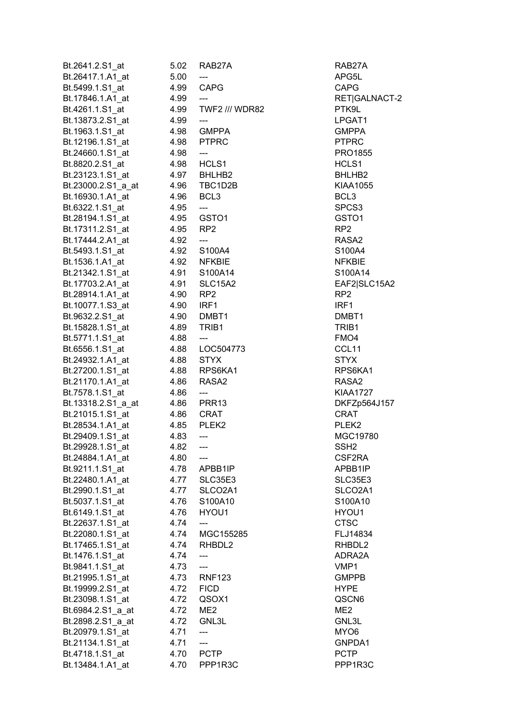| Bt.2641.2.S1 at    | 5.02      | RAB27A                              | RAB27A                           |
|--------------------|-----------|-------------------------------------|----------------------------------|
| Bt.26417.1.A1_at   | 5.00      |                                     | APG5L                            |
| Bt.5499.1.S1 at    | 4.99      | <b>CAPG</b>                         | <b>CAPG</b>                      |
| Bt.17846.1.A1_at   | 4.99      | ---                                 | RET GALNACT-2                    |
| Bt.4261.1.S1 at    | 4.99      | <b>TWF2 /// WDR82</b>               | PTK9L                            |
| Bt.13873.2.S1_at   | 4.99      | $\qquad \qquad - \qquad -$          | LPGAT1                           |
| Bt.1963.1.S1_at    |           | 4.98 GMPPA                          | <b>GMPPA</b>                     |
| Bt.12196.1.S1_at   |           | 4.98 PTPRC                          | <b>PTPRC</b>                     |
| Bt.24660.1.S1 at   | 4.98      | $---$                               | <b>PRO1855</b>                   |
| Bt.8820.2.S1 at    |           | 4.98 HCLS1                          | HCLS1                            |
| Bt.23123.1.S1 at   |           | 4.97 BHLHB2                         | BHLHB2                           |
| Bt.23000.2.S1 a at |           | 4.96 TBC1D2B                        | KIAA1055                         |
| Bt.16930.1.A1 at   | 4.96 BCL3 |                                     | BCL <sub>3</sub>                 |
| Bt.6322.1.S1_at    | 4.95      | $\qquad \qquad - -$                 | SPCS3                            |
| Bt.28194.1.S1_at   |           | 4.95 GSTO1                          | GSTO <sub>1</sub>                |
| Bt.17311.2.S1_at   | 4.95      | RP <sub>2</sub>                     | RP <sub>2</sub>                  |
|                    | 4.92      | ---                                 | RASA <sub>2</sub>                |
| Bt.17444.2.A1_at   |           |                                     |                                  |
| Bt.5493.1.S1_at    |           | 4.92 S100A4                         | S100A4                           |
| Bt.1536.1.A1 at    |           | 4.92 NFKBIE                         | <b>NFKBIE</b>                    |
| Bt.21342.1.S1_at   | 4.91      | S100A14                             | S100A14                          |
| Bt.17703.2.A1 at   | 4.91      | SLC15A2                             | EAF2 SLC15A2                     |
| Bt.28914.1.A1 at   | 4.90 RP2  |                                     | RP <sub>2</sub>                  |
| Bt.10077.1.S3_at   | 4.90 IRF1 |                                     | IRF1                             |
| Bt.9632.2.S1_at    |           | 4.90 DMBT1                          | DMBT1                            |
| Bt.15828.1.S1_at   | 4.89      | TRIB1                               | TRIB1                            |
| Bt.5771.1.S1_at    | 4.88      | $\hspace{0.05cm}---\hspace{0.05cm}$ | FMO4                             |
| Bt.6556.1.S1_at    |           | 4.88    LOC504773                   | CCL <sub>11</sub>                |
| Bt.24932.1.A1_at   | 4.88      | <b>STYX</b>                         | <b>STYX</b>                      |
| Bt.27200.1.S1_at   |           | 4.88 RPS6KA1                        | RPS6KA1                          |
| Bt.21170.1.A1_at   | 4.86      | RASA <sub>2</sub>                   | RASA <sub>2</sub>                |
| Bt.7578.1.S1 at    | 4.86      | ---                                 | <b>KIAA1727</b>                  |
| Bt.13318.2.S1_a_at |           | 4.86 PRR13                          | DKFZp564J157                     |
| Bt.21015.1.S1_at   | 4.86 CRAT |                                     | <b>CRAT</b>                      |
| Bt.28534.1.A1 at   | 4.85      | PLEK <sub>2</sub>                   | PLEK <sub>2</sub>                |
| Bt.29409.1.S1 at   | 4.83      | $\hspace{0.05cm}---$                | MGC19780                         |
| Bt.29928.1.S1_at   | 4.82      | ---                                 | SSH <sub>2</sub>                 |
| Bt.24884.1.A1 at   | 4.80      |                                     | CSF2RA                           |
| Bt.9211.1.S1 at    | 4.78      | APBB1IP                             | APBB1IP                          |
| Bt.22480.1.A1 at   | 4.77      | SLC35E3                             | SLC35E3                          |
| Bt.2990.1.S1_at    | 4.77      | SLCO <sub>2</sub> A <sub>1</sub>    | SLCO <sub>2</sub> A <sub>1</sub> |
| Bt.5037.1.S1_at    | 4.76      | S100A10                             | S100A10                          |
| Bt.6149.1.S1_at    | 4.76      | HYOU1                               | HYOU1                            |
| Bt.22637.1.S1 at   | 4.74      |                                     | <b>CTSC</b>                      |
| Bt.22080.1.S1_at   | 4.74      | MGC155285                           | FLJ14834                         |
| Bt.17465.1.S1 at   | 4.74      | RHBDL2                              | RHBDL2                           |
| Bt.1476.1.S1_at    | 4.74      | ---                                 | ADRA2A                           |
| Bt.9841.1.S1_at    | 4.73      | ---                                 | VMP1                             |
| Bt.21995.1.S1 at   | 4.73      | <b>RNF123</b>                       | <b>GMPPB</b>                     |
| Bt.19999.2.S1 at   | 4.72      | <b>FICD</b>                         | <b>HYPE</b>                      |
| Bt.23098.1.S1 at   | 4.72      | QSOX1                               | QSCN6                            |
| Bt.6984.2.S1_a_at  | 4.72      | ME <sub>2</sub>                     | ME <sub>2</sub>                  |
| Bt.2898.2.S1_a_at  | 4.72      | GNL3L                               | GNL3L                            |
| Bt.20979.1.S1 at   | 4.71      | ---                                 | MYO6                             |
| Bt.21134.1.S1_at   | 4.71      | $---$                               | GNPDA1                           |
| Bt.4718.1.S1 at    | 4.70      | <b>PCTP</b>                         | <b>PCTP</b>                      |
| Bt.13484.1.A1_at   | 4.70      | PPP1R3C                             | PPP1R3C                          |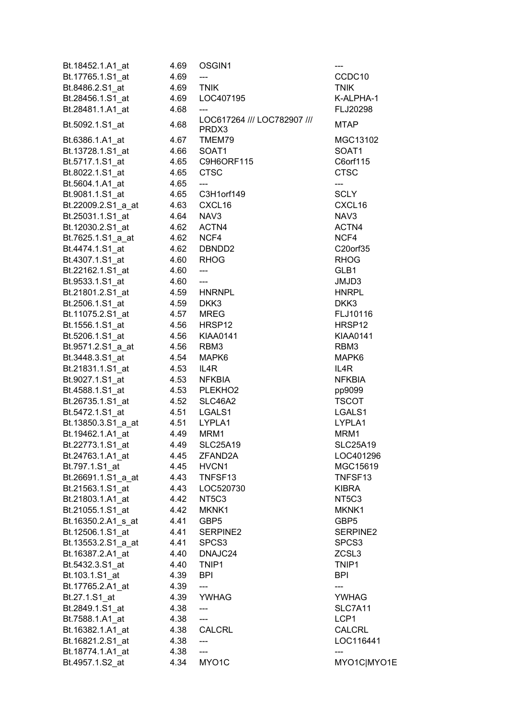| Bt.18452.1.A1_at   | 4.69 | OSGIN1                               |                    |
|--------------------|------|--------------------------------------|--------------------|
| Bt.17765.1.S1_at   | 4.69 | ---                                  | CCDC10             |
| Bt.8486.2.S1 at    | 4.69 | <b>TNIK</b>                          | <b>TNIK</b>        |
| Bt.28456.1.S1_at   | 4.69 | LOC407195                            | K-ALPHA-1          |
| Bt.28481.1.A1_at   | 4.68 |                                      | FLJ20298           |
| Bt.5092.1.S1 at    | 4.68 | LOC617264 /// LOC782907 ///<br>PRDX3 | <b>MTAP</b>        |
| Bt.6386.1.A1_at    | 4.67 | TMEM79                               | MGC13102           |
| Bt.13728.1.S1_at   | 4.66 | SOAT1                                | SOAT1              |
| Bt.5717.1.S1_at    |      | 4.65 C9H6ORF115                      | C6orf115           |
| Bt.8022.1.S1_at    | 4.65 | <b>CTSC</b>                          | <b>CTSC</b>        |
| Bt.5604.1.A1_at    | 4.65 | $\qquad \qquad - \qquad -$           | ---                |
| Bt.9081.1.S1_at    |      | 4.65 C3H1orf149                      | <b>SCLY</b>        |
| Bt.22009.2.S1_a_at | 4.63 | CXCL16                               | CXCL <sub>16</sub> |
| Bt.25031.1.S1_at   | 4.64 | NAV3                                 | NAV <sub>3</sub>   |
| Bt.12030.2.S1_at   | 4.62 | ACTN4                                | ACTN4              |
| Bt.7625.1.S1_a_at  | 4.62 | NCF4                                 | NCF4               |
| Bt.4474.1.S1 at    | 4.62 | DBNDD2                               | C20orf35           |
| Bt.4307.1.S1_at    | 4.60 | RHOG                                 | <b>RHOG</b>        |
| Bt.22162.1.S1 at   | 4.60 | $\qquad \qquad -\qquad -$            | GLB1               |
| Bt.9533.1.S1_at    | 4.60 | $\qquad \qquad - -$                  | JMJD3              |
| Bt.21801.2.S1 at   |      | 4.59 HNRNPL                          | <b>HNRPL</b>       |
| Bt.2506.1.S1_at    | 4.59 | DKK3                                 | DKK3               |
| Bt.11075.2.S1_at   | 4.57 | <b>MREG</b>                          | FLJ10116           |
| Bt.1556.1.S1_at    | 4.56 | HRSP12                               | HRSP12             |
| Bt.5206.1.S1_at    |      | 4.56 KIAA0141                        | KIAA0141           |
| Bt.9571.2.S1_a_at  | 4.56 | RBM3                                 | RBM3               |
| Bt.3448.3.S1_at    | 4.54 | MAPK6                                | MAPK6              |
| Bt.21831.1.S1_at   | 4.53 | IL4R                                 | IL4R               |
| Bt.9027.1.S1_at    | 4.53 | NFKBIA                               | <b>NFKBIA</b>      |
| Bt.4588.1.S1_at    |      | 4.53 PLEKHO2                         | pp9099             |
| Bt.26735.1.S1_at   | 4.52 | SLC46A2                              | <b>TSCOT</b>       |
| Bt.5472.1.S1 at    | 4.51 | LGALS1                               | LGALS1             |
| Bt.13850.3.S1 a at | 4.51 | LYPLA1                               | LYPLA1             |
| Bt.19462.1.A1_at   | 4.49 | MRM1                                 | MRM1               |
| Bt.22773.1.S1_at   | 4.49 | <b>SLC25A19</b>                      | <b>SLC25A19</b>    |
| Bt.24763.1.A1_at   | 4.45 | ZFAND2A                              | LOC401296          |
| Bt.797.1.S1_at     | 4.45 | HVCN1                                | MGC15619           |
| Bt.26691.1.S1_a_at | 4.43 | TNFSF13                              | TNFSF13            |
| Bt.21563.1.S1_at   | 4.43 | LOC520730                            | <b>KIBRA</b>       |
| Bt.21803.1.A1_at   | 4.42 | NT <sub>5</sub> C <sub>3</sub>       | NT5C3              |
| Bt.21055.1.S1 at   | 4.42 | MKNK1                                | MKNK1              |
| Bt.16350.2.A1_s_at | 4.41 | GBP <sub>5</sub>                     | GBP5               |
| Bt.12506.1.S1_at   | 4.41 | SERPINE2                             | SERPINE2           |
| Bt.13553.2.S1_a_at | 4.41 | SPCS <sub>3</sub>                    | SPCS3              |
| Bt.16387.2.A1_at   | 4.40 | DNAJC24                              | ZCSL3              |
| Bt.5432.3.S1_at    | 4.40 | TNIP1                                | TNIP1              |
| Bt.103.1.S1_at     | 4.39 | <b>BPI</b>                           | <b>BPI</b>         |
| Bt.17765.2.A1_at   | 4.39 | ---                                  | ---                |
| Bt.27.1.S1_at      | 4.39 | <b>YWHAG</b>                         | <b>YWHAG</b>       |
| Bt.2849.1.S1_at    | 4.38 | $---$                                | SLC7A11            |
| Bt.7588.1.A1_at    | 4.38 | $---$                                | LCP1               |
| Bt.16382.1.A1_at   | 4.38 | <b>CALCRL</b>                        | <b>CALCRL</b>      |
| Bt.16821.2.S1_at   | 4.38 | $---$                                | LOC116441          |
| Bt.18774.1.A1 at   | 4.38 | ---                                  |                    |
| Bt.4957.1.S2 at    | 4.34 | MYO1C                                | MYO1C MYO1E        |
|                    |      |                                      |                    |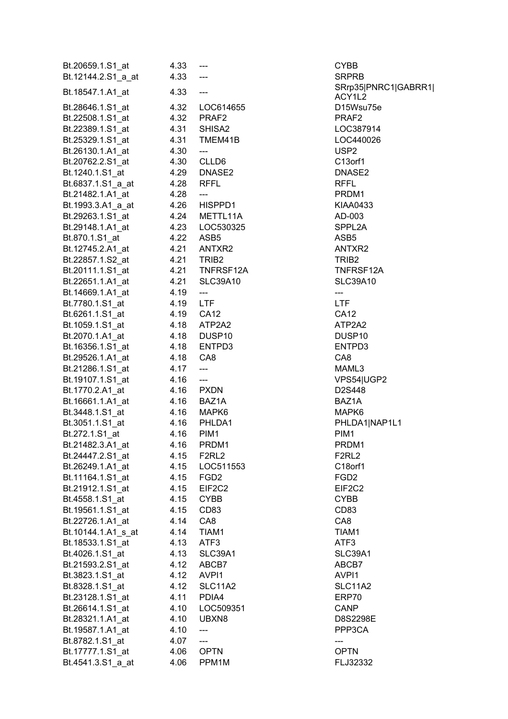| Bt.20659.1.S1_at             | 4.33       | $\hspace{0.05cm} \ldots$            | <b>CYBB</b>         |
|------------------------------|------------|-------------------------------------|---------------------|
| Bt.12144.2.S1_a_at           | 4.33       | $\hspace{0.05cm} \ldots$            | <b>SRPRB</b>        |
| Bt.18547.1.A1 at             | 4.33       | $\hspace{0.05cm}---\hspace{0.05cm}$ | SRrp35 PNRC1 GABRR1 |
|                              |            |                                     | ACY1L2              |
| Bt.28646.1.S1_at             |            | 4.32    LOC614655                   | D15Wsu75e           |
| Bt.22508.1.S1_at             |            | 4.32 PRAF2                          | PRAF <sub>2</sub>   |
| Bt.22389.1.S1_at             | 4.31       | SHISA <sub>2</sub>                  | LOC387914           |
| Bt.25329.1.S1_at             |            | 4.31 TMEM41B                        | LOC440026           |
| Bt.26130.1.A1 at             | 4.30       | $\hspace{0.05cm} \ldots$            | USP <sub>2</sub>    |
| Bt.20762.2.S1_at             |            | 4.30 CLLD6                          | C13orf1             |
| Bt.1240.1.S1_at              |            | 4.29 DNASE2                         | DNASE2              |
| Bt.6837.1.S1_a_at            |            | 4.28 RFFL                           | <b>RFFL</b>         |
| Bt.21482.1.A1_at             | 4.28       | $\hspace{0.05cm}---$                | PRDM1               |
| Bt.1993.3.A1_a_at            |            | 4.26 HISPPD1                        | KIAA0433            |
| Bt.29263.1.S1_at             |            | 4.24 METTL11A                       | AD-003              |
| Bt.29148.1.A1_at             |            | 4.23    LOC530325                   | SPPL2A              |
| Bt.870.1.S1 at               |            | 4.22 ASB5                           | ASB <sub>5</sub>    |
| Bt.12745.2.A1_at             |            | 4.21 ANTXR2                         | ANTXR2              |
| Bt.22857.1.S2 at             |            | 4.21 TRIB2                          | TRIB <sub>2</sub>   |
| Bt.20111.1.S1_at             |            | 4.21 TNFRSF12A                      | TNFRSF12A           |
| Bt.22651.1.A1_at             |            | 4.21 SLC39A10                       | <b>SLC39A10</b>     |
| Bt.14669.1.A1 at             | 4.19       | $\overline{\phantom{a}}$            | ---                 |
|                              |            |                                     | LTF                 |
| Bt.7780.1.S1_at              | 4.19 LTF   |                                     |                     |
| Bt.6261.1.S1_at 4.19 CA12    |            |                                     | <b>CA12</b>         |
| Bt.1059.1.S1_at  4.18 ATP2A2 |            |                                     | ATP2A2              |
| Bt.2070.1.A1_at              |            | 4.18 DUSP10                         | DUSP <sub>10</sub>  |
| Bt.16356.1.S1_at             |            | 4.18 ENTPD3                         | ENTPD3              |
| Bt.29526.1.A1_at             | 4.18 CA8   |                                     | CA8                 |
| Bt.21286.1.S1_at             | 4.17       | $\overline{\phantom{a}}$            | MAML3               |
| Bt.19107.1.S1_at             | $4.16$ --- |                                     | VPS54 UGP2          |
| Bt.1770.2.A1_at              |            | 4.16 PXDN                           | D2S448              |
| Bt.16661.1.A1_at             |            | 4.16 BAZ1A                          | BAZ1A               |
| Bt.3448.1.S1_at              |            | 4.16 MAPK6                          | MAPK6               |
| Bt.3051.1.S1_at  4.16 PHLDA1 |            |                                     | PHLDA1 NAP1L1       |
| Bt.272.1.S1_at               | 4.16       | PIM1                                | PIM <sub>1</sub>    |
| Bt.21482.3.A1_at             | 4.16       | PRDM1                               | PRDM1               |
| Bt.24447.2.S1_at             |            | 4.15 F2RL2                          | F2RL2               |
| Bt.26249.1.A1 at             |            | 4.15    LOC511553                   | C18orf1             |
| Bt.11164.1.S1_at             |            | 4.15 FGD2                           | FGD <sub>2</sub>    |
| Bt.21912.1.S1_at             |            | 4.15 EIF2C2                         | EIF2C2              |
| Bt.4558.1.S1 at              |            | 4.15 CYBB                           | <b>CYBB</b>         |
| Bt.19561.1.S1_at             |            | 4.15 CD83                           | CD83                |
| Bt.22726.1.A1 at             |            | 4.14 CA8                            | CA8                 |
| Bt.10144.1.A1_s_at           |            | 4.14 TIAM1                          | TIAM1               |
| Bt.18533.1.S1_at             |            | 4.13 ATF3                           | ATF3                |
| Bt.4026.1.S1_at              |            | 4.13 SLC39A1                        | SLC39A1             |
| Bt.21593.2.S1_at             |            | 4.12 ABCB7                          | ABCB7               |
| Bt.3823.1.S1_at              |            | 4.12 AVPI1                          | AVPI1               |
| Bt.8328.1.S1_at              | 4.12       | SLC11A2                             | <b>SLC11A2</b>      |
| Bt.23128.1.S1_at             |            | 4.11 PDIA4                          | ERP70               |
| Bt.26614.1.S1_at             |            | 4.10 LOC509351                      | CANP                |
|                              |            |                                     |                     |
| Bt.28321.1.A1_at             |            | 4.10 UBXN8                          | D8S2298E            |
| Bt.19587.1.A1_at             | 4.10       | ---                                 | PPP3CA              |
| Bt.8782.1.S1_at              | 4.07       | $---$                               | ---                 |
| Bt.17777.1.S1 at             |            | 4.06 OPTN                           | <b>OPTN</b>         |
| Bt.4541.3.S1_a_at            | 4.06       | PPM <sub>1</sub> M                  | FLJ32332            |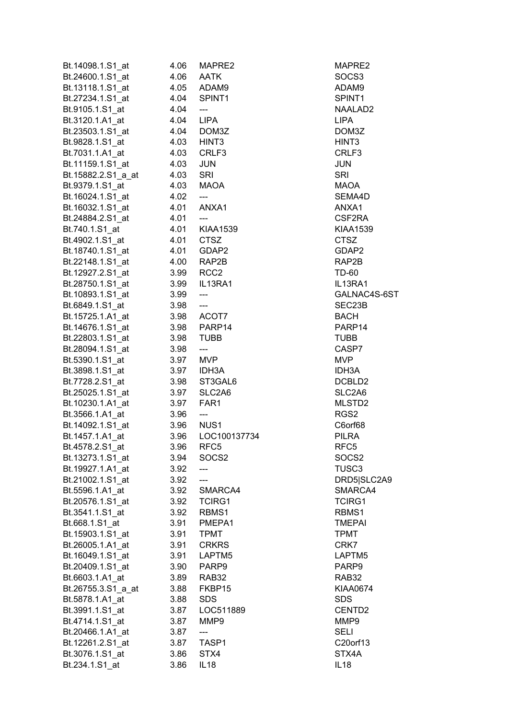| Bt.14098.1.S1_at                    | 4.06 | MAPRE2                              | MAPRE2             |
|-------------------------------------|------|-------------------------------------|--------------------|
| Bt.24600.1.S1 at                    | 4.06 | <b>AATK</b>                         | SOCS <sub>3</sub>  |
| Bt.13118.1.S1_at                    | 4.05 | ADAM9                               | ADAM9              |
| Bt.27234.1.S1_at                    | 4.04 | SPINT <sub>1</sub>                  | SPINT1             |
| Bt.9105.1.S1_at                     | 4.04 | $\hspace{0.05cm} \ldots$            | NAALAD2            |
| Bt.3120.1.A1_at                     | 4.04 | LIPA                                | <b>LIPA</b>        |
| Bt.23503.1.S1_at                    | 4.04 | DOM3Z                               | DOM3Z              |
| Bt.9828.1.S1_at                     |      | 4.03 HINT3                          | HINT <sub>3</sub>  |
| Bt.7031.1.A1 at                     | 4.03 | CRLF3                               | CRLF3              |
| Bt.11159.1.S1 at                    | 4.03 | <b>JUN</b>                          | <b>JUN</b>         |
|                                     |      |                                     |                    |
| Bt.15882.2.S1_a_at                  | 4.03 | SRI                                 | <b>SRI</b><br>MAOA |
| Bt.9379.1.S1_at                     | 4.03 | MAOA                                |                    |
| Bt.16024.1.S1 at                    | 4.02 | $\hspace{0.05cm}---\hspace{0.05cm}$ | SEMA4D             |
| Bt.16032.1.S1_at                    | 4.01 | ANXA1                               | ANXA1              |
| Bt.24884.2.S1 at                    | 4.01 | $---$                               | CSF2RA             |
| Bt.740.1.S1 at                      | 4.01 | KIAA1539                            | <b>KIAA1539</b>    |
| Bt.4902.1.S1_at                     | 4.01 | <b>CTSZ</b>                         | <b>CTSZ</b>        |
| Bt.18740.1.S1_at                    | 4.01 | GDAP2                               | GDAP2              |
| Bt.22148.1.S1_at                    | 4.00 | RAP2B                               | RAP2B              |
| Bt.12927.2.S1 at                    | 3.99 | RCC <sub>2</sub>                    | TD-60              |
| Bt.28750.1.S1_at                    | 3.99 | IL13RA1                             | IL13RA1            |
| Bt.10893.1.S1_at                    | 3.99 | $\overline{\phantom{a}}$            | GALNAC4S-6ST       |
| Bt.6849.1.S1_at                     | 3.98 | $\hspace{0.05cm} \ldots$            | SEC23B             |
| Bt.15725.1.A1_at                    |      | 3.98 ACOT7                          | <b>BACH</b>        |
| Bt.14676.1.S1_at                    | 3.98 | PARP14                              | PARP14             |
| Bt.22803.1.S1_at                    | 3.98 | <b>TUBB</b>                         | <b>TUBB</b>        |
| Bt.28094.1.S1_at                    | 3.98 | ---                                 | CASP7              |
| Bt.5390.1.S1_at                     | 3.97 | <b>MVP</b>                          | MVP                |
| Bt.3898.1.S1 at                     | 3.97 | IDH3A                               | IDH3A              |
| Bt.7728.2.S1_at                     | 3.98 | ST3GAL6                             | DCBLD2             |
| Bt.25025.1.S1_at                    | 3.97 | SLC2A6                              | SLC2A6             |
| Bt.10230.1.A1 at                    | 3.97 | FAR1                                | MLSTD2             |
| Bt.3566.1.A1 at                     | 3.96 | ---                                 | RGS2               |
| Bt.14092.1.S1_at                    | 3.96 | NUS <sub>1</sub>                    | C6orf68            |
| Bt.1457.1.A1 at                     | 3.96 | LOC100137734                        | <b>PILRA</b>       |
| Bt.4578.2.S1_at                     | 3.96 | RFC <sub>5</sub>                    | RFC5               |
| Bt.13273.1.S1_at                    | 3.94 | SOCS <sub>2</sub>                   | SOCS <sub>2</sub>  |
| Bt.19927.1.A1_at                    | 3.92 |                                     | TUSC <sub>3</sub>  |
| Bt.21002.1.S1_at                    | 3.92 | ---                                 | DRD5 SLC2A9        |
|                                     | 3.92 | SMARCA4                             | SMARCA4            |
| Bt.5596.1.A1_at<br>Bt.20576.1.S1 at |      | <b>TCIRG1</b>                       | <b>TCIRG1</b>      |
|                                     | 3.92 |                                     |                    |
| Bt.3541.1.S1_at                     | 3.92 | RBMS1                               | RBMS1              |
| Bt.668.1.S1_at                      | 3.91 | PMEPA1                              | <b>TMEPAI</b>      |
| Bt.15903.1.S1_at                    | 3.91 | <b>TPMT</b>                         | <b>TPMT</b>        |
| Bt.26005.1.A1 at                    | 3.91 | <b>CRKRS</b>                        | CRK7               |
| Bt.16049.1.S1_at                    | 3.91 | LAPTM <sub>5</sub>                  | LAPTM5             |
| Bt.20409.1.S1_at                    | 3.90 | PARP9                               | PARP9              |
| Bt.6603.1.A1_at                     | 3.89 | RAB32                               | RAB32              |
| Bt.26755.3.S1_a_at                  | 3.88 | FKBP15                              | <b>KIAA0674</b>    |
| Bt.5878.1.A1_at                     | 3.88 | <b>SDS</b>                          | <b>SDS</b>         |
| Bt.3991.1.S1_at                     | 3.87 | LOC511889                           | CENTD <sub>2</sub> |
| Bt.4714.1.S1 at                     | 3.87 | MMP9                                | MMP9               |
| Bt.20466.1.A1 at                    | 3.87 |                                     | <b>SELI</b>        |
| Bt.12261.2.S1_at                    | 3.87 | TASP1                               | C20orf13           |
| Bt.3076.1.S1_at                     | 3.86 | STX4                                | STX4A              |
| Bt.234.1.S1_at                      | 3.86 | IL18                                | IL18               |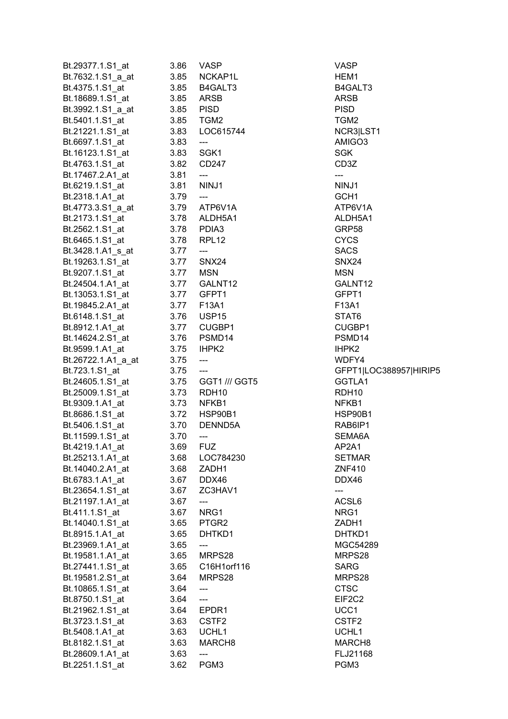| Bt.29377.1.S1_at                             | 3.86      | VASP                                | <b>VASP</b>            |
|----------------------------------------------|-----------|-------------------------------------|------------------------|
| Bt.7632.1.S1 a at                            | 3.85      | NCKAP1L                             | HEM1                   |
| Bt.4375.1.S1 at                              | 3.85      | B4GALT3                             | B4GALT3                |
| Bt.18689.1.S1_at                             | 3.85      | ARSB                                | ARSB                   |
| Bt.3992.1.S1_a_at                            | 3.85      | <b>PISD</b>                         | <b>PISD</b>            |
| Bt.5401.1.S1_at                              | 3.85 TGM2 |                                     | TGM2                   |
| Bt.21221.1.S1_at                             | 3.83      | LOC615744                           | NCR3 LST1              |
| Bt.6697.1.S1_at                              | 3.83      | $\hspace{0.05cm}---\hspace{0.05cm}$ | AMIGO3                 |
| Bt.16123.1.S1 at                             | 3.83      | SGK1                                | <b>SGK</b>             |
| Bt.4763.1.S1_at                              | 3.82      | CD247                               | CD <sub>3</sub> Z      |
| Bt.17467.2.A1 at                             | 3.81      | $\hspace{0.05cm} \ldots$            | ---                    |
| Bt.6219.1.S1 at                              | 3.81      | NINJ1                               | NINJ1                  |
| Bt.2318.1.A1 at                              | 3.79      | $\overline{\phantom{a}}$            | GCH <sub>1</sub>       |
| Bt.4773.3.S1_a_at                            |           | 3.79 ATP6V1A                        | ATP6V1A                |
| Bt.2173.1.S1_at                              |           | 3.78 ALDH5A1                        | ALDH5A1                |
| Bt.2562.1.S1 at                              | 3.78      | PDIA3                               | GRP58                  |
| Bt.6465.1.S1_at<br>3.78                      |           | RPL12                               | <b>CYCS</b>            |
| Bt.3428.1.A1_s_at 3.77                       |           | $\hspace{0.05cm}---\hspace{0.05cm}$ | <b>SACS</b>            |
| Bt.19263.1.S1_at 3.77                        |           | SNX24                               | SNX24                  |
| Bt.9207.1.S1_at   3.77   MSN                 |           |                                     | <b>MSN</b>             |
|                                              |           |                                     | GALNT <sub>12</sub>    |
| Bt.13053.1.S1_at 3.77 GFPT1                  |           |                                     | GFPT1                  |
| Bt.19845.2.A1_at                             |           |                                     | F13A1                  |
| Bt.6148.1.S1_at                              |           |                                     | STAT6                  |
| Bt.8912.1.A1_at                              |           | 3.77 CUGBP1                         | CUGBP1                 |
| Bt.14624.2.S1_at                             | 3.76      | PSMD14                              | PSMD14                 |
| Bt.9599.1.A1_at                              | 3.75      | IHPK2                               | IHPK <sub>2</sub>      |
|                                              | 3.75      |                                     |                        |
|                                              |           | $\hspace{0.05cm} \ldots$            | WDFY4                  |
| Bt.26722.1.A1_a_at<br>Bt.723.1.S1_at         | 3.75      | $\overline{a}$                      | GFPT1 LOC388957 HIRIP5 |
| Bt.24605.1.S1_at                             |           | 3.75 GGT1 /// GGT5                  | GGTLA1                 |
| Bt.25009.1.S1_at                             | 3.73      | RDH10                               | RDH <sub>10</sub>      |
|                                              |           | NFKB1                               | NFKB1                  |
| Bt.9309.1.A1_at 3.73<br>Bt.8686.1.S1_at 3.72 |           | HSP90B1                             | HSP90B1                |
| Bt.5406.1.S1_at 3.70                         |           | DENND5A                             | RAB6IP1                |
| Bt.11599.1.S1_at                             | 3.70      | ---                                 | SEMA6A                 |
| Bt.4219.1.A1_at                              | 3.69      | <b>FUZ</b>                          | AP2A1                  |
| Bt.25213.1.A1_at                             | 3.68      | LOC784230                           | <b>SETMAR</b>          |
| Bt.14040.2.A1_at                             | 3.68      | ZADH1                               | <b>ZNF410</b>          |
| Bt.6783.1.A1_at                              | 3.67      | DDX46                               | DDX46                  |
| Bt.23654.1.S1_at                             | 3.67      | ZC3HAV1                             | ---                    |
| Bt.21197.1.A1_at                             | 3.67      | ---                                 | ACSL6                  |
| Bt.411.1.S1_at                               | 3.67      | NRG1                                | NRG1                   |
| Bt.14040.1.S1 at                             | 3.65      | PTGR2                               | ZADH1                  |
| Bt.8915.1.A1 at                              | 3.65      | DHTKD1                              | DHTKD1                 |
| Bt.23969.1.A1 at                             | 3.65      | ---                                 | MGC54289               |
| Bt.19581.1.A1_at                             | 3.65      | MRPS28                              | MRPS28                 |
| Bt.27441.1.S1_at                             | 3.65      | C16H1orf116                         | SARG                   |
| Bt.19581.2.S1 at                             | 3.64      | MRPS28                              | MRPS28                 |
| Bt.10865.1.S1 at                             | 3.64      |                                     | <b>CTSC</b>            |
| Bt.8750.1.S1 at                              | 3.64      | $---$                               | EIF2C2                 |
| Bt.21962.1.S1_at                             | 3.64      | EPDR1                               | UCC1                   |
| Bt.3723.1.S1_at                              | 3.63      | CSTF <sub>2</sub>                   | CSTF <sub>2</sub>      |
| Bt.5408.1.A1 at                              | 3.63      | UCHL1                               | UCHL1                  |
| Bt.8182.1.S1_at                              | 3.63      | MARCH <sub>8</sub>                  | MARCH <sub>8</sub>     |
| Bt.28609.1.A1_at<br>Bt.2251.1.S1 at          | 3.63      | ---                                 | FLJ21168               |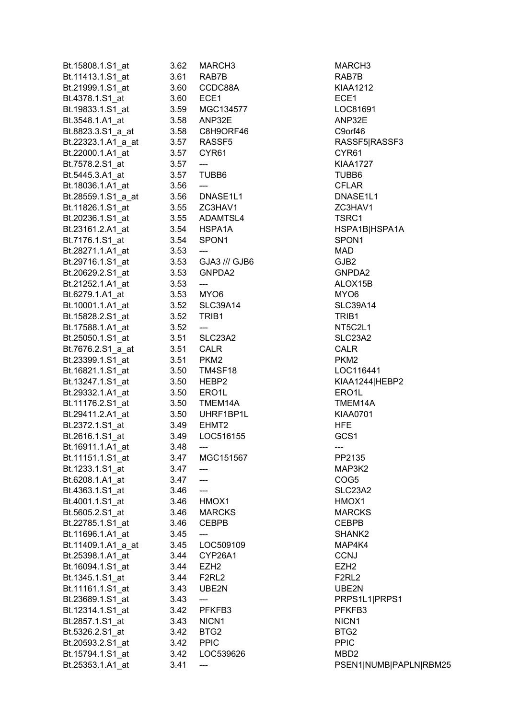| Bt.15808.1.S1_at   | 3.62 | MARCH <sub>3</sub>                  | MARCH <sub>3</sub>  |
|--------------------|------|-------------------------------------|---------------------|
| Bt.11413.1.S1_at   | 3.61 | RAB7B                               | RAB7B               |
| Bt.21999.1.S1_at   | 3.60 | CCDC88A                             | <b>KIAA1212</b>     |
| Bt.4378.1.S1_at    | 3.60 | ECE1                                | ECE1                |
| Bt.19833.1.S1_at   |      | 3.59 MGC134577                      | LOC8169             |
| Bt.3548.1.A1_at    |      | 3.58 ANP32E                         | ANP32E              |
| Bt.8823.3.S1_a_at  |      | 3.58 C8H9ORF46                      | C9orf46             |
| Bt.22323.1.A1_a_at |      | 3.57 RASSF5                         | RASSF5              |
| Bt.22000.1.A1_at   |      | 3.57 CYR61                          | CYR61               |
| Bt.7578.2.S1_at    | 3.57 | $\overline{\phantom{a}}$            | <b>KIAA1727</b>     |
| Bt.5445.3.A1 at    |      | 3.57 TUBB6                          | TUBB6               |
| Bt.18036.1.A1 at   | 3.56 | $---$                               | <b>CFLAR</b>        |
|                    |      |                                     | DNASE1              |
| Bt.28559.1.S1_a_at |      | 3.56 DNASE1L1<br>3.55 ZC3HAV1       | ZC3HAV <sup>-</sup> |
| Bt.11826.1.S1_at   |      |                                     |                     |
| Bt.20236.1.S1_at   |      | 3.55 ADAMTSL4                       | TSRC1               |
| Bt.23161.2.A1_at   |      | 3.54 HSPA1A                         | HSPA1B              |
| Bt.7176.1.S1_at    |      | 3.54 SPON1                          | SPON1               |
| Bt.28271.1.A1_at   | 3.53 | ---                                 | MAD                 |
| Bt.29716.1.S1_at   |      | 3.53 GJA3 /// GJB6                  | GJB2                |
| Bt.20629.2.S1_at   | 3.53 | GNPDA2                              | GNPDA2              |
| Bt.21252.1.A1 at   | 3.53 | ---                                 | ALOX15E             |
| Bt.6279.1.A1 at    |      | 3.53 MYO6                           | MYO6                |
| Bt.10001.1.A1_at   |      | 3.52 SLC39A14                       | SLC39A1             |
| Bt.15828.2.S1_at   |      | 3.52 TRIB1                          | TRIB1               |
| Bt.17588.1.A1_at   | 3.52 | $\overline{\phantom{a}}$            | NT5C2L1             |
| Bt.25050.1.S1_at   |      | 3.51 SLC23A2                        | SLC23A2             |
| Bt.7676.2.S1_a_at  |      | 3.51 CALR                           | CALR                |
| Bt.23399.1.S1_at   |      | 3.51 PKM2                           | PKM2                |
| Bt.16821.1.S1_at   |      | 3.50 TM4SF18                        | LOC1164             |
| Bt.13247.1.S1_at   |      | 3.50 HEBP2                          | <b>KIAA1244</b>     |
| Bt.29332.1.A1_at   |      | 3.50 ERO1L                          | ERO1L               |
| Bt.11176.2.S1_at   |      | 3.50 TMEM14A                        | TMEM14              |
| Bt.29411.2.A1_at   |      | 3.50 UHRF1BP1L                      | KIAA070             |
| Bt.2372.1.S1_at    |      | 3.49 EHMT2                          | <b>HFE</b>          |
| Bt.2616.1.S1_at    | 3.49 | LOC516155                           | GCS1                |
| Bt.16911.1.A1_at   | 3.48 | $\hspace{0.05cm}---\hspace{0.05cm}$ | --- 11              |
| Bt.11151.1.S1_at   | 3.47 | MGC151567                           | PP2135              |
| Bt.1233.1.S1_at    | 3.47 |                                     | MAP3K2              |
| Bt.6208.1.A1_at    | 3.47 | ---                                 | COG5                |
| Bt.4363.1.S1_at    | 3.46 | $---$                               | SLC23A2             |
| Bt.4001.1.S1_at    | 3.46 | HMOX1                               | HMOX1               |
| Bt.5605.2.S1_at    | 3.46 | <b>MARCKS</b>                       | <b>MARCKS</b>       |
| Bt.22785.1.S1_at   | 3.46 | <b>CEBPB</b>                        | <b>CEBPB</b>        |
| Bt.11696.1.A1_at   | 3.45 |                                     | SHANK <sub>2</sub>  |
| Bt.11409.1.A1_a_at | 3.45 | LOC509109                           | MAP4K4              |
|                    |      | CYP26A1                             |                     |
| Bt.25398.1.A1_at   | 3.44 |                                     | <b>CCNJ</b>         |
| Bt.16094.1.S1_at   |      | 3.44 EZH2                           | EZH <sub>2</sub>    |
| Bt.1345.1.S1_at    |      | 3.44 F2RL2                          | F2RL2               |
| Bt.11161.1.S1_at   | 3.43 | UBE2N                               | UBE2N               |
| Bt.23689.1.S1_at   | 3.43 | ---                                 | PRPS1L1             |
| Bt.12314.1.S1_at   | 3.42 | PFKFB3                              | PFKFB3              |
| Bt.2857.1.S1_at    | 3.43 | NICN <sub>1</sub>                   | NICN <sub>1</sub>   |
| Bt.5326.2.S1_at    | 3.42 | BTG <sub>2</sub>                    | BTG2                |
| Bt.20593.2.S1_at   | 3.42 | <b>PPIC</b>                         | <b>PPIC</b>         |
| Bt.15794.1.S1_at   | 3.42 | LOC539626                           | MBD <sub>2</sub>    |
| Bt.25353.1.A1_at   | 3.41 |                                     | PSEN1 N             |

MARCH3 KIAA1212 LOC81691 C9orf46 RASSF5|RASSF3 KIAA1727 DNASE1L1 ZC3HAV1 HSPA1B|HSPA1A GNPDA2 ALOX15B SLC39A14 **NT5C2L1** SLC23A2 LOC116441 KIAA1244|HEBP2 TMEM14A KIAA0701 MAP3K2 SLC23A2 **MARCKS** SHANK2 UBE2N PRPS1L1|PRPS1 PFKFB3 PSEN1|NUMB|PAPLN|RBM25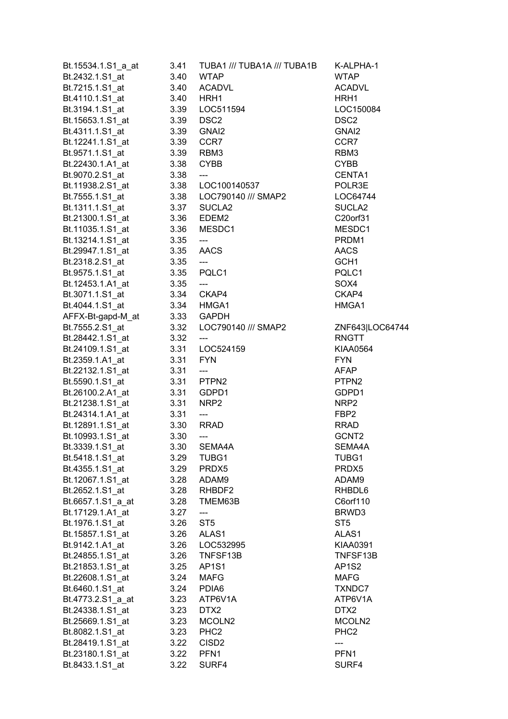| Bt.15534.1.S1_a_at                  | 3.41      | TUBA1 /// TUBA1A /// TUBA1B                    | K-ALPHA-1                      |
|-------------------------------------|-----------|------------------------------------------------|--------------------------------|
| Bt.2432.1.S1_at                     | 3.40      | <b>WTAP</b>                                    | <b>WTAP</b>                    |
| Bt.7215.1.S1 at                     | 3.40      | <b>ACADVL</b>                                  | <b>ACADVL</b>                  |
| Bt.4110.1.S1_at                     | 3.40 HRH1 |                                                | HRH1                           |
|                                     |           |                                                | LOC150084                      |
| Bt.15653.1.S1_at 3.39 DSC2          |           |                                                | DSC <sub>2</sub>               |
| Bt.4311.1.S1_at                     |           | 3.39 GNAI2                                     | GNAI <sub>2</sub>              |
| Bt.12241.1.S1_at                    | 3.39 CCR7 |                                                | CCR7                           |
| Bt.9571.1.S1 at                     | 3.39 RBM3 |                                                | RBM3                           |
| Bt.22430.1.A1_at                    | 3.38 CYBB |                                                | <b>CYBB</b>                    |
| Bt.9070.2.S1 at                     | 3.38      | $\qquad \qquad -\qquad -$                      | CENTA1                         |
|                                     |           |                                                | POLR3E                         |
|                                     |           | Bt.7555.1.S1 at 3.38    LOC790140    /// SMAP2 | LOC64744                       |
|                                     |           |                                                | SUCLA <sub>2</sub>             |
| Bt.21300.1.S1_at 3.36 EDEM2         |           |                                                | C20orf31                       |
| Bt.11035.1.S1_at                    |           | 3.36 MESDC1                                    | MESDC1                         |
| Bt.13214.1.S1_at                    | 3.35      | ---                                            | PRDM1                          |
| Bt.29947.1.S1_at 3.35 AACS          |           |                                                | <b>AACS</b>                    |
| Bt.2318.2.S1_at 3.35                |           | $\qquad \qquad \text{---}$                     | GCH <sub>1</sub>               |
| Bt.9575.1.S1 at 3.35                |           | PQLC1                                          | PQLC1                          |
| Bt.12453.1.A1_at 3.35               |           | $\overline{\phantom{a}}$                       | SOX4                           |
| Bt.3071.1.S1_at   3.34   CKAP4      |           |                                                | CKAP4                          |
| Bt.4044.1.S1_at                     |           | 3.34 HMGA1                                     | HMGA1                          |
| AFFX-Bt-gapd-M_at                   |           | 3.33 GAPDH                                     |                                |
| Bt.7555.2.S1_at                     |           | 3.32 LOC790140 /// SMAP2                       | ZNF643 LOC64744                |
| Bt.28442.1.S1_at                    | 3.32      | $\hspace{0.05cm}---\hspace{0.05cm}$            | RNGTT                          |
| Bt.24109.1.S1_at   3.31   LOC524159 |           |                                                | <b>KIAA0564</b>                |
| Bt.2359.1.A1_at 3.31                |           | <b>FYN</b>                                     | <b>FYN</b>                     |
| Bt.22132.1.S1 at 3.31               |           | ----                                           | AFAP                           |
| Bt.5590.1.S1_at   3.31   PTPN2      |           |                                                | PTPN2                          |
| Bt.26100.2.A1_at  3.31 GDPD1        |           |                                                | GDPD1                          |
| Bt.21238.1.S1_at                    | 3.31 NRP2 |                                                | NRP2                           |
| 3.31<br>Bt.24314.1.A1_at            |           | $\overline{\phantom{a}}$                       | FBP2                           |
| 3.30<br>Bt.12891.1.S1_at            |           | RRAD                                           | <b>RRAD</b>                    |
| Bt.10993.1.S1_at                    | 3.30      | $---$                                          | GCNT2                          |
| Bt.3339.1.S1_at                     | 3.30      | SEMA4A                                         | SEMA4A                         |
| Bt.5418.1.S1 at                     | 3.29      | TUBG1                                          | TUBG1                          |
| Bt.4355.1.S1_at                     |           | 3.29 PRDX5                                     | PRDX5                          |
| Bt.12067.1.S1 at                    |           | 3.28 ADAM9                                     | ADAM9                          |
| Bt.2652.1.S1_at                     |           | 3.28 RHBDF2                                    | RHBDL6                         |
| Bt.6657.1.S1 a at                   | 3.28      | TMEM63B                                        | C6orf110                       |
| Bt.17129.1.A1_at                    | 3.27      | $\qquad \qquad \textbf{---}$                   | BRWD3                          |
| Bt.1976.1.S1_at                     | 3.26      | ST <sub>5</sub>                                | ST5                            |
| Bt.15857.1.S1_at                    | 3.26      | ALAS1                                          | ALAS1                          |
| Bt.9142.1.A1 at                     |           | 3.26    LOC532995                              | <b>KIAA0391</b>                |
|                                     |           |                                                | TNFSF13B                       |
| Bt.24855.1.S1_at                    |           | 3.26 TNFSF13B                                  |                                |
| Bt.21853.1.S1_at                    |           | 3.25 AP1S1                                     | AP <sub>1</sub> S <sub>2</sub> |
| Bt.22608.1.S1_at                    |           | 3.24 MAFG                                      | <b>MAFG</b>                    |
| Bt.6460.1.S1_at                     |           | 3.24 PDIA6                                     | TXNDC7                         |
| Bt.4773.2.S1_a_at                   | 3.23      | ATP6V1A                                        | ATP6V1A                        |
| Bt.24338.1.S1 at                    | 3.23      | DTX2                                           | DTX2                           |
| Bt.25669.1.S1 at                    | 3.23      | MCOLN <sub>2</sub>                             | MCOLN <sub>2</sub>             |
| Bt.8082.1.S1 at                     | 3.23      | PHC <sub>2</sub>                               | PHC <sub>2</sub>               |
| Bt.28419.1.S1 at                    | 3.22      | CISD <sub>2</sub>                              |                                |
| Bt.23180.1.S1_at                    | 3.22      | PFN <sub>1</sub>                               | PFN <sub>1</sub>               |
| Bt.8433.1.S1_at                     | 3.22      | SURF4                                          | SURF4                          |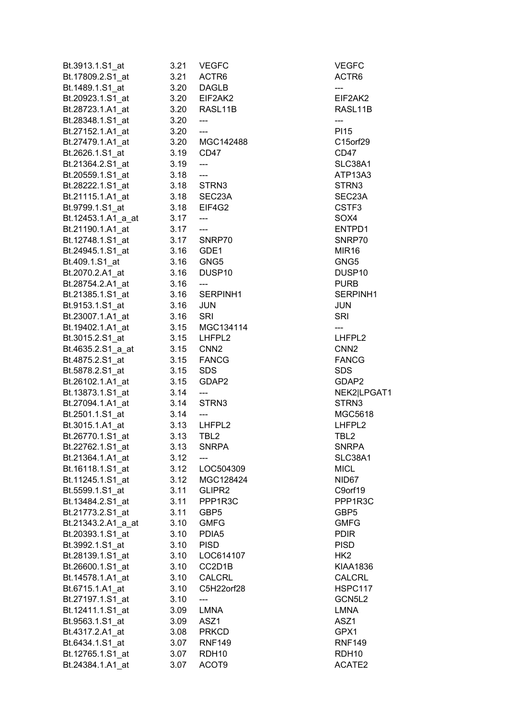| Bt.3913.1.S1_at    | 3.21 | <b>VEGFC</b>                        | <b>VEGFC</b>       |
|--------------------|------|-------------------------------------|--------------------|
| Bt.17809.2.S1_at   | 3.21 | ACTR6                               | ACTR6              |
| Bt.1489.1.S1_at    | 3.20 | <b>DAGLB</b>                        |                    |
| Bt.20923.1.S1_at   | 3.20 | EIF2AK2                             | EIF2AK2            |
| Bt.28723.1.A1_at   | 3.20 | RASL11B                             | RASL11B            |
| Bt.28348.1.S1_at   | 3.20 | $\overline{\phantom{a}}$            | ---                |
| Bt.27152.1.A1_at   | 3.20 | $---$                               | PI15               |
| Bt.27479.1.A1_at   |      | 3.20 MGC142488                      | C15orf29           |
| Bt.2626.1.S1 at    | 3.19 | CD47                                | CD47               |
| Bt.21364.2.S1_at   | 3.19 | $\overline{a}$                      | SLC38A1            |
|                    |      | $\overline{\phantom{a}}$            | ATP13A3            |
| Bt.20559.1.S1 at   | 3.18 |                                     | STRN3              |
| Bt.28222.1.S1 at   |      | 3.18 STRN3                          |                    |
| Bt.21115.1.A1 at   |      | 3.18 SEC23A                         | SEC23A             |
| Bt.9799.1.S1_at    |      | 3.18 EIF4G2                         | CSTF3              |
| Bt.12453.1.A1_a_at | 3.17 | ---                                 | SOX4               |
| Bt.21190.1.A1_at   | 3.17 | $\overline{a}$                      | ENTPD1             |
| Bt.12748.1.S1_at   |      | 3.17 SNRP70                         | SNRP70             |
| Bt.24945.1.S1_at   | 3.16 | GDE1                                | MIR <sub>16</sub>  |
| Bt.409.1.S1_at     | 3.16 | GNG5                                | GNG5               |
| Bt.2070.2.A1 at    | 3.16 | DUSP <sub>10</sub>                  | DUSP <sub>10</sub> |
| Bt.28754.2.A1_at   | 3.16 | $\overline{\phantom{a}}$            | <b>PURB</b>        |
| Bt.21385.1.S1 at   | 3.16 | SERPINH1                            | SERPINH1           |
| Bt.9153.1.S1_at    | 3.16 | <b>JUN</b>                          | JUN                |
| Bt.23007.1.A1_at   | 3.16 | SRI                                 | <b>SRI</b>         |
| Bt.19402.1.A1_at   |      | 3.15 MGC134114                      | ---                |
| Bt.3015.2.S1_at    |      | 3.15 LHFPL2                         | LHFPL2             |
| Bt.4635.2.S1_a_at  | 3.15 | CNN <sub>2</sub>                    | CNN <sub>2</sub>   |
| Bt.4875.2.S1_at    | 3.15 | FANCG                               | <b>FANCG</b>       |
| Bt.5878.2.S1_at    | 3.15 | <b>SDS</b>                          | <b>SDS</b>         |
| Bt.26102.1.A1_at   | 3.15 | GDAP2                               | GDAP2              |
| Bt.13873.1.S1_at   | 3.14 | $\hspace{0.05cm}---\hspace{0.05cm}$ | NEK2 LPGAT1        |
| Bt.27094.1.A1_at   | 3.14 | STRN3                               | STRN3              |
| Bt.2501.1.S1_at    | 3.14 | ---                                 | MGC5618            |
|                    |      |                                     |                    |
| Bt.3015.1.A1_at    | 3.13 | LHFPL2                              | LHFPL2             |
| Bt.26770.1.S1 at   | 3.13 | TBL <sub>2</sub>                    | TBL <sub>2</sub>   |
| Bt.22762.1.S1_at   | 3.13 | <b>SNRPA</b>                        | <b>SNRPA</b>       |
| Bt.21364.1.A1 at   | 3.12 |                                     | SLC38A1            |
| Bt.16118.1.S1_at   | 3.12 | LOC504309                           | <b>MICL</b>        |
| Bt.11245.1.S1 at   | 3.12 | MGC128424                           | NID67              |
| Bt.5599.1.S1_at    | 3.11 | GLIPR2                              | C9orf19            |
| Bt.13484.2.S1 at   | 3.11 | PPP1R3C                             | PPP1R3C            |
| Bt.21773.2.S1_at   | 3.11 | GBP <sub>5</sub>                    | GBP <sub>5</sub>   |
| Bt.21343.2.A1_a_at | 3.10 | <b>GMFG</b>                         | <b>GMFG</b>        |
| Bt.20393.1.S1_at   | 3.10 | PDIA5                               | <b>PDIR</b>        |
| Bt.3992.1.S1 at    | 3.10 | <b>PISD</b>                         | <b>PISD</b>        |
| Bt.28139.1.S1_at   | 3.10 | LOC614107                           | HK2                |
| Bt.26600.1.S1 at   | 3.10 | CC2D1B                              | KIAA1836           |
| Bt.14578.1.A1_at   | 3.10 | CALCRL                              | CALCRL             |
| Bt.6715.1.A1 at    | 3.10 | C5H22orf28                          | HSPC117            |
| Bt.27197.1.S1 at   | 3.10 | ---                                 | GCN5L2             |
| Bt.12411.1.S1_at   | 3.09 | <b>LMNA</b>                         | LMNA               |
| Bt.9563.1.S1 at    | 3.09 | ASZ1                                | ASZ1               |
| Bt.4317.2.A1 at    | 3.08 | <b>PRKCD</b>                        | GPX1               |
| Bt.6434.1.S1_at    | 3.07 | <b>RNF149</b>                       | <b>RNF149</b>      |
| Bt.12765.1.S1 at   | 3.07 | RDH <sub>10</sub>                   | RDH <sub>10</sub>  |
| Bt.24384.1.A1_at   | 3.07 | ACOT9                               | ACATE2             |
|                    |      |                                     |                    |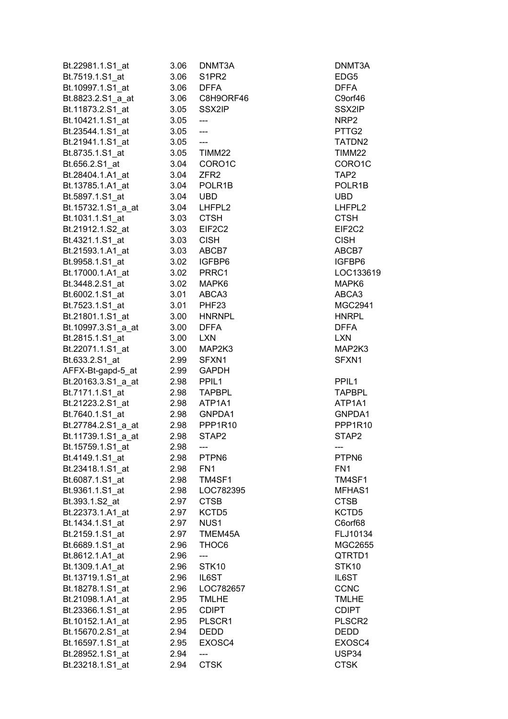| Bt.22981.1.S1_at                     | 3.06         | DNMT3A                   | DNMT3A             |
|--------------------------------------|--------------|--------------------------|--------------------|
| Bt.7519.1.S1_at                      | 3.06         | S1PR2                    | EDG5               |
| Bt.10997.1.S1 at                     | 3.06         | <b>DFFA</b>              | <b>DFFA</b>        |
| Bt.8823.2.S1_a_at                    | 3.06         | C8H9ORF46                | C9orf46            |
| Bt.11873.2.S1 at                     | 3.05         | SSX2IP                   | SSX2IP             |
| Bt.10421.1.S1 at                     | 3.05         | $\overline{\phantom{a}}$ | NRP2               |
| Bt.23544.1.S1_at                     | 3.05         | $\overline{\phantom{a}}$ | PTTG2              |
| Bt.21941.1.S1_at                     | 3.05         | $\overline{\phantom{a}}$ | TATDN2             |
| Bt.8735.1.S1 at                      | 3.05         | TIMM22                   | TIMM22             |
| Bt.656.2.S1 at                       | 3.04         | CORO1C                   | CORO1C             |
| Bt.28404.1.A1 at                     | 3.04         | ZFR <sub>2</sub>         | TAP <sub>2</sub>   |
| Bt.13785.1.A1_at                     | 3.04         | POLR1B                   | POLR1B             |
| Bt.5897.1.S1 at                      | 3.04         | <b>UBD</b>               | <b>UBD</b>         |
| Bt.15732.1.S1_a_at                   | 3.04         | LHFPL2                   | LHFPL2             |
| Bt.1031.1.S1_at                      | 3.03         | <b>CTSH</b>              | <b>CTSH</b>        |
| Bt.21912.1.S2_at                     | 3.03         | EIF2C2                   | EIF2C2             |
| Bt.4321.1.S1 at                      | 3.03         | <b>CISH</b>              | <b>CISH</b>        |
| Bt.21593.1.A1 at                     | 3.03         | ABCB7                    | ABCB7              |
| Bt.9958.1.S1 at                      | 3.02         | IGFBP6                   | IGFBP6             |
| Bt.17000.1.A1_at                     | 3.02         | PRRC1                    | LOC133619          |
| Bt.3448.2.S1 at                      | 3.02         | MAPK6                    | MAPK6              |
| Bt.6002.1.S1 at                      | 3.01         | ABCA3                    | ABCA3              |
| Bt.7523.1.S1_at                      | 3.01         | PHF <sub>23</sub>        | MGC2941            |
| Bt.21801.1.S1_at                     | 3.00         | <b>HNRNPL</b>            | <b>HNRPL</b>       |
| Bt.10997.3.S1_a_at                   | 3.00         | <b>DFFA</b>              | <b>DFFA</b>        |
| Bt.2815.1.S1_at                      | 3.00         | <b>LXN</b>               | <b>LXN</b>         |
| Bt.22071.1.S1_at                     | 3.00         | MAP2K3                   | MAP2K3             |
| Bt.633.2.S1 at                       | 2.99         | SFXN1                    | SFXN1              |
| AFFX-Bt-gapd-5_at                    | 2.99         | <b>GAPDH</b>             |                    |
| Bt.20163.3.S1_a_at                   | 2.98         | PPIL <sub>1</sub>        | PPIL <sub>1</sub>  |
| Bt.7171.1.S1_at                      | 2.98         | <b>TAPBPL</b>            | <b>TAPBPL</b>      |
| Bt.21223.2.S1_at                     | 2.98         | ATP1A1                   | ATP1A1             |
| Bt.7640.1.S1_at                      | 2.98         | GNPDA1                   | GNPDA1             |
| Bt.27784.2.S1_a_at                   | 2.98         | PPP1R10                  | PPP1R10            |
| Bt.11739.1.S1 a at                   | 2.98         | STAP2                    | STAP2              |
| Bt.15759.1.S1_at                     | 2.98         | ---                      | ---                |
| Bt.4149.1.S1 at                      | 2.98         | PTPN6                    | PTPN6              |
| Bt.23418.1.S1 at                     | 2.98         | FN <sub>1</sub>          | FN <sub>1</sub>    |
| Bt.6087.1.S1 at                      | 2.98         | TM4SF1                   | TM4SF1             |
| Bt.9361.1.S1_at                      | 2.98         | LOC782395                | MFHAS1             |
| Bt.393.1.S2_at                       | 2.97         | <b>CTSB</b>              | <b>CTSB</b>        |
| Bt.22373.1.A1 at                     | 2.97         | KCTD <sub>5</sub>        | KCTD5              |
| Bt.1434.1.S1_at                      | 2.97         | NUS <sub>1</sub>         | C6orf68            |
| Bt.2159.1.S1_at                      | 2.97         | TMEM45A                  | FLJ10134           |
| Bt.6689.1.S1 at                      | 2.96         | THOC6                    | MGC2655            |
| Bt.8612.1.A1_at                      | 2.96         |                          | QTRTD1             |
| Bt.1309.1.A1_at                      | 2.96         | STK <sub>10</sub>        | STK10              |
|                                      |              | IL6ST                    | IL6ST              |
| Bt.13719.1.S1_at<br>Bt.18278.1.S1_at | 2.96<br>2.96 | LOC782657                | <b>CCNC</b>        |
| Bt.21098.1.A1 at                     | 2.95         | <b>TMLHE</b>             | <b>TMLHE</b>       |
| Bt.23366.1.S1_at                     |              | <b>CDIPT</b>             | <b>CDIPT</b>       |
| Bt.10152.1.A1_at                     | 2.95         | PLSCR1                   | PLSCR <sub>2</sub> |
| Bt.15670.2.S1_at                     | 2.95<br>2.94 | DEDD                     | DEDD               |
| Bt.16597.1.S1_at                     | 2.95         | EXOSC4                   | EXOSC4             |
| Bt.28952.1.S1_at                     | 2.94         |                          | USP34              |
| Bt.23218.1.S1_at                     | 2.94         | ---<br><b>CTSK</b>       | <b>CTSK</b>        |
|                                      |              |                          |                    |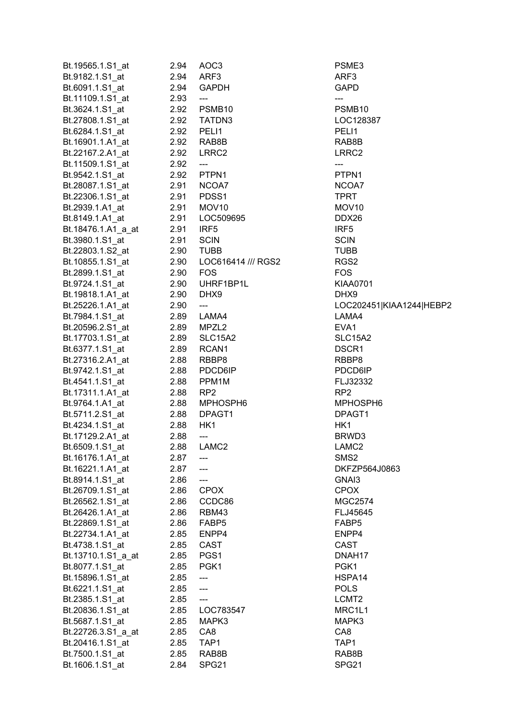| Bt.19565.1.S1_at                           | 2.94 | AOC <sub>3</sub>               | PSME3                    |
|--------------------------------------------|------|--------------------------------|--------------------------|
| Bt.9182.1.S1 at                            | 2.94 | ARF3                           | ARF <sub>3</sub>         |
| Bt.6091.1.S1_at                            | 2.94 | <b>GAPDH</b>                   | <b>GAPD</b>              |
| Bt.11109.1.S1_at 2.93                      |      | $\hspace{0.05cm} \ldots$       | ---                      |
| Bt.3624.1.S1_at  2.92  PSMB10              |      |                                | PSMB <sub>10</sub>       |
| Bt.27808.1.S1 at 2.92                      |      | TATDN3                         | LOC128387                |
| Bt.6284.1.S1_at                            | 2.92 | PELI1                          | PELI1                    |
| Bt.16901.1.A1_at                           |      | 2.92 RAB8B                     | RAB8B                    |
| Bt.22167.2.A1_at                           | 2.92 | LRRC2                          | LRRC2                    |
| Bt.11509.1.S1_at                           | 2.92 | $\hspace{0.05cm} \textbf{---}$ | ---                      |
| Bt.9542.1.S1 at                            | 2.92 | PTPN1                          | PTPN1                    |
| Bt.28087.1.S1_at 2.91                      |      | NCOA7                          | NCOA7                    |
| Bt.22306.1.S1_at 2.91                      |      | PDSS <sub>1</sub>              | <b>TPRT</b>              |
| Bt.2939.1.A1_at                            | 2.91 | MOV <sub>10</sub>              | MOV <sub>10</sub>        |
| Bt.8149.1.A1_at                            | 2.91 | LOC509695                      | DDX26                    |
|                                            |      | IRF5                           | IRF <sub>5</sub>         |
| Bt.18476.1.A1_a_at 2.91<br>Bt.3980.1.S1 at | 2.91 | <b>SCIN</b>                    | <b>SCIN</b>              |
|                                            |      | <b>TUBB</b>                    |                          |
| Bt.22803.1.S2_at                           | 2.90 |                                | <b>TUBB</b>              |
| Bt.10855.1.S1_at 2.90                      |      | LOC616414 /// RGS2             | RGS <sub>2</sub>         |
| Bt.2899.1.S1_at 2.90                       |      | <b>FOS</b>                     | <b>FOS</b>               |
| Bt.9724.1.S1_at 2.90                       |      | UHRF1BP1L                      | <b>KIAA0701</b>          |
| Bt.19818.1.A1_at                           | 2.90 | DHX9                           | DHX9                     |
| Bt.25226.1.A1_at                           | 2.90 | $\scriptstyle \cdots$          | LOC202451 KIAA1244 HEBP2 |
| Bt.7984.1.S1_at                            | 2.89 | LAMA4                          | LAMA4                    |
| Bt.20596.2.S1_at                           | 2.89 | MPZL2                          | EVA <sub>1</sub>         |
| Bt.17703.1.S1_at                           | 2.89 | <b>SLC15A2</b>                 | SLC15A2                  |
| Bt.6377.1.S1_at<br>2.89                    |      | RCAN1                          | DSCR1                    |
| Bt.27316.2.A1_at 2.88                      |      | RBBP8                          | RBBP8                    |
| Bt.9742.1.S1_at                            | 2.88 | PDCD6IP                        | PDCD6IP                  |
| Bt.4541.1.S1_at                            | 2.88 | PPM <sub>1</sub> M             | FLJ32332                 |
| Bt.17311.1.A1_at                           | 2.88 | RP <sub>2</sub>                | RP <sub>2</sub>          |
| Bt.9764.1.A1_at                            | 2.88 | MPHOSPH6                       | MPHOSPH6                 |
| Bt.5711.2.S1_at                            | 2.88 | DPAGT1                         | DPAGT1                   |
| Bt.4234.1.S1_at                            | 2.88 | HK1                            | HK1                      |
| Bt.17129.2.A1_at                           | 2.88 | $\qquad \qquad \text{---}$     | BRWD3                    |
| Bt.6509.1.S1 at                            | 2.88 | LAMC <sub>2</sub>              | LAMC2                    |
| Bt.16176.1.A1_at                           | 2.87 | ---                            | SMS <sub>2</sub>         |
| Bt.16221.1.A1_at                           | 2.87 | $\qquad \qquad - -$            | DKFZP564J0863            |
| Bt.8914.1.S1_at                            | 2.86 | ---                            | GNAI3                    |
| Bt.26709.1.S1_at                           | 2.86 | <b>CPOX</b>                    | <b>CPOX</b>              |
| Bt.26562.1.S1_at                           | 2.86 | CCDC86                         | MGC2574                  |
| Bt.26426.1.A1_at                           | 2.86 | RBM43                          | FLJ45645                 |
| Bt.22869.1.S1_at                           | 2.86 | FABP5                          | FABP5                    |
| Bt.22734.1.A1_at                           | 2.85 | ENPP4                          | ENPP4                    |
| Bt.4738.1.S1_at                            | 2.85 | CAST                           | <b>CAST</b>              |
| Bt.13710.1.S1 a at                         | 2.85 | PGS1                           | DNAH <sub>17</sub>       |
| Bt.8077.1.S1_at                            | 2.85 | PGK1                           | PGK1                     |
| Bt.15896.1.S1_at                           | 2.85 | ---                            | HSPA14                   |
| Bt.6221.1.S1_at                            | 2.85 | $\qquad \qquad - \qquad -$     | <b>POLS</b>              |
| Bt.2385.1.S1_at                            | 2.85 | $\qquad \qquad \text{---}$     | LCMT <sub>2</sub>        |
| Bt.20836.1.S1_at                           | 2.85 | LOC783547                      | MRC1L1                   |
| Bt.5687.1.S1 at                            | 2.85 | MAPK3                          | MAPK3                    |
| Bt.22726.3.S1_a_at                         | 2.85 | CA8                            | CA8                      |
| Bt.20416.1.S1_at                           | 2.85 | TAP1                           | TAP1                     |
| Bt.7500.1.S1_at                            | 2.85 | RAB8B                          | RAB8B                    |
| Bt.1606.1.S1_at                            | 2.84 | SPG <sub>21</sub>              | SPG21                    |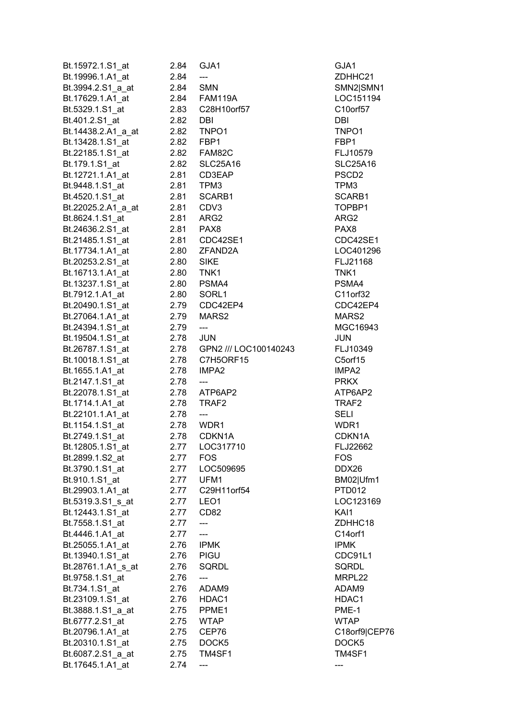| Bt.15972.1.S1_at                  | 2.84      | GJA1                       | GJA1               |
|-----------------------------------|-----------|----------------------------|--------------------|
| Bt.19996.1.A1 at                  | 2.84      | ---                        | ZDHHC2             |
| Bt.3994.2.S1_a_at                 | 2.84      | <b>SMN</b>                 | SMN2 SM            |
| Bt.17629.1.A1_at                  |           | 2.84 FAM119A               | LOC1511            |
| Bt.5329.1.S1_at                   |           |                            | C10orf57           |
| Bt.401.2.S1_at                    | 2.82 DBI  |                            | DBI                |
| Bt.14438.2.A1_a_at                |           | 2.82 TNPO1                 | TNPO1              |
| Bt.13428.1.S1_at                  |           | 2.82 FBP1                  | FBP1               |
| Bt.22185.1.S1 at                  |           | 2.82     FAM82C            | FLJ10579           |
| Bt.179.1.S1_at                    |           | 2.82 SLC25A16              | SLC25A1            |
| Bt.12721.1.A1_at                  |           | 2.81 CD3EAP                | PSCD <sub>2</sub>  |
| Bt.9448.1.S1_at                   | 2.81 TPM3 |                            | TPM3               |
| Bt.4520.1.S1_at                   |           | 2.81 SCARB1                | SCARB1             |
| Bt.22025.2.A1_a_at                | 2.81 CDV3 |                            | TOPBP1             |
| Bt.8624.1.S1_at                   |           | 2.81 ARG2                  | ARG2               |
| Bt.24636.2.S1_at                  |           | 2.81 PAX8                  | PAX8               |
| Bt.21485.1.S1_at                  | 2.81      | CDC42SE1                   | CDC42SI            |
| Bt.17734.1.A1_at                  | 2.80      | ZFAND2A                    | LOC4012            |
| Bt.20253.2.S1_at                  | 2.80      | <b>SIKE</b>                | FLJ21168           |
| Bt.16713.1.A1_at                  | 2.80      | TNK1                       | TNK1               |
| Bt.13237.1.S1_at                  |           | 2.80 PSMA4                 | PSMA4              |
| Bt.7912.1.A1 at                   |           | 2.80 SORL1                 | C11orf32           |
| Bt.20490.1.S1_at                  |           | 2.79 CDC42EP4              | CDC42EI            |
| Bt.27064.1.A1_at                  |           | 2.79 MARS2                 | MARS2              |
| Bt.24394.1.S1_at                  | 2.79      | $\overline{a}$             | MGC169             |
| Bt.19504.1.S1_at                  | 2.78 JUN  |                            | <b>JUN</b>         |
| Bt.26787.1.S1_at                  |           | 2.78 GPN2 /// LOC100140243 | FLJ10349           |
| Bt.10018.1.S1_at                  |           | 2.78 C7H5ORF15             | C5orf15            |
| Bt.1655.1.A1_at                   |           | 2.78 IMPA2                 | IMPA2              |
| Bt.2147.1.S1_at                   | 2.78      | $\scriptstyle \cdots$      | <b>PRKX</b>        |
| Bt.22078.1.S1 at                  |           | 2.78 ATP6AP2               | ATP6AP2            |
| Bt.1714.1.A1 at                   |           | 2.78 TRAF2                 | TRAF2              |
| Bt.22101.1.A1_at                  | 2.78      | ---                        | SELI               |
| Bt.1154.1.S1_at                   | 2.78      | WDR1                       | WDR1               |
| Bt.2749.1.S1 at                   | 2.78      | CDKN1A                     | CDKN1A             |
| Bt.12805.1.S1_at                  | 2.77      | LOC317710                  | FLJ22662           |
| Bt.2899.1.S2_at                   | 2.77      | <b>FOS</b>                 | <b>FOS</b>         |
|                                   |           | LOC509695                  | DDX26              |
| Bt.3790.1.S1_at<br>Bt.910.1.S1 at | 2.77      | UFM1                       |                    |
|                                   | 2.77      | C29H11orf54                | BM02 Ufr<br>PTD012 |
| Bt.29903.1.A1_at                  | 2.77      |                            |                    |
| Bt.5319.3.S1_s_at                 | 2.77      | LEO1                       | LOC1231            |
| Bt.12443.1.S1_at                  | 2.77      | CD <sub>82</sub>           | KAI1               |
| Bt.7558.1.S1_at                   | 2.77      |                            | ZDHHC1             |
| Bt.4446.1.A1_at                   | 2.77      | ---                        | C14orf1            |
| Bt.25055.1.A1 at                  | 2.76      | <b>IPMK</b>                | <b>IPMK</b>        |
| Bt.13940.1.S1_at                  | 2.76      | PIGU                       | CDC91L1            |
| Bt.28761.1.A1_s_at                | 2.76      | <b>SQRDL</b>               | SQRDL              |
| Bt.9758.1.S1_at                   | 2.76      | ---                        | MRPL22             |
| Bt.734.1.S1_at                    | 2.76      | ADAM9                      | ADAM9              |
| Bt.23109.1.S1_at                  | 2.76      | HDAC1                      | HDAC1              |
| Bt.3888.1.S1_a_at                 | 2.75      | PPME1                      | PME-1              |
| Bt.6777.2.S1_at                   | 2.75      | <b>WTAP</b>                | <b>WTAP</b>        |
| Bt.20796.1.A1_at                  | 2.75      | CEP76                      | C18orf9 0          |
| Bt.20310.1.S1_at                  | 2.75      | DOCK5                      | DOCK5              |
| Bt.6087.2.S1_a_at                 | 2.75      | TM4SF1                     | TM4SF1             |
| Bt.17645.1.A1_at                  | 2.74      |                            |                    |

ZDHHC21 SMN2|SMN1 LOC151194 C10orf57 FLJ10579 SLC25A16 SCARB1 TOPBP1 CDC42SE1 LOC401296 FLJ21168 C11orf32 CDC42EP4 MGC16943 00140243 FLJ10349 C5orf15 ATP6AP2 CDKN1A FLJ22662 BM02|Ufm1 PTD012 LOC123169 ZDHHC18 CDC91L1 C18orf9|CEP76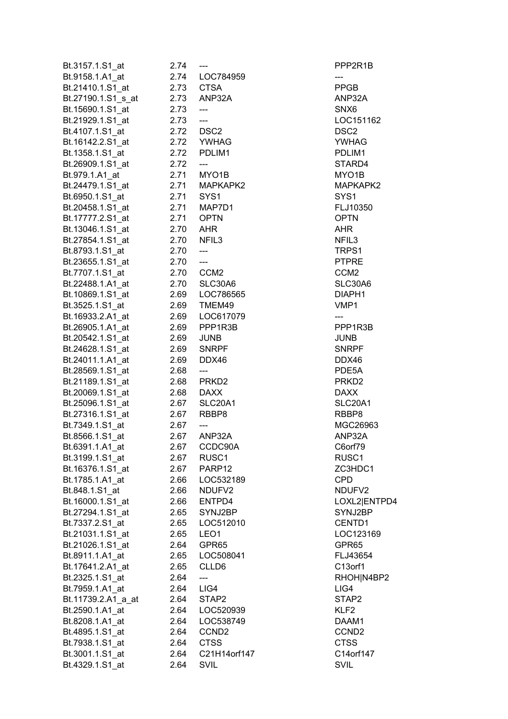| Bt.3157.1.S1_at                      | 2.74         |                                  | PPP2R1                           |
|--------------------------------------|--------------|----------------------------------|----------------------------------|
| Bt.9158.1.A1_at                      |              | 2.74 LOC784959                   | ---                              |
| Bt.21410.1.S1_at                     | 2.73         | <b>CTSA</b>                      | <b>PPGB</b>                      |
| Bt.27190.1.S1_s_at                   | 2.73         | ANP32A                           | ANP32A                           |
| Bt.15690.1.S1 at                     | 2.73         | ---                              | SNX6                             |
| Bt.21929.1.S1_at                     | 2.73         | ---                              | LOC1511                          |
| Bt.4107.1.S1_at                      |              | 2.72 DSC2                        | DSC <sub>2</sub>                 |
| Bt.16142.2.S1_at                     |              | 2.72 YWHAG                       | YWHAG                            |
| Bt.1358.1.S1 at                      |              | 2.72 PDLIM1                      | PDLIM1                           |
| Bt.26909.1.S1_at                     | 2.72         | ---                              | STARD4                           |
| Bt.979.1.A1 at                       | 2.71         | MYO1B                            | MYO1B                            |
| Bt.24479.1.S1 at                     |              | 2.71 MAPKAPK2                    | <b>MAPKAP</b>                    |
| Bt.6950.1.S1_at                      | 2.71         | SYS1                             | SYS <sub>1</sub>                 |
| Bt.20458.1.S1_at                     |              | 2.71 MAP7D1                      | FLJ10350                         |
| Bt.17777.2.S1 at                     | 2.71         | <b>OPTN</b>                      | <b>OPTN</b>                      |
| Bt.13046.1.S1_at                     | 2.70         | AHR                              | AHR                              |
| Bt.27854.1.S1_at                     | 2.70         | NFIL <sub>3</sub>                | NFIL <sub>3</sub>                |
| Bt.8793.1.S1 at                      | 2.70         | ---                              | TRPS1                            |
| Bt.23655.1.S1 at                     | 2.70         | $---$                            | <b>PTPRE</b>                     |
| Bt.7707.1.S1_at                      | 2.70         | CCM <sub>2</sub>                 | CCM <sub>2</sub>                 |
| Bt.22488.1.A1 at                     | 2.70         | SLC30A6                          | SLC30A6                          |
| Bt.10869.1.S1_at                     |              | 2.69 LOC786565                   | DIAPH1                           |
| Bt.3525.1.S1 at                      |              | 2.69 TMEM49                      | VMP1                             |
|                                      |              |                                  | ---                              |
| Bt.16933.2.A1_at                     |              | 2.69 LOC617079<br>PPP1R3B        | PPP1R3E                          |
| Bt.26905.1.A1_at<br>Bt.20542.1.S1 at | 2.69<br>2.69 |                                  | JUNB                             |
| Bt.24628.1.S1 at                     | 2.69         | <b>JUNB</b><br><b>SNRPF</b>      | <b>SNRPF</b>                     |
|                                      | 2.69         | DDX46                            | DDX46                            |
| Bt.24011.1.A1_at                     | 2.68         | ---                              |                                  |
| Bt.28569.1.S1_at                     |              | 2.68 PRKD2                       | PDE5A<br>PRKD <sub>2</sub>       |
| Bt.21189.1.S1_at<br>Bt.20069.1.S1 at |              | 2.68 DAXX                        | <b>DAXX</b>                      |
| Bt.25096.1.S1_at                     | 2.67         | SLC20A1                          | SLC20A1                          |
| Bt.27316.1.S1 at                     | 2.67         | RBBP8                            | RBBP8                            |
| Bt.7349.1.S1_at                      | 2.67         | ---                              | MGC269                           |
| Bt.8566.1.S1_at                      | 2.67         | ANP32A                           | ANP32A                           |
| Bt.6391.1.A1_at                      |              |                                  |                                  |
|                                      | 2.67<br>2.67 | CCDC90A<br>RUSC <sub>1</sub>     | C6orf79<br>RUSC1                 |
| Bt.3199.1.S1_at                      | 2.67         | PARP12                           | ZC3HDC                           |
| Bt.16376.1.S1_at                     |              | LOC532189                        | <b>CPD</b>                       |
| Bt.1785.1.A1_at<br>Bt.848.1.S1_at    | 2.66<br>2.66 | NDUFV2                           | NDUFV2                           |
|                                      |              | ENTPD4                           |                                  |
| Bt.16000.1.S1_at                     | 2.66         |                                  | LOXL2 E<br>SYNJ2BF               |
| Bt.27294.1.S1_at<br>Bt.7337.2.S1 at  | 2.65         | SYNJ2BP<br>LOC512010             | CENTD1                           |
|                                      | 2.65         |                                  | LOC1231                          |
| Bt.21031.1.S1_at<br>Bt.21026.1.S1_at | 2.65<br>2.64 | LEO <sub>1</sub><br>GPR65        | GPR65                            |
|                                      |              | 2.65 LOC508041                   | FLJ43654                         |
| Bt.8911.1.A1_at                      |              | CLLD6                            | C13orf1                          |
| Bt.17641.2.A1_at                     | 2.65         |                                  | RHOHIN4                          |
| Bt.2325.1.S1_at                      | 2.64<br>2.64 | ---<br>LIG4                      | LIG4                             |
| Bt.7959.1.A1_at                      |              |                                  |                                  |
| Bt.11739.2.A1_a_at                   | 2.64         | STAP2                            | STAP2                            |
| Bt.2590.1.A1 at                      | 2.64         | LOC520939                        | KLF2                             |
| Bt.8208.1.A1_at                      | 2.64         | LOC538749                        | DAAM1                            |
| Bt.4895.1.S1 at                      | 2.64         | CCND <sub>2</sub><br><b>CTSS</b> | CCND <sub>2</sub><br><b>CTSS</b> |
| Bt.7938.1.S1_at                      | 2.64         | C21H14orf147                     | C14orf14                         |
| Bt.3001.1.S1_at                      | 2.64         |                                  | <b>SVIL</b>                      |
| Bt.4329.1.S1_at                      | 2.64         | <b>SVIL</b>                      |                                  |

PPP2R1B ANP32A LOC151162 PDLIM1 STARD4 Bt.24479.1.S1\_at 2.71 MAPKAPK2 MAPKAPK2 FLJ10350 SLC30A6 Bt.10869.1.S1\_at 2.69 LOC786565 DIAPH1 PPP1R3B SNRPF SLC20A1 MGC26963 ZC3HDC1 NDUFV2 LOXL2|ENTPD4 SYNJ2BP Bt.7337.2.S1\_at 2.65 LOC512010 CENTD1 LOC123169 811.**1.**<br>Bt.891.2.65 LOC50804 RHOH|N4BP2 Bt.3001.1.S1\_at 2.64 C21H14orf147 C14orf147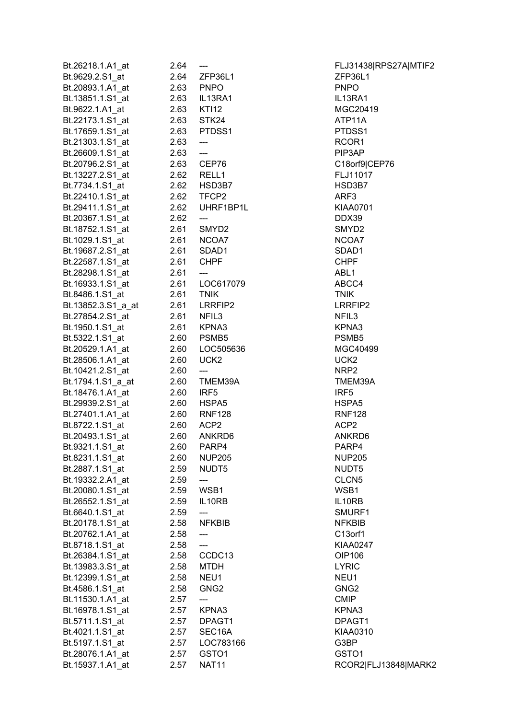| Bt.26218.1.A1_at   | 2.04       | $\hspace{0.05cm} \ldots \hspace{0.05cm}$ | FLJ3143           |
|--------------------|------------|------------------------------------------|-------------------|
| Bt.9629.2.S1 at    |            | 2.64 ZFP36L1                             | ZFP36L1           |
| Bt.20893.1.A1 at   | 2.63 PNPO  |                                          | <b>PNPO</b>       |
| Bt.13851.1.S1_at   |            | 2.63 IL13RA1                             | IL13RA1           |
| Bt.9622.1.A1_at    |            | 2.63 KTI12                               | <b>MGC204</b>     |
| Bt.22173.1.S1_at   | 2.63       | STK24                                    | ATP11A            |
| Bt.17659.1.S1_at   |            | 2.63 PTDSS1                              | PTDSS1            |
| Bt.21303.1.S1_at   | 2.63       | ---                                      | RCOR1             |
| Bt.26609.1.S1_at   | 2.63       | $\overline{a}$                           | PIP3AP            |
| Bt.20796.2.S1_at   |            | 2.63 CEP76                               | C18orf9           |
| Bt.13227.2.S1 at   | 2.62 RELL1 |                                          | FLJ1101           |
| Bt.7734.1.S1_at    |            | 2.62 HSD3B7                              | HSD3B7            |
| Bt.22410.1.S1_at   |            | 2.62 TFCP2                               | ARF3              |
| Bt.29411.1.S1_at   |            | 2.62 UHRF1BP1L                           | KIAA070           |
| Bt.20367.1.S1_at   | 2.62       | $\qquad \qquad \text{---}$               | DDX39             |
| Bt.18752.1.S1 at   | 2.61       | SMYD <sub>2</sub>                        | SMYD <sub>2</sub> |
| Bt.1029.1.S1_at    |            | 2.61 NCOA7                               | NCOA7             |
| Bt.19687.2.S1_at   |            | 2.61 SDAD1                               | SDAD1             |
| Bt.22587.1.S1_at   | 2.61       | <b>CHPF</b>                              | <b>CHPF</b>       |
| Bt.28298.1.S1 at   | 2.61       | $---$                                    | ABL1              |
| Bt.16933.1.S1_at   |            | 2.61 LOC617079                           | ABCC4             |
| Bt.8486.1.S1_at    | 2.61       | <b>TNIK</b>                              | <b>TNIK</b>       |
| Bt.13852.3.S1_a_at |            | 2.61 LRRFIP2                             | LRRFIP2           |
| Bt.27854.2.S1_at   | 2.61 NFIL3 |                                          | NFIL3             |
| Bt.1950.1.S1_at    |            | 2.61 KPNA3                               | KPNA3             |
| Bt.5322.1.S1_at    |            | 2.60 PSMB5                               | PSMB <sub>5</sub> |
| Bt.20529.1.A1_at   |            | 2.60 LOC505636                           | <b>MGC404</b>     |
| Bt.28506.1.A1_at   | 2.60       | UCK <sub>2</sub>                         | UCK2              |
| Bt.10421.2.S1_at   | 2.60       | $\overline{\phantom{a}}$                 | NRP <sub>2</sub>  |
| Bt.1794.1.S1_a_at  | 2.60       | TMEM39A                                  | TMEM39            |
| Bt.18476.1.A1 at   | 2.60       | IRF5                                     | IRF5              |
| Bt.29939.2.S1 at   |            | 2.60 HSPA5                               | HSPA5             |
| Bt.27401.1.A1 at   |            | 2.60 RNF128                              | <b>RNF128</b>     |
| Bt.8722.1.S1_at    | 2.60 ACP2  |                                          | ACP <sub>2</sub>  |
| Bt.20493.1.S1_at   | 2.60       | ANKRD6                                   | ANKRD6            |
| Bt.9321.1.S1_at    |            | 2.60 PARP4                               | PARP4             |
| Bt.8231.1.S1_at    | 2.60       | <b>NUP205</b>                            | <b>NUP205</b>     |
|                    | 2.59       | NUDT <sub>5</sub>                        | NUDT5             |
| Bt.2887.1.S1_at    |            |                                          |                   |
| Bt.19332.2.A1 at   | 2.59       | ---                                      | CLCN <sub>5</sub> |
| Bt.20080.1.S1_at   | 2.59       | WSB1                                     | WSB1              |
| Bt.26552.1.S1_at   | 2.59       | IL10RB                                   | IL10RB            |
| Bt.6640.1.S1_at    | 2.59       | ---<br><b>NFKBIB</b>                     | SMURF1            |
| Bt.20178.1.S1_at   | 2.58       |                                          | <b>NFKBIB</b>     |
| Bt.20762.1.A1 at   | 2.58       | ---                                      | C13orf1           |
| Bt.8718.1.S1_at    | 2.58       | ---                                      | <b>KIAA024</b>    |
| Bt.26384.1.S1 at   | 2.58       | CCDC13                                   | OIP106            |
| Bt.13983.3.S1_at   | 2.58       | <b>MTDH</b>                              | <b>LYRIC</b>      |
| Bt.12399.1.S1_at   | 2.58       | NEU1                                     | NEU1              |
| Bt.4586.1.S1_at    | 2.58       | GNG <sub>2</sub>                         | GNG <sub>2</sub>  |
| Bt.11530.1.A1_at   | 2.57       |                                          | CMIP              |
| Bt.16978.1.S1_at   | 2.57       | KPNA3                                    | KPNA3             |
| Bt.5711.1.S1_at    | 2.57       | DPAGT1                                   | DPAGT1            |
| Bt.4021.1.S1_at    | 2.57       | SEC <sub>16</sub> A                      | KIAA031           |
| Bt.5197.1.S1_at    | 2.57       | LOC783166                                | G3BP              |
| Bt.28076.1.A1 at   | 2.57       | GSTO <sub>1</sub>                        | GSTO <sub>1</sub> |
| Bt.15937.1.A1_at   | 2.57       | <b>NAT11</b>                             | RCOR2 F           |

Bt.26218.1.A1\_at 2.64 --- FLJ31438|RPS27A|MTIF2 86L1 **ZFP36L1** at the contract of the contract of the contract of the contract of the contract of the contract of the contract of the contract of the contract of the contract of the contract of the contract of the contract of the contrac 8 **Bl.462.1.42 MGC20419** Bt.17659.1.S1\_at 2.63 PTDSS1 PTDSS1 Bt.20796.2.S1\_at 2.63 CEP76 C18orf9|CEP76 Bt.13227.2.S1\_at 2.62 RELL1 FLJ11017 Bt.4734.1.SHSD3B7 F1BP1L.1.S1\_at 2.62 UHRF1BP1L FIP2 LRRFIP2 805636 MGC40499 M39A TMEM39A Pt.28 RNF128 Bt.20493.1.S1\_at 2.60 ANKRD6 ANKRD6 SMURF1 KIAA0247 at 2.571 DPAGT1 16A KIAA0310 1 RCOR2|FLJ13848|MARK2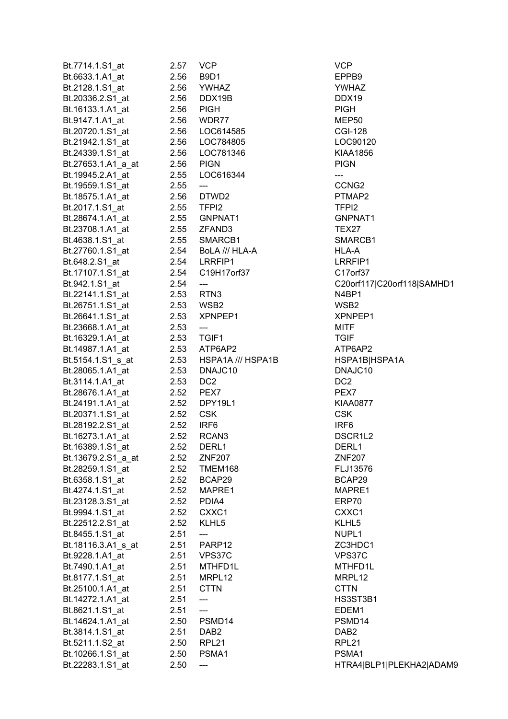| Bt.7714.1.S1_at    | 2.57 | <b>VCP</b>               | <b>VCP</b>          |
|--------------------|------|--------------------------|---------------------|
| Bt.6633.1.A1_at    | 2.56 | B9D1                     | EPPB9               |
| Bt.2128.1.S1_at    | 2.56 | <b>YWHAZ</b>             | <b>YWHAZ</b>        |
| Bt.20336.2.S1_at   | 2.56 | DDX19B                   | DDX19               |
| Bt.16133.1.A1_at   | 2.56 | <b>PIGH</b>              | <b>PIGH</b>         |
| Bt.9147.1.A1 at    | 2.56 | WDR77                    | MEP50               |
| Bt.20720.1.S1_at   |      | 2.56 LOC614585           | <b>CGI-128</b>      |
| Bt.21942.1.S1_at   |      | 2.56 LOC784805           | LOC9012             |
| Bt.24339.1.S1 at   | 2.56 | LOC781346                | <b>KIAA1856</b>     |
| Bt.27653.1.A1_a_at | 2.56 | <b>PIGN</b>              | <b>PIGN</b>         |
|                    |      |                          |                     |
| Bt.19945.2.A1 at   | 2.55 | LOC616344                | ---                 |
| Bt.19559.1.S1_at   | 2.55 | ---                      | CCNG <sub>2</sub>   |
| Bt.18575.1.A1_at   | 2.56 | DTWD2                    | PTMAP2              |
| Bt.2017.1.S1_at    |      | 2.55 TFPI2               | TFPI <sub>2</sub>   |
| Bt.28674.1.A1_at   |      | 2.55 GNPNAT1             | <b>GNPNAT</b>       |
| Bt.23708.1.A1_at   |      | 2.55 ZFAND3              | TEX27               |
| Bt.4638.1.S1 at    | 2.55 | SMARCB1                  | <b>SMARCB</b>       |
| Bt.27760.1.S1_at   | 2.54 | BoLA /// HLA-A           | HLA-A               |
| Bt.648.2.S1_at     | 2.54 | LRRFIP1                  | LRRFIP1             |
| Bt.17107.1.S1_at   | 2.54 | C19H17orf37              | C17orf37            |
| Bt.942.1.S1 at     | 2.54 | ---                      | C20orf11            |
| Bt.22141.1.S1_at   |      | 2.53 RTN3                | N4BP1               |
| Bt.26751.1.S1_at   |      | 2.53 WSB2                | WSB2                |
| Bt.26641.1.S1_at   |      | 2.53 XPNPEP1             | <b>XPNPEP</b>       |
| Bt.23668.1.A1_at   | 2.53 | $\overline{\phantom{a}}$ | <b>MITF</b>         |
| Bt.16329.1.A1_at   |      | 2.53 TGIF1               | <b>TGIF</b>         |
| Bt.14987.1.A1_at   |      | 2.53 ATP6AP2             | ATP6AP2             |
| Bt.5154.1.S1_s_at  |      | 2.53 HSPA1A /// HSPA1B   | HSPA1B              |
| Bt.28065.1.A1_at   | 2.53 | DNAJC10                  | DNAJC10             |
| Bt.3114.1.A1_at    | 2.53 | DC <sub>2</sub>          | DC <sub>2</sub>     |
| Bt.28676.1.A1_at   |      | 2.52 PEX7                | PEX7                |
|                    | 2.52 | DPY19L1                  | <b>KIAA0877</b>     |
| Bt.24191.1.A1_at   |      |                          |                     |
| Bt.20371.1.S1_at   | 2.52 | <b>CSK</b>               | <b>CSK</b>          |
| Bt.28192.2.S1 at   | 2.52 | IRF6                     | IRF <sub>6</sub>    |
| Bt.16273.1.A1_at   | 2.52 | RCAN <sub>3</sub>        | DSCR1L2             |
| Bt.16389.1.S1_at   | 2.52 | DERL1                    | DERL1               |
| Bt.13679.2.S1_a_at | 2.52 | <b>ZNF207</b>            | <b>ZNF207</b>       |
| Bt.28259.1.S1_at   | 2.52 | TMEM168                  | FLJ13576            |
| Bt.6358.1.S1_at    | 2.52 | BCAP29                   | BCAP29              |
| Bt.4274.1.S1 at    | 2.52 | MAPRE1                   | MAPRE1              |
| Bt.23128.3.S1 at   | 2.52 | PDIA4                    | ERP70               |
| Bt.9994.1.S1_at    | 2.52 | CXXC1                    | CXXC1               |
| Bt.22512.2.S1_at   | 2.52 | KLHL5                    | KLHL5               |
| Bt.8455.1.S1_at    | 2.51 |                          | NUPL1               |
| Bt.18116.3.A1_s_at | 2.51 | PARP12                   | ZC3HDC <sup>-</sup> |
| Bt.9228.1.A1_at    | 2.51 | VPS37C                   | VPS37C              |
| Bt.7490.1.A1_at    | 2.51 | MTHFD1L                  | MTHFD1I             |
| Bt.8177.1.S1_at    | 2.51 | MRPL12                   | MRPL12              |
| Bt.25100.1.A1_at   | 2.51 | <b>CTTN</b>              | <b>CTTN</b>         |
| Bt.14272.1.A1_at   | 2.51 | ---                      | HS3ST3E             |
| Bt.8621.1.S1_at    | 2.51 | $\qquad \qquad - -$      | EDEM1               |
| Bt.14624.1.A1_at   | 2.50 | PSMD14                   | PSMD14              |
| Bt.3814.1.S1_at    | 2.51 | DAB <sub>2</sub>         | DAB <sub>2</sub>    |
| Bt.5211.1.S2_at    | 2.50 | RPL21                    | RPL <sub>21</sub>   |
|                    |      |                          | PSMA1               |
| Bt.10266.1.S1_at   | 2.50 | PSMA1                    |                     |
| Bt.22283.1.S1_at   | 2.50 | ---                      | HTRA4 B             |

YWHAZ CGI-128 LOC90120 KIAA1856 CCNG2 GNPNAT1 SMARCB1 LRRFIP1 C17orf37 C20orf117|C20orf118|SAMHD1 XPNPEP1 ATP6AP2 SPA1B
BISPA1B DNAJC10 KIAA0877 DSCR1L2 FLJ13576 BCAP29 MAPRE1 ZC3HDC1 VPS37C MTHFD1L HS3ST3B1 PSMD14 HTRA4|BLP1|PLEKHA2|ADAM9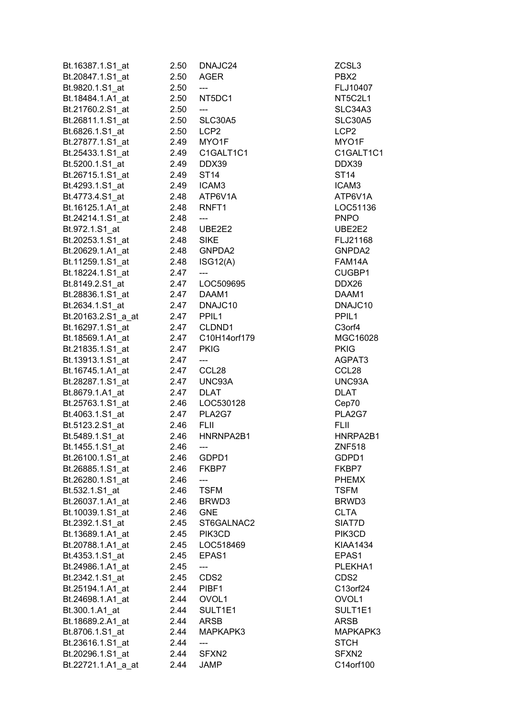| Bt.16387.1.S1_at   | 2.50       | DNAJC24             | ZCSL3               |
|--------------------|------------|---------------------|---------------------|
| Bt.20847.1.S1_at   | 2.50       | <b>AGER</b>         | PBX2                |
| Bt.9820.1.S1_at    | 2.50       | ---                 | FLJ10407            |
| Bt.18484.1.A1_at   | 2.50       | NT5DC1              | NT5C2L1             |
| Bt.21760.2.S1_at   | 2.50       | $\qquad \qquad - -$ | SLC34A3             |
| Bt.26811.1.S1_at   | 2.50       | SLC30A5             | <b>SLC30A5</b>      |
| Bt.6826.1.S1_at    | 2.50       | LCP2                | LCP <sub>2</sub>    |
| Bt.27877.1.S1_at   |            | 2.49 MYO1F          | MYO1F               |
| Bt.25433.1.S1 at   | 2.49       | C1GALT1C1           | C1GALT1C1           |
| Bt.5200.1.S1_at    | 2.49       | DDX39               | DDX39               |
| Bt.26715.1.S1_at   | 2.49       | <b>ST14</b>         | ST14                |
| Bt.4293.1.S1_at    | 2.49       | ICAM3               | ICAM3               |
| Bt.4773.4.S1 at    |            | 2.48 ATP6V1A        | ATP6V1A             |
| Bt.16125.1.A1_at   | 2.48       | RNFT1               | LOC51136            |
| Bt.24214.1.S1_at   | 2.48       | $---$               | <b>PNPO</b>         |
| Bt.972.1.S1_at     | 2.48       | UBE2E2              | UBE2E2              |
| Bt.20253.1.S1 at   | 2.48       | <b>SIKE</b>         | FLJ21168            |
| Bt.20629.1.A1_at   | 2.48       | GNPDA2              | GNPDA2              |
| Bt.11259.1.S1_at   | 2.48       | ISG12(A)            | FAM14A              |
| Bt.18224.1.S1_at   | 2.47       | ---                 | CUGBP1              |
| Bt.8149.2.S1_at    |            | 2.47 LOC509695      | DDX26               |
| Bt.28836.1.S1_at   |            | 2.47 DAAM1          | DAAM1               |
| Bt.2634.1.S1 at    |            | 2.47 DNAJC10        | DNAJC10             |
| Bt.20163.2.S1_a_at | 2.47 PPIL1 |                     | PPIL <sub>1</sub>   |
| Bt.16297.1.S1_at   |            | 2.47 CLDND1         | C <sub>3</sub> orf4 |
| Bt.18569.1.A1_at   |            | 2.47 C10H14orf179   | MGC16028            |
| Bt.21835.1.S1_at   | 2.47       | <b>PKIG</b>         | <b>PKIG</b>         |
| Bt.13913.1.S1_at   | 2.47       | ---                 | AGPAT3              |
| Bt.16745.1.A1_at   | 2.47       | CCL28               | CCL <sub>28</sub>   |
| Bt.28287.1.S1_at   | 2.47       | UNC93A              | UNC93A              |
| Bt.8679.1.A1_at    | 2.47       | <b>DLAT</b>         | <b>DLAT</b>         |
| Bt.25763.1.S1 at   | 2.46       | LOC530128           | Cep70               |
| Bt.4063.1.S1_at    | 2.47       | PLA2G7              | PLA2G7              |
| Bt.5123.2.S1_at    | 2.46       | <b>FLII</b>         | <b>FLII</b>         |
| Bt.5489.1.S1_at    | 2.46       | HNRNPA2B1           | HNRPA2B1            |
| Bt.1455.1.S1_at    | 2.46       | ---                 | <b>ZNF518</b>       |
| Bt.26100.1.S1 at   | 2.46       | GDPD1               | GDPD1               |
| Bt.26885.1.S1 at   | 2.46       | FKBP7               | FKBP7               |
| Bt.26280.1.S1 at   | 2.46       | ---                 | <b>PHEMX</b>        |
| Bt.532.1.S1 at     | 2.46       | <b>TSFM</b>         | <b>TSFM</b>         |
| Bt.26037.1.A1 at   | 2.46       | BRWD3               | BRWD3               |
| Bt.10039.1.S1_at   | 2.46       | <b>GNE</b>          | <b>CLTA</b>         |
| Bt.2392.1.S1 at    | 2.45       | ST6GALNAC2          | SIAT7D              |
| Bt.13689.1.A1_at   | 2.45       | PIK3CD              | PIK3CD              |
| Bt.20788.1.A1_at   | 2.45       | LOC518469           | <b>KIAA1434</b>     |
| Bt.4353.1.S1_at    | 2.45       | EPAS <sub>1</sub>   | EPAS1               |
| Bt.24986.1.A1_at   | 2.45       | ---                 | PLEKHA1             |
| Bt.2342.1.S1_at    | 2.45       | CDS <sub>2</sub>    | CDS <sub>2</sub>    |
| Bt.25194.1.A1_at   | 2.44       | PIBF1               | C13orf24            |
| Bt.24698.1.A1_at   | 2.44       | OVOL1               | OVOL1               |
| Bt.300.1.A1_at     | 2.44       | SULT1E1             | SULT1E1             |
| Bt.18689.2.A1_at   | 2.44       | ARSB                | <b>ARSB</b>         |
| Bt.8706.1.S1_at    | 2.44       | MAPKAPK3            | MAPKAPK3            |
| Bt.23616.1.S1_at   | 2.44       | ---                 | <b>STCH</b>         |
| Bt.20296.1.S1_at   | 2.44       | SFXN <sub>2</sub>   | SFXN <sub>2</sub>   |
| Bt.22721.1.A1_a_at | 2.44       | <b>JAMP</b>         | C14orf100           |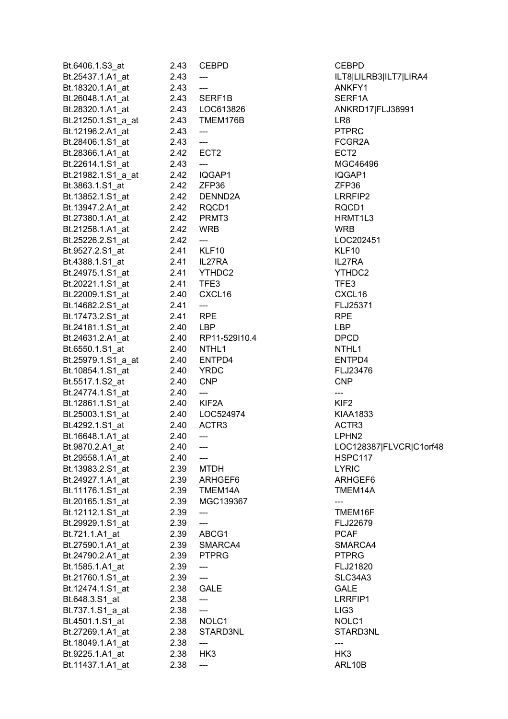| Bt.6406.1.S3 at    | 2.43     | <b>CEBPD</b>                      | <b>CEBPD</b>      |
|--------------------|----------|-----------------------------------|-------------------|
| Bt.25437.1.A1_at   | 2.43     | ---                               | ILT8 LILF         |
| Bt.18320.1.A1_at   | 2.43     | ---                               | ANKFY1            |
| Bt.26048.1.A1_at   | 2.43     | SERF1B                            | SERF1A            |
| Bt.28320.1.A1 at   |          | 2.43    LOC613826                 | ANKRD1            |
| Bt.21250.1.S1_a_at |          | 2.43 TMEM176B                     | LR <sub>8</sub>   |
| Bt.12196.2.A1_at   | 2.43     | $\hspace{0.05cm} \ldots$          | <b>PTPRC</b>      |
| Bt.28406.1.S1_at   | 2.43     | $\overline{\phantom{a}}$          | FCGR2A            |
| Bt.28366.1.A1 at   |          | 2.42 ECT2                         | ECT <sub>2</sub>  |
| Bt.22614.1.S1_at   | 2.43     | $---$                             | <b>MGC464</b>     |
| Bt.21982.1.S1_a_at | 2.42     | IQGAP1                            | IQGAP1            |
| Bt.3863.1.S1_at    | 2.42     | ZFP36                             | ZFP36             |
| Bt.13852.1.S1_at   |          | 2.42 DENND2A                      | LRRFIP2           |
| Bt.13947.2.A1_at   |          | 2.42 RQCD1                        | RQCD1             |
| Bt.27380.1.A1_at   |          | 2.42 PRMT3                        | HRMT1L            |
| Bt.21258.1.A1_at   | 2.42     | <b>WRB</b>                        | <b>WRB</b>        |
| Bt.25226.2.S1_at   | 2.42     | ---                               | LOC2024           |
| Bt.9527.2.S1_at    |          | 2.41 KLF10                        | KLF10             |
| Bt.4388.1.S1 at    |          | 2.41 IL27RA                       | IL27RA            |
| Bt.24975.1.S1 at   |          | 2.41 YTHDC2                       | YTHDC2            |
| Bt.20221.1.S1_at   |          | 2.41 TFE3                         | TFE3              |
| Bt.22009.1.S1_at   | 2.40     | CXCL16                            | CXCL16            |
| Bt.14682.2.S1_at   | 2.41     | $\hspace{0.05cm} \dashrightarrow$ | FLJ2537           |
| Bt.17473.2.S1_at   | 2.41 RPE |                                   | <b>RPE</b>        |
| Bt.24181.1.S1_at   |          | 2.40 LBP                          | LBP               |
| Bt.24631.2.A1_at   |          | 2.40 RP11-529l10.4                | <b>DPCD</b>       |
| Bt.6550.1.S1_at    | 2.40     | NTHL1                             | NTHL1             |
| Bt.25979.1.S1_a_at | 2.40     | ENTPD4                            | ENTPD4            |
| Bt.10854.1.S1_at   | 2.40     | YRDC                              | FLJ2347           |
| Bt.5517.1.S2_at    | 2.40     | <b>CNP</b>                        | <b>CNP</b>        |
| Bt.24774.1.S1_at   | 2.40     | $\hspace{0.05cm} \ldots$          | ---               |
| Bt.12861.1.S1_at   | 2.40     | KIF2A                             | KIF <sub>2</sub>  |
| Bt.25003.1.S1_at   | 2.40     | LOC524974                         | <b>KIAA183</b>    |
| Bt.4292.1.S1 at    | 2.40     | ACTR <sub>3</sub>                 | ACTR3             |
| Bt.16648.1.A1_at   | 2.40     | ---                               | LPHN <sub>2</sub> |
| Bt.9870.2.A1_at    | 2.40     | ---                               | LOC1283           |
| Bt.29558.1.A1 at   | 2.40     | ---                               | HSPC11            |
| Bt.13983.2.S1_at   | 2.39     | <b>MTDH</b>                       | <b>LYRIC</b>      |
| Bt.24927.1.A1 at   | 2.39     | ARHGEF6                           | <b>ARHGEF</b>     |
| Bt.11176.1.S1_at   | 2.39     | TMEM14A                           | TMEM14            |
| Bt.20165.1.S1 at   | 2.39     | MGC139367                         |                   |
| Bt.12112.1.S1_at   | 2.39     |                                   | TMEM16            |
| Bt.29929.1.S1 at   | 2.39     | ---                               | FLJ2267           |
| Bt.721.1.A1_at     | 2.39     | ABCG1                             | <b>PCAF</b>       |
| Bt.27590.1.A1 at   | 2.39     | SMARCA4                           | <b>SMARCA</b>     |
| Bt.24790.2.A1_at   | 2.39     | PTPRG                             | <b>PTPRG</b>      |
| Bt.1585.1.A1_at    | 2.39     | ---                               | FLJ2182           |
| Bt.21760.1.S1_at   | 2.39     | ---                               | SLC34A3           |
| Bt.12474.1.S1_at   | 2.38     | <b>GALE</b>                       | GALE              |
| Bt.648.3.S1_at     | 2.38     | ---                               | LRRFIP1           |
| Bt.737.1.S1_a_at   | 2.38     | ---                               | LIG <sub>3</sub>  |
| Bt.4501.1.S1_at    | 2.38     | NOLC1                             | NOLC1             |
| Bt.27269.1.A1_at   | 2.38     | STARD3NL                          | STARD3            |
| Bt.18049.1.A1_at   | 2.38     | ---                               | ---               |
| Bt.9225.1.A1_at    | 2.38     | HK <sub>3</sub>                   | HK3               |
| Bt.11437.1.A1_at   | 2.38     | ---                               | ARL10B            |
|                    |          |                                   |                   |

CEBPD. ILT8|LILRB3|ILT7|LIRA4 ANKFY1 SERF1A ANKRD17|FLJ38991 FCGR2A MGC46496 LRRFIP2 HRMT1L3 LOC202451 YTHDC2 CXCL16 FLJ25371 ENTPD4 FLJ23476 KIAA1833 LOC128387|FLVCR|C1orf48 **HSPC117** ARHGEF6 TMEM14A TMEM16F FLJ22679 SMARCA4 FLJ21820 SLC34A3 LRRFIP1 STARD3NL ARL10B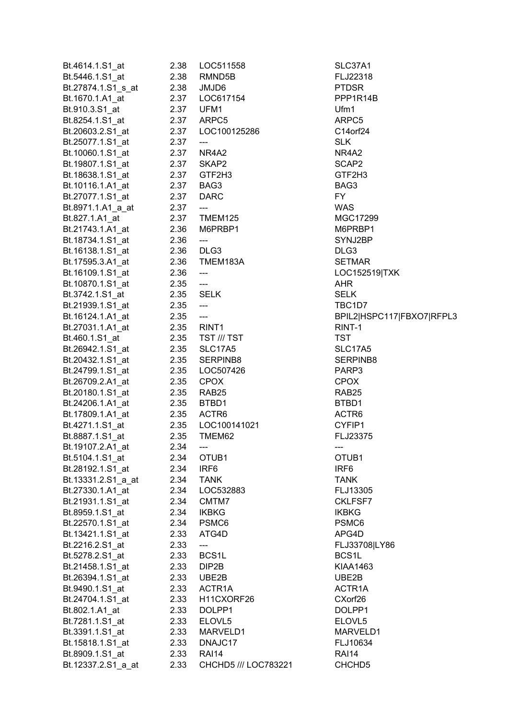| Bt.4614.1.S1_at    | 2.38       | LOC511558                    | SLC37A1            |
|--------------------|------------|------------------------------|--------------------|
| Bt.5446.1.S1_at    | 2.38       | RMND <sub>5</sub> B          | FLJ22318           |
| Bt.27874.1.S1 s at | 2.38       | JMJD6                        | <b>PTDSR</b>       |
| Bt.1670.1.A1_at    |            | 2.37    LOC617154            | PPP1R14            |
| Bt.910.3.S1_at     |            | 2.37 UFM1                    | Ufm1               |
| Bt.8254.1.S1_at    |            | 2.37 ARPC5                   | ARPC5              |
| Bt.20603.2.S1_at   |            | 2.37    LOC100125286         | C14orf24           |
| Bt.25077.1.S1_at   | 2.37       | $\overline{\phantom{a}}$     | <b>SLK</b>         |
| Bt.10060.1.S1 at   | 2.37       | NR4A2                        | NR4A2              |
| Bt.19807.1.S1_at   |            | 2.37 SKAP2                   | SCAP2              |
|                    |            | 2.37 GTF2H3                  |                    |
| Bt.18638.1.S1_at   |            |                              | GTF2H3             |
| Bt.10116.1.A1_at   |            | 2.37 BAG3                    | BAG3               |
| Bt.27077.1.S1 at   | 2.37 DARC  |                              | FY.                |
| Bt.8971.1.A1_a_at  | 2.37       | $\qquad \qquad \text{---}$   | WAS                |
| Bt.827.1.A1 at     |            | 2.37 TMEM125                 | <b>MGC172</b>      |
| Bt.21743.1.A1 at   |            | 2.36 M6PRBP1                 | M6PRBP             |
| Bt.18734.1.S1_at   | 2.36       | ---                          | SYNJ2BF            |
| Bt.16138.1.S1_at   |            | 2.36 DLG3                    | DLG3               |
| Bt.17595.3.A1_at   |            | 2.36 TMEM183A                | <b>SETMAR</b>      |
| Bt.16109.1.S1_at   | 2.36       | $\qquad \qquad \textbf{---}$ | LOC1525            |
| Bt.10870.1.S1_at   | 2.35       |                              | <b>AHR</b>         |
| Bt.3742.1.S1_at    | 2.35 SELK  |                              | SELK               |
| Bt.21939.1.S1_at   | $2.35$ --- |                              | TBC1D7             |
| Bt.16124.1.A1_at   | $2.35$ --- |                              | BPIL2 HS           |
| Bt.27031.1.A1_at   |            | 2.35 RINT1                   | RINT-1             |
| Bt.460.1.S1 at     |            | 2.35 TST /// TST             | <b>TST</b>         |
| Bt.26942.1.S1_at   |            | 2.35 SLC17A5                 | SLC17A5            |
| Bt.20432.1.S1_at   |            | 2.35 SERPINB8                | <b>SERPINE</b>     |
| Bt.24799.1.S1 at   |            | 2.35    LOC507426            | PARP3              |
| Bt.26709.2.A1_at   |            | 2.35 CPOX                    | CPOX               |
| Bt.20180.1.S1_at   |            | 2.35 RAB25                   | RAB <sub>25</sub>  |
| Bt.24206.1.A1_at   | 2.35       | BTBD1                        | BTBD1              |
| Bt.17809.1.A1_at   |            | 2.35 ACTR6                   | ACTR6              |
| Bt.4271.1.S1_at    |            | 2.35    LOC100141021         | CYFIP1             |
| Bt.8887.1.S1_at    | 2.35       | TMEM62                       | FLJ2337            |
| Bt.19107.2.A1_at   | 2.34       |                              |                    |
|                    |            | $---$                        | ---                |
| Bt.5104.1.S1 at    | 2.34       | OTUB1                        | OTUB <sub>1</sub>  |
| Bt.28192.1.S1_at   | 2.34       | IRF <sub>6</sub>             | IRF <sub>6</sub>   |
| Bt.13331.2.S1_a_at | 2.34       | <b>TANK</b>                  | <b>TANK</b>        |
| Bt.27330.1.A1_at   | 2.34       | LOC532883                    | FLJ1330            |
| Bt.21931.1.S1_at   | 2.34       | CMTM7                        | <b>CKLFSF7</b>     |
| Bt.8959.1.S1_at    | 2.34       | <b>IKBKG</b>                 | <b>IKBKG</b>       |
| Bt.22570.1.S1_at   | 2.34       | PSMC6                        | PSMC6              |
| Bt.13421.1.S1_at   | 2.33       | ATG4D                        | APG4D              |
| Bt.2216.2.S1_at    | 2.33       | ---                          | FLJ33708           |
| Bt.5278.2.S1_at    | 2.33       | BCS <sub>1</sub> L           | BCS1L              |
| Bt.21458.1.S1_at   | 2.33       | DIP2B                        | KIAA146            |
| Bt.26394.1.S1_at   |            | 2.33 UBE2B                   | UBE2B              |
| Bt.9490.1.S1_at    | 2.33       | ACTR1A                       | ACTR1A             |
| Bt.24704.1.S1_at   | 2.33       | H11CXORF26                   | CXorf26            |
| Bt.802.1.A1_at     | 2.33       | DOLPP1                       | DOLPP1             |
| Bt.7281.1.S1_at    | 2.33       | ELOVL5                       | ELOVL5             |
| Bt.3391.1.S1_at    | 2.33       | MARVELD1                     | <b>MARVEL</b>      |
| Bt.15818.1.S1_at   | 2.33       | DNAJC17                      | FLJ10634           |
| Bt.8909.1.S1_at    | 2.33       | <b>RAI14</b>                 | RAI14              |
| Bt.12337.2.S1_a_at | 2.33       | CHCHD5 /// LOC783221         | CHCHD <sub>5</sub> |
|                    |            |                              |                    |

SLC37A1 FLJ22318 PPP1R14B C14orf24 MGC17299 M6PRBP1 SYNJ2BP SETMAR LOC152519|TXK TBC1D7 BPIL2|HSPC117|FBXO7|RFPL3 SLC17A5 SERPINB8 FLJ23375 FLJ13305 CKLFSF7 FLJ33708|LY86 KIAA1463 ACTR1A CXorf26 DOLPP1 ELOVL5 MARVELD1 FLJ10634 CHCHD5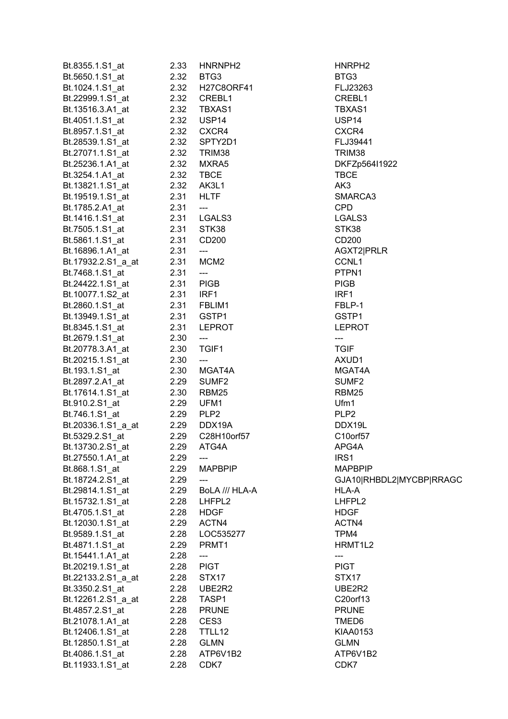| Bt.8355.1.S1 at    | 2.33       | HNRNPH <sub>2</sub>                 | HNRPH <sub>2</sub>       |
|--------------------|------------|-------------------------------------|--------------------------|
| Bt.5650.1.S1_at    | 2.32       | BTG3                                | BTG3                     |
| Bt.1024.1.S1_at    | 2.32       | <b>H27C8ORF41</b>                   | FLJ23263                 |
| Bt.22999.1.S1_at   | 2.32       | CREBL1                              | CREBL1                   |
| Bt.13516.3.A1 at   | 2.32       | TBXAS1                              | TBXAS1                   |
| Bt.4051.1.S1_at    | 2.32       | USP14                               | USP14                    |
| Bt.8957.1.S1_at    | 2.32       | CXCR4                               | CXCR4                    |
|                    |            |                                     |                          |
| Bt.28539.1.S1_at   | 2.32       | SPTY2D1                             | FLJ39441                 |
| Bt.27071.1.S1_at   | 2.32       | TRIM38                              | TRIM38                   |
| Bt.25236.1.A1_at   | 2.32       | MXRA5                               | DKFZp564I1922            |
| Bt.3254.1.A1 at    | 2.32       | <b>TBCE</b>                         | <b>TBCE</b>              |
| Bt.13821.1.S1_at   | 2.32 AK3L1 |                                     | AK3                      |
| Bt.19519.1.S1_at   | 2.31       | <b>HLTF</b>                         | SMARCA3                  |
| Bt.1785.2.A1_at    | 2.31       | $\hspace{0.05cm}---\hspace{0.05cm}$ | <b>CPD</b>               |
| Bt.1416.1.S1_at    |            | 2.31 LGALS3                         | LGALS3                   |
| Bt.7505.1.S1_at    | 2.31       | STK38                               | STK38                    |
| Bt.5861.1.S1_at    | 2.31       | CD200                               | CD200                    |
| Bt.16896.1.A1_at   | 2.31       | ---                                 | AGXT2 PRLR               |
| Bt.17932.2.S1_a_at | 2.31       | MCM <sub>2</sub>                    | CCNL1                    |
|                    |            |                                     |                          |
| Bt.7468.1.S1_at    | 2.31       | $\hspace{0.05cm} \dashrightarrow$   | PTPN1                    |
| Bt.24422.1.S1_at   | 2.31       | <b>PIGB</b>                         | <b>PIGB</b>              |
| Bt.10077.1.S2_at   | 2.31       | IRF1                                | IRF1                     |
| Bt.2860.1.S1_at    |            | 2.31 FBLIM1                         | FBLP-1                   |
| Bt.13949.1.S1_at   |            | 2.31 GSTP1                          | GSTP1                    |
| Bt.8345.1.S1_at    |            | 2.31 LEPROT                         | <b>LEPROT</b>            |
| Bt.2679.1.S1_at    | 2.30       | $\qquad \qquad - -$                 | ---                      |
| Bt.20778.3.A1_at   | 2.30       | TGIF1                               | <b>TGIF</b>              |
| Bt.20215.1.S1_at   | 2.30       | $\qquad \qquad \text{---}$          | AXUD1                    |
| Bt.193.1.S1_at     | 2.30       | MGAT4A                              | MGAT4A                   |
| Bt.2897.2.A1_at    | 2.29       | SUMF <sub>2</sub>                   | SUMF <sub>2</sub>        |
| Bt.17614.1.S1_at   | 2.30       | RBM25                               | RBM25                    |
|                    | 2.29       | UFM1                                | Ufm1                     |
| Bt.910.2.S1_at     |            |                                     |                          |
| Bt.746.1.S1_at     | 2.29       | PLP <sub>2</sub>                    | PLP <sub>2</sub>         |
| Bt.20336.1.S1_a_at | 2.29       | DDX19A                              | DDX19L                   |
| Bt.5329.2.S1_at    | 2.29       | C28H10orf57                         | C10orf57                 |
| Bt.13730.2.S1_at   | 2.29       | ATG4A                               | APG4A                    |
| Bt.27550.1.A1_at   | 2.29       | ---                                 | IRS1                     |
| Bt.868.1.S1 at     | 2.29       | <b>MAPBPIP</b>                      | <b>MAPBPIP</b>           |
| Bt.18724.2.S1 at   | 2.29       | ---                                 | GJA10 RHBDL2 MYCBP RRAGC |
| Bt.29814.1.S1_at   | 2.29       | BoLA /// HLA-A                      | HLA-A                    |
| Bt.15732.1.S1_at   | 2.28       | LHFPL2                              | LHFPL2                   |
| Bt.4705.1.S1_at    | 2.28       | <b>HDGF</b>                         | <b>HDGF</b>              |
| Bt.12030.1.S1 at   | 2.29       | ACTN4                               | ACTN4                    |
| Bt.9589.1.S1 at    | 2.28       | LOC535277                           | TPM4                     |
| Bt.4871.1.S1_at    | 2.29       | PRMT1                               | HRMT1L2                  |
| Bt.15441.1.A1 at   | 2.28       |                                     |                          |
|                    |            | ---                                 | ---                      |
| Bt.20219.1.S1_at   | 2.28       | <b>PIGT</b>                         | <b>PIGT</b>              |
| Bt.22133.2.S1_a_at | 2.28       | STX17                               | STX17                    |
| Bt.3350.2.S1_at    | 2.28       | UBE2R2                              | UBE2R2                   |
| Bt.12261.2.S1_a_at | 2.28       | TASP1                               | C20orf13                 |
| Bt.4857.2.S1_at    | 2.28       | <b>PRUNE</b>                        | <b>PRUNE</b>             |
| Bt.21078.1.A1_at   | 2.28       | CES <sub>3</sub>                    | TMED6                    |
| Bt.12406.1.S1_at   | 2.28       | TTLL12                              | KIAA0153                 |
| Bt.12850.1.S1_at   | 2.28       | <b>GLMN</b>                         | <b>GLMN</b>              |
| Bt.4086.1.S1_at    | 2.28       | ATP6V1B2                            | ATP6V1B2                 |
| Bt.11933.1.S1_at   | 2.28       | CDK7                                | CDK7                     |
|                    |            |                                     |                          |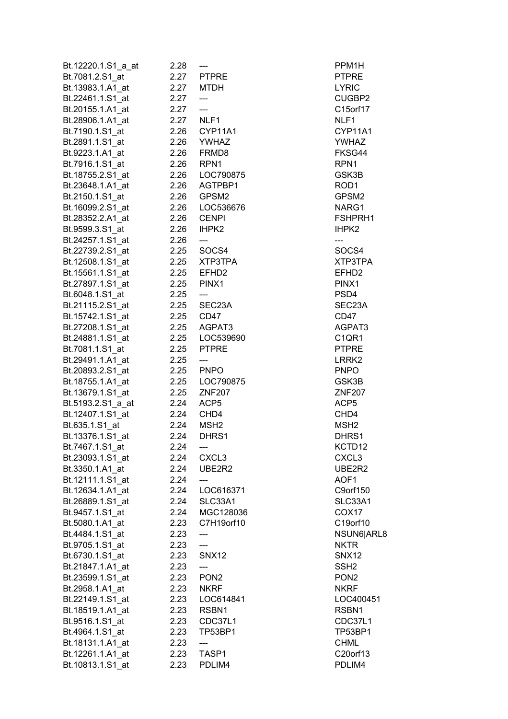| Bt.12220.1.S1 a at | 2.28      | ---               | PPM1H                          |
|--------------------|-----------|-------------------|--------------------------------|
| Bt.7081.2.S1_at    | 2.27      | <b>PTPRE</b>      | <b>PTPRE</b>                   |
| Bt.13983.1.A1 at   | 2.27      | <b>MTDH</b>       | <b>LYRIC</b>                   |
| Bt.22461.1.S1_at   | 2.27      | ---               | CUGBP2                         |
| Bt.20155.1.A1_at   | 2.27      | ---               | C15orf17                       |
| Bt.28906.1.A1 at   | 2.27 NLF1 |                   | NLF1                           |
| Bt.7190.1.S1_at    |           | 2.26 CYP11A1      | CYP11A1                        |
| Bt.2891.1.S1_at    |           | 2.26 YWHAZ        | <b>YWHAZ</b>                   |
| Bt.9223.1.A1 at    |           | 2.26 FRMD8        | FKSG44                         |
| Bt.7916.1.S1 at    | 2.26 RPN1 |                   | RPN <sub>1</sub>               |
| Bt.18755.2.S1 at   | 2.26      | LOC790875         | GSK3B                          |
| Bt.23648.1.A1_at   | 2.26      | AGTPBP1           | ROD <sub>1</sub>               |
|                    |           | GPSM2             | GPSM2                          |
| Bt.2150.1.S1 at    | 2.26      |                   |                                |
| Bt.16099.2.S1_at   |           | 2.26    LOC536676 | NARG1                          |
| Bt.28352.2.A1 at   |           | 2.26 CENPI        | FSHPRH1                        |
| Bt.9599.3.S1_at    | 2.26      | IHPK2             | IHPK <sub>2</sub>              |
| Bt.24257.1.S1 at   | 2.26      | ---               | ---                            |
| Bt.22739.2.S1 at   | 2.25      | SOCS4             | SOCS4                          |
| Bt.12508.1.S1_at   | 2.25      | XTP3TPA           | XTP3TPA                        |
| Bt.15561.1.S1_at   | 2.25      | EFHD <sub>2</sub> | EFHD <sub>2</sub>              |
| Bt.27897.1.S1_at   | 2.25      | PINX1             | PINX1                          |
| Bt.6048.1.S1_at    | 2.25      | $\overline{a}$    | PSD4                           |
| Bt.21115.2.S1_at   |           | 2.25 SEC23A       | SEC23A                         |
| Bt.15742.1.S1_at   | 2.25 CD47 |                   | CD47                           |
| Bt.27208.1.S1_at   |           | 2.25 AGPAT3       | AGPAT3                         |
| Bt.24881.1.S1_at   |           | 2.25 LOC539690    | C <sub>1</sub> QR <sub>1</sub> |
| Bt.7081.1.S1_at    |           | 2.25 PTPRE        | <b>PTPRE</b>                   |
| Bt.29491.1.A1_at   | 2.25      | ---               | LRRK <sub>2</sub>              |
| Bt.20893.2.S1_at   | 2.25 PNPO |                   | <b>PNPO</b>                    |
| Bt.18755.1.A1 at   |           | 2.25    LOC790875 | GSK3B                          |
| Bt.13679.1.S1 at   |           | 2.25 ZNF207       | <b>ZNF207</b>                  |
| Bt.5193.2.S1 a at  | 2.24 ACP5 |                   | ACP <sub>5</sub>               |
| Bt.12407.1.S1_at   | 2.24      | CHD4              | CHD4                           |
| Bt.635.1.S1_at     | 2.24      | MSH <sub>2</sub>  | MSH <sub>2</sub>               |
| Bt.13376.1.S1_at   | 2.24      | DHRS1             | DHRS1                          |
| Bt.7467.1.S1_at    | 2.24      | ---               | KCTD12                         |
| Bt.23093.1.S1_at   | 2.24      | CXCL <sub>3</sub> | CXCL <sub>3</sub>              |
| Bt.3350.1.A1_at    | 2.24      | UBE2R2            | UBE2R2                         |
| Bt.12111.1.S1_at   | 2.24      |                   | AOF1                           |
| Bt.12634.1.A1 at   | 2.24      | LOC616371         | C9orf150                       |
| Bt.26889.1.S1_at   | 2.24      | SLC33A1           | SLC33A1                        |
|                    |           |                   |                                |
| Bt.9457.1.S1_at    | 2.24      | MGC128036         | COX <sub>17</sub>              |
| Bt.5080.1.A1_at    | 2.23      | C7H19orf10        | C19orf10                       |
| Bt.4484.1.S1_at    | 2.23      |                   | NSUN6 ARL8                     |
| Bt.9705.1.S1_at    | 2.23      | ---               | <b>NKTR</b>                    |
| Bt.6730.1.S1_at    | 2.23      | SNX12             | SNX12                          |
| Bt.21847.1.A1_at   | 2.23      | ---               | SSH <sub>2</sub>               |
| Bt.23599.1.S1_at   | 2.23      | PON <sub>2</sub>  | PON <sub>2</sub>               |
| Bt.2958.1.A1_at    | 2.23      | <b>NKRF</b>       | <b>NKRF</b>                    |
| Bt.22149.1.S1 at   | 2.23      | LOC614841         | LOC400451                      |
| Bt.18519.1.A1 at   | 2.23      | RSBN1             | RSBN1                          |
| Bt.9516.1.S1_at    | 2.23      | CDC37L1           | CDC37L1                        |
| Bt.4964.1.S1_at    | 2.23      | TP53BP1           | TP53BP1                        |
| Bt.18131.1.A1_at   | 2.23      | ---               | <b>CHML</b>                    |
| Bt.12261.1.A1_at   | 2.23      | TASP1             | C20orf13                       |
| Bt.10813.1.S1_at   | 2.23      | PDLIM4            | PDLIM4                         |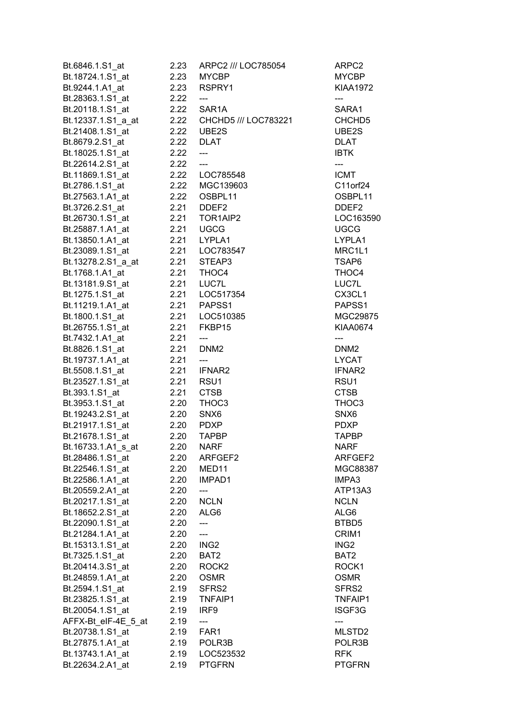| Bt.6846.1.S1 at                        | 2.23         | ARPC2 /// LOC785054              | ARPC2                   |
|----------------------------------------|--------------|----------------------------------|-------------------------|
| Bt.18724.1.S1 at                       | 2.23         | <b>MYCBP</b>                     | <b>MYCBP</b>            |
| Bt.9244.1.A1 at                        | 2.23         | RSPRY1                           | <b>KIAA1972</b>         |
| Bt.28363.1.S1 at                       | 2.22         | ---                              | ---                     |
| Bt.20118.1.S1_at                       | 2.22         | SAR1A                            | SARA1                   |
| Bt.12337.1.S1 a at                     | 2.22         | CHCHD5 /// LOC783221             | CHCHD <sub>5</sub>      |
| Bt.21408.1.S1_at                       | 2.22         | UBE2S                            | UBE2S                   |
| Bt.8679.2.S1 at                        | 2.22         | <b>DLAT</b>                      | <b>DLAT</b>             |
| Bt.18025.1.S1 at                       | 2.22         | $---$                            | <b>IBTK</b>             |
| Bt.22614.2.S1_at                       | 2.22         | $---$                            | ---                     |
| Bt.11869.1.S1 at                       | 2.22         | LOC785548                        | <b>ICMT</b>             |
| Bt.2786.1.S1 at                        | 2.22         | MGC139603                        | C11orf24                |
| Bt.27563.1.A1 at                       | 2.22         | OSBPL11                          | OSBPL11                 |
| Bt.3726.2.S1_at                        | 2.21         | DDEF <sub>2</sub>                | DDEF <sub>2</sub>       |
| Bt.26730.1.S1_at                       | 2.21         | TOR1AIP2                         | LOC163590               |
| Bt.25887.1.A1_at                       | 2.21         | <b>UGCG</b>                      | <b>UGCG</b>             |
| Bt.13850.1.A1 at                       | 2.21         | LYPLA1                           | LYPLA1                  |
| Bt.23089.1.S1_at                       | 2.21         | LOC783547                        | MRC1L1                  |
| Bt.13278.2.S1 a at                     | 2.21         | STEAP3                           | TSAP6                   |
|                                        | 2.21         | THOC4                            |                         |
| Bt.1768.1.A1_at                        |              |                                  | THOC4                   |
| Bt.13181.9.S1_at                       | 2.21<br>2.21 | LUC7L                            | LUC7L                   |
| Bt.1275.1.S1 at                        |              | LOC517354<br>2.21 PAPSS1         | CX3CL1                  |
| Bt.11219.1.A1_at                       |              |                                  | PAPSS1                  |
| Bt.1800.1.S1_at                        |              | 2.21 LOC510385                   | MGC29875                |
| Bt.26755.1.S1_at                       | 2.21         | FKBP15                           | <b>KIAA0674</b>         |
| Bt.7432.1.A1_at                        | 2.21<br>2.21 | ---<br>DNM <sub>2</sub>          | ---<br>DNM <sub>2</sub> |
| Bt.8826.1.S1_at                        | 2.21         |                                  | <b>LYCAT</b>            |
| Bt.19737.1.A1_at                       | 2.21         | IFNAR2                           | IFNAR2                  |
| Bt.5508.1.S1_at                        |              |                                  |                         |
| Bt.23527.1.S1 at                       | 2.21<br>2.21 | RSU1                             | RSU1                    |
| Bt.393.1.S1_at                         | 2.20         | <b>CTSB</b><br>THOC3             | <b>CTSB</b><br>THOC3    |
| Bt.3953.1.S1_at<br>Bt.19243.2.S1_at    | 2.20         | SNX6                             | SNX6                    |
| Bt.21917.1.S1_at                       | 2.20         | <b>PDXP</b>                      | <b>PDXP</b>             |
| Bt.21678.1.S1 at                       | 2.20         | <b>TAPBP</b>                     | <b>TAPBP</b>            |
|                                        | 2.20         | <b>NARF</b>                      | <b>NARF</b>             |
| Bt.16733.1.A1_s_at<br>Bt.28486.1.S1_at | 2.20         | ARFGEF2                          | ARFGEF2                 |
| Bt.22546.1.S1 at                       | 2.20         | MED <sub>11</sub>                | MGC88387                |
| Bt.22586.1.A1_at                       | 2.20         | IMPAD1                           | IMPA3                   |
| Bt.20559.2.A1 at                       | 2.20         | ---                              | ATP13A3                 |
| Bt.20217.1.S1_at                       | 2.20         | <b>NCLN</b>                      | <b>NCLN</b>             |
| Bt.18652.2.S1 at                       | 2.20         | ALG6                             | ALG6                    |
| Bt.22090.1.S1 at                       | 2.20         | ---                              | BTBD5                   |
| Bt.21284.1.A1 at                       | 2.20         |                                  | CRIM1                   |
|                                        | 2.20         | ---<br>ING <sub>2</sub>          | ING <sub>2</sub>        |
| Bt.15313.1.S1_at                       |              | BAT2                             | BAT2                    |
| Bt.7325.1.S1_at                        | 2.20         |                                  |                         |
| Bt.20414.3.S1_at                       | 2.20         | ROCK <sub>2</sub><br><b>OSMR</b> | ROCK1<br><b>OSMR</b>    |
| Bt.24859.1.A1 at                       | 2.20         |                                  | SFRS2                   |
| Bt.2594.1.S1 at                        | 2.19         | SFRS2                            |                         |
| Bt.23825.1.S1 at                       | 2.19         | TNFAIP1                          | TNFAIP1                 |
| Bt.20054.1.S1 at                       | 2.19<br>2.19 | IRF9                             | ISGF3G                  |
| AFFX-Bt eIF-4E 5 at                    |              | FAR1                             | ---<br>MLSTD2           |
| Bt.20738.1.S1 at<br>Bt.27875.1.A1 at   | 2.19<br>2.19 | POLR3B                           | POLR3B                  |
| Bt.13743.1.A1 at                       | 2.19         | LOC523532                        | <b>RFK</b>              |
| Bt.22634.2.A1 at                       | 2.19         | <b>PTGFRN</b>                    | <b>PTGFRN</b>           |
|                                        |              |                                  |                         |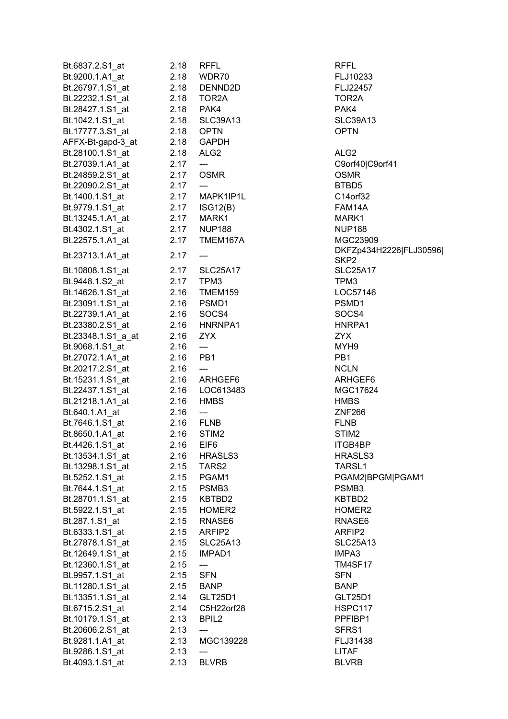| Bt.6837.2.S1_at    | 2.18 | <b>RFFL</b>                       | <b>RFFL</b>        |
|--------------------|------|-----------------------------------|--------------------|
| Bt.9200.1.A1_at    | 2.18 | WDR70                             | FLJ10233           |
| Bt.26797.1.S1 at   | 2.18 | DENND2D                           | FLJ22457           |
| Bt.22232.1.S1_at   | 2.18 | TOR2A                             | TOR2A              |
| Bt.28427.1.S1_at   |      | 2.18 PAK4                         | PAK4               |
| Bt.1042.1.S1_at    | 2.18 | <b>SLC39A13</b>                   | SLC39A1            |
| Bt.17777.3.S1_at   |      | 2.18 OPTN                         | <b>OPTN</b>        |
| AFFX-Bt-gapd-3_at  |      | 2.18 GAPDH                        |                    |
| Bt.28100.1.S1 at   | 2.18 | ALG <sub>2</sub>                  | ALG <sub>2</sub>   |
| Bt.27039.1.A1_at   | 2.17 | $\overline{\phantom{a}}$          | C9orf40 C          |
| Bt.24859.2.S1_at   | 2.17 | <b>OSMR</b>                       | <b>OSMR</b>        |
| Bt.22090.2.S1 at   | 2.17 | $\qquad \qquad \text{---}$        | BTBD5              |
|                    |      | MAPK1IP1L                         |                    |
| Bt.1400.1.S1_at    | 2.17 |                                   | C14orf32<br>FAM14A |
| Bt.9779.1.S1_at    |      | 2.17 ISG12(B)                     |                    |
| Bt.13245.1.A1_at   | 2.17 | MARK1                             | MARK1              |
| Bt.4302.1.S1_at    | 2.17 | <b>NUP188</b>                     | <b>NUP188</b>      |
| Bt.22575.1.A1_at   | 2.17 | TMEM167A                          | MGC2390            |
| Bt.23713.1.A1_at   | 2.17 | ---                               | DKFZp43            |
|                    |      |                                   | SKP <sub>2</sub>   |
| Bt.10808.1.S1_at   | 2.17 | <b>SLC25A17</b>                   | SLC25A1            |
| Bt.9448.1.S2_at    | 2.17 | TPM3                              | TPM3               |
| Bt.14626.1.S1_at   | 2.16 | TMEM159                           | LOC5714            |
| Bt.23091.1.S1_at   |      | 2.16 PSMD1                        | PSMD1              |
| Bt.22739.1.A1_at   | 2.16 | SOCS4                             | SOCS4              |
| Bt.23380.2.S1_at   |      | 2.16 HNRNPA1                      | HNRPA1             |
| Bt.23348.1.S1_a_at | 2.16 | <b>ZYX</b>                        | ZYX                |
| Bt.9068.1.S1_at    | 2.16 | $\hspace{0.05cm} \dashrightarrow$ | MYH9               |
| Bt.27072.1.A1_at   | 2.16 | PB1                               | PB <sub>1</sub>    |
| Bt.20217.2.S1_at   | 2.16 | $\overline{\phantom{a}}$          | <b>NCLN</b>        |
| Bt.15231.1.S1_at   |      | 2.16 ARHGEF6                      | ARHGEF             |
| Bt.22437.1.S1_at   |      | 2.16 LOC613483                    | MGC1762            |
| Bt.21218.1.A1_at   | 2.16 | <b>HMBS</b>                       | <b>HMBS</b>        |
| Bt.640.1.A1_at     | 2.16 | $---$                             | ZNF266             |
| Bt.7646.1.S1_at    |      | 2.16 FLNB                         | <b>FLNB</b>        |
| Bt.8650.1.A1_at    | 2.16 | STIM <sub>2</sub>                 | STIM <sub>2</sub>  |
| Bt.4426.1.S1_at    | 2.16 | EIF6                              | ITGB4BP            |
| Bt.13534.1.S1_at   | 2.16 | HRASLS3                           | <b>HRASLS3</b>     |
| Bt.13298.1.S1_at   | 2.15 | TARS2                             | TARSL1             |
| Bt.5252.1.S1_at    | 2.15 | PGAM1                             | PGAM2 B            |
| Bt.7644.1.S1_at    |      | 2.15 PSMB3                        | PSMB3              |
| Bt.28701.1.S1_at   |      | 2.15 KBTBD2                       | KBTBD2             |
| Bt.5922.1.S1 at    |      | 2.15 HOMER2                       | HOMER <sub>2</sub> |
| Bt.287.1.S1_at     |      | 2.15 RNASE6                       | RNASE6             |
| Bt.6333.1.S1 at    | 2.15 | ARFIP2                            | ARFIP2             |
| Bt.27878.1.S1_at   | 2.15 | <b>SLC25A13</b>                   | <b>SLC25A1</b>     |
| Bt.12649.1.S1_at   | 2.15 | IMPAD1                            | IMPA3              |
| Bt.12360.1.S1_at   | 2.15 |                                   | <b>TM4SF17</b>     |
|                    |      | ---<br><b>SFN</b>                 | <b>SFN</b>         |
| Bt.9957.1.S1_at    | 2.15 |                                   |                    |
| Bt.11280.1.S1_at   | 2.15 | <b>BANP</b>                       | <b>BANP</b>        |
| Bt.13351.1.S1_at   |      | 2.14 GLT25D1                      | <b>GLT25D1</b>     |
| Bt.6715.2.S1_at    |      | 2.14 C5H22orf28                   | HSPC117            |
| Bt.10179.1.S1_at   | 2.13 | BPIL <sub>2</sub>                 | PPFIBP1            |
| Bt.20606.2.S1_at   | 2.13 | ---                               | SFRS1              |
| Bt.9281.1.A1_at    | 2.13 | MGC139228                         | FLJ31438           |
| Bt.9286.1.S1_at    | 2.13 | ---                               | LITAF              |
| Bt.4093.1.S1 at    | 2.13 | <b>BLVRB</b>                      | <b>BLVRB</b>       |
|                    |      |                                   |                    |

Bt.4200.1.2.1.2.1.2.10233 D<sub>2</sub>D<sub>2</sub>D<sub>2</sub> A13 SLC39A13 C9orf40|C9orf41 IP1L C14orf32 B) FAM14A Bt.4302.1.S1\_at 2.17 NUP188 NUP188 167A MGC23909 DKFZp434H2226|FLJ30596| SKP2 A17 SLC25A17 159 LOC57146 EF6 ARHGEF6 3483. MGC17624 ITGB4BP Bt.13534.1.S1\_at 2.16 HRASLS3 HRASLS3 TARSL1 PGAM2|BPGM|PGAM1 external contracts and the KBTBD2 KBTBD2 R<sub>2</sub><sup>HOMER2</sup>  $B_6$  RNASE6 A13 SLC25A13 TM4SF17 D1<sup>d.1</sup>3351.1.S1\_at 2.14 GLT25D1 orf28.**Bu.frances** HSPC117 PPFIBP1 89228 FLJ31438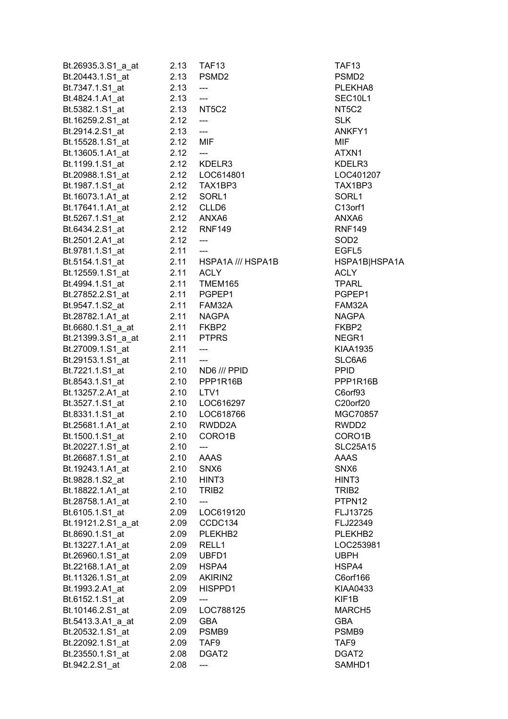| Bt.26935.3.S1_a_at | 2.13     | TAF <sub>13</sub>              | TAF <sub>13</sub> |
|--------------------|----------|--------------------------------|-------------------|
| Bt.20443.1.S1_at   |          | 2.13 PSMD2                     | PSMD <sub>2</sub> |
| Bt.7347.1.S1_at    | 2.13     | ---                            | <b>PLEKHA</b>     |
| Bt.4824.1.A1_at    | 2.13     | ---                            | SEC10L1           |
| Bt.5382.1.S1 at    |          | 2.13 NT5C2                     | NT5C2             |
| Bt.16259.2.S1_at   | 2.12     | ---                            | <b>SLK</b>        |
| Bt.2914.2.S1_at    | 2.13     | $\overline{\phantom{a}}$       | ANKFY1            |
| Bt.15528.1.S1_at   | 2.12 MIF |                                | <b>MIF</b>        |
| Bt.13605.1.A1 at   | 2.12     | $\overline{a}$                 | ATXN1             |
| Bt.1199.1.S1_at    |          | 2.12 KDELR3                    | KDELR3            |
| Bt.20988.1.S1 at   |          |                                | LOC4012           |
| Bt.1987.1.S1_at    |          | 2.12 LOC614801<br>2.12 TAX1BP3 | TAX1BP            |
|                    |          |                                |                   |
| Bt.16073.1.A1 at   |          | 2.12 SORL1                     | SORL1             |
| Bt.17641.1.A1_at   |          | 2.12 CLLD6                     | C13orf1           |
| Bt.5267.1.S1_at    |          | 2.12 ANXA6                     | ANXA6             |
| Bt.6434.2.S1_at    |          | 2.12 RNF149                    | <b>RNF149</b>     |
| Bt.2501.2.A1_at    | 2.12     | $\overline{a}$                 | SOD <sub>2</sub>  |
| Bt.9781.1.S1 at    | 2.11     | $\overline{a}$                 | EGFL <sub>5</sub> |
| Bt.5154.1.S1 at    | 2.11     | HSPA1A /// HSPA1B              | HSPA1B            |
| Bt.12559.1.S1_at   | 2.11     | <b>ACLY</b>                    | ACLY              |
| Bt.4994.1.S1_at    |          | 2.11 TMEM165                   | TPARL             |
| Bt.27852.2.S1 at   |          | 2.11 PGPEP1                    | PGPEP1            |
| Bt.9547.1.S2_at    |          | 2.11 FAM32A                    | FAM32A            |
| Bt.28782.1.A1_at   |          | 2.11 NAGPA                     | NAGPA             |
| Bt.6680.1.S1_a_at  |          | 2.11 FKBP2<br>2.11 PTPRS       | FKBP2             |
| Bt.21399.3.S1_a_at |          |                                | NEGR1             |
| Bt.27009.1.S1_at   | 2.11     | $\overline{a}$                 | <b>KIAA193</b>    |
| Bt.29153.1.S1_at   | 2.11     | $\overline{a}$                 | SLC6A6            |
| Bt.7221.1.S1_at    |          | 2.10 ND6 /// PPID              | <b>PPID</b>       |
| Bt.8543.1.S1_at    |          | 2.10 PPP1R16B                  | PPP1R1            |
| Bt.13257.2.A1_at   |          | 2.10 LTV1                      | C6orf93           |
| Bt.3527.1.S1_at    |          | 2.10 LOC616297                 | C20orf20          |
| Bt.8331.1.S1_at    | 2.10     | LOC618766                      | <b>MGC708</b>     |
| Bt.25681.1.A1_at   | 2.10     | RWDD2A                         | RWDD2             |
| Bt.1500.1.S1_at    | 2.10     | CORO1B                         | CORO1E            |
| Bt.20227.1.S1_at   | 2.10     | ---                            | SLC25A1           |
| Bt.26687.1.S1_at   | 2.10     | AAAS                           | AAAS              |
| Bt.19243.1.A1_at   | 2.10     | SNX6                           | SNX6              |
|                    |          | HINT <sub>3</sub>              |                   |
| Bt.9828.1.S2_at    | 2.10     |                                | HINT <sub>3</sub> |
| Bt.18822.1.A1 at   | 2.10     | TRIB <sub>2</sub>              | TRIB <sub>2</sub> |
| Bt.28758.1.A1_at   | 2.10     | ---                            | PTPN12            |
| Bt.6105.1.S1 at    | 2.09     | LOC619120                      | FLJ1372           |
| Bt.19121.2.S1_a_at | 2.09     | CCDC134                        | FLJ2234           |
| Bt.8690.1.S1_at    | 2.09     | PLEKHB2                        | PLEKHB            |
| Bt.13227.1.A1_at   | 2.09     | RELL1                          | LOC2539           |
| Bt.26960.1.S1 at   | 2.09     | UBFD1                          | <b>UBPH</b>       |
| Bt.22168.1.A1_at   | 2.09     | HSPA4                          | HSPA4             |
| Bt.11326.1.S1_at   | 2.09     | AKIRIN2                        | C6orf166          |
| Bt.1993.2.A1 at    | 2.09     | HISPPD1                        | <b>KIAA043</b>    |
| Bt.6152.1.S1_at    | 2.09     | ---                            | KIF1B             |
| Bt.10146.2.S1_at   | 2.09     | LOC788125                      | <b>MARCH5</b>     |
| Bt.5413.3.A1_a_at  | 2.09     | <b>GBA</b>                     | <b>GBA</b>        |
| Bt.20532.1.S1_at   | 2.09     | PSMB9                          | PSMB9             |
| Bt.22092.1.S1_at   | 2.09     | TAF9                           | TAF9              |
| Bt.23550.1.S1_at   | 2.08     | DGAT2                          | DGAT2             |
| Bt.942.2.S1_at     | 2.08     | ---                            | SAMHD1            |
|                    |          |                                |                   |

PLEKHA8 SEC10L1 ANKFY1 Bt.1199.1.S1\_at 2.12 KDELR3 KDELR3 4801 LOC401207 P3 TAX1BP3 **9** RNF149 Bt.5154.1.S1\_at 2.11 HSPA1A /// HSPA1B HSPA1B|HSPA1A P<sub>1</sub> PGPEP1 PGPEP1 Bt.9547.1.S2\_at 2.11 FAM32A FAM32A NEGR1 KIAA1935 Bell SLC6A6<br>Bell PPID  $B = PP1R16B$ 6297<sup>20</sup> C20orf20 8766 MGC70857 2A RWDD2 **IB.**1500.1.S100.1.S100.1.S100.1.S100.1.S100.1.S100.1.S10.10 CORO1B **SLC25A15** 9120 **FLJ13725** 8121.22349 **FLJ22349** B<sub>2</sub> PLEKHB2 LOC253981 International C6orf166. D1 KIAA0433 8125 MARCH5 SAMHD1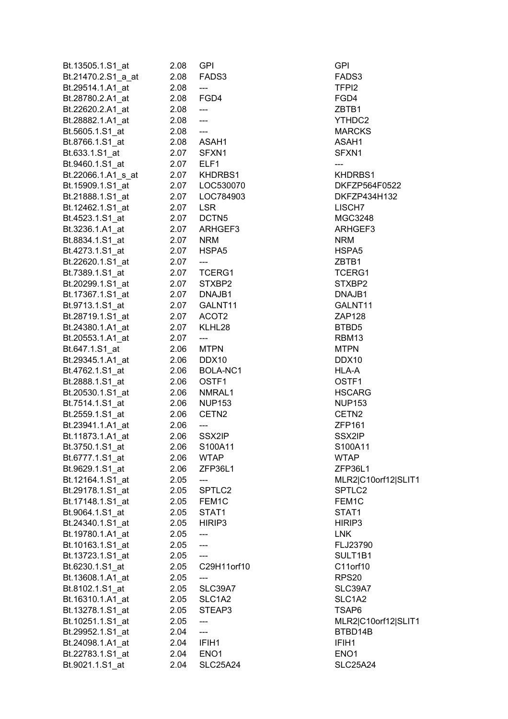| Bt.13505.1.S1_at   | 2.08 | <b>GPI</b>        | GPI               |
|--------------------|------|-------------------|-------------------|
| Bt.21470.2.S1_a_at | 2.08 | FADS3             | FADS3             |
| Bt.29514.1.A1 at   | 2.08 | ---               | TFPI <sub>2</sub> |
| Bt.28780.2.A1_at   | 2.08 | FGD4              | FGD4              |
| Bt.22620.2.A1 at   | 2.08 | $---$             | ZBTB1             |
| Bt.28882.1.A1_at   | 2.08 | ---               | YTHDC2            |
| Bt.5605.1.S1_at    | 2.08 | <u></u>           | <b>MARCKS</b>     |
| Bt.8766.1.S1_at    |      | 2.08 ASAH1        | ASAH1             |
| Bt.633.1.S1 at     |      | 2.07 SFXN1        | SFXN1             |
| Bt.9460.1.S1_at    |      | 2.07 ELF1         | ---               |
| Bt.22066.1.A1_s_at |      | 2.07 KHDRBS1      | <b>KHDRBS</b>     |
| Bt.15909.1.S1_at   |      | 2.07    LOC530070 | DKFZP5            |
| Bt.21888.1.S1 at   | 2.07 | LOC784903         | DKFZP4            |
| Bt.12462.1.S1_at   | 2.07 | <b>LSR</b>        | LISCH7            |
| Bt.4523.1.S1 at    | 2.07 | DCTN <sub>5</sub> | <b>MGC324</b>     |
| Bt.3236.1.A1_at    | 2.07 | ARHGEF3           | <b>ARHGEF</b>     |
| Bt.8834.1.S1_at    | 2.07 | <b>NRM</b>        | <b>NRM</b>        |
| Bt.4273.1.S1 at    | 2.07 | HSPA5             | HSPA5             |
| Bt.22620.1.S1_at   | 2.07 | ---               | ZBTB1             |
| Bt.7389.1.S1_at    |      | 2.07 TCERG1       | <b>TCERG1</b>     |
| Bt.20299.1.S1_at   |      | 2.07 STXBP2       | STXBP2            |
| Bt.17367.1.S1_at   |      | 2.07 DNAJB1       | DNAJB1            |
| Bt.9713.1.S1_at    |      | 2.07 GALNT11      | GALNT1            |
| Bt.28719.1.S1_at   |      | 2.07 ACOT2        | ZAP128            |
| Bt.24380.1.A1_at   | 2.07 | KLHL28            | BTBD5             |
| Bt.20553.1.A1_at   | 2.07 | ---               | RBM13             |
| Bt.647.1.S1_at     | 2.06 | <b>MTPN</b>       | <b>MTPN</b>       |
| Bt.29345.1.A1_at   | 2.06 | DDX10             | DDX10             |
| Bt.4762.1.S1_at    | 2.06 | BOLA-NC1          | HLA-A             |
| Bt.2888.1.S1_at    | 2.06 | OSTF1             | OSTF1             |
| Bt.20530.1.S1_at   | 2.06 | NMRAL1            | <b>HSCARC</b>     |
| Bt.7514.1.S1_at    | 2.06 | <b>NUP153</b>     | <b>NUP153</b>     |
| Bt.2559.1.S1_at    | 2.06 | CETN <sub>2</sub> | CETN <sub>2</sub> |
| Bt.23941.1.A1_at   | 2.06 | ---               | <b>ZFP161</b>     |
| Bt.11873.1.A1_at   | 2.06 | SSX2IP            | SSX2IP            |
| Bt.3750.1.S1_at    | 2.06 | S100A11           | S100A11           |
| Bt.6777.1.S1 at    | 2.06 | <b>WTAP</b>       | <b>WTAP</b>       |
| Bt.9629.1.S1_at    | 2.06 | ZFP36L1           | ZFP36L1           |
| Bt.12164.1.S1 at   | 2.05 | ---               | MLR2 C            |
| Bt.29178.1.S1 at   | 2.05 | SPTLC2            | SPTLC2            |
| Bt.17148.1.S1_at   | 2.05 | FEM1C             | FEM1C             |
| Bt.9064.1.S1 at    | 2.05 | STAT1             | STAT1             |
| Bt.24340.1.S1_at   | 2.05 | HIRIP3            | HIRIP3            |
| Bt.19780.1.A1_at   | 2.05 |                   | <b>LNK</b>        |
| Bt.10163.1.S1 at   | 2.05 |                   | FLJ2379           |
| Bt.13723.1.S1_at   | 2.05 |                   | SULT1B            |
| Bt.6230.1.S1_at    | 2.05 | C29H11orf10       | C11orf10          |
| Bt.13608.1.A1_at   | 2.05 | ---               | RPS20             |
| Bt.8102.1.S1_at    | 2.05 | SLC39A7           | SLC39A            |
| Bt.16310.1.A1_at   | 2.05 | SLC1A2            | SLC1A2            |
| Bt.13278.1.S1_at   | 2.05 | STEAP3            | TSAP6             |
| Bt.10251.1.S1_at   | 2.05 |                   | MLR2 C            |
| Bt.29952.1.S1_at   | 2.04 | ---               | BTBD14            |
| Bt.24098.1.A1_at   | 2.04 | IFIH1             | IFIH1             |
| Bt.22783.1.S1_at   | 2.04 | ENO <sub>1</sub>  | ENO <sub>1</sub>  |
| Bt.9021.1.S1_at    | 2.04 | <b>SLC25A24</b>   | SLC25A            |
|                    |      |                   |                   |

YTHDC2 **MARCKS** KHDRBS1 DKFZP564F0522 DKFZP434H132 **MGC3248** ARHGEF3 TCERG1 STXBP2 DNAJB1 GALNT11 **HSCARG NUP153** S100A11 ZFP36L1 MLR2|C10orf12|SLIT1 SPTLC<sub>2</sub> FLJ23790 SULT1B1 C11orf10 SLC39A7 SLC1A2 TSAP6 MLR2|C10orf12|SLIT1 BTBD14B SLC25A24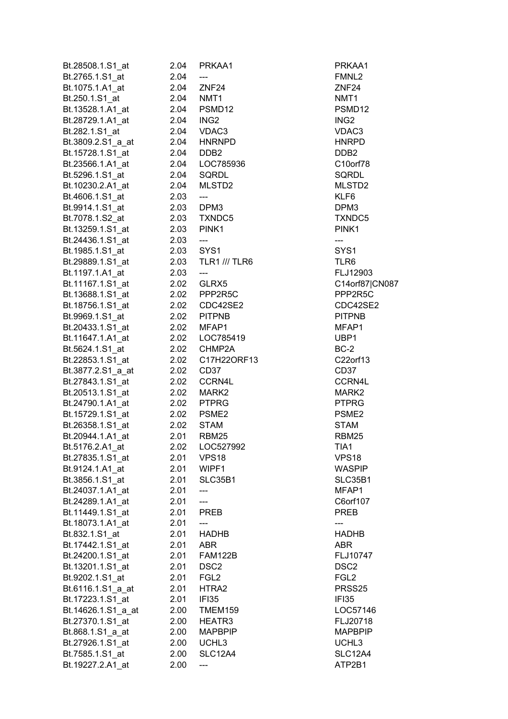| Bt.28508.1.S1_at   | 2.04 | PRKAA1               | PRKAA1             |
|--------------------|------|----------------------|--------------------|
| Bt.2765.1.S1_at    | 2.04 | ---                  | FMNL2              |
| Bt.1075.1.A1_at    | 2.04 | ZNF <sub>24</sub>    | ZNF <sub>24</sub>  |
| Bt.250.1.S1_at     | 2.04 | NMT1                 | NMT <sub>1</sub>   |
| Bt.13528.1.A1_at   | 2.04 | PSMD12               | PSMD <sub>12</sub> |
| Bt.28729.1.A1 at   | 2.04 | ING2                 | ING <sub>2</sub>   |
| Bt.282.1.S1_at     | 2.04 | VDAC3                | VDAC3              |
| Bt.3809.2.S1_a_at  | 2.04 | <b>HNRNPD</b>        | <b>HNRPD</b>       |
| Bt.15728.1.S1 at   | 2.04 | DDB2                 | DDB <sub>2</sub>   |
| Bt.23566.1.A1_at   | 2.04 | LOC785936            | C10orf78           |
| Bt.5296.1.S1 at    | 2.04 | SQRDL                | <b>SQRDL</b>       |
| Bt.10230.2.A1_at   | 2.04 | MLSTD2               | MLSTD2             |
| Bt.4606.1.S1 at    | 2.03 | $---$                | KLF6               |
| Bt.9914.1.S1_at    |      | 2.03 DPM3            | DPM3               |
| Bt.7078.1.S2_at    |      | 2.03 TXNDC5          | TXNDC5             |
| Bt.13259.1.S1 at   | 2.03 | PINK1                | PINK <sub>1</sub>  |
|                    |      |                      |                    |
| Bt.24436.1.S1_at   | 2.03 | ---                  | ---                |
| Bt.1985.1.S1 at    | 2.03 | SYS1                 | SYS1               |
| Bt.29889.1.S1_at   | 2.03 | <b>TLR1 /// TLR6</b> | TLR <sub>6</sub>   |
| Bt.1197.1.A1 at    | 2.03 | ---                  | FLJ12903           |
| Bt.11167.1.S1_at   |      | 2.02 GLRX5           | C14orf87           |
| Bt.13688.1.S1_at   |      | 2.02 PPP2R5C         | PPP2R50            |
| Bt.18756.1.S1_at   |      | 2.02 CDC42SE2        | CDC42SE            |
| Bt.9969.1.S1_at    |      | 2.02 PITPNB          | <b>PITPNB</b>      |
| Bt.20433.1.S1_at   | 2.02 | MFAP1                | MFAP1              |
| Bt.11647.1.A1_at   | 2.02 | LOC785419            | UBP1               |
| Bt.5624.1.S1_at    | 2.02 | CHMP2A               | $BC-2$             |
| Bt.22853.1.S1_at   | 2.02 | C17H22ORF13          | C22orf13           |
| Bt.3877.2.S1_a_at  | 2.02 | CD <sub>37</sub>     | CD <sub>37</sub>   |
| Bt.27843.1.S1_at   | 2.02 | CCRN4L               | CCRN4L             |
| Bt.20513.1.S1 at   | 2.02 | MARK <sub>2</sub>    | MARK2              |
| Bt.24790.1.A1_at   | 2.02 | <b>PTPRG</b>         | <b>PTPRG</b>       |
| Bt.15729.1.S1_at   | 2.02 | PSME <sub>2</sub>    | PSME <sub>2</sub>  |
| Bt.26358.1.S1_at   | 2.02 | <b>STAM</b>          | <b>STAM</b>        |
| Bt.20944.1.A1_at   | 2.01 | <b>RBM25</b>         | RBM25              |
| Bt.5176.2.A1_at    | 2.02 | LOC527992            | TIA1               |
| Bt.27835.1.S1_at   | 2.01 | VPS <sub>18</sub>    | <b>VPS18</b>       |
| Bt.9124.1.A1_at    | 2.01 | WIPF1                | <b>WASPIP</b>      |
| Bt.3856.1.S1_at    | 2.01 | SLC35B1              | SLC35B1            |
| Bt.24037.1.A1_at   | 2.01 |                      | MFAP1              |
| Bt.24289.1.A1 at   | 2.01 |                      | C6orf107           |
| Bt.11449.1.S1_at   | 2.01 | <b>PREB</b>          | <b>PREB</b>        |
| Bt.18073.1.A1 at   | 2.01 |                      |                    |
| Bt.832.1.S1_at     | 2.01 | <b>HADHB</b>         | <b>HADHB</b>       |
| Bt.17442.1.S1_at   | 2.01 | <b>ABR</b>           | <b>ABR</b>         |
| Bt.24200.1.S1_at   | 2.01 | <b>FAM122B</b>       | FLJ10747           |
| Bt.13201.1.S1_at   | 2.01 | DSC <sub>2</sub>     | DSC <sub>2</sub>   |
| Bt.9202.1.S1_at    | 2.01 | FGL <sub>2</sub>     | FGL <sub>2</sub>   |
| Bt.6116.1.S1_a_at  | 2.01 | HTRA2                | PRSS25             |
| Bt.17223.1.S1_at   | 2.01 | IFI35                | IFI35              |
| Bt.14626.1.S1_a_at | 2.00 | TMEM159              | LOC5714            |
| Bt.27370.1.S1_at   | 2.00 | HEATR3               | FLJ20718           |
| Bt.868.1.S1_a_at   | 2.00 | <b>MAPBPIP</b>       | <b>MAPBPIF</b>     |
| Bt.27926.1.S1_at   | 2.00 | UCHL3                | UCHL3              |
| Bt.7585.1.S1_at    | 2.00 | <b>SLC12A4</b>       | <b>SLC12A4</b>     |
| Bt.19227.2.A1_at   | 2.00 |                      | ATP2B1             |

PRKAA1 PSMD12 HNRPD C10orf78 MLSTD2 TXNDC5 FLJ12903 C14orf87|CN087 PPP2R5C CDC42SE2 MFAP1 Bt.22853.1.S1\_at 2.02 C17H22ORF13 C22orf13 WASPIP SLC35B1 C6orf107 FLJ10747 PRSS25 LOC57146 FLJ20718 **MAPBPIP SLC12A4** ATP2B1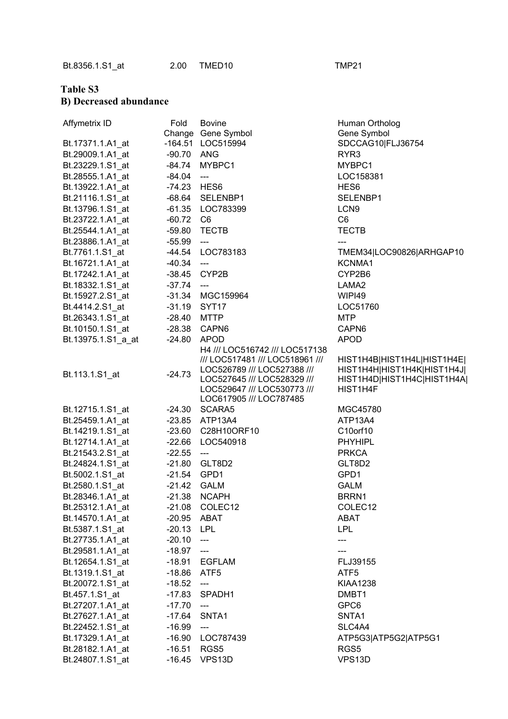## **Table S3 B) Decreased abundance**

| Affymetrix ID      | Fold         | <b>Bovine</b><br>Change Gene Symbol                                                                                             | Human Ortholog<br>Gene Symbol                                                            |
|--------------------|--------------|---------------------------------------------------------------------------------------------------------------------------------|------------------------------------------------------------------------------------------|
| Bt.17371.1.A1_at   |              | -164.51 LOC515994                                                                                                               | SDCCAG10 FLJ36754                                                                        |
| Bt.29009.1.A1_at   | -90.70 ANG   |                                                                                                                                 | RYR <sub>3</sub>                                                                         |
| Bt.23229.1.S1_at   |              | -84.74 MYBPC1                                                                                                                   | MYBPC1                                                                                   |
| Bt.28555.1.A1 at   | $-84.04$ --- |                                                                                                                                 | LOC158381                                                                                |
| Bt.13922.1.A1 at   | -74.23 HES6  |                                                                                                                                 | HES <sub>6</sub>                                                                         |
| Bt.21116.1.S1 at   |              | -68.64 SELENBP1                                                                                                                 | SELENBP1                                                                                 |
| Bt.13796.1.S1 at   |              | -61.35 LOC783399                                                                                                                | LCN <sub>9</sub>                                                                         |
| Bt.23722.1.A1 at   | $-60.72$ C6  |                                                                                                                                 | C <sub>6</sub>                                                                           |
| Bt.25544.1.A1_at   | $-59.80$     | <b>TECTB</b>                                                                                                                    | <b>TECTB</b>                                                                             |
| Bt.23886.1.A1 at   | $-55.99$     | $\qquad \qquad \text{---}$                                                                                                      |                                                                                          |
| Bt.7761.1.S1_at    | -44.54       | LOC783183                                                                                                                       | TMEM34 LOC90826 ARHGAP10                                                                 |
| Bt.16721.1.A1_at   | -40.34       | $\overline{\phantom{a}}$                                                                                                        | KCNMA1                                                                                   |
| Bt.17242.1.A1_at   |              | -38.45 CYP2B                                                                                                                    | CYP2B6                                                                                   |
| Bt.18332.1.S1_at   | $-37.74$     | $\frac{1}{2}$                                                                                                                   | LAMA <sub>2</sub>                                                                        |
|                    |              |                                                                                                                                 | WIPI49                                                                                   |
| Bt.15927.2.S1_at   |              | -31.34 MGC159964                                                                                                                |                                                                                          |
| Bt.4414.2.S1 at    | -31.19 SYT17 |                                                                                                                                 | LOC51760                                                                                 |
| Bt.26343.1.S1 at   | $-28.40$     | MTTP                                                                                                                            | <b>MTP</b>                                                                               |
| Bt.10150.1.S1_at   | $-28.38$     | CAPN6                                                                                                                           | CAPN6                                                                                    |
| Bt.13975.1.S1_a_at | $-24.80$     | APOD                                                                                                                            | <b>APOD</b>                                                                              |
| Bt.113.1.S1_at     | $-24.73$     | H4 /// LOC516742 /// LOC517138<br>/// LOC517481 /// LOC518961 ///<br>LOC526789 /// LOC527388 ///<br>LOC527645 /// LOC528329 /// | HIST1H4B HIST1H4L HIST1H4E <br>HIST1H4H HIST1H4K HIST1H4J <br>HIST1H4D HIST1H4C HIST1H4A |
|                    |              | LOC529647 /// LOC530773 ///<br>LOC617905 /// LOC787485                                                                          | HIST1H4F                                                                                 |
| Bt.12715.1.S1_at   |              | -24.30 SCARA5                                                                                                                   | MGC45780                                                                                 |
| Bt.25459.1.A1 at   |              | -23.85 ATP13A4                                                                                                                  | ATP13A4                                                                                  |
| Bt.14219.1.S1 at   |              | -23.60 C28H10ORF10                                                                                                              | C10orf10                                                                                 |
| Bt.12714.1.A1_at   | $-22.66$     | LOC540918                                                                                                                       | <b>PHYHIPL</b>                                                                           |
| Bt.21543.2.S1 at   | $-22.55$     | $---$                                                                                                                           | <b>PRKCA</b>                                                                             |
| Bt.24824.1.S1 at   |              | -21.80 GLT8D2                                                                                                                   | GLT8D2                                                                                   |
| Bt.5002.1.S1_at    | -21.54 GPD1  |                                                                                                                                 | GPD1                                                                                     |
| Bt.2580.1.S1_at    | $-21.42$     | <b>GALM</b>                                                                                                                     | <b>GALM</b>                                                                              |
| Bt.28346.1.A1 at   | -21.38       | NCAPH                                                                                                                           | BRRN1                                                                                    |
| Bt.25312.1.A1_at   |              | -21.08 COLEC12                                                                                                                  | COLEC <sub>12</sub>                                                                      |
| Bt.14570.1.A1_at   | -20.95 ABAT  |                                                                                                                                 | ABAT                                                                                     |
| Bt.5387.1.S1 at    | -20.13 LPL   |                                                                                                                                 | <b>LPL</b>                                                                               |
| Bt.27735.1.A1_at   | $-20.10$ --- |                                                                                                                                 | ---                                                                                      |
| Bt.29581.1.A1 at   | $-18.97$ --- |                                                                                                                                 | ---                                                                                      |
| Bt.12654.1.S1_at   |              | -18.91 EGFLAM                                                                                                                   | FLJ39155                                                                                 |
| Bt.1319.1.S1 at    | -18.86 ATF5  |                                                                                                                                 | ATF <sub>5</sub>                                                                         |
| Bt.20072.1.S1_at   | $-18.52$     | $\hspace{0.05cm} \cdots$                                                                                                        | <b>KIAA1238</b>                                                                          |
| Bt.457.1.S1_at     |              | -17.83 SPADH1                                                                                                                   | DMBT1                                                                                    |
| Bt.27207.1.A1_at   | $-17.70$ --- |                                                                                                                                 | GPC6                                                                                     |
| Bt.27627.1.A1_at   | -17.64 SNTA1 |                                                                                                                                 | SNTA1                                                                                    |
| Bt.22452.1.S1_at   | $-16.99$ --- |                                                                                                                                 | SLC4A4                                                                                   |
| Bt.17329.1.A1_at   |              | -16.90 LOC787439                                                                                                                | ATP5G3 ATP5G2 ATP5G1                                                                     |
| Bt.28182.1.A1_at   | -16.51 RGS5  |                                                                                                                                 | RGS5                                                                                     |
| Bt.24807.1.S1_at   |              | -16.45 VPS13D                                                                                                                   | VPS13D                                                                                   |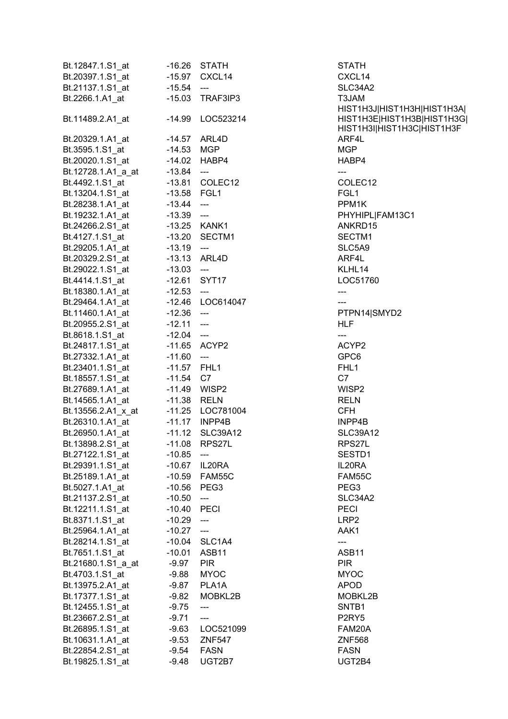| Bt.12847.1.S1_at                                                 | -16.26                       | <b>STATH</b>               | STATH                          |
|------------------------------------------------------------------|------------------------------|----------------------------|--------------------------------|
| Bt.20397.1.S1_at                                                 |                              | -15.97 CXCL14              | CXCL14                         |
| Bt.21137.1.S1 at                                                 | $-15.54$ ---                 |                            | SLC34A2                        |
|                                                                  |                              |                            | T3JAM                          |
|                                                                  |                              |                            | HIST1H3                        |
| Bt.11489.2.A1_at                                                 |                              | -14.99 LOC523214           | HIST1H3                        |
|                                                                  |                              |                            | HIST1H3                        |
| Bt.20329.1.A1_at                                                 | -14.57 ARL4D                 |                            | ARF4L                          |
|                                                                  |                              |                            | MGP                            |
|                                                                  |                              |                            | HABP4                          |
| Bt.12728.1.A1_a_at -13.84 ---                                    |                              |                            | $\overline{a}$                 |
| Bt.4492.1.S1_at                                                  |                              | -13.81 COLEC12             | COLEC1                         |
|                                                                  |                              |                            | FGL1                           |
| Bt.28238.1.A1_at                                                 | $-13.44$ ---<br>$-13.39$ --- |                            | PPM1K                          |
| Bt.19232.1.A1_at                                                 |                              |                            | PHYHIPL                        |
|                                                                  |                              |                            | ANKRD1                         |
|                                                                  |                              |                            | SECTM1                         |
| Bt.29205.1.A1_at -13.19 ---                                      |                              |                            | SLC5A9                         |
|                                                                  |                              |                            | ARF4L                          |
| Bt.29022.1.S1_at -13.03 ---                                      |                              |                            | KLHL14                         |
| Bt.4414.1.S1_at                                                  | -12.61 SYT17                 |                            | LOC5176                        |
|                                                                  |                              |                            | ---                            |
| Bt.18380.1.A1_at -12.53 ---<br>Bt.29464.1.A1_at -12.46 LOC614047 |                              |                            | ---                            |
| Bt.11460.1.A1_at -12.36 ---                                      |                              |                            | PTPN14                         |
| Bt.20955.2.S1_at -12.11 ---                                      |                              |                            | <b>HLF</b>                     |
| Bt.8618.1.S1_at    -12.04    ---                                 |                              |                            | $\overline{\phantom{a}}$       |
|                                                                  |                              |                            | ACYP2                          |
| Bt.27332.1.A1_at -11.60 ---                                      |                              |                            | GPC6                           |
| Bt.23401.1.S1_at                                                 | -11.57 FHL1                  |                            | FHL1                           |
| Bt.18557.1.S1_at                                                 | $-11.54$ C7                  |                            | C7                             |
| Bt.27689.1.A1_at                                                 | -11.49 WISP2                 |                            | WISP2                          |
|                                                                  |                              |                            | <b>RELN</b>                    |
|                                                                  |                              |                            | <b>CFH</b>                     |
|                                                                  |                              |                            | INPP4B                         |
|                                                                  |                              | <b>SLC39A12</b>            | <b>SLC39A1</b>                 |
| Bt.13898.2.S1_at                                                 |                              | -11.08 RPS27L              | RPS27L                         |
| Bt.27122.1.S1_at                                                 | $-10.85$ ---                 |                            | SESTD1                         |
| Bt.29391.1.S1_at                                                 |                              | -10.67 IL20RA              | IL20RA                         |
| Bt.25189.1.A1_at                                                 |                              | -10.59 FAM55C              | FAM55C                         |
| Bt.5027.1.A1_at                                                  | -10.56 PEG3                  |                            | PEG <sub>3</sub>               |
| Bt.21137.2.S1_at                                                 | $-10.50$                     | ---                        | SLC34A2                        |
| Bt.12211.1.S1_at                                                 | -10.40 PECI                  |                            | <b>PECI</b>                    |
| Bt.8371.1.S1 at                                                  | $-10.29$                     | $\overline{\phantom{a}}$   | LRP2                           |
| Bt.25964.1.A1 at                                                 | $-10.27$                     | $\overline{\phantom{a}}$   | AAK1                           |
| Bt.28214.1.S1_at                                                 | -10.04                       | SLC1A4                     |                                |
| Bt.7651.1.S1_at                                                  | $-10.01$                     | ASB11                      | ASB11                          |
| Bt.21680.1.S1_a_at                                               | $-9.97$                      | <b>PIR</b>                 | <b>PIR</b>                     |
| Bt.4703.1.S1_at                                                  | $-9.88$                      | <b>MYOC</b>                | <b>MYOC</b>                    |
| Bt.13975.2.A1_at                                                 | $-9.87$                      | PLA1A                      | <b>APOD</b>                    |
| Bt.17377.1.S1_at                                                 | $-9.82$                      | MOBKL2B                    | MOBKL2                         |
| Bt.12455.1.S1_at                                                 | $-9.75$                      | $\qquad \qquad \text{---}$ | SNTB1                          |
| Bt.23667.2.S1_at                                                 | $-9.71$                      | ---                        | P <sub>2</sub> RY <sub>5</sub> |
| Bt.26895.1.S1_at                                                 |                              | -9.63 LOC521099            | FAM20A                         |
| Bt.10631.1.A1_at                                                 | $-9.53$                      | ZNF547                     | <b>ZNF568</b>                  |
| Bt.22854.2.S1_at                                                 |                              | -9.54 FASN                 | <b>FASN</b>                    |
| Bt.19825.1.S1_at                                                 | $-9.48$                      | UGT2B7                     | UGT2B4                         |
|                                                                  |                              |                            |                                |

CXCL14 SLC34A2 HIST1H3J|HIST1H3H|HIST1H3A| HIST1H3E|HIST1H3B|HIST1H3G| HIST1H3I|HIST1H3C|HIST1H3F COLEC12 PHYHIPL|FAM13C1 ANKRD15 SECTM1 SLC5A9 LOC51760 PTPN14|SMYD2 SLC39A12 SESTD1 FAM55C **SLC34A2**  $MOBKL2B$ FAM20A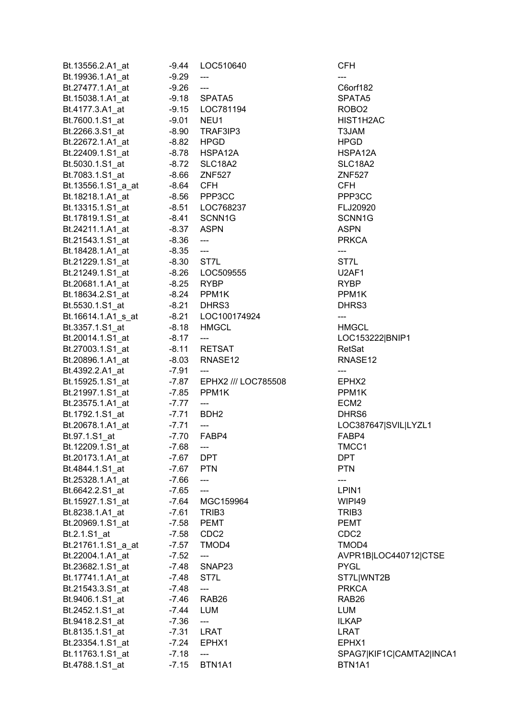| Bt.13556.2.A1_at                      | -9.44      | LOC510640                                | <b>CFH</b>               |
|---------------------------------------|------------|------------------------------------------|--------------------------|
| Bt.19936.1.A1 at                      | $-9.29$    | $\qquad \qquad \cdots$                   |                          |
| Bt.27477.1.A1 at                      | $-9.26$    | $---$                                    | C6orf182                 |
| Bt.15038.1.A1_at                      |            | -9.18 SPATA5                             | SPATA5                   |
| Bt.4177.3.A1_at                       |            | -9.15    LOC781194                       | ROBO <sub>2</sub>        |
| Bt.7600.1.S1_at                       | -9.01 NEU1 |                                          | HIST1H2AC                |
| Bt.2266.3.S1_at                       | -8.90      | TRAF3IP3                                 | T3JAM                    |
| Bt.22672.1.A1_at                      | -8.82 HPGD |                                          | <b>HPGD</b>              |
| Bt.22409.1.S1 at                      |            | -8.78 HSPA12A                            | HSPA12A                  |
| Bt.5030.1.S1_at                       | -8.72      | SLC18A2                                  | SLC18A2                  |
|                                       |            | <b>ZNF527</b>                            | <b>ZNF527</b>            |
| Bt.7083.1.S1_at<br>Bt.13556.1.S1_a_at | -8.66      | <b>CFH</b>                               | <b>CFH</b>               |
|                                       | -8.64      |                                          |                          |
| Bt.18218.1.A1_at                      |            | -8.56 PPP3CC                             | PPP3CC                   |
| Bt.13315.1.S1_at                      |            | -8.51    LOC768237                       | FLJ20920                 |
| Bt.17819.1.S1_at                      |            | -8.41 SCNN1G                             | SCNN1G                   |
| Bt.24211.1.A1_at                      | -8.37 ASPN |                                          | <b>ASPN</b>              |
| Bt.21543.1.S1_at                      | $-8.36$    | $\overline{\phantom{a}}$                 | <b>PRKCA</b>             |
| Bt.18428.1.A1_at                      | $-8.35$    | $\overline{\phantom{a}}$                 | $\qquad \qquad \cdots$   |
| Bt.21229.1.S1 at                      | -8.30 ST7L |                                          | ST7L                     |
| Bt.21249.1.S1_at                      |            | -8.26    LOC509555                       | U2AF1                    |
| Bt.20681.1.A1_at                      | -8.25      | <b>RYBP</b>                              | <b>RYBP</b>              |
| Bt.18634.2.S1_at    -8.24    PPM1K    |            |                                          | PPM1K                    |
| Bt.5530.1.S1_at                       |            | -8.21 DHRS3                              | DHRS3                    |
| Bt.16614.1.A1_s_at                    |            | -8.21 LOC100174924                       | ---                      |
| Bt.3357.1.S1_at                       |            | -8.18 HMGCL                              | <b>HMGCL</b>             |
| Bt.20014.1.S1_at                      | $-8.17$    | $\hspace{0.05cm} \ldots \hspace{0.05cm}$ | LOC153222 BNIP1          |
| Bt.27003.1.S1_at                      |            | -8.11 RETSAT                             | RetSat                   |
| Bt.20896.1.A1_at                      | -8.03      | RNASE12                                  | RNASE <sub>12</sub>      |
| Bt.4392.2.A1_at                       | -7.91      | $\scriptstyle \cdots$                    |                          |
| Bt.15925.1.S1_at                      |            | -7.87 EPHX2 /// LOC785508                | EPHX2                    |
| Bt.21997.1.S1 at                      | -7.85      | PPM1K                                    | PPM1K                    |
| Bt.23575.1.A1_at                      | -7.77      | $\frac{1}{2}$                            | ECM <sub>2</sub>         |
| Bt.1792.1.S1_at                       | -7.71 BDH2 |                                          | DHRS6                    |
|                                       | -7.71      | $\hspace{0.05cm}---$                     | LOC387647 SVIL LYZL1     |
| Bt.20678.1.A1_at                      |            | FABP4                                    |                          |
| Bt.97.1.S1_at                         | $-7.70$    |                                          | FABP4                    |
| Bt.12209.1.S1_at                      | $-7.68$    | $\qquad \qquad \text{---}$               | TMCC1                    |
| Bt.20173.1.A1 at                      | -7.67      | <b>DPT</b>                               | <b>DPT</b>               |
| Bt.4844.1.S1 at                       | $-7.67$    | <b>PTN</b>                               | <b>PTN</b>               |
| Bt.25328.1.A1_at                      | $-7.66$    | ---                                      | ---                      |
| Bt.6642.2.S1_at                       | $-7.65$    | $---$                                    | LPIN1                    |
| Bt.15927.1.S1_at                      | $-7.64$    | MGC159964                                | WIPI49                   |
| Bt.8238.1.A1_at                       | $-7.61$    | TRIB <sub>3</sub>                        | TRIB <sub>3</sub>        |
| Bt.20969.1.S1 at                      | $-7.58$    | <b>PEMT</b>                              | <b>PEMT</b>              |
| Bt.2.1.S1_at                          | $-7.58$    | CDC <sub>2</sub>                         | CDC <sub>2</sub>         |
| Bt.21761.1.S1_a_at                    | $-7.57$    | TMOD4                                    | TMOD4                    |
| Bt.22004.1.A1_at                      | $-7.52$    | ---                                      | AVPR1B LOC440712 CTSE    |
| Bt.23682.1.S1_at                      | -7.48      | SNAP23                                   | <b>PYGL</b>              |
| Bt.17741.1.A1_at                      | -7.48      | ST7L                                     | ST7L WNT2B               |
| Bt.21543.3.S1_at                      | $-7.48$    | ---                                      | <b>PRKCA</b>             |
| Bt.9406.1.S1_at                       | -7.46      | RAB <sub>26</sub>                        | RAB <sub>26</sub>        |
| Bt.2452.1.S1_at                       | -7.44      | <b>LUM</b>                               | <b>LUM</b>               |
| Bt.9418.2.S1_at                       | $-7.36$    | $\qquad \qquad \textbf{---}$             | <b>ILKAP</b>             |
| Bt.8135.1.S1_at                       | $-7.31$    | <b>LRAT</b>                              | LRAT                     |
| Bt.23354.1.S1_at                      | $-7.24$    | EPHX1                                    | EPHX1                    |
| Bt.11763.1.S1_at                      | $-7.18$    | $\qquad \qquad - \qquad -$               | SPAG7 KIF1C CAMTA2 INCA1 |
| Bt.4788.1.S1_at                       | $-7.15$    | BTN1A1                                   | BTN1A1                   |
|                                       |            |                                          |                          |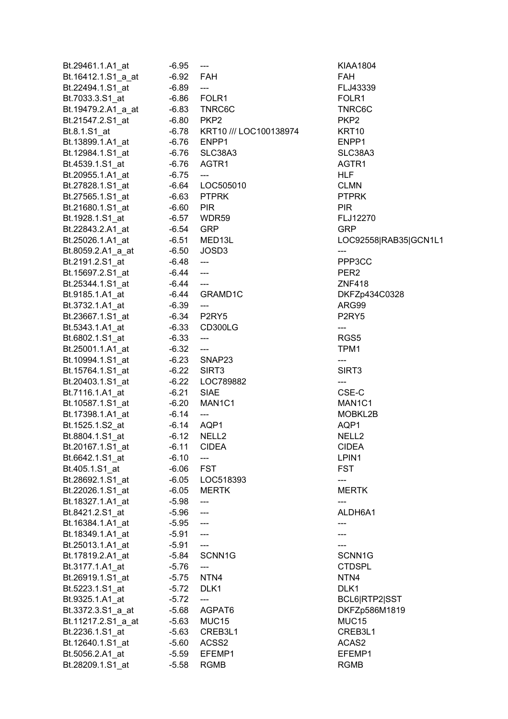| Bt.29461.1.A1_at   | $-6.95$     | $\hspace{0.05cm} \dashrightarrow$ | KIAA180                        |
|--------------------|-------------|-----------------------------------|--------------------------------|
| Bt.16412.1.S1 a at | -6.92 FAH   |                                   | <b>FAH</b>                     |
| Bt.22494.1.S1_at   | $-6.89$     | $\overline{\phantom{a}}$          | FLJ4333                        |
| Bt.7033.3.S1_at    |             | -6.86    FOLR1                    | FOLR1                          |
| Bt.19479.2.A1_a_at |             | -6.83 TNRC6C                      | TNRC60                         |
| Bt.21547.2.S1_at   |             | -6.80 PKP2                        | PKP <sub>2</sub>               |
| Bt.8.1.S1_at       |             | -6.78 KRT10 /// LOC100138974      | KRT10                          |
| Bt.13899.1.A1_at   |             | -6.76 ENPP1                       | ENPP1                          |
|                    |             |                                   |                                |
| Bt.12984.1.S1_at   |             | -6.76 SLC38A3                     | SLC38A                         |
| Bt.4539.1.S1_at    |             | -6.76 AGTR1                       | AGTR1                          |
| Bt.20955.1.A1_at   | $-6.75$     | ---                               | HLF                            |
| Bt.27828.1.S1_at   |             | -6.64 LOC505010                   | CLMN                           |
| Bt.27565.1.S1_at   |             | -6.63 PTPRK                       | <b>PTPRK</b>                   |
| Bt.21680.1.S1_at   | $-6.60$ PIR |                                   | <b>PIR</b>                     |
| Bt.1928.1.S1_at    |             | -6.57 WDR59                       | <b>FLJ1227</b>                 |
| Bt.22843.2.A1_at   |             | -6.54 GRP                         | <b>GRP</b>                     |
| Bt.25026.1.A1 at   |             | -6.51 MED13L                      | LOC925                         |
| Bt.8059.2.A1_a_at  | $-6.50$     | JOSD3                             |                                |
| Bt.2191.2.S1_at    | -6.48       | $\overline{\phantom{a}}$          | PPP <sub>3</sub> CC            |
|                    |             |                                   |                                |
| Bt.15697.2.S1_at   | -6.44       | $\overline{\phantom{a}}$          | PER <sub>2</sub>               |
| Bt.25344.1.S1_at   | -6.44       | $\overline{\phantom{a}}$          | <b>ZNF418</b>                  |
| Bt.9185.1.A1_at    |             | -6.44 GRAMD1C                     | DKFZp4                         |
| Bt.3732.1.A1_at    | $-6.39$     | $\sim$ $\sim$                     | ARG99                          |
| Bt.23667.1.S1_at   |             | -6.34 P2RY5                       | P <sub>2</sub> RY <sub>5</sub> |
| Bt.5343.1.A1_at    |             | -6.33 CD300LG                     | ---                            |
| Bt.6802.1.S1_at    | $-6.33$     | ---                               | RGS5                           |
| Bt.25001.1.A1_at   | $-6.32$     | $\overline{\phantom{a}}$          | TPM1                           |
| Bt.10994.1.S1_at   |             | -6.23 SNAP23                      | ---                            |
| Bt.15764.1.S1_at   |             | -6.22 SIRT3                       | SIRT3                          |
| Bt.20403.1.S1_at   |             | -6.22 LOC789882                   | $---$                          |
| Bt.7116.1.A1_at    |             | -6.21 SIAE                        | CSE-C                          |
|                    |             | $-6.20$ MAN1C1                    | MAN1C <sup>®</sup>             |
| Bt.10587.1.S1_at   |             |                                   |                                |
| Bt.17398.1.A1_at   | $-6.14$     | $\qquad \qquad - \qquad -$        | <b>MOBKL2</b>                  |
| Bt.1525.1.S2_at    |             | $-6.14$ AQP1                      | AQP1                           |
| Bt.8804.1.S1_at    | $-6.12$     | NELL <sub>2</sub>                 | NELL2                          |
| Bt.20167.1.S1_at   | $-6.11$     | <b>CIDEA</b>                      | <b>CIDEA</b>                   |
| Bt.6642.1.S1_at    | $-6.10$     |                                   | LPIN1                          |
| Bt.405.1.S1 at     | $-6.06$     | <b>FST</b>                        | <b>FST</b>                     |
| Bt.28692.1.S1_at   |             | -6.05 LOC518393                   | ---                            |
| Bt.22026.1.S1_at   | $-6.05$     | <b>MERTK</b>                      | <b>MERTK</b>                   |
| Bt.18327.1.A1_at   | $-5.98$     | ---                               |                                |
| Bt.8421.2.S1 at    | -5.96       | ---                               | ALDH6A                         |
| Bt.16384.1.A1_at   | -5.95       | $\overline{\phantom{a}}$          |                                |
| Bt.18349.1.A1 at   | $-5.91$     | ---                               | ---                            |
|                    |             | $\overline{a}$                    |                                |
| Bt.25013.1.A1_at   | $-5.91$     |                                   |                                |
| Bt.17819.2.A1_at   | $-5.84$     | SCNN1G                            | SCNN10                         |
| Bt.3177.1.A1_at    | $-5.76$     |                                   | <b>CTDSPL</b>                  |
| Bt.26919.1.S1_at   | -5.75       | NTN4                              | NTN4                           |
| Bt.5223.1.S1_at    | $-5.72$     | DLK1                              | DLK1                           |
| Bt.9325.1.A1_at    | $-5.72$     | ---                               | BCL6 <sub>R</sub>              |
| Bt.3372.3.S1_a_at  | -5.68       | AGPAT6                            | DKFZp5                         |
| Bt.11217.2.S1_a_at |             | -5.63 MUC15                       | MUC15                          |
| Bt.2236.1.S1_at    | $-5.63$     | CREB3L1                           | CREB3L                         |
| Bt.12640.1.S1_at   | $-5.60$     | ACSS2                             | ACAS2                          |
| Bt.5056.2.A1_at    | $-5.59$     | EFEMP1                            | EFEMP1                         |
| Bt.28209.1.S1_at   | $-5.58$     | <b>RGMB</b>                       | <b>RGMB</b>                    |
|                    |             |                                   |                                |

KIAA1804 FLJ43339 TNRC6C SLC38A3 FLJ12270 LOC92558|RAB35|GCN1L1 PPP3CC **ZNF418** DKFZp434C0328 MAN1C1 MOBKL2B ALDH6A1 SCNN1G CTDSPL BCL6|RTP2|SST DKFZp586M1819 CREB3L1 EFEMP1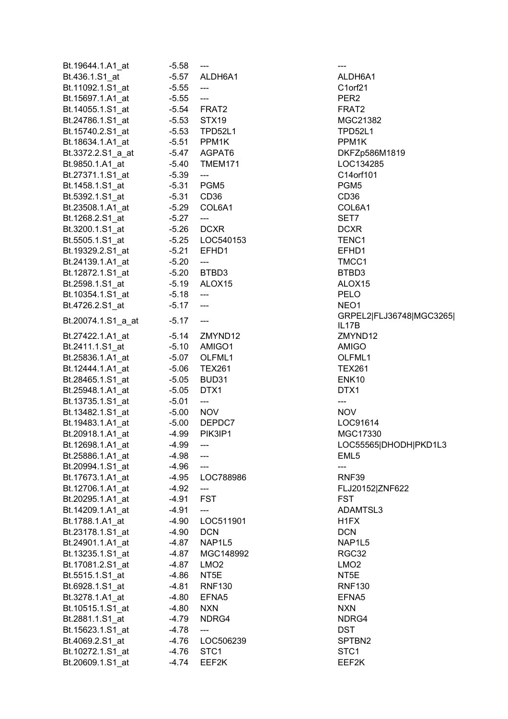| Bt.19644.1.A1_at                     | $-5.58$ | ---                                 |                     |
|--------------------------------------|---------|-------------------------------------|---------------------|
| Bt.436.1.S1_at                       |         | -5.57 ALDH6A1                       | ALDH6A <sup>-</sup> |
| Bt.11092.1.S1_at                     | $-5.55$ | $\overline{\phantom{a}}$            | C1orf21             |
| Bt.15697.1.A1_at                     | $-5.55$ | $\hspace{0.05cm} \ldots$            | PER2                |
| Bt.14055.1.S1_at                     |         | -5.54 FRAT2                         | FRAT2               |
| Bt.24786.1.S1_at                     |         | -5.53 STX19                         | MGC213              |
| Bt.15740.2.S1_at                     |         | -5.53 TPD52L1                       | <b>TPD52L1</b>      |
| Bt.18634.1.A1_at                     |         | -5.51 PPM1K                         | PPM1K               |
| Bt.3372.2.S1_a_at                    |         | -5.47 AGPAT6                        | DKFZp58             |
| Bt.9850.1.A1_at                      |         | -5.40 TMEM171                       | LOC1342             |
| Bt.27371.1.S1 at                     | $-5.39$ | $\hspace{0.05cm} \ldots$            | C14orf10            |
| Bt.1458.1.S1_at                      |         | -5.31 PGM5                          | PGM <sub>5</sub>    |
|                                      |         |                                     | CD36                |
| Bt.5392.1.S1_at                      |         | -5.31 CD36<br>-5.29 COL6A1          |                     |
| Bt.23508.1.A1_at                     |         |                                     | COL6A1              |
| Bt.1268.2.S1_at                      | $-5.27$ | $\hspace{0.05cm} \ldots$            | SET7                |
| Bt.3200.1.S1_at                      |         | $-5.26$ DCXR                        | <b>DCXR</b>         |
| Bt.5505.1.S1_at                      |         | -5.25    LOC540153                  | TENC1               |
| Bt.19329.2.S1_at                     |         | -5.21 EFHD1                         | EFHD1               |
| Bt.24139.1.A1_at                     | $-5.20$ | ---                                 | TMCC1               |
| Bt.12872.1.S1_at                     |         | -5.20 BTBD3                         | BTBD3               |
| Bt.2598.1.S1_at                      |         | -5.19 ALOX15                        | ALOX15              |
| Bt.10354.1.S1 at                     | $-5.18$ | $\hspace{0.05cm} \ldots$            | PELO                |
| Bt.4726.2.S1_at                      | $-5.17$ | $\scriptstyle\mathtt{---}$          | NEO1                |
| Bt.20074.1.S1_a_at                   | $-5.17$ | $\hspace{0.05cm}---\hspace{0.05cm}$ | GRPEL2<br>IL17B     |
| Bt.27422.1.A1_at                     |         | $-5.14$ ZMYND12                     | ZMYND1              |
| Bt.2411.1.S1_at                      |         | -5.10 AMIGO1                        | AMIGO               |
| Bt.25836.1.A1_at                     |         | -5.07 OLFML1                        | OLFML1              |
| Bt.12444.1.A1_at                     |         | -5.06 TEX261                        | <b>TEX261</b>       |
| Bt.28465.1.S1_at                     |         | -5.05 BUD31                         | ENK10               |
| Bt.25948.1.A1_at                     | $-5.05$ | DTX1                                | DTX1                |
| Bt.13735.1.S1 at                     | $-5.01$ | $\overline{\phantom{a}}$            | ---                 |
| Bt.13482.1.S1_at                     | $-5.00$ | <b>NOV</b>                          | <b>NOV</b>          |
| Bt.19483.1.A1_at                     |         | -5.00 DEPDC7                        | LOC9161             |
| Bt.20918.1.A1 at                     | $-4.99$ | PIK3IP1                             | <b>MGC173</b>       |
| Bt.12698.1.A1_at                     | -4.99   |                                     | LOC5556             |
| Bt.25886.1.A1_at                     | -4.98   |                                     | EML5                |
| Bt.20994.1.S1 at                     | -4.96   |                                     | ---                 |
| Bt.17673.1.A1_at                     | $-4.95$ | LOC788986                           | RNF39               |
| Bt.12706.1.A1_at                     | $-4.92$ | ---                                 | FLJ20152            |
| Bt.20295.1.A1_at                     | -4.91   | FST                                 | <b>FST</b>          |
| Bt.14209.1.A1_at                     | $-4.91$ | ---                                 | <b>ADAMTS</b>       |
| Bt.1788.1.A1_at                      | $-4.90$ | LOC511901                           | H <sub>1</sub> FX   |
| Bt.23178.1.S1_at                     | $-4.90$ | <b>DCN</b>                          | <b>DCN</b>          |
|                                      | -4.87   | NAP1L5                              | NAP1L5              |
| Bt.24901.1.A1_at<br>Bt.13235.1.S1 at |         | MGC148992                           | RGC32               |
|                                      | -4.87   |                                     |                     |
| Bt.17081.2.S1_at                     | -4.87   | LMO <sub>2</sub>                    | LMO2                |
| Bt.5515.1.S1_at                      | -4.86   | NT5E                                | NT5E                |
| Bt.6928.1.S1_at                      | $-4.81$ | <b>RNF130</b>                       | <b>RNF130</b>       |
| Bt.3278.1.A1_at                      | -4.80   | EFNA5                               | EFNA5               |
| Bt.10515.1.S1_at                     | $-4.80$ | <b>NXN</b>                          | <b>NXN</b>          |
| Bt.2881.1.S1_at                      | -4.79   | NDRG4                               | NDRG4               |
| Bt.15623.1.S1_at                     | -4.78   | ---                                 | DST                 |
| Bt.4069.2.S1_at                      |         | -4.76 LOC506239                     | SPTBN2              |
| Bt.10272.1.S1_at                     | -4.76   | STC <sub>1</sub>                    | STC <sub>1</sub>    |
| Bt.20609.1.S1_at                     | $-4.74$ | EEF2K                               | EEF2K               |

ALDH6A1 C1orf21 **MGC21382** TPD52L1 DKFZp586M1819 LOC134285 C14orf101 COL6A1 ALOX15 GRPEL2|FLJ36748|MGC3265| IL17B ZMYND12 TEX261 LOC91614  $MGC17330$ LOC55565|DHODH|PKD1L3 RNF39 FLJ20152|ZNF622 ADAMTSL3 NAP1L5 RNF130 SPTBN2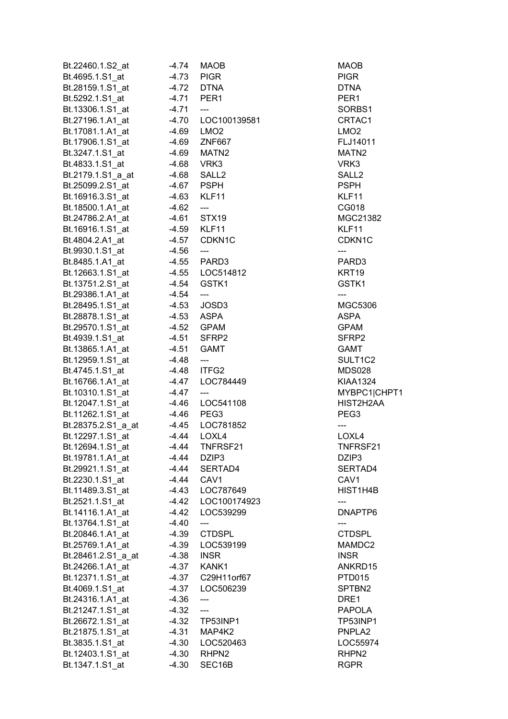| Bt.22460.1.S2 at   | $-4.74$ | MAOB                                | MAOB               |
|--------------------|---------|-------------------------------------|--------------------|
| Bt.4695.1.S1 at    | -4.73   | <b>PIGR</b>                         | <b>PIGR</b>        |
| Bt.28159.1.S1_at   | $-4.72$ | <b>DTNA</b>                         | <b>DTNA</b>        |
| Bt.5292.1.S1_at    |         | -4.71 PER1                          | PER1               |
| Bt.13306.1.S1_at   | $-4.71$ | $---$                               | SORBS1             |
| Bt.27196.1.A1_at   | -4.70   | LOC100139581                        | CRTAC1             |
| Bt.17081.1.A1_at   | -4.69   | LMO <sub>2</sub>                    | LMO <sub>2</sub>   |
| Bt.17906.1.S1_at   | -4.69   | <b>ZNF667</b>                       | FLJ14011           |
| Bt.3247.1.S1 at    | -4.69   | MATN2                               | MATN <sub>2</sub>  |
| Bt.4833.1.S1 at    | -4.68   | VRK3                                | VRK3               |
| Bt.2179.1.S1_a_at  | -4.68   | SALL <sub>2</sub>                   | SALL <sub>2</sub>  |
| Bt.25099.2.S1 at   | -4.67   | <b>PSPH</b>                         | <b>PSPH</b>        |
|                    |         |                                     |                    |
| Bt.16916.3.S1 at   | -4.63   | KLF11                               | KLF11              |
| Bt.18500.1.A1_at   | $-4.62$ | $\hspace{0.05cm} \ldots$            | CG018              |
| Bt.24786.2.A1_at   | -4.61   | STX <sub>19</sub>                   | MGC21382           |
| Bt.16916.1.S1 at   | -4.59   | KLF11                               | KLF11              |
| Bt.4804.2.A1_at    | $-4.57$ | CDKN <sub>1C</sub>                  | CDKN <sub>1C</sub> |
| Bt.9930.1.S1_at    | $-4.56$ | $\hspace{0.05cm}---\hspace{0.05cm}$ | ---                |
| Bt.8485.1.A1_at    | $-4.55$ | PARD3                               | PARD3              |
| Bt.12663.1.S1_at   | $-4.55$ | LOC514812                           | KRT <sub>19</sub>  |
| Bt.13751.2.S1_at   | -4.54   | GSTK1                               | GSTK1              |
| Bt.29386.1.A1_at   | -4.54   | $\hspace{0.05cm} \ldots$            | $---$              |
| Bt.28495.1.S1 at   | $-4.53$ | JOSD3                               | <b>MGC5306</b>     |
| Bt.28878.1.S1_at   | $-4.53$ | ASPA                                | ASPA               |
| Bt.29570.1.S1_at   | $-4.52$ | <b>GPAM</b>                         | <b>GPAM</b>        |
| Bt.4939.1.S1_at    | $-4.51$ | SFRP2                               | SFRP2              |
| Bt.13865.1.A1_at   | $-4.51$ | <b>GAMT</b>                         | <b>GAMT</b>        |
| Bt.12959.1.S1_at   | $-4.48$ | $\qquad \qquad \cdots$              | SULT1C2            |
| Bt.4745.1.S1 at    | -4.48   | ITFG2                               | <b>MDS028</b>      |
| Bt.16766.1.A1 at   | $-4.47$ | LOC784449                           | <b>KIAA1324</b>    |
| Bt.10310.1.S1 at   | $-4.47$ | $---$                               | MYBPC1 CHPT1       |
| Bt.12047.1.S1_at   | -4.46   | LOC541108                           | HIST2H2AA          |
| Bt.11262.1.S1_at   | -4.46   | PEG3                                | PEG3               |
| Bt.28375.2.S1 a at | -4.45   | LOC781852                           | $---$              |
| Bt.12297.1.S1_at   | $-4.44$ | LOXL4                               | LOXL4              |
| Bt.12694.1.S1 at   | -4.44   | TNFRSF21                            | TNFRSF21           |
| Bt.19781.1.A1 at   | -4.44   | DZIP3                               | DZIP3              |
| Bt.29921.1.S1 at   | -4.44   | SERTAD4                             | SERTAD4            |
|                    | -4.44   | CAV <sub>1</sub>                    | CAV <sub>1</sub>   |
| Bt.2230.1.S1_at    |         |                                     |                    |
| Bt.11489.3.S1_at   | -4.43   | LOC787649                           | HIST1H4B           |
| Bt.2521.1.S1_at    | $-4.42$ | LOC100174923                        | ---                |
| Bt.14116.1.A1_at   | $-4.42$ | LOC539299                           | DNAPTP6            |
| Bt.13764.1.S1_at   | $-4.40$ | ---                                 | ---                |
| Bt.20846.1.A1 at   | -4.39   | <b>CTDSPL</b>                       | <b>CTDSPL</b>      |
| Bt.25769.1.A1_at   | -4.39   | LOC539199                           | MAMDC2             |
| Bt.28461.2.S1_a_at | -4.38   | <b>INSR</b>                         | <b>INSR</b>        |
| Bt.24266.1.A1_at   | -4.37   | KANK1                               | ANKRD15            |
| Bt.12371.1.S1_at   | $-4.37$ | C29H11orf67                         | PTD015             |
| Bt.4069.1.S1 at    | $-4.37$ | LOC506239                           | SPTBN2             |
| Bt.24316.1.A1 at   | $-4.36$ |                                     | DRE1               |
| Bt.21247.1.S1_at   | $-4.32$ | ---                                 | <b>PAPOLA</b>      |
| Bt.26672.1.S1 at   | $-4.32$ | TP53INP1                            | TP53INP1           |
| Bt.21875.1.S1 at   | -4.31   | MAP4K2                              | PNPLA <sub>2</sub> |
| Bt.3835.1.S1 at    | $-4.30$ | LOC520463                           | LOC55974           |
| Bt.12403.1.S1_at   | $-4.30$ | RHPN2                               | RHPN <sub>2</sub>  |
| Bt.1347.1.S1_at    | -4.30   | SEC <sub>16</sub> B                 | <b>RGPR</b>        |
|                    |         |                                     |                    |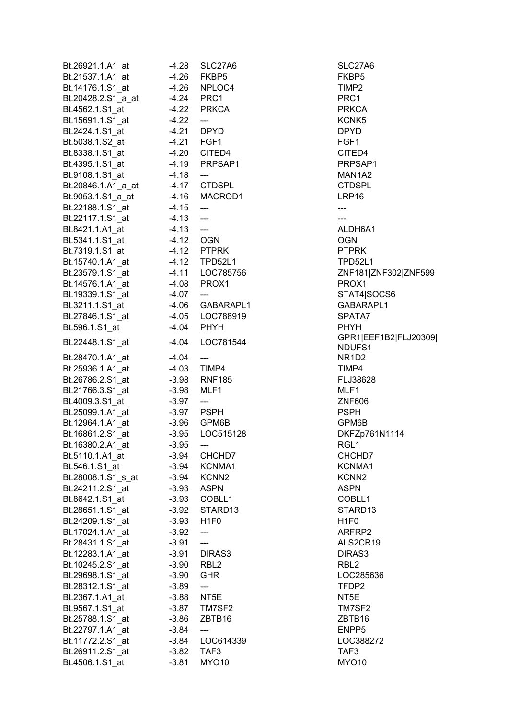| Bt.26921.1.A1_at   | $-4.28$ | SLC27A6                                     | SLC27A6           |
|--------------------|---------|---------------------------------------------|-------------------|
| Bt.21537.1.A1_at   | $-4.26$ | FKBP5                                       | FKBP5             |
| Bt.14176.1.S1 at   | $-4.26$ | NPLOC4                                      | TIMP2             |
| Bt.20428.2.S1_a_at |         | -4.24 PRC1                                  | PRC1              |
| Bt.4562.1.S1_at    |         | -4.22 PRKCA                                 | PRKCA             |
| Bt.15691.1.S1_at   | $-4.22$ | $\overline{\phantom{a}}$                    | KCNK5             |
| Bt.2424.1.S1_at    | $-4.21$ | DPYD                                        | <b>DPYD</b>       |
| Bt.5038.1.S2_at    |         | -4.21 FGF1                                  | FGF1              |
| Bt.8338.1.S1 at    |         | -4.20 CITED4                                | CITED4            |
| Bt.4395.1.S1_at    |         | -4.19 PRPSAP1                               | <b>PRPSAP</b>     |
| Bt.9108.1.S1 at    |         |                                             | MAN1A2            |
|                    | $-4.18$ | $\qquad \qquad \textbf{---}$                |                   |
| Bt.20846.1.A1 a at |         | -4.17 CTDSPL                                | <b>CTDSPL</b>     |
| Bt.9053.1.S1_a_at  |         | -4.16 MACROD1                               | LRP16             |
| Bt.22188.1.S1_at   | $-4.15$ | $\overline{\phantom{a}}$                    |                   |
| Bt.22117.1.S1_at   | $-4.13$ | $\overline{\phantom{a}}$                    | ---               |
| Bt.8421.1.A1_at    | $-4.13$ | $\overline{\phantom{m}}$                    | ALDH6A1           |
| Bt.5341.1.S1_at    | $-4.12$ | <b>OGN</b>                                  | <b>OGN</b>        |
| Bt.7319.1.S1_at    |         | $-4.12$ PTPRK                               | <b>PTPRK</b>      |
| Bt.15740.1.A1_at   |         | -4.12 TPD52L1                               | TPD52L1           |
| Bt.23579.1.S1_at   |         | -4.11 LOC785756                             | ZNF181 Z          |
| Bt.14576.1.A1 at   |         | -4.08 PROX1                                 | PROX1             |
| Bt.19339.1.S1_at   | $-4.07$ | $\overline{\phantom{a}}$                    | STAT4 S           |
| Bt.3211.1.S1_at    |         | -4.06 GABARAPL1                             | <b>GABARA</b>     |
| Bt.27846.1.S1_at   |         | -4.05 LOC788919                             | SPATA7            |
| Bt.596.1.S1_at     | $-4.04$ | PHYH                                        | <b>PHYH</b>       |
|                    |         |                                             | GPR1 EE           |
| Bt.22448.1.S1_at   | $-4.04$ | LOC781544                                   | NDUFS1            |
| Bt.28470.1.A1_at   | $-4.04$ | $\hspace{1.5cm} \underline{\hspace{1.5cm}}$ | NR1D2             |
| Bt.25936.1.A1_at   | $-4.03$ | TIMP4                                       | TIMP4             |
| Bt.26786.2.S1_at   |         | -3.98 RNF185                                | FLJ38628          |
| Bt.21766.3.S1_at   | $-3.98$ | MLF1                                        | MLF1              |
| Bt.4009.3.S1 at    | $-3.97$ | $\qquad \qquad \cdots$                      | ZNF606            |
| Bt.25099.1.A1_at   |         | -3.97 PSPH                                  | <b>PSPH</b>       |
| Bt.12964.1.A1_at   |         | -3.96 GPM6B                                 | GPM6B             |
| Bt.16861.2.S1_at   | $-3.95$ | LOC515128                                   | DKFZp76           |
| Bt.16380.2.A1_at   | $-3.95$ |                                             | RGL1              |
| Bt.5110.1.A1_at    | $-3.94$ | CHCHD7                                      | CHCHD7            |
|                    |         |                                             |                   |
| Bt.546.1.S1_at     | $-3.94$ | KCNMA1                                      | KCNMA1            |
| Bt.28008.1.S1_s_at | $-3.94$ | KCNN <sub>2</sub>                           | KCNN <sub>2</sub> |
| Bt.24211.2.S1 at   | $-3.93$ | <b>ASPN</b>                                 | <b>ASPN</b>       |
| Bt.8642.1.S1_at    |         | -3.93 COBLL1                                | COBLL1            |
| Bt.28651.1.S1_at   |         | -3.92 STARD13                               | STARD13           |
| Bt.24209.1.S1_at   | -3.93   | H <sub>1F0</sub>                            | H <sub>1F0</sub>  |
| Bt.17024.1.A1 at   | $-3.92$ | ---                                         | ARFRP2            |
| Bt.28431.1.S1_at   | $-3.91$ | $---$                                       | ALS2CR1           |
| Bt.12283.1.A1 at   | $-3.91$ | DIRAS3                                      | DIRAS3            |
| Bt.10245.2.S1_at   | $-3.90$ | RBL <sub>2</sub>                            | RBL <sub>2</sub>  |
| Bt.29698.1.S1_at   | $-3.90$ | <b>GHR</b>                                  | LOC2856           |
| Bt.28312.1.S1_at   | $-3.89$ | ---                                         | TFDP2             |
| Bt.2367.1.A1_at    | $-3.88$ | NT5E                                        | NT5E              |
| Bt.9567.1.S1_at    | $-3.87$ | TM7SF2                                      | TM7SF2            |
| Bt.25788.1.S1_at   | $-3.86$ | ZBTB16                                      | ZBTB16            |
| Bt.22797.1.A1_at   | $-3.84$ | ---                                         | ENPP5             |
| Bt.11772.2.S1_at   | $-3.84$ | LOC614339                                   | LOC3882           |
| Bt.26911.2.S1_at   | $-3.82$ | TAF3                                        | TAF3              |
| Bt.4506.1.S1_at    | $-3.81$ | <b>MYO10</b>                                | <b>MYO10</b>      |
|                    |         |                                             |                   |

SLC27A6 PRPSAP1 **MAN1A2** CTDSPL ALDH6A1 TPD52L1 Bt.23579.1.23579.1.23579.1.23579.1.23579.1.23579.1.23579.1.23579.1.23579.1.23579 STAT4|SOCS6 Bt.3211.1.S1\_at -4.06 GABARAPL1 GABARAPL1 Bt.27846.1.SPATA7 8PR1|EEF1B2|FLJ20309| NDUFS1 FLJ38628 GPM6B Bt.16861.2.S1\_at -3.95 LOC515128 DKFZp761N1114 CHCHD7 KCNMA1 COBLL1 STARD13 ALS2CR19 DIRAS3 LOC285636 TM7SF2 ZBTB16 Bt.11772.2.32.34 LOC388272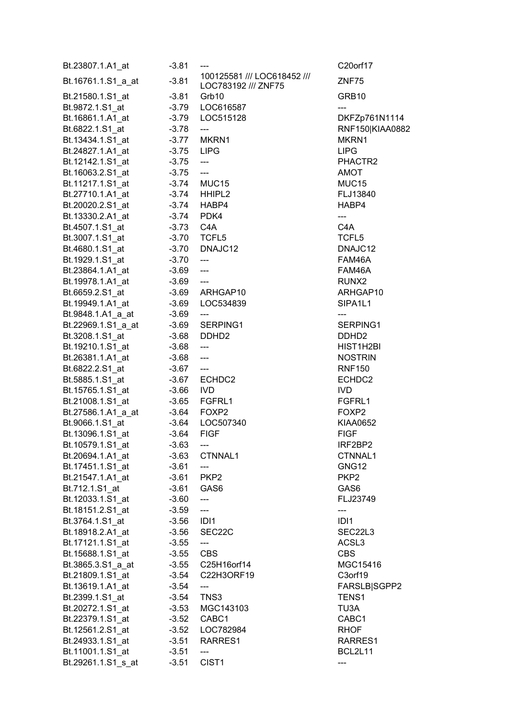| Bt.23807.1.A1_at   | -3.81       |                                                    | C20orf17          |
|--------------------|-------------|----------------------------------------------------|-------------------|
| Bt.16761.1.S1_a_at | $-3.81$     | 100125581 /// LOC618452 ///<br>LOC783192 /// ZNF75 | ZNF75             |
| Bt.21580.1.S1_at   | $-3.81$     | Grb10                                              | GRB10             |
| Bt.9872.1.S1_at    | $-3.79$     | LOC616587                                          |                   |
| Bt.16861.1.A1_at   | $-3.79$     | LOC515128                                          | DKFZp76           |
| Bt.6822.1.S1_at    | $-3.78$     | ---                                                | <b>RNF150 K</b>   |
| Bt.13434.1.S1_at   | $-3.77$     | MKRN1                                              | MKRN1             |
| Bt.24827.1.A1 at   | $-3.75$     | <b>LIPG</b>                                        | <b>LIPG</b>       |
| Bt.12142.1.S1 at   | $-3.75$     | ---                                                | PHACTR2           |
| Bt.16063.2.S1_at   | $-3.75$     | $---$                                              | AMOT              |
| Bt.11217.1.S1_at   | $-3.74$     | MUC15                                              | MUC15             |
| Bt.27710.1.A1_at   |             | $-3.74$ HHIPL2                                     | FLJ13840          |
| Bt.20020.2.S1_at   |             | $-3.74$ HABP4                                      | HABP4             |
| Bt.13330.2.A1_at   |             | -3.74 PDK4                                         | ---               |
| Bt.4507.1.S1_at    | $-3.73$ C4A |                                                    | C4A               |
| Bt.3007.1.S1_at    |             | -3.70 TCFL5                                        | TCFL <sub>5</sub> |
| Bt.4680.1.S1_at    | $-3.70$     | DNAJC12                                            | DNAJC12           |
| Bt.1929.1.S1 at    | $-3.70$     | $\qquad \qquad \textbf{---}$                       | FAM46A            |
| Bt.23864.1.A1 at   | $-3.69$     | $\overline{\phantom{a}}$                           | FAM46A            |
| Bt.19978.1.A1 at   | $-3.69$     | $\overline{a}$                                     | RUNX2             |
| Bt.6659.2.S1_at    | $-3.69$     | ARHGAP10                                           | <b>ARHGAP</b>     |
| Bt.19949.1.A1_at   | $-3.69$     | LOC534839                                          | SIPA1L1           |
| Bt.9848.1.A1_a_at  | $-3.69$     |                                                    |                   |
| Bt.22969.1.S1_a_at | $-3.69$     | SERPING1                                           | <b>SERPING</b>    |
| Bt.3208.1.S1_at    | $-3.68$     | DDHD <sub>2</sub>                                  | DDHD <sub>2</sub> |
| Bt.19210.1.S1_at   | $-3.68$     | ---                                                | HIST1H2E          |
| Bt.26381.1.A1_at   | $-3.68$     | ---                                                | <b>NOSTRIN</b>    |
| Bt.6822.2.S1_at    | $-3.67$     | $\qquad \qquad -\qquad -$                          | <b>RNF150</b>     |
| Bt.5885.1.S1_at    | $-3.67$     | ECHDC2                                             | ECHDC2            |
| Bt.15765.1.S1_at   | $-3.66$     | <b>IVD</b>                                         | <b>IVD</b>        |
| Bt.21008.1.S1_at   | $-3.65$     | FGFRL1                                             | FGFRL1            |
| Bt.27586.1.A1_a_at | $-3.64$     | FOXP2                                              | FOXP2             |
| Bt.9066.1.S1_at    | $-3.64$     | LOC507340                                          | <b>KIAA0652</b>   |
| Bt.13096.1.S1_at   | $-3.64$     | <b>FIGF</b>                                        | <b>FIGF</b>       |
| Bt.10579.1.S1_at   | $-3.63$     | $---$                                              | IRF2BP2           |
| Bt.20694.1.A1 at   | $-3.63$     | CTNNAL1                                            | CTNNAL1           |
| Bt.17451.1.S1_at   | $-3.61$     | ---                                                | GNG12             |
| Bt.21547.1.A1 at   |             | -3.61 PKP2                                         | PKP <sub>2</sub>  |
| Bt.712.1.S1_at     |             | $-3.61$ GAS6                                       | GAS6              |
| Bt.12033.1.S1 at   | $-3.60$     | ---                                                | FLJ23749          |
| Bt.18151.2.S1_at   | $-3.59$     | ---                                                | ---               |
| Bt.3764.1.S1_at    | $-3.56$     | IDI1                                               | IDI1              |
| Bt.18918.2.A1_at   | $-3.56$     | SEC22C                                             | SEC22L3           |
| Bt.17121.1.S1 at   | $-3.55$     | ---                                                | ACSL3             |
| Bt.15688.1.S1 at   | $-3.55$     | <b>CBS</b>                                         | <b>CBS</b>        |
| Bt.3865.3.S1_a_at  | $-3.55$     | C25H16orf14                                        | MGC1541           |
| Bt.21809.1.S1_at   | $-3.54$     | C22H3ORF19                                         | C3orf19           |
| Bt.13619.1.A1_at   | $-3.54$     | ---                                                | <b>FARSLB</b>     |
| Bt.2399.1.S1_at    | $-3.54$     | TNS3                                               | TENS1             |
| Bt.20272.1.S1_at   | $-3.53$     | MGC143103                                          | TU3A              |
| Bt.22379.1.S1_at   |             | -3.52 CABC1                                        | CABC1             |
| Bt.12561.2.S1_at   |             | -3.52 LOC782984                                    | RHOF              |
| Bt.24933.1.S1_at   |             | -3.51 RARRES1                                      | <b>RARRES</b>     |
| Bt.11001.1.S1_at   | $-3.51$     | $\qquad \qquad \textbf{---}$                       | BCL2L11           |
| Bt.29261.1.S1_s_at | $-3.51$     | CIST <sub>1</sub>                                  |                   |

C20orf17

PHACTR2

FLJ13840.

DNAJC12

ARHGAP10 SIPA1L1

SERPING1

HIST1H2BI **NOSTRIN** RNF150

KIAA0652

IRF2BP2 CTNNAL1

MGC15416

RARRES1 BCL2L11

FARSLB|SGPP2

DKFZp761N1114 Bt.6822.1.S1\_at -3.78 --- RNF150|KIAA0882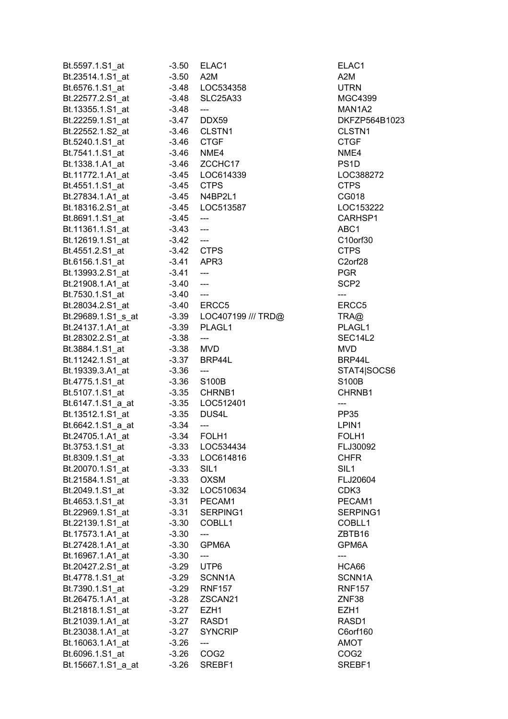| Bt.5597.1.S1 at    | $-3.50$    | ELAC1                               | ELAC1               |
|--------------------|------------|-------------------------------------|---------------------|
| Bt.23514.1.S1_at   | $-3.50$    | A <sub>2</sub> M                    | A <sub>2</sub> M    |
| Bt.6576.1.S1_at    | $-3.48$    | LOC534358                           | <b>UTRN</b>         |
| Bt.22577.2.S1_at   | $-3.48$    | <b>SLC25A33</b>                     | MGC4399             |
| Bt.13355.1.S1_at   | $-3.48$    | ---                                 | MAN1A2              |
| Bt.22259.1.S1_at   | $-3.47$    | DDX59                               | DKFZP56             |
| Bt.22552.1.S2_at   | $-3.46$    | CLSTN1                              | CLSTN <sub>1</sub>  |
| Bt.5240.1.S1_at    | -3.46 CTGF |                                     | <b>CTGF</b>         |
| Bt.7541.1.S1 at    | $-3.46$    | NME4                                | NME4                |
| Bt.1338.1.A1_at    |            | -3.46 ZCCHC17                       | PS <sub>1</sub> D   |
|                    |            |                                     |                     |
| Bt.11772.1.A1 at   | $-3.45$    | LOC614339                           | LOC3882             |
| Bt.4551.1.S1_at    | -3.45 CTPS |                                     | <b>CTPS</b>         |
| Bt.27834.1.A1 at   |            | -3.45 N4BP2L1                       | CG018               |
| Bt.18316.2.S1_at   |            | -3.45 LOC513587                     | LOC1532             |
| Bt.8691.1.S1_at    | $-3.45$    | $\overline{\phantom{a}}$            | CARHSP <sup>-</sup> |
| Bt.11361.1.S1 at   | $-3.43$    | $\overline{a}$                      | ABC1                |
| Bt.12619.1.S1_at   | $-3.42$    | $\overline{a}$                      | C10orf30            |
| Bt.4551.2.S1_at    | -3.42 CTPS |                                     | <b>CTPS</b>         |
| Bt.6156.1.S1_at    | $-3.41$    | APR3                                | C2orf28             |
| Bt.13993.2.S1_at   | $-3.41$    | $---$                               | <b>PGR</b>          |
| Bt.21908.1.A1 at   | $-3.40$    | $\overline{a}$                      | SCP <sub>2</sub>    |
| Bt.7530.1.S1_at    | $-3.40$    | $\hspace{0.05cm}---\hspace{0.05cm}$ | ---                 |
| Bt.28034.2.S1 at   |            | -3.40 ERCC5                         | ERCC5               |
| Bt.29689.1.S1_s_at |            | -3.39 LOC407199 /// TRD@            | TRA@                |
| Bt.24137.1.A1_at   |            | -3.39 PLAGL1                        | PLAGL1              |
| Bt.28302.2.S1_at   | $-3.38$    | ---                                 | SEC14L2             |
| Bt.3884.1.S1_at    | $-3.38$    | MVD                                 | <b>MVD</b>          |
|                    | $-3.37$    | BRP44L                              | BRP44L              |
| Bt.11242.1.S1_at   |            |                                     |                     |
| Bt.19339.3.A1 at   | $-3.36$    | ---                                 | STAT4 SO            |
| Bt.4775.1.S1_at    | $-3.36$    | S100B                               | S100B               |
| Bt.5107.1.S1_at    | $-3.35$    | CHRNB1                              | CHRNB1              |
| Bt.6147.1.S1 a at  | $-3.35$    | LOC512401                           | ---                 |
| Bt.13512.1.S1_at   | $-3.35$    | DUS4L                               | PP35                |
| Bt.6642.1.S1_a_at  | $-3.34$    | $---$                               | LPIN1               |
| Bt.24705.1.A1 at   | $-3.34$    | FOLH1                               | FOLH1               |
| Bt.3753.1.S1_at    | -3.33      | LOC534434                           | FLJ30092            |
| Bt.8309.1.S1 at    | $-3.33$    | LOC614816                           | <b>CHFR</b>         |
| Bt.20070.1.S1 at   | $-3.33$    | SIL <sub>1</sub>                    | SIL <sub>1</sub>    |
| Bt.21584.1.S1_at   | $-3.33$    | <b>OXSM</b>                         | FLJ20604            |
| Bt.2049.1.S1_at    | $-3.32$    | LOC510634                           | CDK3                |
| Bt.4653.1.S1_at    | $-3.31$    | PECAM1                              | PECAM1              |
| Bt.22969.1.S1_at   | $-3.31$    | SERPING1                            | <b>SERPING</b>      |
| Bt.22139.1.S1_at   | $-3.30$    | COBLL1                              | COBLL1              |
| Bt.17573.1.A1_at   | $-3.30$    | ---                                 | ZBTB16              |
| Bt.27428.1.A1 at   | $-3.30$    | GPM6A                               | GPM6A               |
| Bt.16967.1.A1_at   | $-3.30$    | ---                                 | ---                 |
| Bt.20427.2.S1_at   | $-3.29$    | UTP6                                | HCA66               |
|                    |            |                                     |                     |
| Bt.4778.1.S1_at    | $-3.29$    | SCNN1A                              | SCNN1A              |
| Bt.7390.1.S1 at    | $-3.29$    | <b>RNF157</b>                       | <b>RNF157</b>       |
| Bt.26475.1.A1_at   | $-3.28$    | ZSCAN21                             | ZNF38               |
| Bt.21818.1.S1_at   | $-3.27$    | EZH1                                | EZH1                |
| Bt.21039.1.A1_at   | $-3.27$    | RASD1                               | RASD1               |
| Bt.23038.1.A1 at   | $-3.27$    | <b>SYNCRIP</b>                      | C6orf160            |
| Bt.16063.1.A1_at   | $-3.26$    | ---                                 | <b>AMOT</b>         |
| Bt.6096.1.S1_at    | $-3.26$    | COG <sub>2</sub>                    | COG <sub>2</sub>    |
| Bt.15667.1.S1_a_at | $-3.26$    | SREBF1                              | SREBF1              |

MGC4399 **MAN1A2** DKFZP564B1023 CLSTN1 LOC388272 LOC153222 CARHSP1 ERCC5  $H$ TRD@ TRA@ PLAGL1 SEC14L2 BRP44L STAT4|SOCS6 CHRNB1 FLJ30092 FLJ20604 SERPING1 COBLL1 GPM6A SCNN1A RNF157 C6orf160 SREBF1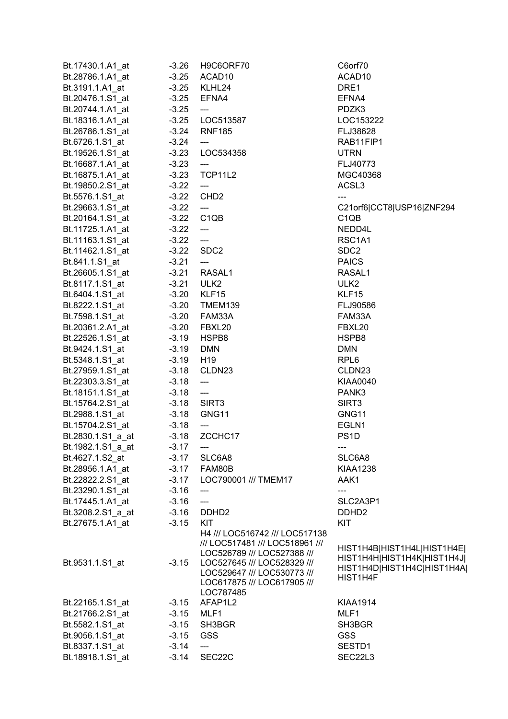| Bt.17430.1.A1_at       | $-3.26$     | H9C6ORF70                                                                                                                                                                | C6orf70                                                                                               |
|------------------------|-------------|--------------------------------------------------------------------------------------------------------------------------------------------------------------------------|-------------------------------------------------------------------------------------------------------|
| Bt.28786.1.A1_at       | $-3.25$     | ACAD10                                                                                                                                                                   | ACAD <sub>10</sub>                                                                                    |
| Bt.3191.1.A1_at        | $-3.25$     | KLHL24                                                                                                                                                                   | DRE1                                                                                                  |
| Bt.20476.1.S1_at       | $-3.25$     | EFNA4                                                                                                                                                                    | EFNA4                                                                                                 |
| Bt.20744.1.A1_at       | $-3.25$     | $\hspace{0.05cm} \ldots$                                                                                                                                                 | PDZK3                                                                                                 |
| Bt.18316.1.A1_at -3.25 |             | LOC513587                                                                                                                                                                | LOC153222                                                                                             |
| Bt.26786.1.S1_at       | $-3.24$     | <b>RNF185</b>                                                                                                                                                            | FLJ38628                                                                                              |
| Bt.6726.1.S1_at        | $-3.24$     | $\qquad \qquad - -$                                                                                                                                                      | RAB11FIP1                                                                                             |
| Bt.19526.1.S1_at       | $-3.23$     | LOC534358                                                                                                                                                                | <b>UTRN</b>                                                                                           |
| Bt.16687.1.A1_at       | $-3.23$     | $\hspace{0.05cm} \ldots$                                                                                                                                                 | FLJ40773                                                                                              |
|                        |             | TCP11L2                                                                                                                                                                  | MGC40368                                                                                              |
| Bt.16875.1.A1_at       | $-3.23$     |                                                                                                                                                                          | ACSL3                                                                                                 |
| Bt.19850.2.S1_at       | $-3.22$     | $\hspace{0.05cm} \ldots$                                                                                                                                                 |                                                                                                       |
| Bt.5576.1.S1_at        | $-3.22$     | CHD <sub>2</sub>                                                                                                                                                         | ---                                                                                                   |
| Bt.29663.1.S1_at       | $-3.22$     | $\hspace{0.05cm} \ldots$                                                                                                                                                 | C21orf6 CCT8 USP16 ZNF294                                                                             |
| Bt.20164.1.S1_at       | $-3.22$     | C <sub>1QB</sub>                                                                                                                                                         | C <sub>1</sub> Q <sub>B</sub>                                                                         |
| Bt.11725.1.A1_at       | $-3.22$     | $\hspace{0.05cm}---$                                                                                                                                                     | NEDD4L                                                                                                |
| Bt.11163.1.S1_at       | $-3.22$     | $\mathbb{L} \mathbb{L} \mathbb{L}$                                                                                                                                       | RSC1A1                                                                                                |
| Bt.11462.1.S1_at       | $-3.22$     | SDC <sub>2</sub>                                                                                                                                                         | SDC <sub>2</sub>                                                                                      |
| Bt.841.1.S1_at         | $-3.21$     | $\hspace{0.05cm} \ldots$                                                                                                                                                 | <b>PAICS</b>                                                                                          |
| Bt.26605.1.S1_at       | $-3.21$     | RASAL1                                                                                                                                                                   | RASAL1                                                                                                |
|                        |             | ULK <sub>2</sub>                                                                                                                                                         | ULK <sub>2</sub>                                                                                      |
| Bt.6404.1.S1_at        | -3.20 KLF15 |                                                                                                                                                                          | KLF15                                                                                                 |
| Bt.8222.1.S1_at        |             | -3.20 TMEM139                                                                                                                                                            | FLJ90586                                                                                              |
| Bt.7598.1.S1_at        |             | -3.20 FAM33A                                                                                                                                                             | FAM33A                                                                                                |
| Bt.20361.2.A1_at       |             | -3.20 FBXL20                                                                                                                                                             | FBXL20                                                                                                |
| Bt.22526.1.S1_at       | $-3.19$     | HSPB8                                                                                                                                                                    | HSPB8                                                                                                 |
| Bt.9424.1.S1_at        | $-3.19$     | <b>DMN</b>                                                                                                                                                               | <b>DMN</b>                                                                                            |
| Bt.5348.1.S1_at        | $-3.19$     | H <sub>19</sub>                                                                                                                                                          | RPL <sub>6</sub>                                                                                      |
| Bt.27959.1.S1_at       | $-3.18$     | CLDN23                                                                                                                                                                   | CLDN23                                                                                                |
| Bt.22303.3.S1_at       | $-3.18$     | $\hspace{0.05cm} \dashrightarrow$                                                                                                                                        | KIAA0040                                                                                              |
| Bt.18151.1.S1_at       | $-3.18$     | $\hspace{0.05cm} \ldots$                                                                                                                                                 | PANK3                                                                                                 |
| Bt.15764.2.S1_at       | $-3.18$     | SIRT <sub>3</sub>                                                                                                                                                        | SIRT3                                                                                                 |
| Bt.2988.1.S1_at        | $-3.18$     | GNG11                                                                                                                                                                    | GNG11                                                                                                 |
| Bt.15704.2.S1_at       | $-3.18$     | $\hspace{0.05cm} \ldots$                                                                                                                                                 | EGLN1                                                                                                 |
| Bt.2830.1.S1_a_at      | $-3.18$     | ZCCHC17                                                                                                                                                                  | PS <sub>1</sub> D                                                                                     |
| Bt.1982.1.S1_a_at      | $-3.17$     | ---                                                                                                                                                                      | ---                                                                                                   |
| Bt.4627.1.S2_at        | $-3.17$     | SLC6A8                                                                                                                                                                   | SLC6A8                                                                                                |
| Bt.28956.1.A1 at       | $-3.17$     | FAM80B                                                                                                                                                                   | <b>KIAA1238</b>                                                                                       |
| Bt.22822.2.S1 at       | $-3.17$     | LOC790001 /// TMEM17                                                                                                                                                     | AAK1                                                                                                  |
| Bt.23290.1.S1 at       | $-3.16$     | $\qquad \qquad - \qquad -$                                                                                                                                               | ---                                                                                                   |
| Bt.17445.1.A1 at       | $-3.16$     | ---                                                                                                                                                                      | SLC2A3P1                                                                                              |
| Bt.3208.2.S1_a_at      | $-3.16$     | DDHD <sub>2</sub>                                                                                                                                                        | DDHD <sub>2</sub>                                                                                     |
| Bt.27675.1.A1 at       | $-3.15$     | <b>KIT</b>                                                                                                                                                               | <b>KIT</b>                                                                                            |
|                        |             | H4 /// LOC516742 /// LOC517138                                                                                                                                           |                                                                                                       |
| Bt.9531.1.S1_at        | $-3.15$     | /// LOC517481 /// LOC518961 ///<br>LOC526789 /// LOC527388 ///<br>LOC527645 /// LOC528329 ///<br>LOC529647 /// LOC530773 ///<br>LOC617875 /// LOC617905 ///<br>LOC787485 | HIST1H4B HIST1H4L HIST1H4E <br>HIST1H4H HIST1H4K HIST1H4J <br>HIST1H4D HIST1H4C HIST1H4A <br>HIST1H4F |
| Bt.22165.1.S1_at       | $-3.15$     | AFAP1L2                                                                                                                                                                  | <b>KIAA1914</b>                                                                                       |
| Bt.21766.2.S1 at       | $-3.15$     | MLF1                                                                                                                                                                     | MLF1                                                                                                  |
| Bt.5582.1.S1 at        | $-3.15$     | SH3BGR                                                                                                                                                                   | SH3BGR                                                                                                |
| Bt.9056.1.S1 at        | $-3.15$     | <b>GSS</b>                                                                                                                                                               | <b>GSS</b>                                                                                            |
| Bt.8337.1.S1 at        | $-3.14$     | ---                                                                                                                                                                      | SESTD1                                                                                                |
| Bt.18918.1.S1 at       | $-3.14$     | SEC22C                                                                                                                                                                   | SEC22L3                                                                                               |
|                        |             |                                                                                                                                                                          |                                                                                                       |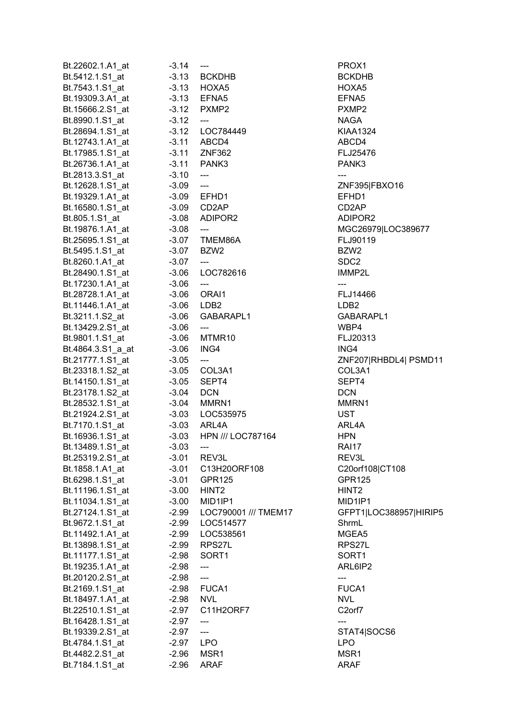| Bt.22602.1.A1_at  | $-3.14$     | ---                                                                                                                                                                                                                                                                                                                                                                                                                                                                        | PROX1               |
|-------------------|-------------|----------------------------------------------------------------------------------------------------------------------------------------------------------------------------------------------------------------------------------------------------------------------------------------------------------------------------------------------------------------------------------------------------------------------------------------------------------------------------|---------------------|
| Bt.5412.1.S1 at   |             | -3.13 BCKDHB                                                                                                                                                                                                                                                                                                                                                                                                                                                               | <b>BCKDHB</b>       |
| Bt.7543.1.S1_at   |             | $-3.13$ HOXA5                                                                                                                                                                                                                                                                                                                                                                                                                                                              | HOXA5               |
| Bt.19309.3.A1_at  |             | -3.13 EFNA5                                                                                                                                                                                                                                                                                                                                                                                                                                                                | EFNA5               |
| Bt.15666.2.S1_at  |             | -3.12 PXMP2                                                                                                                                                                                                                                                                                                                                                                                                                                                                | PXMP2               |
| Bt.8990.1.S1_at   | $-3.12$     | $\overline{\phantom{a}}$                                                                                                                                                                                                                                                                                                                                                                                                                                                   | NAGA                |
| Bt.28694.1.S1_at  |             | -3.12 LOC784449                                                                                                                                                                                                                                                                                                                                                                                                                                                            | KIAA1324            |
| Bt.12743.1.A1_at  |             | -3.11 ABCD4                                                                                                                                                                                                                                                                                                                                                                                                                                                                | ABCD4               |
| Bt.17985.1.S1 at  |             | -3.11 ZNF362                                                                                                                                                                                                                                                                                                                                                                                                                                                               | FLJ25476            |
| Bt.26736.1.A1_at  |             | -3.11 PANK3                                                                                                                                                                                                                                                                                                                                                                                                                                                                | PANK3               |
| Bt.2813.3.S1 at   | $-3.10$     | $\overline{\phantom{a}}$                                                                                                                                                                                                                                                                                                                                                                                                                                                   | $\overline{a}$      |
| Bt.12628.1.S1_at  | $-3.09$ --- |                                                                                                                                                                                                                                                                                                                                                                                                                                                                            | ZNF395 F            |
| Bt.19329.1.A1_at  |             | -3.09 EFHD1                                                                                                                                                                                                                                                                                                                                                                                                                                                                | EFHD1               |
| Bt.16580.1.S1_at  |             | -3.09 CD2AP                                                                                                                                                                                                                                                                                                                                                                                                                                                                | CD2AP               |
| Bt.805.1.S1_at    |             | -3.08 ADIPOR2                                                                                                                                                                                                                                                                                                                                                                                                                                                              | ADIPOR2             |
| Bt.19876.1.A1 at  | $-3.08$     | $\hspace{0.05cm}---$                                                                                                                                                                                                                                                                                                                                                                                                                                                       | MGC2691             |
| Bt.25695.1.S1_at  |             | -3.07 TMEM86A                                                                                                                                                                                                                                                                                                                                                                                                                                                              | FLJ90119            |
| Bt.5495.1.S1_at   |             | $-3.07$ BZW2                                                                                                                                                                                                                                                                                                                                                                                                                                                               | BZW2                |
| Bt.8260.1.A1_at   | $-3.07$     | $\qquad \qquad \textbf{---}$                                                                                                                                                                                                                                                                                                                                                                                                                                               | SDC2                |
| Bt.28490.1.S1_at  |             | -3.06    LOC782616                                                                                                                                                                                                                                                                                                                                                                                                                                                         | IMMP2L              |
| Bt.17230.1.A1_at  | $-3.06$     | $\qquad \qquad - -$                                                                                                                                                                                                                                                                                                                                                                                                                                                        | $---$               |
| Bt.28728.1.A1_at  |             | -3.06 ORAI1                                                                                                                                                                                                                                                                                                                                                                                                                                                                | FLJ14466            |
| Bt.11446.1.A1_at  |             | -3.06 LDB2                                                                                                                                                                                                                                                                                                                                                                                                                                                                 | LDB <sub>2</sub>    |
| Bt.3211.1.S2_at   |             | -3.06 GABARAPL1                                                                                                                                                                                                                                                                                                                                                                                                                                                            | <b>GABARA</b>       |
| Bt.13429.2.S1_at  | $-3.06$     | $\frac{1}{2} \left( \frac{1}{2} \right) \left( \frac{1}{2} \right) \left( \frac{1}{2} \right) \left( \frac{1}{2} \right) \left( \frac{1}{2} \right) \left( \frac{1}{2} \right) \left( \frac{1}{2} \right) \left( \frac{1}{2} \right) \left( \frac{1}{2} \right) \left( \frac{1}{2} \right) \left( \frac{1}{2} \right) \left( \frac{1}{2} \right) \left( \frac{1}{2} \right) \left( \frac{1}{2} \right) \left( \frac{1}{2} \right) \left( \frac{1}{2} \right) \left( \frac$ | WBP4                |
| Bt.9801.1.S1_at   |             | -3.06 MTMR10                                                                                                                                                                                                                                                                                                                                                                                                                                                               | FLJ20313            |
| Bt.4864.3.S1_a_at |             | $-3.06$ ING4                                                                                                                                                                                                                                                                                                                                                                                                                                                               | ING4                |
| Bt.21777.1.S1 at  | $-3.05$     | $\qquad \qquad \text{---}$                                                                                                                                                                                                                                                                                                                                                                                                                                                 | <b>ZNF207 F</b>     |
| Bt.23318.1.S2_at  |             | -3.05 COL3A1                                                                                                                                                                                                                                                                                                                                                                                                                                                               | COL3A1              |
| Bt.14150.1.S1_at  |             | -3.05 SEPT4                                                                                                                                                                                                                                                                                                                                                                                                                                                                | SEPT4               |
| Bt.23178.1.S2_at  | $-3.04$ DCN |                                                                                                                                                                                                                                                                                                                                                                                                                                                                            | <b>DCN</b>          |
| Bt.28532.1.S1_at  |             | -3.04 MMRN1                                                                                                                                                                                                                                                                                                                                                                                                                                                                | MMRN1               |
| Bt.21924.2.S1_at  |             | -3.03 LOC535975                                                                                                                                                                                                                                                                                                                                                                                                                                                            | UST                 |
| Bt.7170.1.S1_at   |             | -3.03 ARL4A                                                                                                                                                                                                                                                                                                                                                                                                                                                                | ARL4A               |
|                   |             | -3.03 HPN /// LOC787164                                                                                                                                                                                                                                                                                                                                                                                                                                                    | <b>HPN</b>          |
| Bt.16936.1.S1_at  |             |                                                                                                                                                                                                                                                                                                                                                                                                                                                                            |                     |
| Bt.13489.1.S1_at  | $-3.03$     | ---                                                                                                                                                                                                                                                                                                                                                                                                                                                                        | RAI17               |
| Bt.25319.2.S1 at  | $-3.01$     | REV3L                                                                                                                                                                                                                                                                                                                                                                                                                                                                      | REV3L               |
| Bt.1858.1.A1_at   | $-3.01$     | C13H20ORF108                                                                                                                                                                                                                                                                                                                                                                                                                                                               | C20orf10            |
| Bt.6298.1.S1_at   | $-3.01$     | <b>GPR125</b>                                                                                                                                                                                                                                                                                                                                                                                                                                                              | <b>GPR125</b>       |
| Bt.11196.1.S1_at  | $-3.00$     | HINT <sub>2</sub>                                                                                                                                                                                                                                                                                                                                                                                                                                                          | HINT <sub>2</sub>   |
| Bt.11034.1.S1_at  | $-3.00$     | MID1IP1                                                                                                                                                                                                                                                                                                                                                                                                                                                                    | MID1IP1             |
| Bt.27124.1.S1_at  | -2.99       | LOC790001 /// TMEM17                                                                                                                                                                                                                                                                                                                                                                                                                                                       | GFPT1 L             |
| Bt.9672.1.S1_at   | $-2.99$     | LOC514577                                                                                                                                                                                                                                                                                                                                                                                                                                                                  | ShrmL               |
| Bt.11492.1.A1_at  | $-2.99$     | LOC538561                                                                                                                                                                                                                                                                                                                                                                                                                                                                  | MGEA5               |
| Bt.13898.1.S1 at  | -2.99       | RPS27L                                                                                                                                                                                                                                                                                                                                                                                                                                                                     | RPS27L              |
| Bt.11177.1.S1_at  | $-2.98$     | SORT <sub>1</sub>                                                                                                                                                                                                                                                                                                                                                                                                                                                          | SORT1               |
| Bt.19235.1.A1_at  | $-2.98$     | ---                                                                                                                                                                                                                                                                                                                                                                                                                                                                        | ARL6IP2             |
| Bt.20120.2.S1_at  | $-2.98$     | ---                                                                                                                                                                                                                                                                                                                                                                                                                                                                        | ---                 |
| Bt.2169.1.S1_at   |             | -2.98 FUCA1                                                                                                                                                                                                                                                                                                                                                                                                                                                                | FUCA1               |
| Bt.18497.1.A1_at  | -2.98 NVL   |                                                                                                                                                                                                                                                                                                                                                                                                                                                                            | <b>NVL</b>          |
| Bt.22510.1.S1_at  | -2.97       | C11H2ORF7                                                                                                                                                                                                                                                                                                                                                                                                                                                                  | C <sub>2</sub> orf7 |
| Bt.16428.1.S1_at  | $-2.97$     | ---                                                                                                                                                                                                                                                                                                                                                                                                                                                                        | ---                 |
| Bt.19339.2.S1_at  | $-2.97$     | $\overline{\phantom{a}}$                                                                                                                                                                                                                                                                                                                                                                                                                                                   | STAT4 S             |
| Bt.4784.1.S1_at   | $-2.97$ LPO |                                                                                                                                                                                                                                                                                                                                                                                                                                                                            | <b>LPO</b>          |
| Bt.4482.2.S1 at   | $-2.96$     | MSR1                                                                                                                                                                                                                                                                                                                                                                                                                                                                       | MSR1                |
| Bt.7184.1.S1_at   | $-2.96$     | <b>ARAF</b>                                                                                                                                                                                                                                                                                                                                                                                                                                                                | <b>ARAF</b>         |

**BCKDHB** HOXA5 KIAA1324 FLJ25476 ZNF395|FBXO16 CD2AP ADIPOR2 MGC26979|LOC389677 FLJ90119 IMMP2L FLJ14466 GABARAPL1 FLJ20313 ZNF207|RHBDL4| PSMD11 COL3A1 08 C20orf108|CT108 GPR125 /TMEM17 GFPT1|LOC388957|HIRIP5 ARL6IP2 STAT4|SOCS6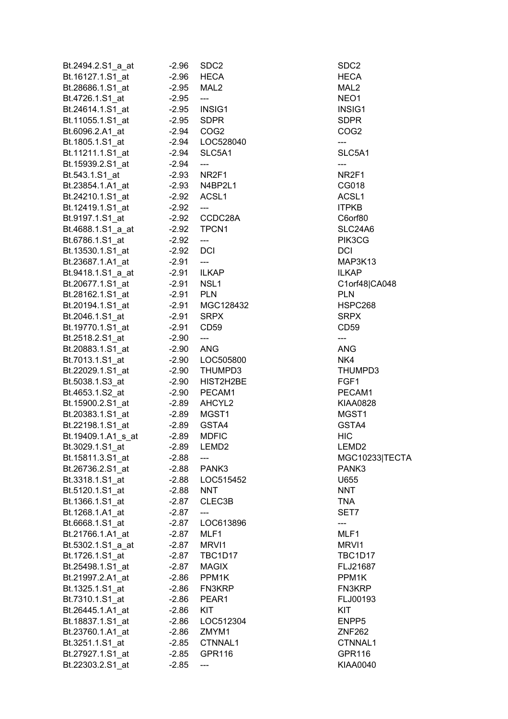| Bt.2494.2.S1_a_at  | $-2.96$ | SDC <sub>2</sub>  | SDC2              |
|--------------------|---------|-------------------|-------------------|
| Bt.16127.1.S1_at   | $-2.96$ | HECA              | <b>HECA</b>       |
| Bt.28686.1.S1_at   | $-2.95$ | MAL <sub>2</sub>  | MAL <sub>2</sub>  |
| Bt.4726.1.S1_at    | $-2.95$ | ---               | NEO1              |
| Bt.24614.1.S1_at   | $-2.95$ | INSIG1            | INSIG1            |
| Bt.11055.1.S1 at   | $-2.95$ | <b>SDPR</b>       | <b>SDPR</b>       |
| Bt.6096.2.A1_at    |         | $-2.94$ $COG2$    | COG <sub>2</sub>  |
| Bt.1805.1.S1_at    |         | -2.94 LOC528040   | ---               |
| Bt.11211.1.S1_at   | $-2.94$ | SLC5A1            | SLC5A1            |
| Bt.15939.2.S1_at   | $-2.94$ | ---               | ---               |
|                    |         |                   |                   |
| Bt.543.1.S1 at     |         | -2.93 NR2F1       | NR2F1             |
| Bt.23854.1.A1_at   |         | -2.93 N4BP2L1     | CG018             |
| Bt.24210.1.S1_at   |         | -2.92 ACSL1       | ACSL <sub>1</sub> |
| Bt.12419.1.S1_at   | $-2.92$ | $---$             | <b>ITPKB</b>      |
| Bt.9197.1.S1_at    |         | $-2.92$ CCDC28A   | C6orf80           |
| Bt.4688.1.S1_a_at  |         | -2.92 TPCN1       | SLC24A6           |
| Bt.6786.1.S1_at    | $-2.92$ | ---               | PIK3CG            |
| Bt.13530.1.S1_at   | $-2.92$ | <b>DCI</b>        | <b>DCI</b>        |
| Bt.23687.1.A1_at   | $-2.91$ | ---               | MAP3K1            |
| Bt.9418.1.S1 a at  | $-2.91$ | <b>ILKAP</b>      | <b>ILKAP</b>      |
| Bt.20677.1.S1 at   | $-2.91$ | NSL1              | C1orf48           |
| Bt.28162.1.S1_at   | $-2.91$ | <b>PLN</b>        | <b>PLN</b>        |
| Bt.20194.1.S1_at   |         | -2.91 MGC128432   | HSPC26            |
| Bt.2046.1.S1_at    |         | -2.91 SRPX        | <b>SRPX</b>       |
| Bt.19770.1.S1_at   | $-2.91$ | CD59              | CD59              |
| Bt.2518.2.S1_at    | $-2.90$ | ---               | ---               |
|                    |         |                   |                   |
| Bt.20883.1.S1_at   | $-2.90$ | ANG               | <b>ANG</b>        |
| Bt.7013.1.S1_at    |         | -2.90 LOC505800   | NK4               |
| Bt.22029.1.S1_at   |         | -2.90 THUMPD3     | <b>THUMPD</b>     |
| Bt.5038.1.S3_at    |         | -2.90 HIST2H2BE   | FGF1              |
| Bt.4653.1.S2_at    |         | -2.90 PECAM1      | PECAM1            |
| Bt.15900.2.S1 at   |         | -2.89 AHCYL2      | <b>KIAA082</b>    |
| Bt.20383.1.S1_at   |         | -2.89 MGST1       | MGST1             |
| Bt.22198.1.S1_at   | $-2.89$ | GSTA4             | GSTA4             |
| Bt.19409.1.A1_s_at | $-2.89$ | <b>MDFIC</b>      | <b>HIC</b>        |
| Bt.3029.1.S1_at    | $-2.89$ | LEMD <sub>2</sub> | LEMD <sub>2</sub> |
| Bt.15811.3.S1_at   | $-2.88$ |                   | <b>MGC102</b>     |
| Bt.26736.2.S1_at   | $-2.88$ | PANK3             | PANK3             |
| Bt.3318.1.S1_at    |         | -2.88 LOC515452   | U655              |
| Bt.5120.1.S1_at    | $-2.88$ | <b>NNT</b>        | <b>NNT</b>        |
| Bt.1366.1.S1_at    | $-2.87$ | CLEC3B            | TNA               |
| Bt.1268.1.A1_at    | $-2.87$ | ---               | SET7              |
| Bt.6668.1.S1_at    | $-2.87$ | LOC613896         |                   |
| Bt.21766.1.A1_at   | $-2.87$ | MLF1              | MLF1              |
| Bt.5302.1.S1 a at  |         | MRVI1             | MRVI1             |
|                    | $-2.87$ |                   | TBC1D1            |
| Bt.1726.1.S1 at    |         | -2.87 TBC1D17     |                   |
| Bt.25498.1.S1_at   |         | -2.87 MAGIX       | FLJ2168           |
| Bt.21997.2.A1_at   |         | $-2.86$ PPM1K     | PPM1K             |
| Bt.1325.1.S1_at    |         | -2.86 FN3KRP      | <b>FN3KRP</b>     |
| Bt.7310.1.S1_at    | $-2.86$ | PEAR1             | FLJ0019           |
| Bt.26445.1.A1_at   | $-2.86$ | KIT               | KIT               |
| Bt.18837.1.S1_at   | $-2.86$ | LOC512304         | ENPP5             |
| Bt.23760.1.A1_at   |         | -2.86 ZMYM1       | <b>ZNF262</b>     |
| Bt.3251.1.S1_at    | -2.85   | CTNNAL1           | <b>CTNNAL</b>     |
| Bt.27927.1.S1_at   | -2.85   | <b>GPR116</b>     | GPR116            |
| Bt.22303.2.S1_at   | $-2.85$ | ---               | <b>KIAA004</b>    |
|                    |         |                   |                   |

SLC5A1 SLC24A6 **MAP3K13** C1orf48|CA048 **HSPC268** THUMPD3 PECAM1 KIAA0828 LEMD2 **MGC10233|TECTA** TBC1D17 FLJ21687 FN3KRP FLJ00193 CTNNAL1 GPR116 KIAA0040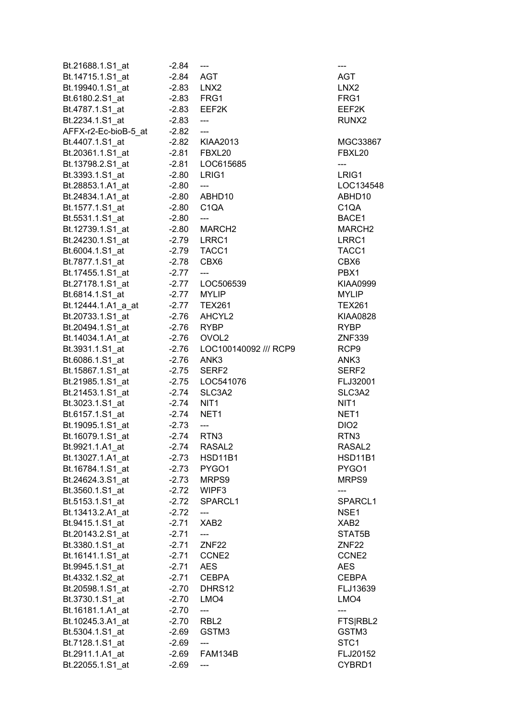| Bt.21688.1.S1_at                    | $-2.84$            | ---                         | ---                |
|-------------------------------------|--------------------|-----------------------------|--------------------|
| Bt.14715.1.S1_at                    | $-2.84$ AGT        |                             | AGT                |
| Bt.19940.1.S1 at                    | $-2.83$            | LNX <sub>2</sub>            | LNX <sub>2</sub>   |
| Bt.6180.2.S1_at                     |                    | -2.83 FRG1                  | FRG1               |
| Bt.4787.1.S1 at                     |                    | $-2.83$ EEF2K               | EEF2K              |
| Bt.2234.1.S1 at                     | -2.83              | $\overline{\phantom{a}}$    | RUNX2              |
| AFFX-r2-Ec-bioB-5_at                | -2.82              | $\qquad \qquad -\qquad -$   |                    |
| Bt.4407.1.S1_at                     |                    | -2.82 KIAA2013              | MGC33867           |
| Bt.20361.1.S1_at                    |                    | -2.81 FBXL20                | FBXL20             |
| Bt.13798.2.S1_at                    |                    | -2.81 LOC615685             | ---                |
| Bt.3393.1.S1 at                     |                    | -2.80 LRIG1                 | LRIG1              |
| Bt.28853.1.A1_at                    | -2.80              | ---                         | LOC134548          |
| Bt.24834.1.A1_at                    |                    | -2.80 ABHD10                | ABHD10             |
| Bt.1577.1.S1_at                     | $-2.80$            | C <sub>1</sub> QA           | C <sub>1</sub> QA  |
| Bt.5531.1.S1_at                     | $-2.80$            | $\scriptstyle \cdots$       | BACE1              |
| Bt.12739.1.S1 at                    | $-2.80$            | MARCH <sub>2</sub>          | MARCH <sub>2</sub> |
| Bt.24230.1.S1_at                    | -2.79              | LRRC1                       | LRRC1              |
| Bt.6004.1.S1_at                     | $-2.79$            | TACC1                       | TACC1              |
| Bt.7877.1.S1_at                     | -2.78              | CBX6                        | CBX6               |
| Bt.17455.1.S1_at                    | $-2.77$            | ---                         | PBX1               |
| Bt.27178.1.S1_at -2.77              |                    | LOC506539                   | <b>KIAA0999</b>    |
| Bt.6814.1.S1_at                     | $-2.77$            | <b>MYLIP</b>                | <b>MYLIP</b>       |
|                                     |                    |                             | <b>TEX261</b>      |
| Bt.20733.1.S1_at                    |                    | -2.76 AHCYL2                | <b>KIAA0828</b>    |
| Bt.20494.1.S1_at                    | $-2.76$            | <b>RYBP</b>                 | <b>RYBP</b>        |
| Bt.14034.1.A1_at                    | -2.76              | OVOL <sub>2</sub>           | <b>ZNF339</b>      |
| Bt.3931.1.S1_at                     |                    | -2.76 LOC100140092 /// RCP9 | RCP9               |
| Bt.6086.1.S1_at                     | -2.76              | ANK3                        | ANK3               |
| Bt.15867.1.S1_at                    | $-2.75$            | SERF <sub>2</sub>           | SERF <sub>2</sub>  |
| Bt.21985.1.S1_at                    |                    | -2.75    LOC541076          | FLJ32001           |
| Bt.21453.1.S1_at                    | $-2.74$            | SLC3A2                      | SLC3A2             |
| Bt.3023.1.S1_at                     | -2.74              | NIT <sub>1</sub>            | NIT <sub>1</sub>   |
| Bt.6157.1.S1_at                     | $-2.74$            | NET <sub>1</sub>            | NET1               |
| Bt.19095.1.S1_at                    | $-2.73$            | $\frac{1}{2}$               | DIO <sub>2</sub>   |
| Bt.16079.1.S1_at                    | $-2.74$            | RTN <sub>3</sub>            | RTN3               |
| Bt.9921.1.A1_at                     | $-2.74$            | RASAL <sub>2</sub>          | RASAL <sub>2</sub> |
| Bt.13027.1.A1 at                    | $-2.73$            | <b>HSD11B1</b>              | <b>HSD11B1</b>     |
| Bt.16784.1.S1_at                    | $-2.73$            | PYGO1                       | PYGO1              |
| Bt.24624.3.S1_at                    | $-2.73$            | MRPS9                       | MRPS9              |
| Bt.3560.1.S1_at                     | $-2.72$            | WIPF3                       | ---                |
| Bt.5153.1.S1 at                     | $-2.72$            | SPARCL1                     | SPARCL1            |
| Bt.13413.2.A1_at                    | $-2.72$            | ---                         | NSE <sub>1</sub>   |
| Bt.9415.1.S1_at                     |                    | XAB <sub>2</sub>            | XAB <sub>2</sub>   |
|                                     | $-2.71$            | ---                         | STAT5B             |
| Bt.20143.2.S1_at                    | $-2.71$<br>$-2.71$ | ZNF <sub>22</sub>           | ZNF <sub>22</sub>  |
| Bt.3380.1.S1_at<br>Bt.16141.1.S1 at | $-2.71$            | CCNE2                       | CCNE2              |
|                                     | $-2.71$ AES        |                             | <b>AES</b>         |
| Bt.9945.1.S1_at                     |                    | <b>CEBPA</b>                | <b>CEBPA</b>       |
| Bt.4332.1.S2_at<br>Bt.20598.1.S1_at | $-2.71$            | DHRS12                      | FLJ13639           |
|                                     | -2.70              |                             | LMO4               |
| Bt.3730.1.S1_at                     | -2.70              | LMO <sub>4</sub>            |                    |
| Bt.16181.1.A1_at                    | $-2.70$            | ---                         | ---                |
| Bt.10245.3.A1_at                    | $-2.70$            | RBL <sub>2</sub><br>GSTM3   | FTS RBL2<br>GSTM3  |
| Bt.5304.1.S1_at<br>Bt.7128.1.S1 at  | -2.69<br>$-2.69$   |                             | STC <sub>1</sub>   |
| Bt.2911.1.A1_at                     | -2.69              | ---<br>FAM134B              | FLJ20152           |
| Bt.22055.1.S1_at                    | $-2.69$            |                             | CYBRD1             |
|                                     |                    |                             |                    |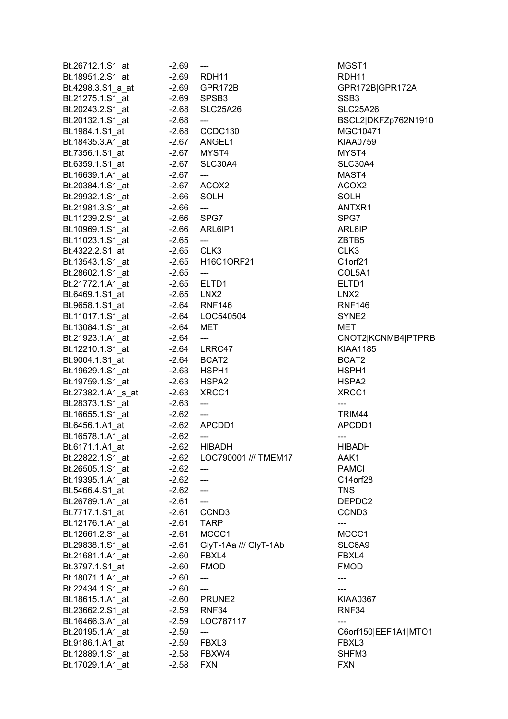| Bt.26712.1.S1_at                                                                                                   | $-2.69$ | $\overline{\phantom{a}}$            | MGST1                |
|--------------------------------------------------------------------------------------------------------------------|---------|-------------------------------------|----------------------|
| Bt.18951.2.S1_at                                                                                                   |         | -2.69 RDH11                         | RDH11                |
| Bt.4298.3.S1_a_at                                                                                                  |         | -2.69 GPR172B                       | GPR172B GPR172A      |
|                                                                                                                    |         |                                     | SSB <sub>3</sub>     |
| Bt.20243.2.S1_at -2.68                                                                                             |         | SLC25A26                            | <b>SLC25A26</b>      |
|                                                                                                                    |         | $\hspace{0.05cm}---\hspace{0.05cm}$ | BSCL2 DKFZp762N1910  |
|                                                                                                                    |         |                                     | MGC10471             |
| Bt.18435.3.A1_at    -2.67    ANGEL1                                                                                |         |                                     | <b>KIAA0759</b>      |
|                                                                                                                    |         |                                     | MYST4                |
|                                                                                                                    |         |                                     | SLC30A4              |
|                                                                                                                    |         |                                     | MAST4                |
| Bt. 6359.1.S1_at<br>Bt. 6359.1.S1_at -2.67 SLC30A4<br>Bt. 16639.1.A1_at -2.67 ---<br>Bt. 20384.1.S1_at -2.67 ACOX2 |         |                                     | ACOX2                |
|                                                                                                                    |         | <b>SOLH</b>                         | SOLH                 |
|                                                                                                                    |         | $\hspace{0.05cm} \ldots$            | ANTXR1               |
|                                                                                                                    |         |                                     | SPG7                 |
|                                                                                                                    |         |                                     | ARL6IP               |
| Bt.11023.1.S1_at -2.65                                                                                             |         | $\hspace{0.05cm} \dots$             | ZBTB5                |
| Bt.1352.1.51_at<br>Bt.4322.2.S1_at -2.65 CLK3<br>Bt.13543.1.S1_at -2.65 H16C1ORF21                                 |         |                                     | CLK3                 |
|                                                                                                                    |         |                                     | C1orf21              |
|                                                                                                                    |         | $\hspace{0.05cm} \dashrightarrow$   | COL5A1               |
|                                                                                                                    |         |                                     | ELTD1                |
|                                                                                                                    |         |                                     | LNX <sub>2</sub>     |
|                                                                                                                    |         |                                     | <b>RNF146</b>        |
|                                                                                                                    |         |                                     | SYNE <sub>2</sub>    |
|                                                                                                                    |         |                                     | MET                  |
| Bt.21923.1.A1_at                                                                                                   |         |                                     | CNOT2 KCNMB4 PTPRB   |
| Bt.12210.1.S1_at                                                                                                   |         | $-2.64$ ---<br>$-2.64$ LRRC47       | <b>KIAA1185</b>      |
| Bt.9004.1.S1_at                                                                                                    |         | -2.64 BCAT2                         | BCAT2                |
|                                                                                                                    |         |                                     | HSPH1                |
|                                                                                                                    |         |                                     |                      |
|                                                                                                                    |         |                                     | HSPA2                |
| Bt.28373.1.S1_at -2.63                                                                                             |         |                                     | XRCC1                |
|                                                                                                                    |         | $\hspace{0.05cm}---\hspace{0.05cm}$ | ---<br>TRIM44        |
| Bt.16655.1.S1_at<br>Bt.6456.1.A1_at -2.62 ---<br>Bt.6456.1.A1_at -2.62 APCDD1<br>Bt.16578.1.A1_at -2.62 ---        |         |                                     | APCDD1               |
|                                                                                                                    |         |                                     |                      |
|                                                                                                                    |         |                                     | ---<br><b>HIBADH</b> |
| Bt.6171.1.A1_at                                                                                                    |         | -2.62 HIBADH                        |                      |
| Bt.22822.1.S1_at                                                                                                   | $-2.62$ | LOC790001 /// TMEM17                | AAK1                 |
| Bt.26505.1.S1_at                                                                                                   | $-2.62$ | $---$                               | <b>PAMCI</b>         |
| Bt.19395.1.A1 at                                                                                                   | $-2.62$ | $\qquad \qquad -\qquad -$           | C14orf28             |
| Bt.5466.4.S1_at                                                                                                    | $-2.62$ | $---$                               | <b>TNS</b>           |
| Bt.26789.1.A1_at                                                                                                   | -2.61   | $\qquad \qquad \text{---}$          | DEPDC2               |
| Bt.7717.1.S1_at                                                                                                    | -2.61   | CCND <sub>3</sub>                   | CCND <sub>3</sub>    |
| Bt.12176.1.A1 at                                                                                                   | -2.61   | <b>TARP</b>                         | ---                  |
| Bt.12661.2.S1_at                                                                                                   | -2.61   | MCCC1                               | MCCC1                |
| Bt.29838.1.S1 at                                                                                                   | -2.61   | GlyT-1Aa /// GlyT-1Ab               | SLC6A9               |
| Bt.21681.1.A1_at                                                                                                   | -2.60   | FBXL4                               | FBXL4                |
| Bt.3797.1.S1_at                                                                                                    | $-2.60$ | <b>FMOD</b>                         | <b>FMOD</b>          |
| Bt.18071.1.A1_at                                                                                                   | $-2.60$ | $\hspace{0.05cm} \ldots$            | ---                  |
| Bt.22434.1.S1_at                                                                                                   | -2.60   | $\hspace{0.05cm}---\hspace{0.05cm}$ |                      |
| Bt.18615.1.A1_at                                                                                                   |         | $-2.60$ PRUNE2                      | <b>KIAA0367</b>      |
| Bt.23662.2.S1_at                                                                                                   |         | -2.59 RNF34                         | RNF34                |
| Bt.16466.3.A1_at                                                                                                   | $-2.59$ | LOC787117                           |                      |
| Bt.20195.1.A1_at                                                                                                   | $-2.59$ | $\qquad \qquad - \qquad -$          | C6orf150 EEF1A1 MTO1 |
| Bt.9186.1.A1_at                                                                                                    | $-2.59$ | FBXL3                               | FBXL3                |
| Bt.12889.1.S1_at                                                                                                   | $-2.58$ | FBXW4                               | SHFM3                |
| Bt.17029.1.A1_at                                                                                                   | $-2.58$ | <b>FXN</b>                          | <b>FXN</b>           |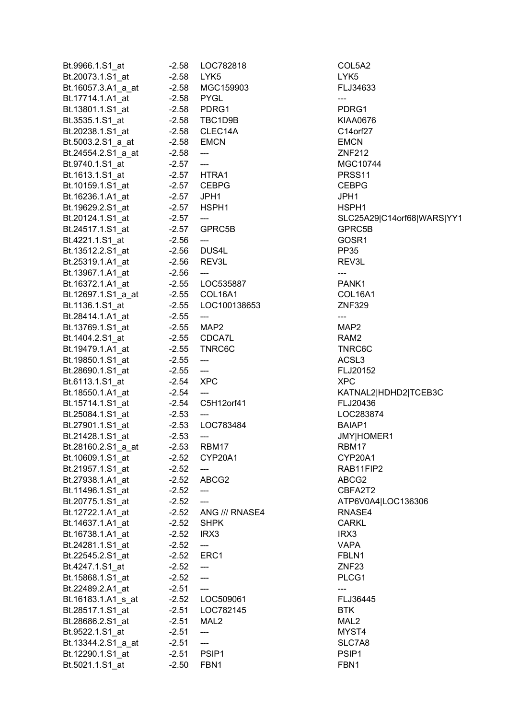| Bt.9966.1.S1_at    | $-2.58$      | LOC782818                         | COL5A2            |
|--------------------|--------------|-----------------------------------|-------------------|
| Bt.20073.1.S1_at   | $-2.58$      | LYK5                              | LYK5              |
| Bt.16057.3.A1_a_at |              | -2.58 MGC159903                   | FLJ3463           |
| Bt.17714.1.A1_at   | -2.58 PYGL   |                                   | ---               |
| Bt.13801.1.S1_at   |              | -2.58 PDRG1                       | PDRG1             |
| Bt.3535.1.S1 at    |              | -2.58 TBC1D9B                     | <b>KIAA0670</b>   |
| Bt.20238.1.S1_at   |              | -2.58 CLEC14A                     | C14orf27          |
| Bt.5003.2.S1_a_at  | -2.58 EMCN   |                                   | <b>EMCN</b>       |
| Bt.24554.2.S1_a_at | $-2.58$      | ---                               | <b>ZNF212</b>     |
| Bt.9740.1.S1_at    | $-2.57$      | $\sim$ ---                        | MGC107            |
| Bt.1613.1.S1_at    |              | -2.57 HTRA1                       | PRSS11            |
| Bt.10159.1.S1_at   |              | -2.57 CEBPG                       | <b>CEBPG</b>      |
| Bt.16236.1.A1_at   | -2.57 JPH1   |                                   | JPH1              |
| Bt.19629.2.S1_at   |              | -2.57 HSPH1                       | HSPH1             |
| Bt.20124.1.S1_at   | $-2.57$      | ---                               | SLC25A2           |
| Bt.24517.1.S1_at   |              | $-2.57$ GPRC5B                    | GPRC5B            |
| Bt.4221.1.S1_at    | $-2.56$      | ---                               | GOSR1             |
| Bt.13512.2.S1_at   | $-2.56$      | DUS4L                             | <b>PP35</b>       |
| Bt.25319.1.A1_at   | $-2.56$      | REV3L                             | REV3L             |
| Bt.13967.1.A1_at   | $-2.56$      | <b>Continued State</b>            | $---$             |
| Bt.16372.1.A1_at   |              | -2.55 LOC535887                   | PANK1             |
| Bt.12697.1.S1_a_at |              | -2.55 COL16A1                     | COL16A            |
| Bt.1136.1.S1_at    |              | -2.55 LOC100138653                | <b>ZNF329</b>     |
| Bt.28414.1.A1_at   | $-2.55$      | ---                               | ---               |
| Bt.13769.1.S1_at   | $-2.55$ MAP2 |                                   | MAP2              |
| Bt.1404.2.S1_at    |              | -2.55 CDCA7L                      | RAM <sub>2</sub>  |
|                    |              | -2.55 TNRC6C                      | TNRC6C            |
| Bt.19479.1.A1_at   |              |                                   | ACSL <sub>3</sub> |
| Bt.19850.1.S1_at   | $-2.55$      | $\hspace{0.05cm} \dashrightarrow$ |                   |
| Bt.28690.1.S1_at   | $-2.55$      | $\sim$ $\sim$                     | FLJ20152          |
| Bt.6113.1.S1_at    | $-2.54$ XPC  |                                   | <b>XPC</b>        |
| Bt.18550.1.A1 at   | $-2.54$      | $\overline{a}$                    | KATNAL2           |
| Bt.15714.1.S1_at   |              | -2.54 C5H12orf41                  | FLJ20436          |
| Bt.25084.1.S1_at   | $-2.53$      | $---$                             | LOC2838           |
| Bt.27901.1.S1_at   | $-2.53$      | LOC783484                         | BAIAP1            |
| Bt.21428.1.S1_at   | $-2.53$      | ---                               | <b>JMY HON</b>    |
| Bt.28160.2.S1_a_at | $-2.53$      | RBM17                             | RBM17             |
| Bt.10609.1.S1_at   | $-2.52$      | CYP20A1                           | CYP20A            |
| Bt.21957.1.S1_at   | $-2.52$      | ---                               | RAB11FI           |
| Bt.27938.1.A1 at   | $-2.52$      | ABCG2                             | ABCG2             |
| Bt.11496.1.S1_at   | $-2.52$      | $\qquad \qquad -\qquad -$         | CBFA2T2           |
| Bt.20775.1.S1_at   | $-2.52$      | $---$                             | ATP6V0A           |
| Bt.12722.1.A1_at   |              | -2.52 ANG /// RNASE4              | RNASE4            |
| Bt.14637.1.A1_at   | $-2.52$      | <b>SHPK</b>                       | <b>CARKL</b>      |
| Bt.16738.1.A1 at   | $-2.52$ IRX3 |                                   | IRX3              |
| Bt.24281.1.S1_at   | $-2.52$      | $---$                             | VAPA              |
| Bt.22545.2.S1_at   | $-2.52$ ERC1 |                                   | FBLN1             |
| Bt.4247.1.S1_at    | $-2.52$      | ---                               | ZNF <sub>23</sub> |
| Bt.15868.1.S1_at   | $-2.52$      | $\overline{a}$                    | PLCG1             |
| Bt.22489.2.A1_at   | $-2.51$      | $\scriptstyle \cdots$             | ---               |
| Bt.16183.1.A1_s_at |              | -2.52 LOC509061                   | FLJ3644           |
| Bt.28517.1.S1_at   | $-2.51$      | LOC782145                         | <b>BTK</b>        |
| Bt.28686.2.S1_at   | $-2.51$      | MAL2                              | MAL <sub>2</sub>  |
| Bt.9522.1.S1_at    | $-2.51$      | ---                               | MYST4             |
| Bt.13344.2.S1_a_at | $-2.51$      | ---                               | SLC7A8            |
| Bt.12290.1.S1_at   | $-2.51$      | PSIP1                             | PSIP1             |
| Bt.5021.1.S1_at    | $-2.50$      | FBN1                              | FBN1              |

COL5A2 FLJ34633 KIAA0676 C14orf27 MGC10744 SLC25A29|C14orf68|WARS|YY1 GPRC5B COL16A1 TNRC6C FLJ20152 KATNAL2|HDHD2|TCEB3C FLJ20436 LOC283874 JMY|HOMER1 CYP20A1 RAB11FIP2 CBFA2T2 Bt.20775.1.S1\_at -2.52 --- ATP6V0A4|LOC136306 RNASE4 FLJ36445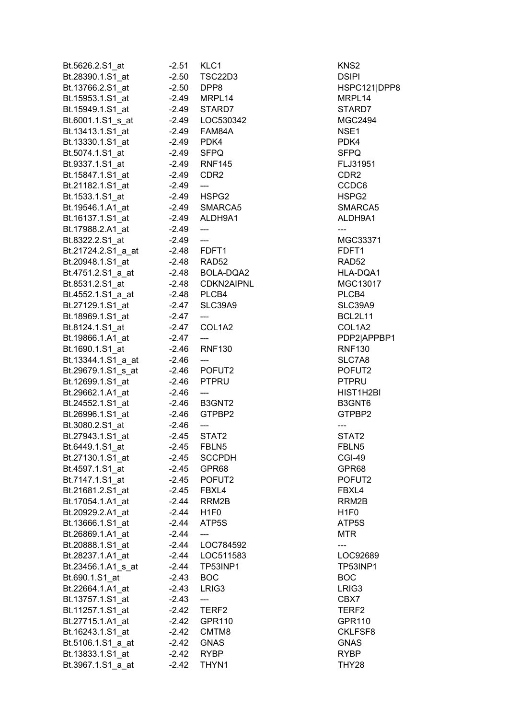| Bt.5626.2.S1_at    | $-2.51$            | KLC1                                     | KNS2              |
|--------------------|--------------------|------------------------------------------|-------------------|
| Bt.28390.1.S1_at   | $-2.50$            | TSC22D3                                  | DSIPI             |
| Bt.13766.2.S1_at   | -2.50              | DPP8                                     | HSPC12            |
| Bt.15953.1.S1_at   |                    | -2.49 MRPL14                             | MRPL14            |
| Bt.15949.1.S1 at   |                    | -2.49 STARD7                             | STARD7            |
| Bt.6001.1.S1 s at  |                    |                                          | <b>MGC249</b>     |
| Bt.13413.1.S1_at   |                    | -2.49 FAM84A                             | NSE1              |
| Bt.13330.1.S1_at   | -2.49 PDK4         |                                          | PDK4              |
| Bt.5074.1.S1_at    |                    | -2.49 SFPQ                               | SFPQ              |
| Bt.9337.1.S1_at    |                    | -2.49 RNF145                             | FLJ3195           |
| Bt.15847.1.S1 at   |                    | -2.49 CDR2                               | CDR2              |
| Bt.21182.1.S1_at   | -2.49              | $\hspace{0.05cm}---\hspace{0.05cm}$      | CCDC6             |
| Bt.1533.1.S1_at    |                    | -2.49 HSPG2                              | HSPG2             |
| Bt.19546.1.A1_at   |                    | -2.49 SMARCA5                            | <b>SMARC</b>      |
| Bt.16137.1.S1_at   |                    | -2.49 ALDH9A1                            | ALDH9A            |
| Bt.17988.2.A1_at   | $-2.49$            | $\overline{\phantom{a}}$                 | ---               |
| Bt.8322.2.S1_at    | $-2.49$            | $\overline{a}$                           | <b>MGC333</b>     |
|                    |                    | -2.48 FDFT1                              | FDFT1             |
| Bt.21724.2.S1_a_at |                    |                                          |                   |
| Bt.20948.1.S1 at   |                    | -2.48 RAD52                              | RAD <sub>52</sub> |
| Bt.4751.2.S1_a_at  |                    | -2.48 BOLA-DQA2                          | <b>HLA-DQ</b>     |
| Bt.8531.2.S1_at    |                    | -2.48 CDKN2AIPNL                         | <b>MGC130</b>     |
| Bt.4552.1.S1_a_at  | -2.48 PLCB4        |                                          | PLCB4             |
| Bt.27129.1.S1_at   |                    | -2.47 SLC39A9                            | SLC39A            |
| Bt.18969.1.S1_at   | $-2.47$ ---        |                                          | BCL2L1            |
| Bt.8124.1.S1_at    |                    | -2.47 COL1A2                             | COL1A2            |
| Bt.19866.1.A1_at   | $-2.47$            | $---$                                    | PDP2 AI           |
| Bt.1690.1.S1_at    |                    | -2.46 RNF130                             | <b>RNF130</b>     |
| Bt.13344.1.S1_a_at | -2.46              | $\overline{a}$                           | SLC7A8            |
| Bt.29679.1.S1_s_at |                    | -2.46 POFUT2                             | POFUT2            |
| Bt.12699.1.S1_at   |                    | -2.46 PTPRU                              | PTPRU             |
| Bt.29662.1.A1_at   | -2.46              | $\hspace{0.05cm} \ldots \hspace{0.05cm}$ | HIST1H2           |
| Bt.24552.1.S1_at   |                    | -2.46 B3GNT2                             | B3GNT6            |
| Bt.26996.1.S1_at   |                    | -2.46 GTPBP2                             | GTPBP2            |
| Bt.3080.2.S1_at    | $-2.46$<br>$-2.45$ | $\frac{1}{2}$                            |                   |
| Bt.27943.1.S1_at   |                    | $-2.45$ STAT2                            | STAT2             |
| Bt.6449.1.S1_at    | $-2.45$            | FBLN5                                    | FBLN5             |
| Bt.27130.1.S1_at   | -2.45              | <b>SCCPDH</b>                            | CGI-49            |
| Bt.4597.1.S1_at    | $-2.45$            | GPR68                                    | GPR68             |
| Bt.7147.1.S1 at    | $-2.45$            | POFUT2                                   | POFUT2            |
| Bt.21681.2.S1 at   | -2.45              | FBXL4                                    | FBXL4             |
| Bt.17054.1.A1_at   | $-2.44$            | RRM2B                                    | RRM2B             |
| Bt.20929.2.A1 at   | -2.44              | H <sub>1F0</sub>                         | H <sub>1F0</sub>  |
| Bt.13666.1.S1_at   | $-2.44$            | ATP5S                                    | ATP5S             |
| Bt.26869.1.A1 at   | $-2.44$            | $\qquad \qquad -\qquad -$                | <b>MTR</b>        |
| Bt.20888.1.S1_at   | -2.44              | LOC784592                                | ---               |
| Bt.28237.1.A1_at   |                    | -2.44 LOC511583                          | LOC926            |
| Bt.23456.1.A1_s_at | -2.44              | <b>TP53INP1</b>                          | TP53INF           |
| Bt.690.1.S1_at     | $-2.43$            | <b>BOC</b>                               | <b>BOC</b>        |
| Bt.22664.1.A1_at   | $-2.43$            | LRIG <sub>3</sub>                        | LRIG3             |
| Bt.13757.1.S1_at   | $-2.43$            | $---$                                    | CBX7              |
| Bt.11257.1.S1 at   | $-2.42$            | TERF <sub>2</sub>                        | TERF2             |
|                    | $-2.42$            | GPR110                                   | <b>GPR110</b>     |
| Bt.27715.1.A1_at   |                    | CMTM8                                    | <b>CKLFSF</b>     |
| Bt.16243.1.S1 at   | $-2.42$            |                                          |                   |
| Bt.5106.1.S1_a_at  | $-2.42$            | <b>GNAS</b>                              | <b>GNAS</b>       |
| Bt.13833.1.S1_at   | $-2.42$            | <b>RYBP</b>                              | RYBP              |
| Bt.3967.1.S1_a_at  | $-2.42$            | THYN1                                    | THY28             |

HSPC121|DPP8 MRPL14 STARD7  $MGC2494$ FLJ31951 SMARCA5 ALDH9A1 **MGC33371** at 2.4751.2.51.2.51.2.48 BOLA-DQA1 **AL 2.48 CONCOMPUTE:** MGC13017 SLC39A9 BCL2L11 COL1A2 PDP2|APPBP1 RNF130 SLC7A8 POFUT2 HIST1H2BI B3GNT6 GTPBP2 POFUT2 LOC92689 Bt.23456.1.A1\_s\_at -2.44 TP53INP1 TP53INP1 GPR110 CKLFSF8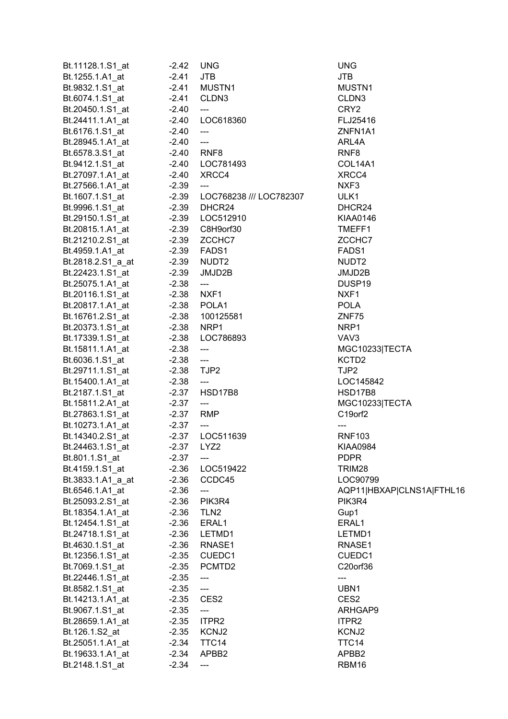| Bt.11128.1.S1_at                    | $-2.42$   | <b>UNG</b>                | <b>UNG</b>         |
|-------------------------------------|-----------|---------------------------|--------------------|
| Bt.1255.1.A1_at                     | $-2.41$   | <b>JTB</b>                | JTB                |
| Bt.9832.1.S1_at                     | $-2.41$   | MUSTN1                    | MUSTN1             |
| Bt.6074.1.S1_at                     | $-2.41$   | CLDN3                     | CLDN3              |
| Bt.20450.1.S1_at                    | $-2.40$   | ---                       | CRY <sub>2</sub>   |
| Bt.24411.1.A1_at                    | $-2.40$   | LOC618360                 | FLJ25416           |
| Bt.6176.1.S1_at                     | $-2.40$   | $\overline{a}$            | ZNFN1A1            |
| Bt.28945.1.A1_at                    | $-2.40$   | $\overline{\phantom{a}}$  | ARL4A              |
| Bt.6578.3.S1 at                     | $-2.40$   | RNF8                      | RNF <sub>8</sub>   |
| Bt.9412.1.S1_at                     |           | -2.40 LOC781493           | COL14A1            |
| Bt.27097.1.A1 at                    | $-2.40$   | XRCC4                     | XRCC4              |
| Bt.27566.1.A1 at                    | $-2.39$   | ---                       | NXF3               |
| Bt.1607.1.S1 at                     | $-2.39$   | LOC768238 /// LOC782307   | ULK1               |
| Bt.9996.1.S1_at                     |           | -2.39 DHCR24              | DHCR24             |
| Bt.29150.1.S1_at                    | $-2.39$   | LOC512910                 | <b>KIAA0146</b>    |
| Bt.20815.1.A1_at                    | $-2.39$   | C8H9orf30                 | TMEFF1             |
| Bt.21210.2.S1_at                    | $-2.39$   | ZCCHC7                    | ZCCHC7             |
| Bt.4959.1.A1_at                     | $-2.39$   | FADS1                     | FADS1              |
| Bt.2818.2.S1 a at                   | $-2.39$   | NUDT2                     | NUDT <sub>2</sub>  |
| Bt.22423.1.S1_at                    | $-2.39$   | JMJD2B                    | JMJD2B             |
| Bt.25075.1.A1_at                    | $-2.38$   | $\overline{\phantom{a}}$  | DUSP <sub>19</sub> |
| Bt.20116.1.S1 at                    | $-2.38$   | NXF1                      | NXF1               |
| Bt.20817.1.A1 at                    |           | -2.38 POLA1               | <b>POLA</b>        |
| Bt.16761.2.S1_at                    |           | -2.38 100125581           | ZNF75              |
| Bt.20373.1.S1_at                    |           | -2.38 NRP1                | NRP1               |
| Bt.17339.1.S1_at                    | $-2.38$   | LOC786893                 | VAV3               |
| Bt.15811.1.A1_at                    | $-2.38$   | $\overline{\phantom{a}}$  | MGC1023            |
| Bt.6036.1.S1_at                     | $-2.38$   | $\overline{\phantom{a}}$  | KCTD <sub>2</sub>  |
| Bt.29711.1.S1_at                    | $-2.38$   | TJP2                      | TJP2               |
| Bt.15400.1.A1_at                    | $-2.38$   | $\overline{a}$            | LOC1458            |
| Bt.2187.1.S1_at                     |           | -2.37 HSD17B8             | <b>HSD17B8</b>     |
| Bt.15811.2.A1_at                    | $-2.37$   | $\overline{\phantom{a}}$  | MGC1023            |
| Bt.27863.1.S1_at                    | -2.37 RMP |                           | C19orf2            |
| Bt.10273.1.A1_at                    | $-2.37$   | $\qquad \qquad -\qquad -$ |                    |
| Bt.14340.2.S1_at                    | $-2.37$   | LOC511639                 | <b>RNF103</b>      |
| Bt.24463.1.S1_at                    | -2.37     | LYZ <sub>2</sub>          | KIAA0984           |
| Bt.801.1.S1_at                      | $-2.37$   |                           | <b>PDPR</b>        |
| Bt.4159.1.S1_at                     | $-2.36$   | LOC519422                 | TRIM28             |
| Bt.3833.1.A1_a_at                   | $-2.36$   | CCDC45                    | LOC9079            |
| Bt.6546.1.A1_at                     | $-2.36$   | ---                       | AQP11 HI           |
| Bt.25093.2.S1_at                    | $-2.36$   | PIK3R4                    | PIK3R4             |
| Bt.18354.1.A1_at                    | $-2.36$   | TLN <sub>2</sub>          | Gup1               |
| Bt.12454.1.S1_at                    | $-2.36$   | ERAL1                     | ERAL1              |
|                                     | $-2.36$   | LETMD1                    | LETMD1             |
| Bt.24718.1.S1_at<br>Bt.4630.1.S1_at | $-2.36$   | RNASE1                    | RNASE1             |
| Bt.12356.1.S1_at                    | $-2.35$   | CUEDC1                    | CUEDC1             |
| Bt.7069.1.S1_at                     | $-2.35$   | PCMTD2                    | C20orf36           |
| Bt.22446.1.S1_at                    | $-2.35$   | ---                       | ---                |
| Bt.8582.1.S1_at                     | $-2.35$   | ---                       | UBN <sub>1</sub>   |
| Bt.14213.1.A1_at                    | $-2.35$   | CES <sub>2</sub>          | CES <sub>2</sub>   |
| Bt.9067.1.S1_at                     | $-2.35$   | ---                       | <b>ARHGAP</b>      |
| Bt.28659.1.A1_at                    | $-2.35$   | ITPR2                     | ITPR2              |
| Bt.126.1.S2_at                      | $-2.35$   | KCNJ2                     | KCNJ2              |
| Bt.25051.1.A1_at                    | $-2.34$   | TTC14                     | TTC14              |
| Bt.19633.1.A1_at                    | $-2.34$   | APBB2                     | APBB <sub>2</sub>  |
| Bt.2148.1.S1_at                     | $-2.34$   | ---                       | RBM16              |
|                                     |           |                           |                    |

MUSTN1 FLJ25416 ZNFN1A1 COL14A1 DHCR24 KIAA0146 TMEFF1 JMJD2B DUSP19  $MGC10233|TECTA$ LOC145842 HSD17B8 **MGC10233|TECTA** KIAA0984 LOC90799 AQP11|HBXAP|CLNS1A|FTHL16 LETMD1 RNASE1 CUEDC1 C20orf36 ARHGAP9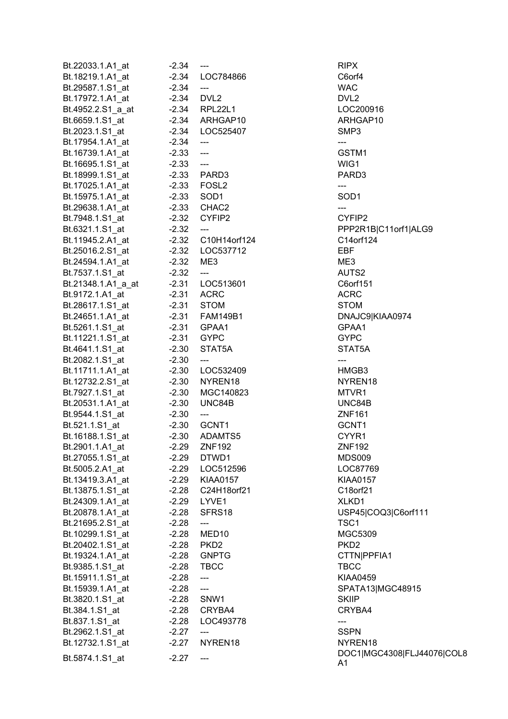| Bt.22033.1.A1_at   | $-2.34$     | ---                               | RIPX             |
|--------------------|-------------|-----------------------------------|------------------|
| Bt.18219.1.A1_at   |             | -2.34 LOC784866                   | C6orf4           |
| Bt.29587.1.S1_at   | $-2.34$     | $\qquad \qquad -\qquad -$         | <b>WAC</b>       |
| Bt.17972.1.A1_at   | $-2.34$     | DVL2                              | DVL <sub>2</sub> |
| Bt.4952.2.S1_a_at  |             | $-2.34$ RPL22L1                   | LOC2009          |
| Bt.6659.1.S1_at    |             | -2.34 ARHGAP10                    | <b>ARHGAP</b>    |
| Bt.2023.1.S1_at    |             | -2.34 LOC525407                   | SMP3             |
| Bt.17954.1.A1_at   | $-2.34$ --- |                                   | ---              |
|                    | $-2.33$ --- |                                   | GSTM1            |
| Bt.16739.1.A1_at   |             |                                   |                  |
| Bt.16695.1.S1_at   | $-2.33$ --- |                                   | WIG1             |
| Bt.18999.1.S1_at   |             | -2.33 PARD3                       | PARD3            |
| Bt.17025.1.A1 at   |             | $-2.33$ FOSL2                     | ---              |
| Bt.15975.1.A1_at   |             | $-2.33$ SOD1                      | SOD <sub>1</sub> |
| Bt.29638.1.A1_at   |             | $-2.33$ CHAC2                     | ---              |
| Bt.7948.1.S1_at    |             | -2.32 CYFIP2                      | CYFIP2           |
| Bt.6321.1.S1_at    | $-2.32$     | $---$                             | PPP2R1E          |
| Bt.11945.2.A1 at   |             | -2.32 C10H14orf124                | C14orf12         |
| Bt.25016.2.S1_at   |             | -2.32 LOC537712                   | <b>EBF</b>       |
| Bt.24594.1.A1_at   | $-2.32$ ME3 |                                   | ME3              |
| Bt.7537.1.S1_at    | $-2.32$     | ---                               | AUTS2            |
| Bt.21348.1.A1_a_at |             | -2.31 LOC513601                   | C6orf151         |
| Bt.9172.1.A1_at    |             | $-2.31$ ACRC                      | <b>ACRC</b>      |
| Bt.28617.1.S1_at   |             | $-2.31$ STOM                      | STOM             |
| Bt.24651.1.A1_at   |             |                                   | DNAJC9           |
|                    |             | -2.31 GPAA1                       | GPAA1            |
| Bt.5261.1.S1_at    |             | -2.31 GYPC                        |                  |
| Bt.11221.1.S1_at   |             |                                   | GYPC             |
| Bt.4641.1.S1_at    | $-2.30$     | STAT5A                            | STAT5A           |
| Bt.2082.1.S1_at    | $-2.30$     | $---$                             | ---              |
| Bt.11711.1.A1_at   |             | -2.30 LOC532409                   | HMGB3            |
| Bt.12732.2.S1_at   |             | -2.30 NYREN18                     | NYREN1           |
| Bt.7927.1.S1_at    |             | -2.30 MGC140823                   | MTVR1            |
| Bt.20531.1.A1_at   |             | -2.30 UNC84B                      | UNC84B           |
| Bt.9544.1.S1_at    | $-2.30$     | ---                               | <b>ZNF161</b>    |
| Bt.521.1.S1_at     |             | -2.30 GCNT1                       | GCNT1            |
| Bt.16188.1.S1_at   | $-2.30$     | ADAMTS5                           | CYYR1            |
| Bt.2901.1.A1_at    | $-2.29$     | <b>ZNF192</b>                     | <b>ZNF192</b>    |
| Bt.27055.1.S1_at   | $-2.29$     | DTWD1                             | MDS009           |
| Bt.5005.2.A1_at    |             | -2.29 LOC512596                   | LOC8776          |
| Bt.13419.3.A1 at   |             | -2.29 KIAA0157                    | <b>KIAA0157</b>  |
| Bt.13875.1.S1 at   |             | -2.28 C24H18orf21                 | C18orf21         |
| Bt.24309.1.A1 at   |             | -2.29 LYVE1                       | XLKD1            |
|                    |             | SFRS18                            |                  |
| Bt.20878.1.A1_at   | $-2.28$     |                                   | USP45 C          |
| Bt.21695.2.S1_at   | $-2.28$     | ---                               | TSC1             |
| Bt.10299.1.S1_at   | $-2.28$     | MED10                             | MGC530           |
| Bt.20402.1.S1_at   | $-2.28$     | PKD2                              | PKD <sub>2</sub> |
| Bt.19324.1.A1_at   | $-2.28$     | <b>GNPTG</b>                      | <b>CTTNIPP</b>   |
| Bt.9385.1.S1_at    |             | $-2.28$ TBCC                      | <b>TBCC</b>      |
| Bt.15911.1.S1_at   | $-2.28$     | $\hspace{0.05cm} \dashrightarrow$ | <b>KIAA0459</b>  |
| Bt.15939.1.A1_at   | $-2.28$     | ---                               | SPATA13          |
| Bt.3820.1.S1_at    | $-2.28$     | SNW1                              | <b>SKIIP</b>     |
| Bt.384.1.S1_at     |             | $-2.28$ CRYBA4                    | CRYBA4           |
| Bt.837.1.S1_at     | $-2.28$     | LOC493778                         | ---              |
| Bt.2962.1.S1_at    | $-2.27$     |                                   | <b>SSPN</b>      |
| Bt.12732.1.S1_at   | $-2.27$     | NYREN18                           | NYREN1           |
|                    |             |                                   | DOC1 M           |
| Bt.5874.1.S1_at    | $-2.27$     | ---                               | A <sub>1</sub>   |

LOC200916 ARHGAP10 PPP2R1B|C11orf1|ALG9 24 C14orf124 C6orf151 DNAJC9|KIAA0974 STAT5A NYREN18 UNC84B LOC87769 KIAA0157 C18orf21 USP45|COQ3|C6orf111 MGC5309 CTTN|PPFIA1 KIAA0459 SPATA13|MGC48915 CRYBA4 NYREN18 DOC1|MGC4308|FLJ44076|COL8 A1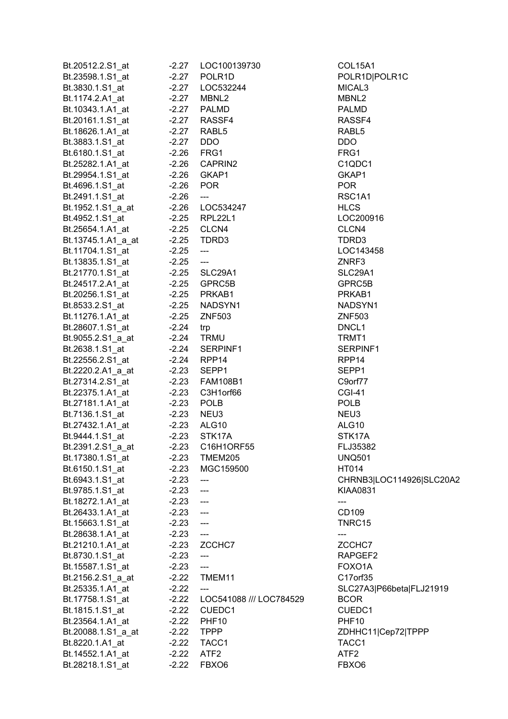| Bt.20512.2.S1_at   | $-2.27$    | LOC100139730                                     | COL15A1                  |
|--------------------|------------|--------------------------------------------------|--------------------------|
| Bt.23598.1.S1 at   | $-2.27$    | POLR <sub>1D</sub>                               | POLR1D POLR1C            |
| Bt.3830.1.S1_at    | $-2.27$    | LOC532244                                        | MICAL3                   |
| Bt.1174.2.A1_at    | $-2.27$    | MBNL2                                            | MBNL2                    |
| Bt.10343.1.A1_at   | $-2.27$    | <b>PALMD</b>                                     | <b>PALMD</b>             |
| Bt.20161.1.S1_at   | $-2.27$    | RASSF4                                           | RASSF4                   |
| Bt.18626.1.A1_at   | $-2.27$    | RABL <sub>5</sub>                                | RABL <sub>5</sub>        |
| Bt.3883.1.S1_at    | $-2.27$    | <b>DDO</b>                                       | DDO                      |
| Bt.6180.1.S1 at    | -2.26 FRG1 |                                                  | FRG1                     |
| Bt.25282.1.A1_at   | $-2.26$    | CAPRIN2                                          | C <sub>1QDC1</sub>       |
| Bt.29954.1.S1 at   | $-2.26$    | GKAP1                                            | GKAP1                    |
| Bt.4696.1.S1_at    | $-2.26$    | <b>POR</b>                                       | <b>POR</b>               |
| Bt.2491.1.S1 at    | $-2.26$    | $\hspace{0.05cm} \ldots$                         | RSC1A1                   |
| Bt.1952.1.S1_a_at  |            | -2.26    LOC534247                               | <b>HLCS</b>              |
| Bt.4952.1.S1 at    | $-2.25$    | RPL22L1                                          | LOC200916                |
|                    |            | CLCN4                                            | CLCN4                    |
| Bt.25654.1.A1_at   | $-2.25$    |                                                  |                          |
| Bt.13745.1.A1_a_at | $-2.25$    | TDRD3                                            | TDRD3                    |
| Bt.11704.1.S1_at   | $-2.25$    | $\hspace{0.05cm}---\hspace{0.05cm}$              | LOC143458                |
| Bt.13835.1.S1_at   | $-2.25$    | $\hspace{0.05cm}---$                             | ZNRF3                    |
| Bt.21770.1.S1_at   |            | -2.25 SLC29A1                                    | SLC29A1                  |
| Bt.24517.2.A1_at   |            | -2.25 GPRC5B                                     | GPRC5B                   |
| Bt.20256.1.S1 at   |            | -2.25 PRKAB1                                     | PRKAB1                   |
| Bt.8533.2.S1_at    |            | -2.25 NADSYN1                                    | NADSYN1                  |
| Bt.11276.1.A1_at   | $-2.25$    | <b>ZNF503</b>                                    | <b>ZNF503</b>            |
| Bt.28607.1.S1_at   | $-2.24$    | trp                                              | DNCL <sub>1</sub>        |
| Bt.9055.2.S1_a_at  | -2.24 TRMU |                                                  | TRMT1                    |
| Bt.2638.1.S1_at    | $-2.24$    | SERPINF1                                         | SERPINF1                 |
| Bt.22556.2.S1 at   | $-2.24$    | RPP <sub>14</sub>                                | RPP <sub>14</sub>        |
| Bt.2220.2.A1_a_at  | $-2.23$    | SEPP1                                            | SEPP1                    |
| Bt.27314.2.S1 at   | $-2.23$    | <b>FAM108B1</b>                                  | C9orf77                  |
| Bt.22375.1.A1_at   | $-2.23$    | C3H1orf66                                        | <b>CGI-41</b>            |
| Bt.27181.1.A1_at   | $-2.23$    | <b>POLB</b>                                      | <b>POLB</b>              |
| Bt.7136.1.S1 at    | $-2.23$    | NEU3                                             | NEU3                     |
| Bt.27432.1.A1 at   | $-2.23$    | ALG10                                            | ALG10                    |
| Bt.9444.1.S1 at    | $-2.23$    | STK17A                                           | STK17A                   |
| Bt.2391.2.S1_a_at  | $-2.23$    | C <sub>16</sub> H <sub>1</sub> ORF <sub>55</sub> | FLJ35382                 |
| Bt.17380.1.S1 at   | $-2.23$    | <b>TMEM205</b>                                   | <b>UNQ501</b>            |
| Bt.6150.1.S1_at    | $-2.23$    | MGC159500                                        | HT014                    |
| Bt.6943.1.S1_at    | $-2.23$    | ---                                              | CHRNB3 LOC114926 SLC20A2 |
| Bt.9785.1.S1 at    | $-2.23$    | $\overline{a}$                                   | <b>KIAA0831</b>          |
| Bt.18272.1.A1_at   | $-2.23$    | $\overline{\phantom{a}}$                         | ---                      |
| Bt.26433.1.A1_at   | $-2.23$    | $\overline{\phantom{a}}$                         | CD109                    |
| Bt.15663.1.S1_at   | $-2.23$    | $\overline{\phantom{a}}$                         | TNRC15                   |
| Bt.28638.1.A1_at   | $-2.23$    | $\hspace{0.05cm} \ldots$                         | ---                      |
| Bt.21210.1.A1_at   | $-2.23$    | ZCCHC7                                           | ZCCHC7                   |
| Bt.8730.1.S1_at    | $-2.23$    | $\hspace{0.05cm}---\hspace{0.05cm}$              | RAPGEF2                  |
| Bt.15587.1.S1_at   | $-2.23$    | $\overline{a}$                                   | FOXO1A                   |
| Bt.2156.2.S1_a_at  | $-2.22$    | TMEM11                                           | C17orf35                 |
| Bt.25335.1.A1_at   | $-2.22$    | $---$                                            | SLC27A3 P66beta FLJ21919 |
| Bt.17758.1.S1_at   | $-2.22$    | LOC541088 /// LOC784529                          | <b>BCOR</b>              |
| Bt.1815.1.S1_at    | $-2.22$    | CUEDC1                                           | CUEDC1                   |
| Bt.23564.1.A1_at   | $-2.22$    | <b>PHF10</b>                                     | <b>PHF10</b>             |
| Bt.20088.1.S1_a_at | $-2.22$    | <b>TPPP</b>                                      | ZDHHC11 Cep72 TPPP       |
| Bt.8220.1.A1_at    | $-2.22$    | TACC1                                            | TACC1                    |
| Bt.14552.1.A1_at   | $-2.22$    | ATF <sub>2</sub>                                 | ATF <sub>2</sub>         |
| Bt.28218.1.S1_at   | $-2.22$    | FBXO6                                            | FBXO <sub>6</sub>        |
|                    |            |                                                  |                          |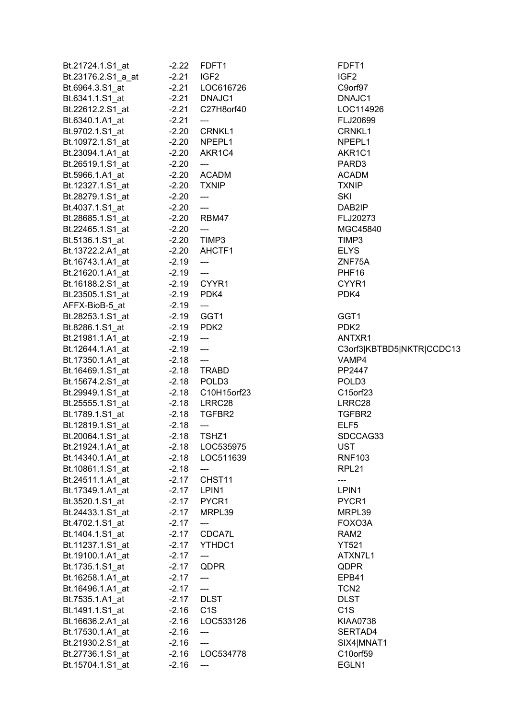| Bt.21724.1.S1_at       | $-2.22$            | FDFT1                                                | FDFT1                     |
|------------------------|--------------------|------------------------------------------------------|---------------------------|
| Bt.23176.2.S1_a_at     | $-2.21$            | IGF <sub>2</sub>                                     | IGF <sub>2</sub>          |
| Bt.6964.3.S1_at        | $-2.21$            | LOC616726                                            | C9orf97                   |
| Bt.6341.1.S1_at        | $-2.21$            | DNAJC1                                               | DNAJC1                    |
| Bt.22612.2.S1_at       | $-2.21$            | C27H8orf40                                           | LOC114926                 |
| Bt.6340.1.A1_at        | $-2.21$            | $\hspace{0.05cm}---$                                 | FLJ20699                  |
| Bt.9702.1.S1_at        | $-2.20$            | CRNKL1                                               | CRNKL1                    |
| Bt.10972.1.S1_at       | $-2.20$            | NPEPL1                                               | NPEPL1                    |
| Bt.23094.1.A1 at       | $-2.20$            | AKR1C4                                               | AKR1C1                    |
| Bt.26519.1.S1_at       | $-2.20$            | $\hspace{0.05cm} \ldots$                             | PARD3                     |
| Bt.5966.1.A1 at        |                    | -2.20 ACADM                                          | <b>ACADM</b>              |
|                        |                    | <b>TXNIP</b>                                         | <b>TXNIP</b>              |
|                        |                    |                                                      |                           |
| Bt.28279.1.S1 at       | $-2.20$<br>$-2.20$ | $\hspace{0.05cm} \ldots$<br>$\overline{\phantom{a}}$ | <b>SKI</b><br>DAB2IP      |
| Bt.4037.1.S1_at        |                    |                                                      |                           |
| Bt.28685.1.S1_at       | $-2.20$            | RBM47                                                | FLJ20273                  |
| Bt.22465.1.S1_at       | $-2.20$            | $\overline{\phantom{a}}$                             | MGC45840                  |
| Bt.5136.1.S1 at        | $-2.20$            | TIMP3                                                | TIMP3                     |
| Bt.13722.2.A1_at       | $-2.20$            | AHCTF1                                               | <b>ELYS</b>               |
| Bt.16743.1.A1_at       | $-2.19$            | $\scriptstyle\cdots$                                 | ZNF75A                    |
| Bt.21620.1.A1_at -2.19 |                    | $\hspace{0.05cm}---$                                 | PHF <sub>16</sub>         |
| Bt.16188.2.S1_at       |                    | -2.19 CYYR1                                          | CYYR1                     |
| Bt.23505.1.S1_at -2.19 |                    | PDK4                                                 | PDK4                      |
| AFFX-BioB-5_at -2.19   |                    | $\hspace{0.05cm} \dashrightarrow$                    |                           |
| Bt.28253.1.S1_at       | -2.19 GGT1         |                                                      | GGT1                      |
| Bt.8286.1.S1_at        | -2.19 PDK2         |                                                      | PDK <sub>2</sub>          |
| Bt.21981.1.A1_at       | $-2.19$            | $\overline{\phantom{a}}$                             | ANTXR1                    |
| Bt.12644.1.A1_at       | $-2.19$            | $\overline{\phantom{a}}$                             | C3orf3 KBTBD5 NKTR CCDC13 |
| Bt.17350.1.A1_at       | $-2.18$            | $\overline{\phantom{a}}$                             | VAMP4                     |
| Bt.16469.1.S1_at       | $-2.18$            | <b>TRABD</b>                                         | PP2447                    |
| Bt.15674.2.S1_at       | $-2.18$            | POLD <sub>3</sub>                                    | POLD <sub>3</sub>         |
| Bt.29949.1.S1_at       | $-2.18$            | C10H15orf23                                          | C15orf23                  |
| Bt.25555.1.S1_at       | $-2.18$            | LRRC28                                               | LRRC28                    |
| Bt.1789.1.S1_at        | $-2.18$            | TGFBR2                                               | TGFBR2                    |
| Bt.12819.1.S1 at       | $-2.18$            | $\hspace{0.05cm}---\hspace{0.05cm}$                  | ELF <sub>5</sub>          |
| Bt.20064.1.S1_at       |                    | $-2.18$ TSHZ1                                        | SDCCAG33                  |
| Bt.21924.1.A1_at       |                    | -2.18    LOC535975                                   | <b>UST</b>                |
| Bt.14340.1.A1 at       | $-2.18$            | LOC511639                                            | <b>RNF103</b>             |
| Bt.10861.1.S1_at       | $-2.18$            | $\qquad \qquad \textbf{---}$                         | RPL <sub>21</sub>         |
| Bt.24511.1.A1_at       | $-2.17$            | CHST11                                               | ---                       |
| Bt.17349.1.A1_at       | $-2.17$            | LPIN1                                                | LPIN1                     |
| Bt.3520.1.S1_at        | $-2.17$            | PYCR1                                                | PYCR1                     |
| Bt.24433.1.S1_at       | $-2.17$            | MRPL39                                               | MRPL39                    |
| Bt.4702.1.S1_at        | $-2.17$            |                                                      | FOXO3A                    |
|                        |                    | $\hspace{0.05cm}$ ---                                |                           |
| Bt.1404.1.S1_at        | $-2.17$            | CDCA7L                                               | RAM <sub>2</sub>          |
| Bt.11237.1.S1_at       | $-2.17$            | YTHDC1                                               | <b>YT521</b>              |
| Bt.19100.1.A1_at       | $-2.17$            | ---                                                  | ATXN7L1                   |
| Bt.1735.1.S1_at        | $-2.17$            | QDPR                                                 | QDPR                      |
| Bt.16258.1.A1_at       | $-2.17$            | $\overline{\phantom{a}}$                             | EPB41                     |
| Bt.16496.1.A1_at       | $-2.17$            | $\overline{\phantom{a}}$                             | TCN <sub>2</sub>          |
| Bt.7535.1.A1_at        | $-2.17$            | <b>DLST</b>                                          | <b>DLST</b>               |
| Bt.1491.1.S1_at        | $-2.16$            | C <sub>1</sub> S                                     | C <sub>1</sub> S          |
| Bt.16636.2.A1_at       | $-2.16$            | LOC533126                                            | KIAA0738                  |
| Bt.17530.1.A1_at       | $-2.16$            | $\qquad \qquad \textbf{---}$                         | SERTAD4                   |
| Bt.21930.2.S1_at       | $-2.16$            | $\hspace{0.05cm} \ldots$                             | SIX4 MNAT1                |
| Bt.27736.1.S1_at       | $-2.16$            | LOC534778                                            | C10orf59                  |
| Bt.15704.1.S1_at       | $-2.16$            | $\qquad \qquad -\qquad -$                            | EGLN1                     |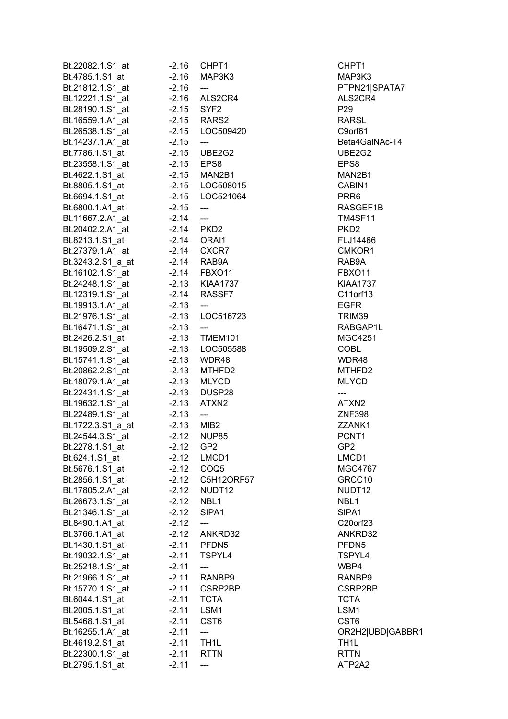| Bt.22082.1.S1_at  | $-2.16$ | CHPT <sub>1</sub>        | CHPT1             |
|-------------------|---------|--------------------------|-------------------|
| Bt.4785.1.S1_at   | $-2.16$ | MAP3K3                   | MAP3K3            |
| Bt.21812.1.S1_at  | $-2.16$ | ---                      | PTPN21 S          |
| Bt.12221.1.S1_at  | $-2.16$ | ALS2CR4                  | ALS2CR4           |
| Bt.28190.1.S1 at  |         | -2.15 SYF2               | P <sub>29</sub>   |
| Bt.16559.1.A1_at  |         | -2.15 RARS2              | RARSL             |
| Bt.26538.1.S1_at  |         | -2.15 LOC509420          | C9orf61           |
| Bt.14237.1.A1_at  | $-2.15$ | $\overline{\phantom{a}}$ | Beta4Gall         |
| Bt.7786.1.S1 at   | $-2.15$ | UBE2G2                   | UBE2G2            |
| Bt.23558.1.S1_at  |         | -2.15 EPS8               | EPS8              |
| Bt.4622.1.S1 at   |         | $-2.15$ MAN2B1           | MAN2B1            |
|                   |         | -2.15 LOC508015          | CABIN1            |
| Bt.8805.1.S1_at   |         |                          |                   |
| Bt.6694.1.S1 at   |         | -2.15 LOC521064          | PRR <sub>6</sub>  |
| Bt.6800.1.A1_at   | $-2.15$ | $\overline{\phantom{a}}$ | <b>RASGEF</b>     |
| Bt.11667.2.A1_at  | $-2.14$ | $\overline{a}$           | <b>TM4SF11</b>    |
| Bt.20402.2.A1_at  | $-2.14$ | PKD2                     | PKD <sub>2</sub>  |
| Bt.8213.1.S1_at   |         | $-2.14$ ORAI1            | FLJ14466          |
| Bt.27379.1.A1_at  |         | $-2.14$ CXCR7            | CMKOR1            |
| Bt.3243.2.S1 a at | $-2.14$ | RAB9A                    | RAB9A             |
| Bt.16102.1.S1_at  |         | -2.14 FBXO11             | FBXO11            |
| Bt.24248.1.S1_at  |         | -2.13 KIAA1737           | <b>KIAA1737</b>   |
| Bt.12319.1.S1_at  |         | -2.14 RASSF7             | C11orf13          |
| Bt.19913.1.A1 at  | $-2.13$ | $\hspace{0.05cm} \ldots$ | <b>EGFR</b>       |
| Bt.21976.1.S1_at  |         | -2.13 LOC516723          | TRIM39            |
| Bt.16471.1.S1_at  | $-2.13$ | ---                      | <b>RABGAP</b>     |
| Bt.2426.2.S1_at   | $-2.13$ | TMEM101                  | MGC425            |
| Bt.19509.2.S1_at  |         | -2.13 LOC505588          | <b>COBL</b>       |
| Bt.15741.1.S1_at  |         | -2.13 WDR48              | WDR48             |
| Bt.20862.2.S1_at  |         | $-2.13$ MTHFD2           | MTHFD2            |
| Bt.18079.1.A1_at  |         | $-2.13$ MLYCD            | <b>MLYCD</b>      |
| Bt.22431.1.S1_at  | $-2.13$ | DUSP28                   | ---               |
| Bt.19632.1.S1_at  | $-2.13$ | ATXN <sub>2</sub>        | ATXN2             |
| Bt.22489.1.S1_at  | $-2.13$ | ---                      | <b>ZNF398</b>     |
| Bt.1722.3.S1_a_at | $-2.13$ | MIB2                     | ZZANK1            |
| Bt.24544.3.S1 at  | $-2.12$ | <b>NUP85</b>             | PCNT1             |
| Bt.2278.1.S1_at   | $-2.12$ | GP <sub>2</sub>          | GP <sub>2</sub>   |
| Bt.624.1.S1_at    | $-2.12$ | LMCD1                    | LMCD1             |
| Bt.5676.1.S1_at   | $-2.12$ | COQ <sub>5</sub>         | MGC4767           |
| Bt.2856.1.S1_at   | $-2.12$ | C5H12ORF57               | GRCC10            |
| Bt.17805.2.A1_at  | $-2.12$ | NUDT12                   | NUDT12            |
| Bt.26673.1.S1_at  | $-2.12$ | NBL1                     | NBL1              |
|                   |         |                          |                   |
| Bt.21346.1.S1_at  | $-2.12$ | SIPA1                    | SIPA1             |
| Bt.8490.1.A1_at   | $-2.12$ | ---                      | C20orf23          |
| Bt.3766.1.A1_at   | $-2.12$ | ANKRD32                  | ANKRD32           |
| Bt.1430.1.S1_at   | $-2.11$ | PFDN <sub>5</sub>        | PFDN <sub>5</sub> |
| Bt.19032.1.S1_at  | $-2.11$ | TSPYL4                   | TSPYL4            |
| Bt.25218.1.S1_at  | $-2.11$ | $\overline{\phantom{a}}$ | WBP4              |
| Bt.21966.1.S1_at  | $-2.11$ | RANBP9                   | RANBP9            |
| Bt.15770.1.S1_at  | $-2.11$ | CSRP2BP                  | <b>CSRP2BI</b>    |
| Bt.6044.1.S1_at   | $-2.11$ | <b>TCTA</b>              | <b>TCTA</b>       |
| Bt.2005.1.S1_at   | $-2.11$ | LSM1                     | LSM1              |
| Bt.5468.1.S1_at   | $-2.11$ | CST <sub>6</sub>         | CST <sub>6</sub>  |
| Bt.16255.1.A1_at  | $-2.11$ | ---                      | OR2H2 U           |
| Bt.4619.2.S1_at   | $-2.11$ | TH <sub>1</sub> L        | TH <sub>1</sub> L |
| Bt.22300.1.S1_at  | $-2.11$ | <b>RTTN</b>              | <b>RTTN</b>       |
| Bt.2795.1.S1_at   | $-2.11$ | ---                      | ATP2A2            |
|                   |         |                          |                   |

MAP3K3 PTPN21|SPATA7 ALS2CR4 Beta4GalNAc-T4 UBE2G2 RASGEF1B TM4SF11 FLJ14466 CMKOR1 FBXO11 KIAA1737 C11orf13 RABGAP1L **MGC4251** MTHFD2 ZZANK1 **MGC4767** Bt.2856.1.S1\_at -2.12 C5H12ORF57 GRCC10 NUDT12 C20orf23 ANKRD32 CSRP2BP OR2H2|UBD|GABBR1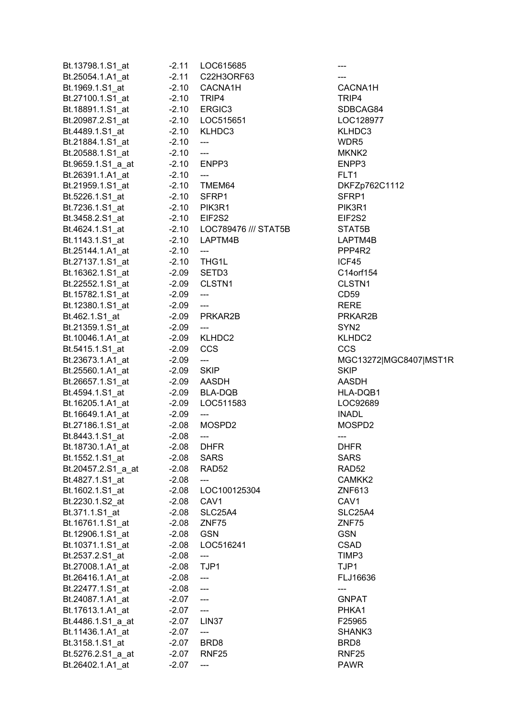| Bt.13798.1.S1_at   | $-2.11$ | LOC615685                           |                     |
|--------------------|---------|-------------------------------------|---------------------|
| Bt.25054.1.A1_at   | $-2.11$ | C22H3ORF63                          |                     |
| Bt.1969.1.S1 at    | $-2.10$ | CACNA1H                             | CACNA <sup>®</sup>  |
| Bt.27100.1.S1_at   | $-2.10$ | TRIP4                               | TRIP4               |
| Bt.18891.1.S1_at   | $-2.10$ | ERGIC3                              | <b>SDBCA</b>        |
| Bt.20987.2.S1_at   |         | -2.10 LOC515651                     | <b>LOC128</b>       |
| Bt.4489.1.S1_at    | $-2.10$ | KLHDC3                              | <b>KLHDC3</b>       |
| Bt.21884.1.S1_at   | $-2.10$ | $\hspace{0.05cm} \dashrightarrow$   | WDR5                |
| Bt.20588.1.S1_at   | $-2.10$ | $\overline{\phantom{a}}$            | MKNK2               |
| Bt.9659.1.S1_a_at  |         | -2.10 ENPP3                         | ENPP3               |
|                    |         |                                     | FLT1                |
| Bt.26391.1.A1 at   | $-2.10$ | $\overline{a}$                      |                     |
| Bt.21959.1.S1_at   |         | -2.10 TMEM64                        | DKFZp7              |
| Bt.5226.1.S1 at    | $-2.10$ | SFRP1                               | SFRP1               |
| Bt.7236.1.S1_at    |         | -2.10 PIK3R1                        | PIK3R1              |
| Bt.3458.2.S1_at    |         | -2.10 EIF2S2                        | EIF2S2              |
| Bt.4624.1.S1 at    |         | -2.10 LOC789476 /// STAT5B          | STAT5B              |
| Bt.1143.1.S1_at    | $-2.10$ | LAPTM4B                             | LAPTM4              |
| Bt.25144.1.A1_at   | $-2.10$ | $\qquad \qquad - -$                 | PPP4R2              |
| Bt.27137.1.S1_at   | $-2.10$ | THG1L                               | ICF45               |
| Bt.16362.1.S1_at   | $-2.09$ | SETD <sub>3</sub>                   | C14orf1             |
| Bt.22552.1.S1 at   | -2.09   | CLSTN <sub>1</sub>                  | CLSTN1              |
| Bt.15782.1.S1_at   | $-2.09$ | ---                                 | CD59                |
| Bt.12380.1.S1_at   | $-2.09$ | $\scriptstyle\mathtt{---}$          | RERE                |
| Bt.462.1.S1_at     |         | -2.09 PRKAR2B                       | PRKAR2              |
| Bt.21359.1.S1_at   | $-2.09$ | $\hspace{0.05cm} \dashrightarrow$   | SYN <sub>2</sub>    |
| Bt.10046.1.A1_at   |         | -2.09 KLHDC2                        | <b>KLHDC2</b>       |
| Bt.5415.1.S1_at    | $-2.09$ | <b>CCS</b>                          | CCS                 |
| Bt.23673.1.A1_at   | $-2.09$ | ---                                 | <b>MGC132</b>       |
|                    |         |                                     |                     |
| Bt.25560.1.A1_at   | $-2.09$ | <b>SKIP</b>                         | <b>SKIP</b>         |
| Bt.26657.1.S1 at   |         | -2.09 AASDH                         | AASDH               |
| Bt.4594.1.S1_at    |         | $-2.09$ BLA-DQB                     | HLA-DQ              |
| Bt.16205.1.A1_at   | $-2.09$ | LOC511583                           | <b>LOC926</b>       |
| Bt.16649.1.A1_at   | $-2.09$ | $\overline{\phantom{a}}$            | <b>INADL</b>        |
| Bt.27186.1.S1 at   | $-2.08$ | MOSPD2                              | <b>MOSPD</b>        |
| Bt.8443.1.S1_at    | $-2.08$ | $---$                               | ---                 |
| Bt.18730.1.A1_at   | $-2.08$ | <b>DHFR</b>                         | <b>DHFR</b>         |
| Bt.1552.1.S1_at    | $-2.08$ | <b>SARS</b>                         | <b>SARS</b>         |
| Bt.20457.2.S1_a_at | $-2.08$ | RAD <sub>52</sub>                   | RAD52               |
| Bt.4827.1.S1_at    | $-2.08$ | ---                                 | CAMKK:              |
| Bt.1602.1.S1_at    | $-2.08$ | LOC100125304                        | ZNF613              |
| Bt.2230.1.S2 at    | $-2.08$ | CAV <sub>1</sub>                    | CAV <sub>1</sub>    |
| Bt.371.1.S1_at     | $-2.08$ | <b>SLC25A4</b>                      | SLC <sub>25</sub> A |
| Bt.16761.1.S1_at   | $-2.08$ | ZNF75                               | ZNF75               |
| Bt.12906.1.S1_at   | $-2.08$ | <b>GSN</b>                          | <b>GSN</b>          |
| Bt.10371.1.S1_at   | $-2.08$ | LOC516241                           | <b>CSAD</b>         |
| Bt.2537.2.S1_at    | $-2.08$ | ---                                 | TIMP3               |
|                    |         | TJP1                                | TJP1                |
| Bt.27008.1.A1_at   | $-2.08$ |                                     |                     |
| Bt.26416.1.A1_at   | $-2.08$ | $\overline{\phantom{a}}$            | FLJ1663             |
| Bt.22477.1.S1_at   | $-2.08$ | $\overline{\phantom{a}}$            | ---                 |
| Bt.24087.1.A1_at   | $-2.07$ | $\overline{\phantom{a}}$            | <b>GNPAT</b>        |
| Bt.17613.1.A1_at   | -2.07   | $\hspace{0.05cm}---\hspace{0.05cm}$ | PHKA1               |
| Bt.4486.1.S1_a_at  | $-2.07$ | LIN <sub>37</sub>                   | F25965              |
| Bt.11436.1.A1_at   | $-2.07$ | ---                                 | <b>SHANK:</b>       |
| Bt.3158.1.S1_at    | $-2.07$ | BRD <sub>8</sub>                    | BRD8                |
| Bt.5276.2.S1_a_at  | $-2.07$ | RNF <sub>25</sub>                   | RNF <sub>25</sub>   |
| Bt.26402.1.A1_at   | $-2.07$ | ---                                 | <b>PAWR</b>         |
|                    |         |                                     |                     |

CACNA1H SDBCAG84 LOC128977 KLHDC3 DKFZp762C1112 PIK3R1 Bt.4624.1.S1\_at -2.10 LOC789476 /// STAT5B STAT5B LAPTM4B PPP4R2 C14orf154 CLSTN1 PRKAR2B KLHDC2  $MGC13272|MGC8407|MST1R$ HLA-DQB1 LOC92689 MOSPD2 CAMKK2 04 **ZNF613** SLC25A4 FLJ16636 SHANK3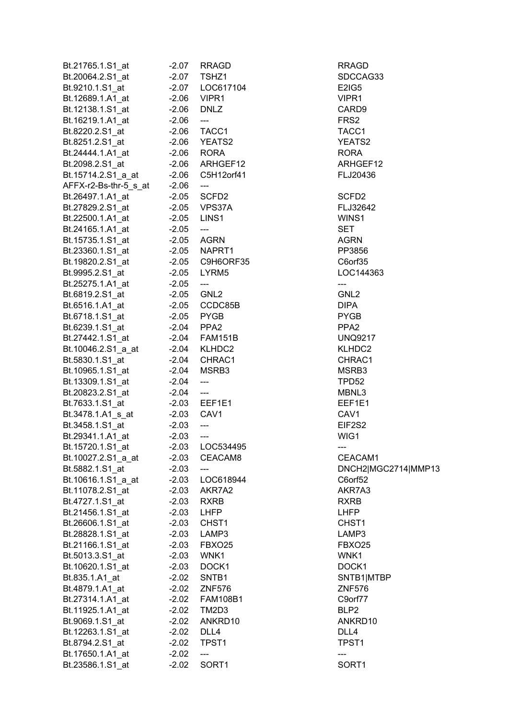| Bt.21765.1.S1_at      | $-2.07$ | <b>RRAGD</b>               | RRAGD             |
|-----------------------|---------|----------------------------|-------------------|
| Bt.20064.2.S1_at      | $-2.07$ | TSHZ1                      | <b>SDCCAG</b>     |
| Bt.9210.1.S1_at       | $-2.07$ | LOC617104                  | E2IG5             |
| Bt.12689.1.A1_at      | $-2.06$ | VIPR1                      | VIPR1             |
| Bt.12138.1.S1_at      | $-2.06$ | <b>DNLZ</b>                | CARD9             |
| Bt.16219.1.A1_at      | $-2.06$ | $\overline{\phantom{a}}$   | FRS <sub>2</sub>  |
| Bt.8220.2.S1_at       |         | $-2.06$ TACC1              | TACC1             |
| Bt.8251.2.S1_at       |         | -2.06 YEATS2               | YEATS2            |
| Bt.24444.1.A1 at      |         | $-2.06$ RORA               | <b>RORA</b>       |
| Bt.2098.2.S1_at       |         | -2.06 ARHGEF12             | <b>ARHGEF</b>     |
| Bt.15714.2.S1_a_at    |         | -2.06 C5H12orf41           | FLJ2043           |
| AFFX-r2-Bs-thr-5_s_at | $-2.06$ | $\qquad \qquad -$          |                   |
| Bt.26497.1.A1_at      |         | -2.05 SCFD2                | SCFD <sub>2</sub> |
| Bt.27829.2.S1_at      |         | -2.05 VPS37A               | FLJ3264           |
| Bt.22500.1.A1 at      |         | -2.05 LINS1                | WINS1             |
| Bt.24165.1.A1_at      | $-2.05$ | ---                        | <b>SET</b>        |
| Bt.15735.1.S1_at      |         | -2.05 AGRN                 | AGRN              |
| Bt.23360.1.S1_at      |         | $-2.05$ NAPRT1             | PP3856            |
|                       |         | -2.05 C9H6ORF35            |                   |
| Bt.19820.2.S1_at      |         |                            | C6orf35           |
| Bt.9995.2.S1_at       |         | -2.05 LYRM5                | LOC1443           |
| Bt.25275.1.A1_at      | $-2.05$ | $\overline{\phantom{a}}$   | ---               |
| Bt.6819.2.S1_at       |         | -2.05 GNL2                 | GNL2              |
| Bt.6516.1.A1 at       |         | -2.05 CCDC85B              | DIPA              |
| Bt.6718.1.S1_at       |         | -2.05 PYGB                 | <b>PYGB</b>       |
| Bt.6239.1.S1 at       |         | $-2.04$ PPA2               | PPA <sub>2</sub>  |
| Bt.27442.1.S1_at      |         | -2.04 FAM151B              | <b>UNQ921</b>     |
| Bt.10046.2.S1_a_at    |         | $-2.04$ KLHDC2             | KLHDC2            |
| Bt.5830.1.S1_at       |         | -2.04 CHRAC1               | CHRAC1            |
| Bt.10965.1.S1_at      |         | -2.04 MSRB3                | MSRB3             |
| Bt.13309.1.S1_at      | $-2.04$ | $\overline{a}$             | TPD52             |
| Bt.20823.2.S1_at      | -2.04   | $\overline{\phantom{a}}$   | MBNL3             |
| Bt.7633.1.S1_at       |         | -2.03 EEF1E1               | EEF1E1            |
| Bt.3478.1.A1_s_at     | $-2.03$ | CAV1                       | CAV <sub>1</sub>  |
| Bt.3458.1.S1_at       | $-2.03$ | $\overline{\phantom{a}}$   | EIF2S2            |
| Bt.29341.1.A1_at      | $-2.03$ | $\qquad \qquad - \qquad -$ | WIG1              |
| Bt.15720.1.S1_at      | $-2.03$ | LOC534495                  | ---               |
| Bt.10027.2.S1 a at    | $-2.03$ | CEACAM8                    | CEACAN            |
| Bt.5882.1.S1 at       | $-2.03$ |                            | DNCH2 I           |
| Bt.10616.1.S1_a_at    | $-2.03$ | LOC618944                  | C6orf52           |
| Bt.11078.2.S1_at      | $-2.03$ | AKR7A2                     | AKR7A3            |
| Bt.4727.1.S1_at       | $-2.03$ | <b>RXRB</b>                | RXRB              |
| Bt.21456.1.S1_at      | $-2.03$ | <b>LHFP</b>                | LHFP              |
| Bt.26606.1.S1 at      | $-2.03$ | CHST <sub>1</sub>          | CHST <sub>1</sub> |
| Bt.28828.1.S1_at      | $-2.03$ | LAMP3                      | LAMP3             |
| Bt.21166.1.S1_at      | $-2.03$ | FBXO25                     | FBXO25            |
| Bt.5013.3.S1_at       | $-2.03$ | WNK1                       | WNK1              |
| Bt.10620.1.S1_at      | $-2.03$ | DOCK1                      | DOCK1             |
| Bt.835.1.A1_at        | $-2.02$ | SNTB1                      | SNTB1 N           |
| Bt.4879.1.A1_at       | $-2.02$ | <b>ZNF576</b>              | ZNF576            |
| Bt.27314.1.A1_at      |         | -2.02    FAM108B1          | C9orf77           |
| Bt.11925.1.A1_at      | $-2.02$ | TM2D3                      | BLP2              |
| Bt.9069.1.S1_at       | $-2.02$ | ANKRD10                    | ANKRD1            |
| Bt.12263.1.S1_at      | $-2.02$ | DLL4                       | DLL4              |
| Bt.8794.2.S1_at       | $-2.02$ | TPST <sub>1</sub>          | TPST <sub>1</sub> |
|                       |         |                            |                   |
| Bt.17650.1.A1_at      | $-2.02$ | ---                        | ---               |
| Bt.23586.1.S1_at      | $-2.02$ | SORT1                      | SORT1             |

RRAGD SDCCAG33 YEATS2 ARHGEF12 FLJ20436 FLJ32642 LOC144363 UNQ9217 KLHDC2 CHRAC1 CEACAM1 DNCH2|MGC2714|MMP13 AKR7A3 FBXO25 SNTB1|MTBP ZNF576 ANKRD10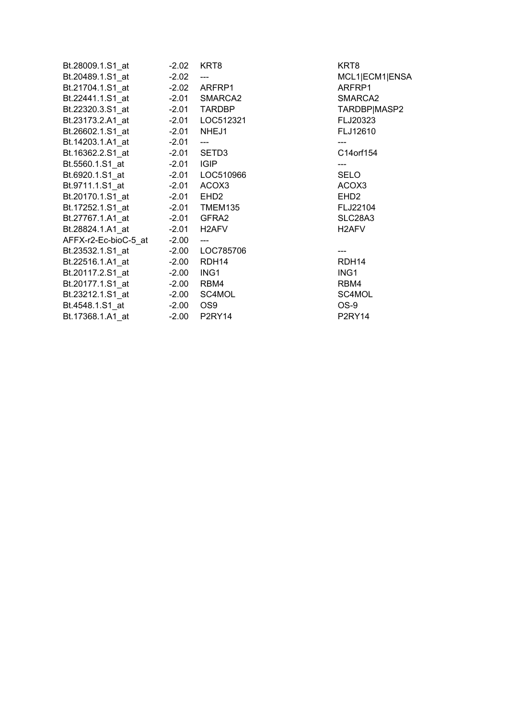|                                        |         |                                 | KRT8                                                      |
|----------------------------------------|---------|---------------------------------|-----------------------------------------------------------|
| Bt.20489.1.S1 at -2.02                 |         | $---$                           | MCL1 <sub>IE</sub>                                        |
|                                        |         |                                 | <b>ARFRP</b>                                              |
|                                        |         |                                 | <b>SMARC</b>                                              |
| Bt.22320.3.S1 at    -2.01 TARDBP       |         |                                 | <b>TARDB</b>                                              |
| Bt.23173.2.A1_at    -2.01    LOC512321 |         |                                 | FLJ2032                                                   |
| Bt.26602.1.S1 at -2.01 NHEJ1           |         |                                 | <b>FLJ126</b>                                             |
| Bt.14203.1.A1_at -2.01 ---             |         |                                 | $\hspace{0.05cm}$ - $\hspace{0.05cm}$ - $\hspace{0.05cm}$ |
|                                        |         |                                 | C14orf1                                                   |
|                                        |         |                                 | $\overline{\phantom{a}}$                                  |
|                                        |         |                                 | SELO                                                      |
|                                        |         |                                 | ACOX3                                                     |
|                                        |         |                                 | EHD <sub>2</sub>                                          |
|                                        |         |                                 | FLJ221                                                    |
|                                        |         |                                 | SLC28A                                                    |
| Bt.28824.1.A1_at    -2.01    H2AFV     |         |                                 | H <sub>2</sub> AFV                                        |
| AFFX-r2-Ec-bioC-5_at -2.00             |         | $\frac{1}{2}$                   |                                                           |
|                                        |         |                                 |                                                           |
| Bt.22516.1.A1 at                       |         | -2.00 RDH14                     | RDH14                                                     |
| Bt.20117.2.S1_at    -2.00    ING1      |         |                                 | ING1                                                      |
| Bt.20177.1.S1 at -2.00                 |         | RBM4                            | RBM4                                                      |
|                                        |         |                                 | SC4MO                                                     |
|                                        |         | OS <sub>9</sub>                 | OS-9                                                      |
| Bt.17368.1.A1 at                       | $-2.00$ | P <sub>2</sub> RY <sub>14</sub> | P2RY14                                                    |

MCL1|ECM1|ENSA ARFRP1 SMARCA2 TARDBP|MASP2 FLJ20323 FLJ12610 C14 or f 154 ACOX3 FLJ22104 SLC28A3 RDH14

SC4MOL<br>OS-9 P2RY14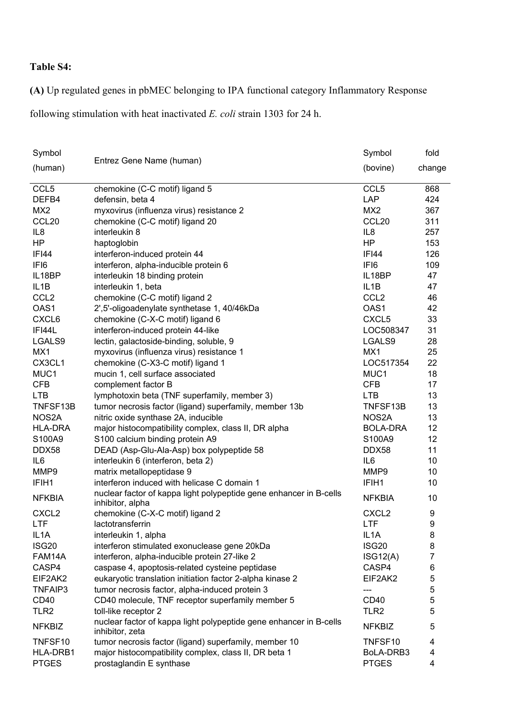## **Table S4:**

**(A)** Up regulated genes in pbMEC belonging to IPA functional category Inflammatory Response

following stimulation with heat inactivated *E. coli* strain 1303 for 24 h.

| Symbol            |                                                                                        | Symbol            | fold   |
|-------------------|----------------------------------------------------------------------------------------|-------------------|--------|
| (human)           | Entrez Gene Name (human)                                                               | (bovine)          | change |
| CCL <sub>5</sub>  | chemokine (C-C motif) ligand 5                                                         | CCL <sub>5</sub>  | 868    |
| DEFB4             | defensin, beta 4                                                                       | LAP               | 424    |
| MX <sub>2</sub>   | myxovirus (influenza virus) resistance 2                                               | MX <sub>2</sub>   | 367    |
| CCL <sub>20</sub> | chemokine (C-C motif) ligand 20                                                        | CCL <sub>20</sub> | 311    |
| IL <sub>8</sub>   | interleukin 8                                                                          | IL <sub>8</sub>   | 257    |
| HP                | haptoglobin                                                                            | HP                | 153    |
| <b>IFI44</b>      | interferon-induced protein 44                                                          | <b>IFI44</b>      | 126    |
| IFI6              | interferon, alpha-inducible protein 6                                                  | IFI6              | 109    |
| IL18BP            | interleukin 18 binding protein                                                         | IL18BP            | 47     |
| IL <sub>1</sub> B | interleukin 1, beta                                                                    | IL <sub>1</sub> B | 47     |
| CCL <sub>2</sub>  | chemokine (C-C motif) ligand 2                                                         | CCL <sub>2</sub>  | 46     |
| OAS1              | 2',5'-oligoadenylate synthetase 1, 40/46kDa                                            | OAS1              | 42     |
| CXCL6             | chemokine (C-X-C motif) ligand 6                                                       | CXCL5             | 33     |
| IFI44L            | interferon-induced protein 44-like                                                     | LOC508347         | 31     |
| LGALS9            | lectin, galactoside-binding, soluble, 9                                                | LGALS9            | 28     |
| MX1               | myxovirus (influenza virus) resistance 1                                               | MX1               | 25     |
| CX3CL1            | chemokine (C-X3-C motif) ligand 1                                                      | LOC517354         | 22     |
| MUC1              | mucin 1, cell surface associated                                                       | MUC1              | 18     |
| <b>CFB</b>        | complement factor B                                                                    | <b>CFB</b>        | 17     |
| <b>LTB</b>        | lymphotoxin beta (TNF superfamily, member 3)                                           | <b>LTB</b>        | 13     |
| TNFSF13B          | tumor necrosis factor (ligand) superfamily, member 13b                                 | TNFSF13B          | 13     |
| NOS2A             | nitric oxide synthase 2A, inducible                                                    | NOS2A             | 13     |
| <b>HLA-DRA</b>    | major histocompatibility complex, class II, DR alpha                                   | <b>BOLA-DRA</b>   | 12     |
| S100A9            | S100 calcium binding protein A9                                                        | S100A9            | 12     |
| DDX58             | DEAD (Asp-Glu-Ala-Asp) box polypeptide 58                                              | DDX58             | 11     |
| IL <sub>6</sub>   | interleukin 6 (interferon, beta 2)                                                     | IL <sub>6</sub>   | 10     |
| MMP9              | matrix metallopeptidase 9                                                              | MMP9              | 10     |
| IFIH1             | interferon induced with helicase C domain 1                                            | IFIH <sub>1</sub> | 10     |
| <b>NFKBIA</b>     | nuclear factor of kappa light polypeptide gene enhancer in B-cells<br>inhibitor, alpha | <b>NFKBIA</b>     | 10     |
| CXCL <sub>2</sub> | chemokine (C-X-C motif) ligand 2                                                       | CXCL <sub>2</sub> | 9      |
| <b>LTF</b>        | lactotransferrin                                                                       | <b>LTF</b>        | 9      |
| IL <sub>1</sub> A | interleukin 1, alpha                                                                   | IL <sub>1</sub> A | 8      |
| ISG20             | interferon stimulated exonuclease gene 20kDa                                           | <b>ISG20</b>      | 8      |
| FAM14A            | interferon, alpha-inducible protein 27-like 2                                          | ISG12(A)          | 7      |
| CASP4             | caspase 4, apoptosis-related cysteine peptidase                                        | CASP4             | 6      |
| EIF2AK2           | eukaryotic translation initiation factor 2-alpha kinase 2                              | EIF2AK2           | 5      |
| TNFAIP3           | tumor necrosis factor, alpha-induced protein 3                                         |                   | 5      |
| CD <sub>40</sub>  | CD40 molecule, TNF receptor superfamily member 5                                       | <b>CD40</b>       | 5      |
| TLR <sub>2</sub>  | toll-like receptor 2                                                                   | TLR <sub>2</sub>  | 5      |
| <b>NFKBIZ</b>     | nuclear factor of kappa light polypeptide gene enhancer in B-cells<br>inhibitor, zeta  | <b>NFKBIZ</b>     | 5      |
| TNFSF10           | tumor necrosis factor (ligand) superfamily, member 10                                  | TNFSF10           | 4      |
| HLA-DRB1          | major histocompatibility complex, class II, DR beta 1                                  | BoLA-DRB3         | 4      |
| <b>PTGES</b>      | prostaglandin E synthase                                                               | <b>PTGES</b>      | 4      |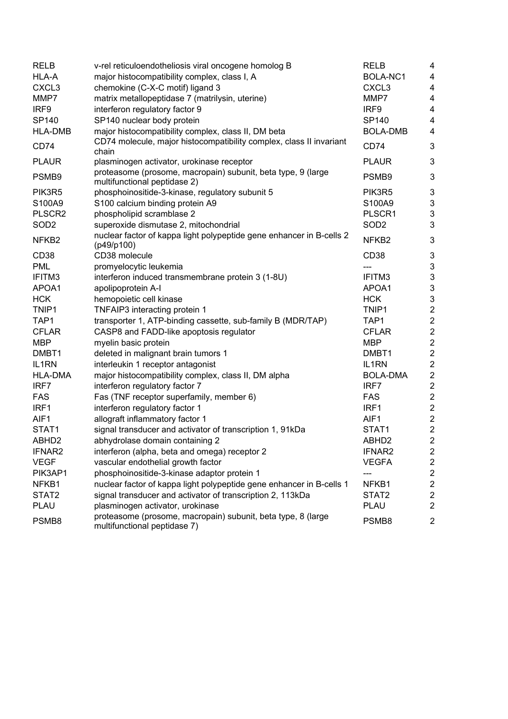| <b>RELB</b>        | v-rel reticuloendotheliosis viral oncogene homolog B                                         | <b>RELB</b>        | 4                         |
|--------------------|----------------------------------------------------------------------------------------------|--------------------|---------------------------|
| HLA-A              | major histocompatibility complex, class I, A                                                 | BOLA-NC1           | $\overline{\mathbf{4}}$   |
| CXCL <sub>3</sub>  | chemokine (C-X-C motif) ligand 3                                                             | CXCL3              | 4                         |
| MMP7               | matrix metallopeptidase 7 (matrilysin, uterine)                                              | MMP7               | 4                         |
| IRF9               | interferon regulatory factor 9                                                               | IRF9               | $\overline{\mathbf{4}}$   |
| SP140              | SP140 nuclear body protein                                                                   | SP140              | 4                         |
| <b>HLA-DMB</b>     | major histocompatibility complex, class II, DM beta                                          | <b>BOLA-DMB</b>    | 4                         |
| CD74               | CD74 molecule, major histocompatibility complex, class II invariant<br>chain                 | CD74               | 3                         |
| <b>PLAUR</b>       | plasminogen activator, urokinase receptor                                                    | <b>PLAUR</b>       | 3                         |
| PSMB9              | proteasome (prosome, macropain) subunit, beta type, 9 (large<br>multifunctional peptidase 2) | PSMB9              | $\mathbf{3}$              |
| PIK3R5             | phosphoinositide-3-kinase, regulatory subunit 5                                              | PIK3R5             | $\ensuremath{\mathsf{3}}$ |
| S100A9             | S100 calcium binding protein A9                                                              | S100A9             | $\sqrt{3}$                |
| PLSCR2             | phospholipid scramblase 2                                                                    | PLSCR1             | $\ensuremath{\mathsf{3}}$ |
| SOD <sub>2</sub>   | superoxide dismutase 2, mitochondrial                                                        | SOD <sub>2</sub>   | 3                         |
| NFKB <sub>2</sub>  | nuclear factor of kappa light polypeptide gene enhancer in B-cells 2<br>(p49/p100)           | NFKB <sub>2</sub>  | $\ensuremath{\mathsf{3}}$ |
| CD <sub>38</sub>   | CD38 molecule                                                                                | CD <sub>38</sub>   | $\mathfrak{B}$            |
| <b>PML</b>         | promyelocytic leukemia                                                                       |                    | $\mathbf 3$               |
| IFITM3             | interferon induced transmembrane protein 3 (1-8U)                                            | IFITM3             | $\ensuremath{\mathsf{3}}$ |
| APOA1              | apolipoprotein A-I                                                                           | APOA1              | $\mathsf 3$               |
| <b>HCK</b>         | hemopoietic cell kinase                                                                      | <b>HCK</b>         | $\ensuremath{\mathsf{3}}$ |
| TNIP1              | TNFAIP3 interacting protein 1                                                                | TNIP1              | $\overline{\mathbf{c}}$   |
| TAP1               | transporter 1, ATP-binding cassette, sub-family B (MDR/TAP)                                  | TAP1               | $\mathbf 2$               |
| <b>CFLAR</b>       | CASP8 and FADD-like apoptosis regulator                                                      | <b>CFLAR</b>       | $\sqrt{2}$                |
| <b>MBP</b>         | myelin basic protein                                                                         | <b>MBP</b>         | $\sqrt{2}$                |
| DMBT <sub>1</sub>  | deleted in malignant brain tumors 1                                                          | DMBT <sub>1</sub>  | $\boldsymbol{2}$          |
| IL <sub>1</sub> RN | interleukin 1 receptor antagonist                                                            | IL <sub>1</sub> RN | $\sqrt{2}$                |
| <b>HLA-DMA</b>     | major histocompatibility complex, class II, DM alpha                                         | <b>BOLA-DMA</b>    | $\sqrt{2}$                |
| IRF7               | interferon regulatory factor 7                                                               | IRF7               | $\overline{\mathbf{c}}$   |
| <b>FAS</b>         | Fas (TNF receptor superfamily, member 6)                                                     | <b>FAS</b>         | $\overline{\mathbf{c}}$   |
| IRF1               | interferon regulatory factor 1                                                               | IRF1               | $\mathbf 2$               |
| AIF1               | allograft inflammatory factor 1                                                              | AIF1               | $\mathbf 2$               |
| STAT1              | signal transducer and activator of transcription 1, 91kDa                                    | STAT1              | $\mathbf 2$               |
| ABHD <sub>2</sub>  | abhydrolase domain containing 2                                                              | ABHD <sub>2</sub>  | $\overline{c}$            |
| <b>IFNAR2</b>      | interferon (alpha, beta and omega) receptor 2                                                | IFNAR2             | $\overline{c}$            |
| <b>VEGF</b>        | vascular endothelial growth factor                                                           | <b>VEGFA</b>       | $\overline{\mathbf{c}}$   |
| PIK3AP1            | phosphoinositide-3-kinase adaptor protein 1                                                  | ---                | $\overline{\mathbf{c}}$   |
| NFKB1              | nuclear factor of kappa light polypeptide gene enhancer in B-cells 1                         | NFKB1              | $\boldsymbol{2}$          |
| STAT2              | signal transducer and activator of transcription 2, 113kDa                                   | STAT2              | $\sqrt{2}$                |
| <b>PLAU</b>        | plasminogen activator, urokinase                                                             | <b>PLAU</b>        | $\overline{c}$            |
| PSMB8              | proteasome (prosome, macropain) subunit, beta type, 8 (large<br>multifunctional peptidase 7) | PSMB8              | $\overline{2}$            |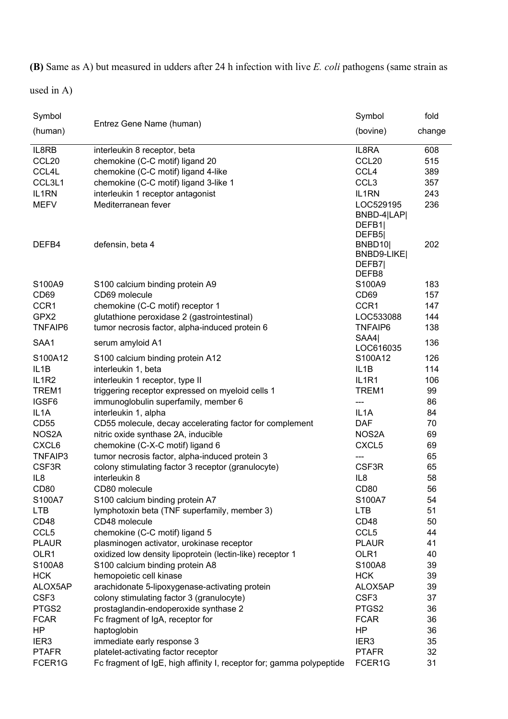**(B)** Same as A) but measured in udders after 24 h infection with live *E. coli* pathogens (same strain as

used in A)

| Symbol                         |                                                                      | Symbol                         | fold   |
|--------------------------------|----------------------------------------------------------------------|--------------------------------|--------|
| (human)                        | Entrez Gene Name (human)                                             | (bovine)                       | change |
| IL8RB                          | interleukin 8 receptor, beta                                         | IL8RA                          | 608    |
| CCL <sub>20</sub>              | chemokine (C-C motif) ligand 20                                      | CCL <sub>20</sub>              | 515    |
| CCL4L                          | chemokine (C-C motif) ligand 4-like                                  | CCL4                           | 389    |
| CCL3L1                         | chemokine (C-C motif) ligand 3-like 1                                | CCL <sub>3</sub>               | 357    |
| IL1RN                          | interleukin 1 receptor antagonist                                    | IL1RN                          | 243    |
| <b>MEFV</b>                    | Mediterranean fever                                                  | LOC529195                      | 236    |
|                                |                                                                      | BNBD-4 LAP <br>DEFB1           |        |
| DEFB4                          | defensin, beta 4                                                     | DEFB <sub>5</sub><br>BNBD10    | 202    |
|                                |                                                                      | BNBD9-LIKE<br>DEFB7<br>DEFB8   |        |
| S100A9                         | S100 calcium binding protein A9                                      | S100A9                         | 183    |
| CD69                           | CD69 molecule                                                        | CD <sub>69</sub>               | 157    |
| CCR1                           | chemokine (C-C motif) receptor 1                                     | CCR1                           | 147    |
| GPX2                           | glutathione peroxidase 2 (gastrointestinal)                          | LOC533088                      | 144    |
| <b>TNFAIP6</b>                 | tumor necrosis factor, alpha-induced protein 6                       | <b>TNFAIP6</b>                 | 138    |
|                                |                                                                      | SAA4                           |        |
| SAA1                           | serum amyloid A1                                                     | LOC616035                      | 136    |
| S100A12                        | S100 calcium binding protein A12                                     | S100A12                        | 126    |
| IL <sub>1</sub> B              | interleukin 1, beta                                                  | IL <sub>1</sub> B              | 114    |
| IL <sub>1</sub> R <sub>2</sub> | interleukin 1 receptor, type II                                      | IL <sub>1</sub> R <sub>1</sub> | 106    |
| TREM1                          | triggering receptor expressed on myeloid cells 1                     | TREM1                          | 99     |
| IGSF6                          | immunoglobulin superfamily, member 6                                 | ---                            | 86     |
| IL <sub>1</sub> A              | interleukin 1, alpha                                                 | IL <sub>1</sub> A              | 84     |
| <b>CD55</b>                    | CD55 molecule, decay accelerating factor for complement              | <b>DAF</b>                     | 70     |
| NOS2A                          | nitric oxide synthase 2A, inducible                                  | NOS <sub>2</sub> A             | 69     |
| CXCL6                          | chemokine (C-X-C motif) ligand 6                                     | CXCL5                          | 69     |
| TNFAIP3                        | tumor necrosis factor, alpha-induced protein 3                       | ---                            | 65     |
| CSF3R                          | colony stimulating factor 3 receptor (granulocyte)                   | CSF3R                          | 65     |
| IL <sub>8</sub>                | interleukin 8                                                        | IL8                            | 58     |
| CD <sub>80</sub>               | CD80 molecule                                                        | <b>CD80</b>                    | 56     |
| S100A7                         | S100 calcium binding protein A7                                      | S100A7                         | 54     |
| <b>LTB</b>                     | lymphotoxin beta (TNF superfamily, member 3)                         | <b>LTB</b>                     | 51     |
| CD48                           | CD48 molecule                                                        | CD48                           | 50     |
| CCL <sub>5</sub>               | chemokine (C-C motif) ligand 5                                       | CCL <sub>5</sub>               | 44     |
| <b>PLAUR</b>                   | plasminogen activator, urokinase receptor                            | <b>PLAUR</b>                   | 41     |
| OLR1                           | oxidized low density lipoprotein (lectin-like) receptor 1            | OLR1                           | 40     |
| S100A8                         | S100 calcium binding protein A8                                      | S100A8                         | 39     |
| <b>HCK</b>                     | hemopoietic cell kinase                                              | <b>HCK</b>                     | 39     |
| ALOX5AP                        | arachidonate 5-lipoxygenase-activating protein                       | ALOX5AP                        | 39     |
| CSF <sub>3</sub>               | colony stimulating factor 3 (granulocyte)                            | CSF <sub>3</sub>               | 37     |
| PTGS2                          | prostaglandin-endoperoxide synthase 2                                | PTGS2                          | 36     |
| <b>FCAR</b>                    | Fc fragment of IgA, receptor for                                     | <b>FCAR</b>                    | 36     |
| <b>HP</b>                      | haptoglobin                                                          | HP                             | 36     |
| IER <sub>3</sub>               | immediate early response 3                                           | IER <sub>3</sub>               | 35     |
| <b>PTAFR</b>                   | platelet-activating factor receptor                                  | <b>PTAFR</b>                   | 32     |
| FCER1G                         | Fc fragment of IgE, high affinity I, receptor for; gamma polypeptide | FCER1G                         | 31     |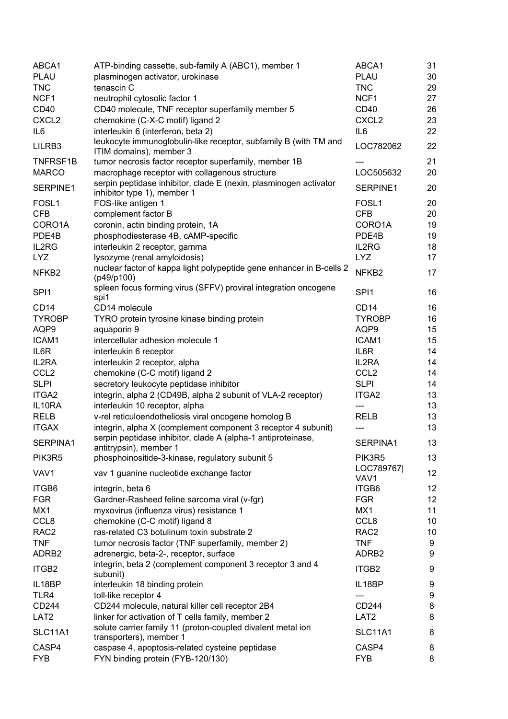| ABCA1             | ATP-binding cassette, sub-family A (ABC1), member 1                                              | ABCA1                         | 31 |
|-------------------|--------------------------------------------------------------------------------------------------|-------------------------------|----|
| <b>PLAU</b>       | plasminogen activator, urokinase                                                                 | <b>PLAU</b>                   | 30 |
| <b>TNC</b>        | tenascin C                                                                                       | <b>TNC</b>                    | 29 |
| NCF1              | neutrophil cytosolic factor 1                                                                    | NCF1                          | 27 |
| CD40              | CD40 molecule, TNF receptor superfamily member 5                                                 | CD <sub>40</sub>              | 26 |
| CXCL <sub>2</sub> | chemokine (C-X-C motif) ligand 2                                                                 | CXCL <sub>2</sub>             | 23 |
| IL <sub>6</sub>   | interleukin 6 (interferon, beta 2)                                                               | IL <sub>6</sub>               | 22 |
| LILRB3            | leukocyte immunoglobulin-like receptor, subfamily B (with TM and<br>ITIM domains), member 3      | LOC782062                     | 22 |
| TNFRSF1B          | tumor necrosis factor receptor superfamily, member 1B                                            |                               | 21 |
| <b>MARCO</b>      | macrophage receptor with collagenous structure                                                   | LOC505632                     | 20 |
| SERPINE1          | serpin peptidase inhibitor, clade E (nexin, plasminogen activator<br>inhibitor type 1), member 1 | SERPINE1                      | 20 |
| FOSL <sub>1</sub> | FOS-like antigen 1                                                                               | FOSL <sub>1</sub>             | 20 |
| <b>CFB</b>        | complement factor B                                                                              | <b>CFB</b>                    | 20 |
| CORO1A            | coronin, actin binding protein, 1A                                                               | CORO1A                        | 19 |
| PDE4B             | phosphodiesterase 4B, cAMP-specific                                                              | PDE4B                         | 19 |
| IL2RG             | interleukin 2 receptor, gamma                                                                    | IL2RG                         | 18 |
| <b>LYZ</b>        | lysozyme (renal amyloidosis)                                                                     | <b>LYZ</b>                    | 17 |
| NFKB <sub>2</sub> | nuclear factor of kappa light polypeptide gene enhancer in B-cells 2<br>(p49/p100)               | NFKB <sub>2</sub>             | 17 |
| SPI <sub>1</sub>  | spleen focus forming virus (SFFV) proviral integration oncogene<br>spi1                          | SPI <sub>1</sub>              | 16 |
| CD <sub>14</sub>  | CD14 molecule                                                                                    | CD <sub>14</sub>              | 16 |
| <b>TYROBP</b>     | TYRO protein tyrosine kinase binding protein                                                     | <b>TYROBP</b>                 | 16 |
| AQP9              | aquaporin 9                                                                                      | AQP9                          | 15 |
| ICAM1             | intercellular adhesion molecule 1                                                                | ICAM1                         | 15 |
| IL6R              | interleukin 6 receptor                                                                           | IL6R                          | 14 |
| IL2RA             | interleukin 2 receptor, alpha                                                                    | IL2RA                         | 14 |
| CCL <sub>2</sub>  | chemokine (C-C motif) ligand 2                                                                   | CCL <sub>2</sub>              | 14 |
| <b>SLPI</b>       | secretory leukocyte peptidase inhibitor                                                          | <b>SLPI</b>                   | 14 |
| ITGA2             | integrin, alpha 2 (CD49B, alpha 2 subunit of VLA-2 receptor)                                     | ITGA2                         | 13 |
| IL10RA            | interleukin 10 receptor, alpha                                                                   | $---$                         | 13 |
| <b>RELB</b>       | v-rel reticuloendotheliosis viral oncogene homolog B                                             | <b>RELB</b>                   | 13 |
| <b>ITGAX</b>      | integrin, alpha X (complement component 3 receptor 4 subunit)                                    | ---                           | 13 |
|                   | serpin peptidase inhibitor, clade A (alpha-1 antiproteinase,                                     |                               |    |
| SERPINA1          | antitrypsin), member 1                                                                           | SERPINA1                      | 13 |
| PIK3R5            | phosphoinositide-3-kinase, regulatory subunit 5                                                  | PIK3R5                        | 13 |
| VAV1              | vav 1 guanine nucleotide exchange factor                                                         | LOC789767<br>VAV <sub>1</sub> | 12 |
| ITGB6             | integrin, beta 6                                                                                 | ITGB6                         | 12 |
| <b>FGR</b>        | Gardner-Rasheed feline sarcoma viral (v-fgr)                                                     | <b>FGR</b>                    | 12 |
| MX1               | myxovirus (influenza virus) resistance 1                                                         | MX1                           | 11 |
| CCL <sub>8</sub>  | chemokine (C-C motif) ligand 8                                                                   | CCL8                          | 10 |
| RAC <sub>2</sub>  | ras-related C3 botulinum toxin substrate 2                                                       | RAC <sub>2</sub>              | 10 |
| <b>TNF</b>        | tumor necrosis factor (TNF superfamily, member 2)                                                | <b>TNF</b>                    | 9  |
| ADRB2             | adrenergic, beta-2-, receptor, surface                                                           | ADRB2                         | 9  |
| ITGB2             | integrin, beta 2 (complement component 3 receptor 3 and 4<br>subunit)                            | ITGB2                         | 9  |
| IL18BP            | interleukin 18 binding protein                                                                   | IL18BP                        | 9  |
| TLR4              | toll-like receptor 4                                                                             | ---                           | 9  |
| CD244             | CD244 molecule, natural killer cell receptor 2B4                                                 | CD244                         | 8  |
| LAT <sub>2</sub>  | linker for activation of T cells family, member 2                                                | LAT <sub>2</sub>              | 8  |
| <b>SLC11A1</b>    | solute carrier family 11 (proton-coupled divalent metal ion<br>transporters), member 1           | <b>SLC11A1</b>                | 8  |
| CASP4             | caspase 4, apoptosis-related cysteine peptidase                                                  | CASP4                         | 8  |
| <b>FYB</b>        | FYN binding protein (FYB-120/130)                                                                | <b>FYB</b>                    | 8  |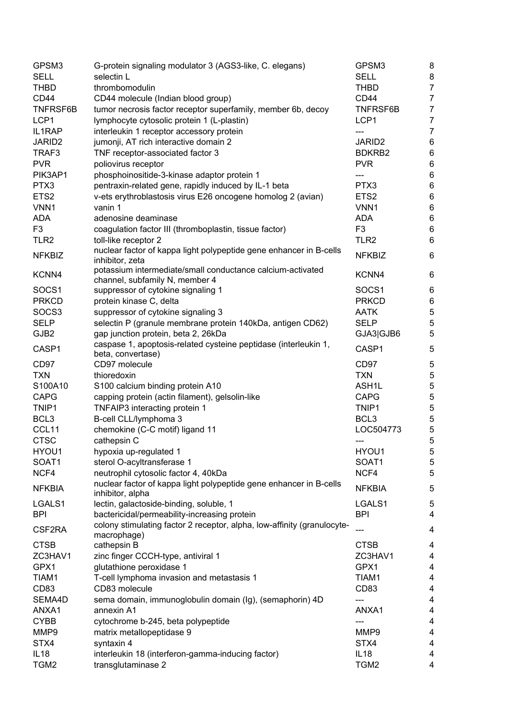| GPSM3              | G-protein signaling modulator 3 (AGS3-like, C. elegans)                                      | GPSM3              | 8                       |
|--------------------|----------------------------------------------------------------------------------------------|--------------------|-------------------------|
| <b>SELL</b>        | selectin L                                                                                   | <b>SELL</b>        | 8                       |
| <b>THBD</b>        | thrombomodulin                                                                               | <b>THBD</b>        | $\overline{7}$          |
| CD44               | CD44 molecule (Indian blood group)                                                           | CD44               | $\overline{7}$          |
| TNFRSF6B           | tumor necrosis factor receptor superfamily, member 6b, decoy                                 | <b>TNFRSF6B</b>    | $\overline{7}$          |
| LCP1               | lymphocyte cytosolic protein 1 (L-plastin)                                                   | LCP1               | $\overline{7}$          |
| IL1RAP             | interleukin 1 receptor accessory protein                                                     | ---                | $\overline{7}$          |
| JARID <sub>2</sub> | jumonji, AT rich interactive domain 2                                                        | JARID <sub>2</sub> | 6                       |
| TRAF3              | TNF receptor-associated factor 3                                                             | BDKRB2             | $\,6\,$                 |
| <b>PVR</b>         | poliovirus receptor                                                                          | <b>PVR</b>         | $\,6\,$                 |
|                    |                                                                                              |                    |                         |
| PIK3AP1            | phosphoinositide-3-kinase adaptor protein 1                                                  | ---                | $\,6\,$                 |
| PTX3               | pentraxin-related gene, rapidly induced by IL-1 beta                                         | PTX3               | $\,6$                   |
| ETS <sub>2</sub>   | v-ets erythroblastosis virus E26 oncogene homolog 2 (avian)                                  | ETS <sub>2</sub>   | $\,6\,$                 |
| VNN1               | vanin 1                                                                                      | VNN1               | $\,6$                   |
| <b>ADA</b>         | adenosine deaminase                                                                          | <b>ADA</b>         | 6                       |
| F <sub>3</sub>     | coagulation factor III (thromboplastin, tissue factor)                                       | F <sub>3</sub>     | $\,6\,$                 |
| TLR <sub>2</sub>   | toll-like receptor 2                                                                         | TLR <sub>2</sub>   | 6                       |
| <b>NFKBIZ</b>      | nuclear factor of kappa light polypeptide gene enhancer in B-cells<br>inhibitor, zeta        | <b>NFKBIZ</b>      | $\,6\,$                 |
| KCNN4              | potassium intermediate/small conductance calcium-activated<br>channel, subfamily N, member 4 | KCNN4              | $\,6\,$                 |
| SOCS1              | suppressor of cytokine signaling 1                                                           | SOCS1              | 6                       |
| <b>PRKCD</b>       | protein kinase C, delta                                                                      | <b>PRKCD</b>       | 6                       |
| SOCS3              | suppressor of cytokine signaling 3                                                           | <b>AATK</b>        | $\sqrt{5}$              |
| <b>SELP</b>        | selectin P (granule membrane protein 140kDa, antigen CD62)                                   | <b>SELP</b>        | $\sqrt{5}$              |
| GJB2               | gap junction protein, beta 2, 26kDa                                                          | GJA3 GJB6          | $\sqrt{5}$              |
| CASP1              | caspase 1, apoptosis-related cysteine peptidase (interleukin 1,<br>beta, convertase)         | CASP1              | 5                       |
| CD97               | CD97 molecule                                                                                | CD97               | $\mathbf 5$             |
| <b>TXN</b>         | thioredoxin                                                                                  | <b>TXN</b>         | 5                       |
| S100A10            | S100 calcium binding protein A10                                                             | ASH1L              | 5                       |
| <b>CAPG</b>        | capping protein (actin filament), gelsolin-like                                              | <b>CAPG</b>        | 5                       |
| TNIP1              |                                                                                              | TNIP1              |                         |
|                    | TNFAIP3 interacting protein 1                                                                | BCL <sub>3</sub>   | 5                       |
| BCL3               | B-cell CLL/lymphoma 3                                                                        |                    | 5                       |
| CCL11              | chemokine (C-C motif) ligand 11                                                              | LOC504773          | $\mathbf 5$             |
| <b>CTSC</b>        | cathepsin C                                                                                  | ---                | 5                       |
| HYOU1              | hypoxia up-regulated 1                                                                       | HYOU1              | 5                       |
| SOAT1              | sterol O-acyltransferase 1                                                                   | SOAT1              | $\mathbf 5$             |
| NCF4               | neutrophil cytosolic factor 4, 40kDa                                                         | NCF4               | 5                       |
| <b>NFKBIA</b>      | nuclear factor of kappa light polypeptide gene enhancer in B-cells<br>inhibitor, alpha       | <b>NFKBIA</b>      | 5                       |
| LGALS1             | lectin, galactoside-binding, soluble, 1                                                      | LGALS1             | 5                       |
| <b>BPI</b>         | bactericidal/permeability-increasing protein                                                 | <b>BPI</b>         | 4                       |
| CSF2RA             | colony stimulating factor 2 receptor, alpha, low-affinity (granulocyte-<br>macrophage)       | ---                | 4                       |
| <b>CTSB</b>        | cathepsin B                                                                                  | <b>CTSB</b>        | 4                       |
| ZC3HAV1            | zinc finger CCCH-type, antiviral 1                                                           | ZC3HAV1            | 4                       |
| GPX1               | glutathione peroxidase 1                                                                     | GPX1               | 4                       |
| TIAM1              | T-cell lymphoma invasion and metastasis 1                                                    | TIAM1              | 4                       |
| CD83               | CD83 molecule                                                                                | CD83               | 4                       |
| SEMA4D             | sema domain, immunoglobulin domain (Ig), (semaphorin) 4D                                     | ---                | $\overline{\mathbf{4}}$ |
| ANXA1              | annexin A1                                                                                   | ANXA1              | 4                       |
| <b>CYBB</b>        | cytochrome b-245, beta polypeptide                                                           |                    | 4                       |
| MMP9               | matrix metallopeptidase 9                                                                    | MMP9               | 4                       |
| STX4               | syntaxin 4                                                                                   | STX4               | 4                       |
| <b>IL18</b>        | interleukin 18 (interferon-gamma-inducing factor)                                            | IL18               | 4                       |
| TGM2               | transglutaminase 2                                                                           | TGM2               | 4                       |
|                    |                                                                                              |                    |                         |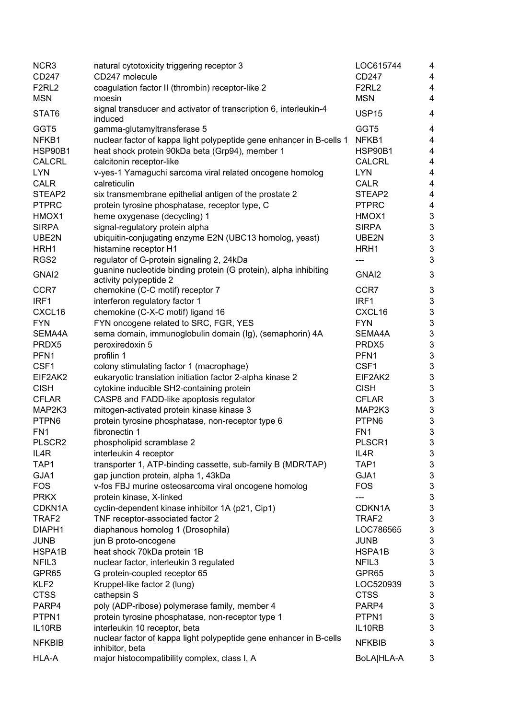| NCR <sub>3</sub>   | natural cytotoxicity triggering receptor 3                                                 | LOC615744         | 4                         |
|--------------------|--------------------------------------------------------------------------------------------|-------------------|---------------------------|
| CD247              | CD247 molecule                                                                             | CD247             | $\overline{4}$            |
| F <sub>2RL2</sub>  | coagulation factor II (thrombin) receptor-like 2                                           | F <sub>2RL2</sub> | 4                         |
| <b>MSN</b>         | moesin                                                                                     | <b>MSN</b>        | 4                         |
| STAT6              | signal transducer and activator of transcription 6, interleukin-4<br>induced               | <b>USP15</b>      | 4                         |
| GGT5               | gamma-glutamyltransferase 5                                                                | GGT5              | $\overline{\mathbf{4}}$   |
| NFKB1              | nuclear factor of kappa light polypeptide gene enhancer in B-cells 1                       | NFKB1             | 4                         |
| <b>HSP90B1</b>     | heat shock protein 90kDa beta (Grp94), member 1                                            | HSP90B1           | 4                         |
| <b>CALCRL</b>      | calcitonin receptor-like                                                                   | <b>CALCRL</b>     | 4                         |
| <b>LYN</b>         | v-yes-1 Yamaguchi sarcoma viral related oncogene homolog                                   | <b>LYN</b>        | 4                         |
| <b>CALR</b>        | calreticulin                                                                               | <b>CALR</b>       | $\overline{\mathbf{4}}$   |
| STEAP2             | six transmembrane epithelial antigen of the prostate 2                                     | STEAP2            | $\overline{\mathbf{4}}$   |
| <b>PTPRC</b>       | protein tyrosine phosphatase, receptor type, C                                             | <b>PTPRC</b>      | $\overline{\mathbf{4}}$   |
| HMOX1              | heme oxygenase (decycling) 1                                                               | HMOX1             | $\mathsf 3$               |
| <b>SIRPA</b>       | signal-regulatory protein alpha                                                            | <b>SIRPA</b>      | $\ensuremath{\mathsf{3}}$ |
| UBE2N              | ubiquitin-conjugating enzyme E2N (UBC13 homolog, yeast)                                    | UBE2N             | $\mathsf 3$               |
| HRH1               | histamine receptor H1                                                                      | HRH1              | $\ensuremath{\mathsf{3}}$ |
| RGS2               | regulator of G-protein signaling 2, 24kDa                                                  |                   | 3                         |
| GNAI2              | guanine nucleotide binding protein (G protein), alpha inhibiting<br>activity polypeptide 2 | GNAI <sub>2</sub> | $\ensuremath{\mathsf{3}}$ |
| CCR7               | chemokine (C-C motif) receptor 7                                                           | CCR7              | $\ensuremath{\mathsf{3}}$ |
| IRF1               | interferon regulatory factor 1                                                             | IRF1              | $\sqrt{3}$                |
| CXCL16             | chemokine (C-X-C motif) ligand 16                                                          | CXCL16            | $\ensuremath{\mathsf{3}}$ |
| <b>FYN</b>         | FYN oncogene related to SRC, FGR, YES                                                      | <b>FYN</b>        | $\ensuremath{\mathsf{3}}$ |
| SEMA4A             | sema domain, immunoglobulin domain (Ig), (semaphorin) 4A                                   | SEMA4A            | $\ensuremath{\mathsf{3}}$ |
| PRDX5              | peroxiredoxin 5                                                                            | PRDX5             | $\mathsf 3$               |
| PFN <sub>1</sub>   | profilin 1                                                                                 | PFN1              | $\mathsf 3$               |
| CSF1               | colony stimulating factor 1 (macrophage)                                                   | CSF1              | $\ensuremath{\mathsf{3}}$ |
| EIF2AK2            | eukaryotic translation initiation factor 2-alpha kinase 2                                  | EIF2AK2           | $\ensuremath{\mathsf{3}}$ |
| <b>CISH</b>        | cytokine inducible SH2-containing protein                                                  | <b>CISH</b>       | $\sqrt{3}$                |
| <b>CFLAR</b>       | CASP8 and FADD-like apoptosis regulator                                                    | <b>CFLAR</b>      | $\sqrt{3}$                |
| MAP2K3             | mitogen-activated protein kinase kinase 3                                                  | MAP2K3            | $\mathsf 3$               |
| PTPN6              | protein tyrosine phosphatase, non-receptor type 6                                          | PTPN6             | $\mathsf 3$               |
| FN <sub>1</sub>    | fibronectin 1                                                                              | FN <sub>1</sub>   | $\mathsf 3$               |
| PLSCR <sub>2</sub> | phospholipid scramblase 2                                                                  | PLSCR1            | $\ensuremath{\mathsf{3}}$ |
| IL4R               | interleukin 4 receptor                                                                     | IL4R              | 3                         |
| TAP1               | transporter 1, ATP-binding cassette, sub-family B (MDR/TAP)                                | TAP1              | 3                         |
| GJA1               | gap junction protein, alpha 1, 43kDa                                                       | GJA1              | $\ensuremath{\mathsf{3}}$ |
| <b>FOS</b>         | v-fos FBJ murine osteosarcoma viral oncogene homolog                                       | <b>FOS</b>        | $\sqrt{3}$                |
| <b>PRKX</b>        | protein kinase, X-linked                                                                   | ---               | $\sqrt{3}$                |
| CDKN1A             | cyclin-dependent kinase inhibitor 1A (p21, Cip1)                                           | CDKN1A            | $\ensuremath{\mathsf{3}}$ |
| TRAF2              | TNF receptor-associated factor 2                                                           | TRAF <sub>2</sub> | $\ensuremath{\mathsf{3}}$ |
| DIAPH1             | diaphanous homolog 1 (Drosophila)                                                          | LOC786565         | $\ensuremath{\mathsf{3}}$ |
| <b>JUNB</b>        | jun B proto-oncogene                                                                       | <b>JUNB</b>       | $\ensuremath{\mathsf{3}}$ |
| HSPA1B             | heat shock 70kDa protein 1B                                                                | HSPA1B            | $\ensuremath{\mathsf{3}}$ |
| NFIL3              |                                                                                            | NFIL3             | $\sqrt{3}$                |
|                    | nuclear factor, interleukin 3 regulated                                                    |                   |                           |
| GPR65              | G protein-coupled receptor 65                                                              | GPR65             | $\sqrt{3}$                |
| KLF <sub>2</sub>   | Kruppel-like factor 2 (lung)                                                               | LOC520939         | $\ensuremath{\mathsf{3}}$ |
| <b>CTSS</b>        | cathepsin S                                                                                | <b>CTSS</b>       | $\ensuremath{\mathsf{3}}$ |
| PARP4              | poly (ADP-ribose) polymerase family, member 4                                              | PARP4             | $\ensuremath{\mathsf{3}}$ |
| PTPN1              | protein tyrosine phosphatase, non-receptor type 1                                          | PTPN1             | $\ensuremath{\mathsf{3}}$ |
| IL10RB             | interleukin 10 receptor, beta                                                              | IL10RB            | 3                         |
| <b>NFKBIB</b>      | nuclear factor of kappa light polypeptide gene enhancer in B-cells<br>inhibitor, beta      | <b>NFKBIB</b>     | $\mathbf{3}$              |
| HLA-A              | major histocompatibility complex, class I, A                                               | BoLA HLA-A        | 3                         |